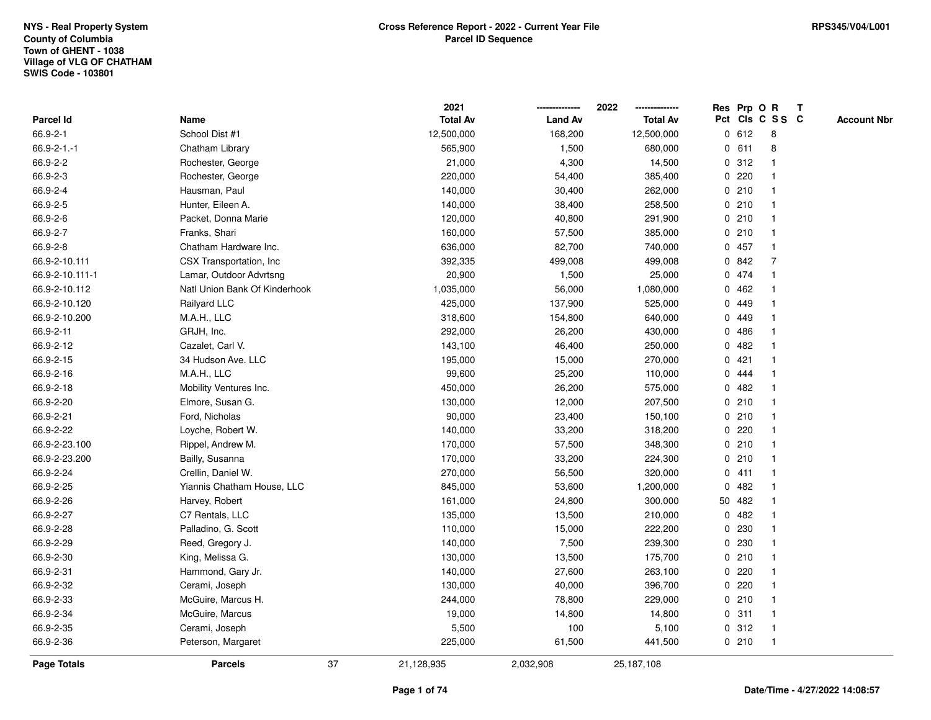|                    |                               |    | 2021            |                | 2022            |              |        | Res Prp O R     | Т |                    |
|--------------------|-------------------------------|----|-----------------|----------------|-----------------|--------------|--------|-----------------|---|--------------------|
| <b>Parcel Id</b>   | Name                          |    | <b>Total Av</b> | <b>Land Av</b> | <b>Total Av</b> |              |        | Pct Cls C S S C |   | <b>Account Nbr</b> |
| 66.9-2-1           | School Dist #1                |    | 12,500,000      | 168,200        | 12,500,000      |              | 0 612  | 8               |   |                    |
| $66.9 - 2 - 1 - 1$ | Chatham Library               |    | 565,900         | 1,500          | 680,000         | 0            | 611    | 8               |   |                    |
| 66.9-2-2           | Rochester, George             |    | 21,000          | 4,300          | 14,500          |              | 0.312  | 1               |   |                    |
| 66.9-2-3           | Rochester, George             |    | 220,000         | 54,400         | 385,400         |              | 0.220  |                 |   |                    |
| 66.9-2-4           | Hausman, Paul                 |    | 140,000         | 30,400         | 262,000         |              | 0210   |                 |   |                    |
| 66.9-2-5           | Hunter, Eileen A.             |    | 140,000         | 38,400         | 258,500         |              | 0210   |                 |   |                    |
| 66.9-2-6           | Packet, Donna Marie           |    | 120,000         | 40,800         | 291,900         |              | 0210   |                 |   |                    |
| 66.9-2-7           | Franks, Shari                 |    | 160,000         | 57,500         | 385,000         |              | 0210   | $\overline{1}$  |   |                    |
| 66.9-2-8           | Chatham Hardware Inc.         |    | 636,000         | 82,700         | 740,000         |              | 0 457  | $\mathbf{1}$    |   |                    |
| 66.9-2-10.111      | CSX Transportation, Inc       |    | 392,335         | 499,008        | 499,008         |              | 0842   | 7               |   |                    |
| 66.9-2-10.111-1    | Lamar, Outdoor Advrtsng       |    | 20,900          | 1,500          | 25,000          |              | 0 474  |                 |   |                    |
| 66.9-2-10.112      | Natl Union Bank Of Kinderhook |    | 1,035,000       | 56,000         | 1,080,000       |              | 0.462  |                 |   |                    |
| 66.9-2-10.120      | Railyard LLC                  |    | 425,000         | 137,900        | 525,000         | $\mathbf{0}$ | 449    |                 |   |                    |
| 66.9-2-10.200      | M.A.H., LLC                   |    | 318,600         | 154,800        | 640,000         | 0            | 449    |                 |   |                    |
| 66.9-2-11          | GRJH, Inc.                    |    | 292,000         | 26,200         | 430,000         | 0            | 486    |                 |   |                    |
| 66.9-2-12          | Cazalet, Carl V.              |    | 143,100         | 46,400         | 250,000         | $\mathbf{0}$ | 482    |                 |   |                    |
| 66.9-2-15          | 34 Hudson Ave. LLC            |    | 195,000         | 15,000         | 270,000         | $\mathbf 0$  | 421    |                 |   |                    |
| 66.9-2-16          | M.A.H., LLC                   |    | 99,600          | 25,200         | 110,000         |              | 0 444  |                 |   |                    |
| 66.9-2-18          | Mobility Ventures Inc.        |    | 450,000         | 26,200         | 575,000         |              | 0.482  |                 |   |                    |
| 66.9-2-20          | Elmore, Susan G.              |    | 130,000         | 12,000         | 207,500         |              | 0210   |                 |   |                    |
| 66.9-2-21          | Ford, Nicholas                |    | 90,000          | 23,400         | 150,100         |              | 0210   |                 |   |                    |
| 66.9-2-22          | Loyche, Robert W.             |    | 140,000         | 33,200         | 318,200         |              | 0.220  |                 |   |                    |
| 66.9-2-23.100      | Rippel, Andrew M.             |    | 170,000         | 57,500         | 348,300         |              | 0210   | -1              |   |                    |
| 66.9-2-23.200      | Bailly, Susanna               |    | 170,000         | 33,200         | 224,300         |              | 0210   | $\mathbf{1}$    |   |                    |
| 66.9-2-24          | Crellin, Daniel W.            |    | 270,000         | 56,500         | 320,000         |              | 0411   | $\mathbf 1$     |   |                    |
| 66.9-2-25          | Yiannis Chatham House, LLC    |    | 845,000         | 53,600         | 1,200,000       |              | 0.482  |                 |   |                    |
| 66.9-2-26          | Harvey, Robert                |    | 161,000         | 24,800         | 300,000         |              | 50 482 |                 |   |                    |
| 66.9-2-27          | C7 Rentals, LLC               |    | 135,000         | 13,500         | 210,000         | 0            | 482    |                 |   |                    |
| 66.9-2-28          | Palladino, G. Scott           |    | 110,000         | 15,000         | 222,200         | $\mathbf{0}$ | 230    |                 |   |                    |
| 66.9-2-29          | Reed, Gregory J.              |    | 140,000         | 7,500          | 239,300         | $\mathbf 0$  | 230    |                 |   |                    |
| 66.9-2-30          | King, Melissa G.              |    | 130,000         | 13,500         | 175,700         | 0            | 210    | $\mathbf 1$     |   |                    |
| 66.9-2-31          | Hammond, Gary Jr.             |    | 140,000         | 27,600         | 263,100         |              | 0.220  | 1               |   |                    |
| 66.9-2-32          | Cerami, Joseph                |    | 130,000         | 40,000         | 396,700         |              | 0.220  |                 |   |                    |
| 66.9-2-33          | McGuire, Marcus H.            |    | 244,000         | 78,800         | 229,000         |              | 0210   |                 |   |                    |
| 66.9-2-34          | McGuire, Marcus               |    | 19,000          | 14,800         | 14,800          |              | 0.311  | 1               |   |                    |
| 66.9-2-35          | Cerami, Joseph                |    | 5,500           | 100            | 5,100           |              | 0.312  | -1              |   |                    |
| 66.9-2-36          | Peterson, Margaret            |    | 225,000         | 61,500         | 441,500         |              | 0210   | $\mathbf{1}$    |   |                    |
| Page Totals        | <b>Parcels</b>                | 37 | 21,128,935      | 2,032,908      | 25,187,108      |              |        |                 |   |                    |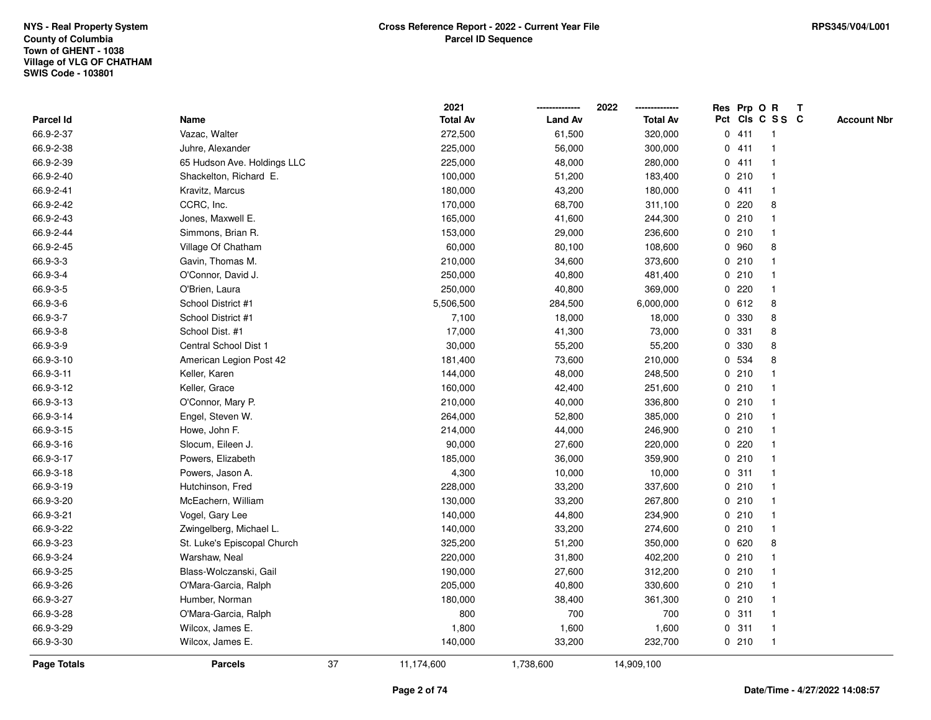|                    |                             |    | 2021            |                | 2022            |   | Res Prp O R |                 | Т |                    |
|--------------------|-----------------------------|----|-----------------|----------------|-----------------|---|-------------|-----------------|---|--------------------|
| Parcel Id          | Name                        |    | <b>Total Av</b> | <b>Land Av</b> | <b>Total Av</b> |   |             | Pct Cls C S S C |   | <b>Account Nbr</b> |
| 66.9-2-37          | Vazac, Walter               |    | 272,500         | 61,500         | 320,000         | 0 | 411         | $\mathbf{1}$    |   |                    |
| 66.9-2-38          | Juhre, Alexander            |    | 225,000         | 56,000         | 300,000         | 0 | 411         | $\mathbf 1$     |   |                    |
| 66.9-2-39          | 65 Hudson Ave. Holdings LLC |    | 225,000         | 48,000         | 280,000         |   | 0411        | $\mathbf 1$     |   |                    |
| 66.9-2-40          | Shackelton, Richard E.      |    | 100,000         | 51,200         | 183,400         |   | 0210        | $\mathbf 1$     |   |                    |
| 66.9-2-41          | Kravitz, Marcus             |    | 180,000         | 43,200         | 180,000         |   | 0411        |                 |   |                    |
| 66.9-2-42          | CCRC, Inc.                  |    | 170,000         | 68,700         | 311,100         |   | $0$ 220     | 8               |   |                    |
| 66.9-2-43          | Jones, Maxwell E.           |    | 165,000         | 41,600         | 244,300         |   | 0210        |                 |   |                    |
| 66.9-2-44          | Simmons, Brian R.           |    | 153,000         | 29,000         | 236,600         |   | 0210        | $\mathbf{1}$    |   |                    |
| 66.9-2-45          | Village Of Chatham          |    | 60,000          | 80,100         | 108,600         |   | 0 960       | 8               |   |                    |
| 66.9-3-3           | Gavin, Thomas M.            |    | 210,000         | 34,600         | 373,600         |   | 0210        | $\mathbf 1$     |   |                    |
| 66.9-3-4           | O'Connor, David J.          |    | 250,000         | 40,800         | 481,400         |   | 0210        | -1              |   |                    |
| 66.9-3-5           | O'Brien, Laura              |    | 250,000         | 40,800         | 369,000         |   | 0.220       | -1              |   |                    |
| 66.9-3-6           | School District #1          |    | 5,506,500       | 284,500        | 6,000,000       |   | 0 612       | 8               |   |                    |
| 66.9-3-7           | School District #1          |    | 7,100           | 18,000         | 18,000          | 0 | 330         | 8               |   |                    |
| 66.9-3-8           | School Dist. #1             |    | 17,000          | 41,300         | 73,000          | 0 | 331         | 8               |   |                    |
| 66.9-3-9           | Central School Dist 1       |    | 30,000          | 55,200         | 55,200          | 0 | 330         | 8               |   |                    |
| 66.9-3-10          | American Legion Post 42     |    | 181,400         | 73,600         | 210,000         | 0 | 534         | 8               |   |                    |
| 66.9-3-11          | Keller, Karen               |    | 144,000         | 48,000         | 248,500         |   | 0210        | -1              |   |                    |
| 66.9-3-12          | Keller, Grace               |    | 160,000         | 42,400         | 251,600         |   | 0210        |                 |   |                    |
| 66.9-3-13          | O'Connor, Mary P.           |    | 210,000         | 40,000         | 336,800         |   | 0210        |                 |   |                    |
| 66.9-3-14          | Engel, Steven W.            |    | 264,000         | 52,800         | 385,000         |   | 0210        |                 |   |                    |
| 66.9-3-15          | Howe, John F.               |    | 214,000         | 44,000         | 246,900         |   | 0210        | $\mathbf 1$     |   |                    |
| 66.9-3-16          | Slocum, Eileen J.           |    | 90,000          | 27,600         | 220,000         | 0 | 220         | $\mathbf{1}$    |   |                    |
| 66.9-3-17          | Powers, Elizabeth           |    | 185,000         | 36,000         | 359,900         |   | 0210        | $\mathbf{1}$    |   |                    |
| 66.9-3-18          | Powers, Jason A.            |    | 4,300           | 10,000         | 10,000          |   | 0.311       | $\mathbf 1$     |   |                    |
| 66.9-3-19          | Hutchinson, Fred            |    | 228,000         | 33,200         | 337,600         |   | 0210        | 1               |   |                    |
| 66.9-3-20          | McEachern, William          |    | 130,000         | 33,200         | 267,800         |   | 0210        |                 |   |                    |
| 66.9-3-21          | Vogel, Gary Lee             |    | 140,000         | 44,800         | 234,900         |   | 0210        |                 |   |                    |
| 66.9-3-22          | Zwingelberg, Michael L.     |    | 140,000         | 33,200         | 274,600         |   | 0210        | 1               |   |                    |
| 66.9-3-23          | St. Luke's Episcopal Church |    | 325,200         | 51,200         | 350,000         |   | 0620        | 8               |   |                    |
| 66.9-3-24          | Warshaw, Neal               |    | 220,000         | 31,800         | 402,200         |   | 0210        | $\mathbf{1}$    |   |                    |
| 66.9-3-25          | Blass-Wolczanski, Gail      |    | 190,000         | 27,600         | 312,200         |   | 0210        | -1              |   |                    |
| 66.9-3-26          | O'Mara-Garcia, Ralph        |    | 205,000         | 40,800         | 330,600         |   | 0210        | 1               |   |                    |
| 66.9-3-27          | Humber, Norman              |    | 180,000         | 38,400         | 361,300         |   | 0210        | 1               |   |                    |
| 66.9-3-28          | O'Mara-Garcia, Ralph        |    | 800             | 700            | 700             |   | 0.311       |                 |   |                    |
| 66.9-3-29          | Wilcox, James E.            |    | 1,800           | 1,600          | 1,600           |   | 0.311       | $\mathbf{1}$    |   |                    |
| 66.9-3-30          | Wilcox, James E.            |    | 140,000         | 33,200         | 232,700         |   | 0210        | $\mathbf{1}$    |   |                    |
| <b>Page Totals</b> | <b>Parcels</b>              | 37 | 11,174,600      | 1,738,600      | 14,909,100      |   |             |                 |   |                    |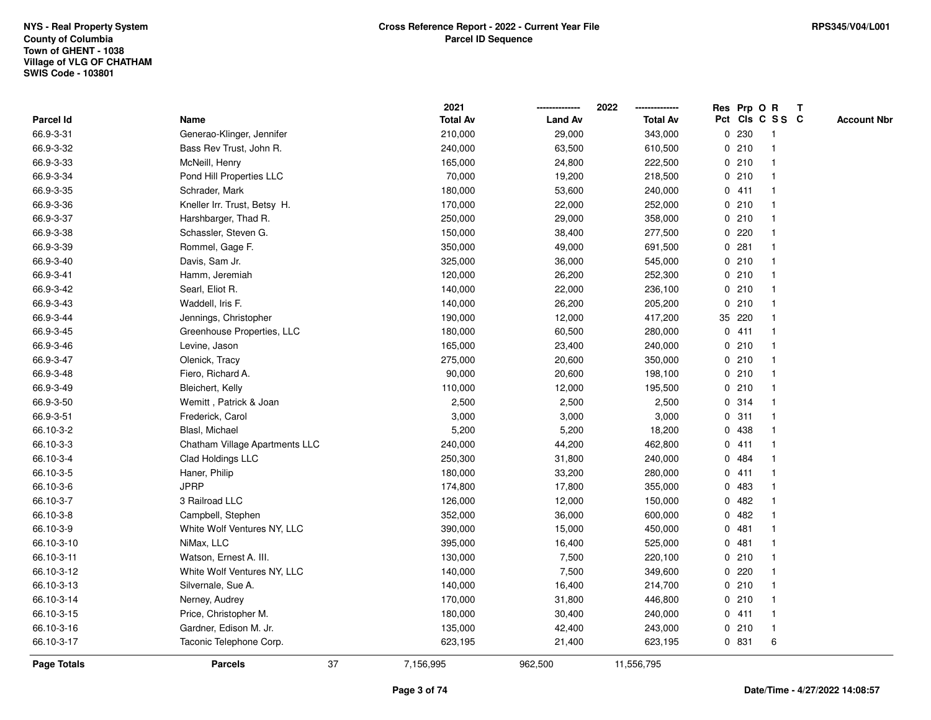|                    |                                | 2021            |                | 2022            |              |        | Res Prp O R     | Т |                    |
|--------------------|--------------------------------|-----------------|----------------|-----------------|--------------|--------|-----------------|---|--------------------|
| Parcel Id          | Name                           | <b>Total Av</b> | <b>Land Av</b> | <b>Total Av</b> |              |        | Pct Cls C S S C |   | <b>Account Nbr</b> |
| 66.9-3-31          | Generao-Klinger, Jennifer      | 210,000         | 29,000         | 343,000         | 0            | 230    | -1              |   |                    |
| 66.9-3-32          | Bass Rev Trust, John R.        | 240,000         | 63,500         | 610,500         |              | 0210   | -1              |   |                    |
| 66.9-3-33          | McNeill, Henry                 | 165,000         | 24,800         | 222,500         |              | 0210   | $\mathbf 1$     |   |                    |
| 66.9-3-34          | Pond Hill Properties LLC       | 70,000          | 19,200         | 218,500         |              | 0210   |                 |   |                    |
| 66.9-3-35          | Schrader, Mark                 | 180,000         | 53,600         | 240,000         |              | 0411   |                 |   |                    |
| 66.9-3-36          | Kneller Irr. Trust, Betsy H.   | 170,000         | 22,000         | 252,000         |              | 0210   |                 |   |                    |
| 66.9-3-37          | Harshbarger, Thad R.           | 250,000         | 29,000         | 358,000         |              | 0210   |                 |   |                    |
| 66.9-3-38          | Schassler, Steven G.           | 150,000         | 38,400         | 277,500         | 0            | 220    |                 |   |                    |
| 66.9-3-39          | Rommel, Gage F.                | 350,000         | 49,000         | 691,500         | 0            | 281    | -1              |   |                    |
| 66.9-3-40          | Davis, Sam Jr.                 | 325,000         | 36,000         | 545,000         |              | 0210   | $\mathbf 1$     |   |                    |
| 66.9-3-41          | Hamm, Jeremiah                 | 120,000         | 26,200         | 252,300         |              | 0210   | -1              |   |                    |
| 66.9-3-42          | Searl, Eliot R.                | 140,000         | 22,000         | 236,100         |              | 0210   |                 |   |                    |
| 66.9-3-43          | Waddell, Iris F.               | 140,000         | 26,200         | 205,200         |              | 0210   |                 |   |                    |
| 66.9-3-44          | Jennings, Christopher          | 190,000         | 12,000         | 417,200         |              | 35 220 |                 |   |                    |
| 66.9-3-45          | Greenhouse Properties, LLC     | 180,000         | 60,500         | 280,000         |              | 0411   |                 |   |                    |
| 66.9-3-46          | Levine, Jason                  | 165,000         | 23,400         | 240,000         |              | 0210   | -1              |   |                    |
| 66.9-3-47          | Olenick, Tracy                 | 275,000         | 20,600         | 350,000         |              | 0210   | -1              |   |                    |
| 66.9-3-48          | Fiero, Richard A.              | 90,000          | 20,600         | 198,100         |              | 0210   | -1              |   |                    |
| 66.9-3-49          | Bleichert, Kelly               | 110,000         | 12,000         | 195,500         |              | 0210   |                 |   |                    |
| 66.9-3-50          | Wemitt, Patrick & Joan         | 2,500           | 2,500          | 2,500           |              | 0.314  |                 |   |                    |
| 66.9-3-51          | Frederick, Carol               | 3,000           | 3,000          | 3,000           |              | 0.311  | $\overline{1}$  |   |                    |
| 66.10-3-2          | Blasl, Michael                 | 5,200           | 5,200          | 18,200          | $\mathbf{0}$ | 438    |                 |   |                    |
| 66.10-3-3          | Chatham Village Apartments LLC | 240,000         | 44,200         | 462,800         |              | 0411   | -1              |   |                    |
| 66.10-3-4          | Clad Holdings LLC              | 250,300         | 31,800         | 240,000         | 0            | 484    | -1              |   |                    |
| 66.10-3-5          | Haner, Philip                  | 180,000         | 33,200         | 280,000         |              | 0411   | -1              |   |                    |
| 66.10-3-6          | <b>JPRP</b>                    | 174,800         | 17,800         | 355,000         |              | 0 483  |                 |   |                    |
| 66.10-3-7          | 3 Railroad LLC                 | 126,000         | 12,000         | 150,000         |              | 0.482  |                 |   |                    |
| 66.10-3-8          | Campbell, Stephen              | 352,000         | 36,000         | 600,000         | 0            | 482    |                 |   |                    |
| 66.10-3-9          | White Wolf Ventures NY, LLC    | 390,000         | 15,000         | 450,000         | 0            | 481    |                 |   |                    |
| 66.10-3-10         | NiMax, LLC                     | 395,000         | 16,400         | 525,000         | 0            | 481    | -1              |   |                    |
| 66.10-3-11         | Watson, Ernest A. III.         | 130,000         | 7,500          | 220,100         |              | 0210   | -1              |   |                    |
| 66.10-3-12         | White Wolf Ventures NY, LLC    | 140,000         | 7,500          | 349,600         |              | 0.220  | -1              |   |                    |
| 66.10-3-13         | Silvernale, Sue A.             | 140,000         | 16,400         | 214,700         |              | 0210   |                 |   |                    |
| 66.10-3-14         | Nerney, Audrey                 | 170,000         | 31,800         | 446,800         |              | 0210   |                 |   |                    |
| 66.10-3-15         | Price, Christopher M.          | 180,000         | 30,400         | 240,000         |              | 0411   | $\mathbf 1$     |   |                    |
| 66.10-3-16         | Gardner, Edison M. Jr.         | 135,000         | 42,400         | 243,000         |              | 0210   | $\mathbf{1}$    |   |                    |
| 66.10-3-17         | Taconic Telephone Corp.        | 623,195         | 21,400         | 623,195         |              | 0 831  | 6               |   |                    |
| <b>Page Totals</b> | <b>Parcels</b>                 | 37<br>7,156,995 | 962,500        | 11,556,795      |              |        |                 |   |                    |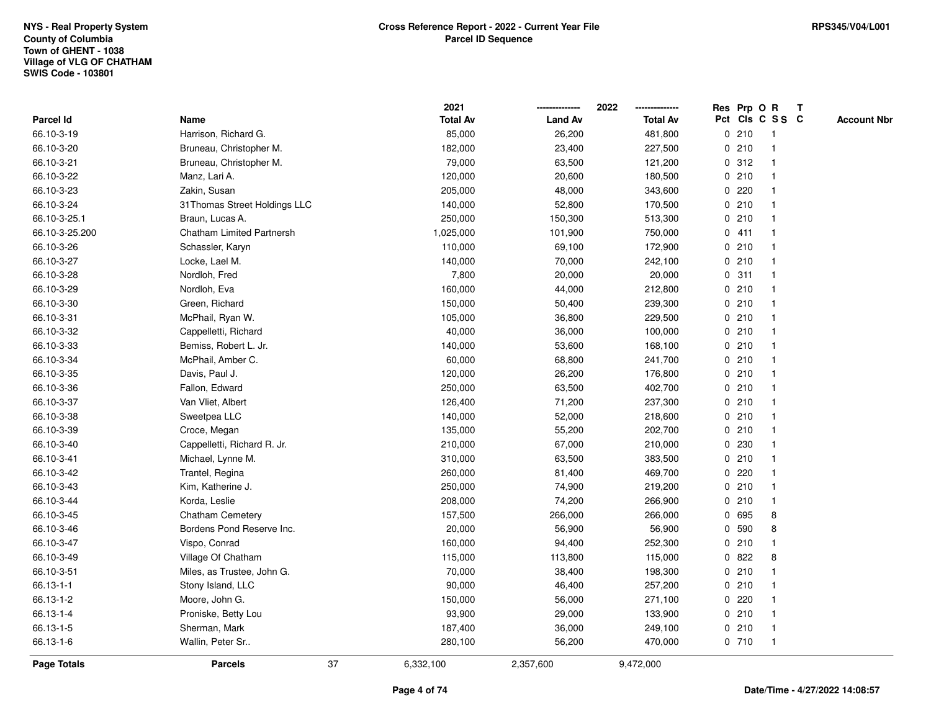|                    |                                  |    | 2021            |                | 2022            |   | Res Prp O R |                 | Т |                    |
|--------------------|----------------------------------|----|-----------------|----------------|-----------------|---|-------------|-----------------|---|--------------------|
| Parcel Id          | Name                             |    | <b>Total Av</b> | <b>Land Av</b> | <b>Total Av</b> |   |             | Pct Cls C S S C |   | <b>Account Nbr</b> |
| 66.10-3-19         | Harrison, Richard G.             |    | 85,000          | 26,200         | 481,800         |   | 0210        | $\mathbf{1}$    |   |                    |
| 66.10-3-20         | Bruneau, Christopher M.          |    | 182,000         | 23,400         | 227,500         |   | 0210        | $\mathbf{1}$    |   |                    |
| 66.10-3-21         | Bruneau, Christopher M.          |    | 79,000          | 63,500         | 121,200         |   | 0.312       | $\mathbf{1}$    |   |                    |
| 66.10-3-22         | Manz, Lari A.                    |    | 120,000         | 20,600         | 180,500         |   | 0210        | -1              |   |                    |
| 66.10-3-23         | Zakin, Susan                     |    | 205,000         | 48,000         | 343,600         |   | 0220        |                 |   |                    |
| 66.10-3-24         | 31 Thomas Street Holdings LLC    |    | 140,000         | 52,800         | 170,500         |   | 0210        |                 |   |                    |
| 66.10-3-25.1       | Braun, Lucas A.                  |    | 250,000         | 150,300        | 513,300         |   | 0210        | $\mathbf 1$     |   |                    |
| 66.10-3-25.200     | <b>Chatham Limited Partnersh</b> |    | 1,025,000       | 101,900        | 750,000         |   | 0411        | $\mathbf{1}$    |   |                    |
| 66.10-3-26         | Schassler, Karyn                 |    | 110,000         | 69,100         | 172,900         |   | 0210        | $\mathbf{1}$    |   |                    |
| 66.10-3-27         | Locke, Lael M.                   |    | 140,000         | 70,000         | 242,100         |   | 0210        | $\mathbf{1}$    |   |                    |
| 66.10-3-28         | Nordloh, Fred                    |    | 7,800           | 20,000         | 20,000          |   | 0.311       | $\mathbf 1$     |   |                    |
| 66.10-3-29         | Nordloh, Eva                     |    | 160,000         | 44,000         | 212,800         |   | 0210        | 1               |   |                    |
| 66.10-3-30         | Green, Richard                   |    | 150,000         | 50,400         | 239,300         |   | 0210        |                 |   |                    |
| 66.10-3-31         | McPhail, Ryan W.                 |    | 105,000         | 36,800         | 229,500         |   | 0210        | $\mathbf 1$     |   |                    |
| 66.10-3-32         | Cappelletti, Richard             |    | 40,000          | 36,000         | 100,000         |   | 0210        | $\mathbf 1$     |   |                    |
| 66.10-3-33         | Bemiss, Robert L. Jr.            |    | 140,000         | 53,600         | 168,100         |   | 0210        | $\mathbf{1}$    |   |                    |
| 66.10-3-34         | McPhail, Amber C.                |    | 60,000          | 68,800         | 241,700         |   | 0210        | $\mathbf{1}$    |   |                    |
| 66.10-3-35         | Davis, Paul J.                   |    | 120,000         | 26,200         | 176,800         |   | 0210        | $\mathbf{1}$    |   |                    |
| 66.10-3-36         | Fallon, Edward                   |    | 250,000         | 63,500         | 402,700         |   | 0210        | $\mathbf 1$     |   |                    |
| 66.10-3-37         | Van Vliet, Albert                |    | 126,400         | 71,200         | 237,300         |   | 0210        |                 |   |                    |
| 66.10-3-38         | Sweetpea LLC                     |    | 140,000         | 52,000         | 218,600         |   | 0210        | $\mathbf{1}$    |   |                    |
| 66.10-3-39         | Croce, Megan                     |    | 135,000         | 55,200         | 202,700         |   | 0210        | $\mathbf 1$     |   |                    |
| 66.10-3-40         | Cappelletti, Richard R. Jr.      |    | 210,000         | 67,000         | 210,000         |   | 0 230       | $\mathbf{1}$    |   |                    |
| 66.10-3-41         | Michael, Lynne M.                |    | 310,000         | 63,500         | 383,500         |   | 0210        | $\mathbf{1}$    |   |                    |
| 66.10-3-42         | Trantel, Regina                  |    | 260,000         | 81,400         | 469,700         |   | $0$ 220     | $\mathbf 1$     |   |                    |
| 66.10-3-43         | Kim, Katherine J.                |    | 250,000         | 74,900         | 219,200         |   | 0210        | $\mathbf 1$     |   |                    |
| 66.10-3-44         | Korda, Leslie                    |    | 208,000         | 74,200         | 266,900         |   | 0210        | $\mathbf 1$     |   |                    |
| 66.10-3-45         | <b>Chatham Cemetery</b>          |    | 157,500         | 266,000        | 266,000         |   | 0 695       | 8               |   |                    |
| 66.10-3-46         | Bordens Pond Reserve Inc.        |    | 20,000          | 56,900         | 56,900          |   | 0 590       | 8               |   |                    |
| 66.10-3-47         | Vispo, Conrad                    |    | 160,000         | 94,400         | 252,300         |   | 0210        | $\mathbf{1}$    |   |                    |
| 66.10-3-49         | Village Of Chatham               |    | 115,000         | 113,800        | 115,000         | 0 | 822         | 8               |   |                    |
| 66.10-3-51         | Miles, as Trustee, John G.       |    | 70,000          | 38,400         | 198,300         |   | 0210        | $\mathbf{1}$    |   |                    |
| 66.13-1-1          | Stony Island, LLC                |    | 90,000          | 46,400         | 257,200         |   | 0210        | $\mathbf 1$     |   |                    |
| 66.13-1-2          | Moore, John G.                   |    | 150,000         | 56,000         | 271,100         |   | $0$ 220     |                 |   |                    |
| 66.13-1-4          | Proniske, Betty Lou              |    | 93,900          | 29,000         | 133,900         |   | 0210        | $\mathbf{1}$    |   |                    |
| 66.13-1-5          | Sherman, Mark                    |    | 187,400         | 36,000         | 249,100         |   | 0210        | $\mathbf{1}$    |   |                    |
| 66.13-1-6          | Wallin, Peter Sr                 |    | 280,100         | 56,200         | 470,000         |   | 0710        | $\mathbf{1}$    |   |                    |
| <b>Page Totals</b> | <b>Parcels</b>                   | 37 | 6,332,100       | 2,357,600      | 9,472,000       |   |             |                 |   |                    |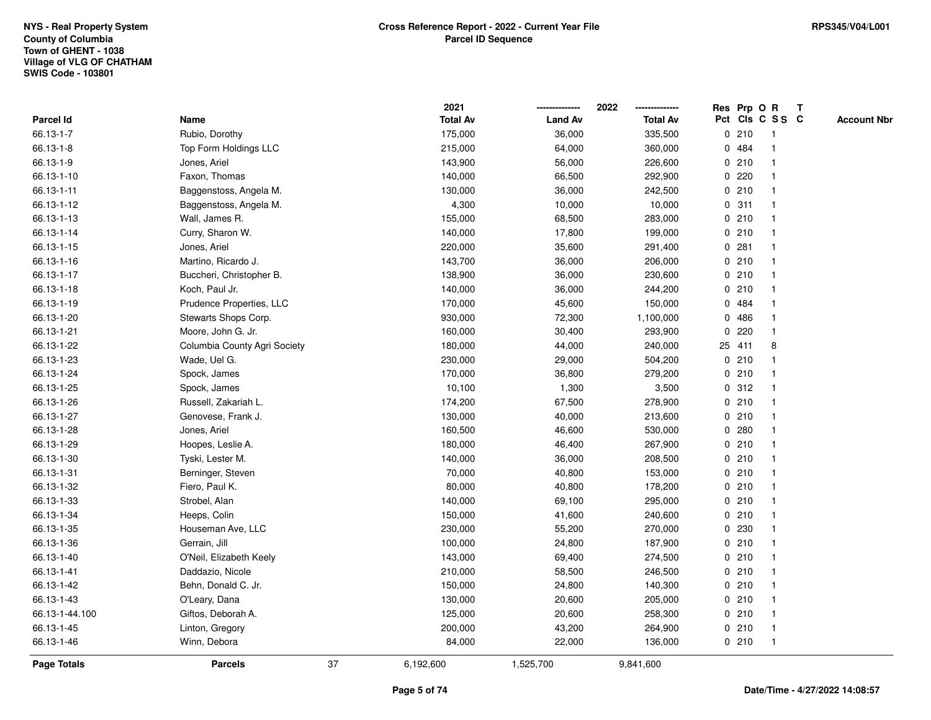|                |                              |    | 2021            |                | 2022            |   |        | Res Prp O R     | Т |                    |
|----------------|------------------------------|----|-----------------|----------------|-----------------|---|--------|-----------------|---|--------------------|
| Parcel Id      | Name                         |    | <b>Total Av</b> | <b>Land Av</b> | <b>Total Av</b> |   |        | Pct Cls C S S C |   | <b>Account Nbr</b> |
| 66.13-1-7      | Rubio, Dorothy               |    | 175,000         | 36,000         | 335,500         |   | 0210   | $\mathbf{1}$    |   |                    |
| 66.13-1-8      | Top Form Holdings LLC        |    | 215,000         | 64,000         | 360,000         |   | 0 484  | $\mathbf 1$     |   |                    |
| 66.13-1-9      | Jones, Ariel                 |    | 143,900         | 56,000         | 226,600         |   | 0210   | $\mathbf{1}$    |   |                    |
| 66.13-1-10     | Faxon, Thomas                |    | 140,000         | 66,500         | 292,900         |   | 0220   |                 |   |                    |
| 66.13-1-11     | Baggenstoss, Angela M.       |    | 130,000         | 36,000         | 242,500         |   | 0210   |                 |   |                    |
| 66.13-1-12     | Baggenstoss, Angela M.       |    | 4,300           | 10,000         | 10,000          |   | 0.311  |                 |   |                    |
| 66.13-1-13     | Wall, James R.               |    | 155,000         | 68,500         | 283,000         |   | 0210   | $\mathbf 1$     |   |                    |
| 66.13-1-14     | Curry, Sharon W.             |    | 140,000         | 17,800         | 199,000         |   | 0210   | $\mathbf{1}$    |   |                    |
| 66.13-1-15     | Jones, Ariel                 |    | 220,000         | 35,600         | 291,400         |   | 0.281  | $\mathbf 1$     |   |                    |
| 66.13-1-16     | Martino, Ricardo J.          |    | 143,700         | 36,000         | 206,000         |   | 0210   | $\mathbf{1}$    |   |                    |
| 66.13-1-17     | Buccheri, Christopher B.     |    | 138,900         | 36,000         | 230,600         |   | 0210   | $\mathbf 1$     |   |                    |
| 66.13-1-18     | Koch, Paul Jr.               |    | 140,000         | 36,000         | 244,200         |   | 0210   |                 |   |                    |
| 66.13-1-19     | Prudence Properties, LLC     |    | 170,000         | 45,600         | 150,000         |   | 0 484  |                 |   |                    |
| 66.13-1-20     | Stewarts Shops Corp.         |    | 930,000         | 72,300         | 1,100,000       | 0 | 486    |                 |   |                    |
| 66.13-1-21     | Moore, John G. Jr.           |    | 160,000         | 30,400         | 293,900         | 0 | 220    | 1               |   |                    |
| 66.13-1-22     | Columbia County Agri Society |    | 180,000         | 44,000         | 240,000         |   | 25 411 | 8               |   |                    |
| 66.13-1-23     | Wade, Uel G.                 |    | 230,000         | 29,000         | 504,200         |   | 0210   | -1              |   |                    |
| 66.13-1-24     | Spock, James                 |    | 170,000         | 36,800         | 279,200         |   | 0210   | -1              |   |                    |
| 66.13-1-25     | Spock, James                 |    | 10,100          | 1,300          | 3,500           |   | 0.312  |                 |   |                    |
| 66.13-1-26     | Russell, Zakariah L.         |    | 174,200         | 67,500         | 278,900         |   | 0210   |                 |   |                    |
| 66.13-1-27     | Genovese, Frank J.           |    | 130,000         | 40,000         | 213,600         |   | 0210   | $\mathbf{1}$    |   |                    |
| 66.13-1-28     | Jones, Ariel                 |    | 160,500         | 46,600         | 530,000         |   | 0.280  |                 |   |                    |
| 66.13-1-29     | Hoopes, Leslie A.            |    | 180,000         | 46,400         | 267,900         |   | 0210   | $\mathbf{1}$    |   |                    |
| 66.13-1-30     | Tyski, Lester M.             |    | 140,000         | 36,000         | 208,500         |   | 0210   | $\mathbf 1$     |   |                    |
| 66.13-1-31     | Berninger, Steven            |    | 70,000          | 40,800         | 153,000         |   | 0210   | $\mathbf 1$     |   |                    |
| 66.13-1-32     | Fiero, Paul K.               |    | 80,000          | 40,800         | 178,200         |   | 0210   |                 |   |                    |
| 66.13-1-33     | Strobel, Alan                |    | 140,000         | 69,100         | 295,000         |   | 0210   |                 |   |                    |
| 66.13-1-34     | Heeps, Colin                 |    | 150,000         | 41,600         | 240,600         |   | 0210   | $\mathbf 1$     |   |                    |
| 66.13-1-35     | Houseman Ave, LLC            |    | 230,000         | 55,200         | 270,000         |   | 0 230  | $\mathbf 1$     |   |                    |
| 66.13-1-36     | Gerrain, Jill                |    | 100,000         | 24,800         | 187,900         |   | 0210   | 1               |   |                    |
| 66.13-1-40     | O'Neil, Elizabeth Keely      |    | 143,000         | 69,400         | 274,500         |   | 0210   | 1               |   |                    |
| 66.13-1-41     | Daddazio, Nicole             |    | 210,000         | 58,500         | 246,500         |   | 0210   | $\mathbf 1$     |   |                    |
| 66.13-1-42     | Behn, Donald C. Jr.          |    | 150,000         | 24,800         | 140,300         |   | 0210   |                 |   |                    |
| 66.13-1-43     | O'Leary, Dana                |    | 130,000         | 20,600         | 205,000         |   | 0210   |                 |   |                    |
| 66.13-1-44.100 | Giftos, Deborah A.           |    | 125,000         | 20,600         | 258,300         |   | 0210   | $\mathbf 1$     |   |                    |
| 66.13-1-45     | Linton, Gregory              |    | 200,000         | 43,200         | 264,900         |   | 0210   | $\mathbf{1}$    |   |                    |
| 66.13-1-46     | Winn, Debora                 |    | 84,000          | 22,000         | 136,000         |   | 0210   | $\mathbf{1}$    |   |                    |
| Page Totals    | <b>Parcels</b>               | 37 | 6,192,600       | 1,525,700      | 9,841,600       |   |        |                 |   |                    |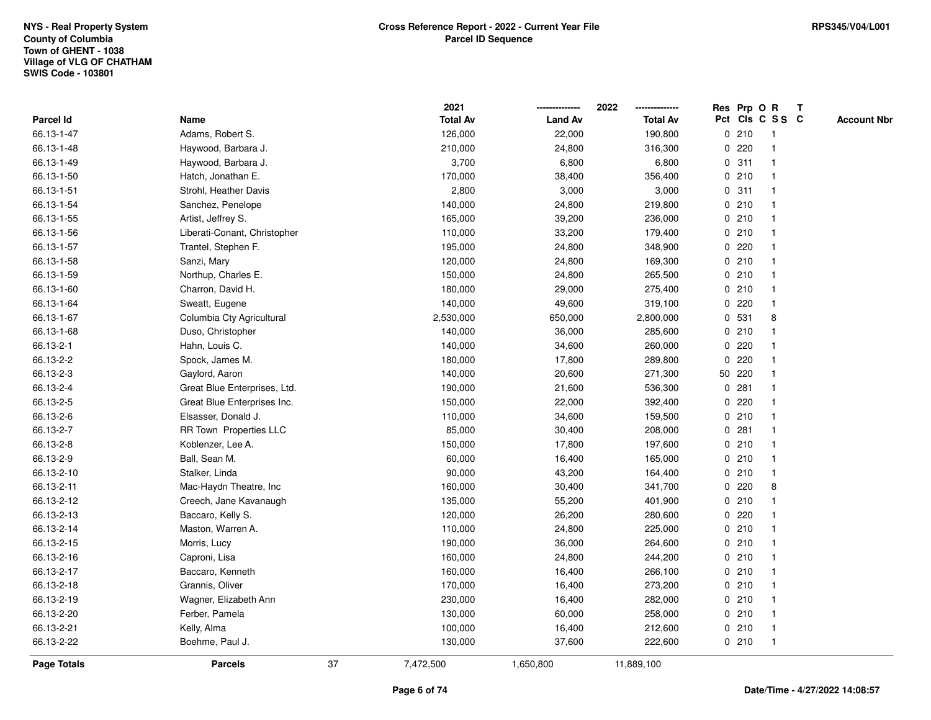|                    |                              |    | 2021            |                | 2022            |             |         | Res Prp O R     | Т |                    |
|--------------------|------------------------------|----|-----------------|----------------|-----------------|-------------|---------|-----------------|---|--------------------|
| Parcel Id          | Name                         |    | <b>Total Av</b> | <b>Land Av</b> | <b>Total Av</b> |             |         | Pct Cls C S S C |   | <b>Account Nbr</b> |
| 66.13-1-47         | Adams, Robert S.             |    | 126,000         | 22,000         | 190,800         |             | 0210    | $\mathbf{1}$    |   |                    |
| 66.13-1-48         | Haywood, Barbara J.          |    | 210,000         | 24,800         | 316,300         | 0           | 220     | -1              |   |                    |
| 66.13-1-49         | Haywood, Barbara J.          |    | 3,700           | 6,800          | 6,800           |             | 0.311   | $\mathbf 1$     |   |                    |
| 66.13-1-50         | Hatch, Jonathan E.           |    | 170,000         | 38,400         | 356,400         |             | 0210    |                 |   |                    |
| 66.13-1-51         | Strohl, Heather Davis        |    | 2,800           | 3,000          | 3,000           |             | 0.311   |                 |   |                    |
| 66.13-1-54         | Sanchez, Penelope            |    | 140,000         | 24,800         | 219,800         |             | 0210    |                 |   |                    |
| 66.13-1-55         | Artist, Jeffrey S.           |    | 165,000         | 39,200         | 236,000         |             | 0210    |                 |   |                    |
| 66.13-1-56         | Liberati-Conant, Christopher |    | 110,000         | 33,200         | 179,400         |             | 0210    |                 |   |                    |
| 66.13-1-57         | Trantel, Stephen F.          |    | 195,000         | 24,800         | 348,900         |             | 0220    | -1              |   |                    |
| 66.13-1-58         | Sanzi, Mary                  |    | 120,000         | 24,800         | 169,300         |             | 0210    | $\mathbf 1$     |   |                    |
| 66.13-1-59         | Northup, Charles E.          |    | 150,000         | 24,800         | 265,500         |             | 0210    | -1              |   |                    |
| 66.13-1-60         | Charron, David H.            |    | 180,000         | 29,000         | 275,400         |             | 0210    |                 |   |                    |
| 66.13-1-64         | Sweatt, Eugene               |    | 140,000         | 49,600         | 319,100         | 0           | 220     |                 |   |                    |
| 66.13-1-67         | Columbia Cty Agricultural    |    | 2,530,000       | 650,000        | 2,800,000       |             | 0 531   | 8               |   |                    |
| 66.13-1-68         | Duso, Christopher            |    | 140,000         | 36,000         | 285,600         |             | 0210    |                 |   |                    |
| 66.13-2-1          | Hahn, Louis C.               |    | 140,000         | 34,600         | 260,000         | 0           | 220     |                 |   |                    |
| 66.13-2-2          | Spock, James M.              |    | 180,000         | 17,800         | 289,800         | $\mathbf 0$ | 220     | -1              |   |                    |
| 66.13-2-3          | Gaylord, Aaron               |    | 140,000         | 20,600         | 271,300         |             | 50 220  |                 |   |                    |
| 66.13-2-4          | Great Blue Enterprises, Ltd. |    | 190,000         | 21,600         | 536,300         |             | 0.281   |                 |   |                    |
| 66.13-2-5          | Great Blue Enterprises Inc.  |    | 150,000         | 22,000         | 392,400         |             | 0.220   |                 |   |                    |
| 66.13-2-6          | Elsasser, Donald J.          |    | 110,000         | 34,600         | 159,500         |             | 0210    |                 |   |                    |
| 66.13-2-7          | RR Town Properties LLC       |    | 85,000          | 30,400         | 208,000         |             | 0.281   |                 |   |                    |
| 66.13-2-8          | Koblenzer, Lee A.            |    | 150,000         | 17,800         | 197,600         |             | 0210    | -1              |   |                    |
| 66.13-2-9          | Ball, Sean M.                |    | 60,000          | 16,400         | 165,000         |             | 0210    | $\mathbf 1$     |   |                    |
| 66.13-2-10         | Stalker, Linda               |    | 90,000          | 43,200         | 164,400         |             | 0210    | $\mathbf 1$     |   |                    |
| 66.13-2-11         | Mac-Haydn Theatre, Inc       |    | 160,000         | 30,400         | 341,700         |             | $0$ 220 | 8               |   |                    |
| 66.13-2-12         | Creech, Jane Kavanaugh       |    | 135,000         | 55,200         | 401,900         |             | 0210    |                 |   |                    |
| 66.13-2-13         | Baccaro, Kelly S.            |    | 120,000         | 26,200         | 280,600         |             | 0.220   |                 |   |                    |
| 66.13-2-14         | Maston, Warren A.            |    | 110,000         | 24,800         | 225,000         |             | 0210    | -1              |   |                    |
| 66.13-2-15         | Morris, Lucy                 |    | 190,000         | 36,000         | 264,600         |             | 0210    | -1              |   |                    |
| 66.13-2-16         | Caproni, Lisa                |    | 160,000         | 24,800         | 244,200         |             | 0210    | -1              |   |                    |
| 66.13-2-17         | Baccaro, Kenneth             |    | 160,000         | 16,400         | 266,100         |             | 0210    | -1              |   |                    |
| 66.13-2-18         | Grannis, Oliver              |    | 170,000         | 16,400         | 273,200         |             | 0210    |                 |   |                    |
| 66.13-2-19         | Wagner, Elizabeth Ann        |    | 230,000         | 16,400         | 282,000         |             | 0210    |                 |   |                    |
| 66.13-2-20         | Ferber, Pamela               |    | 130,000         | 60,000         | 258,000         |             | 0210    | -1              |   |                    |
| 66.13-2-21         | Kelly, Alma                  |    | 100,000         | 16,400         | 212,600         |             | 0210    | -1              |   |                    |
| 66.13-2-22         | Boehme, Paul J.              |    | 130,000         | 37,600         | 222,600         |             | 0210    | $\mathbf{1}$    |   |                    |
| <b>Page Totals</b> | <b>Parcels</b>               | 37 | 7,472,500       | 1,650,800      | 11,889,100      |             |         |                 |   |                    |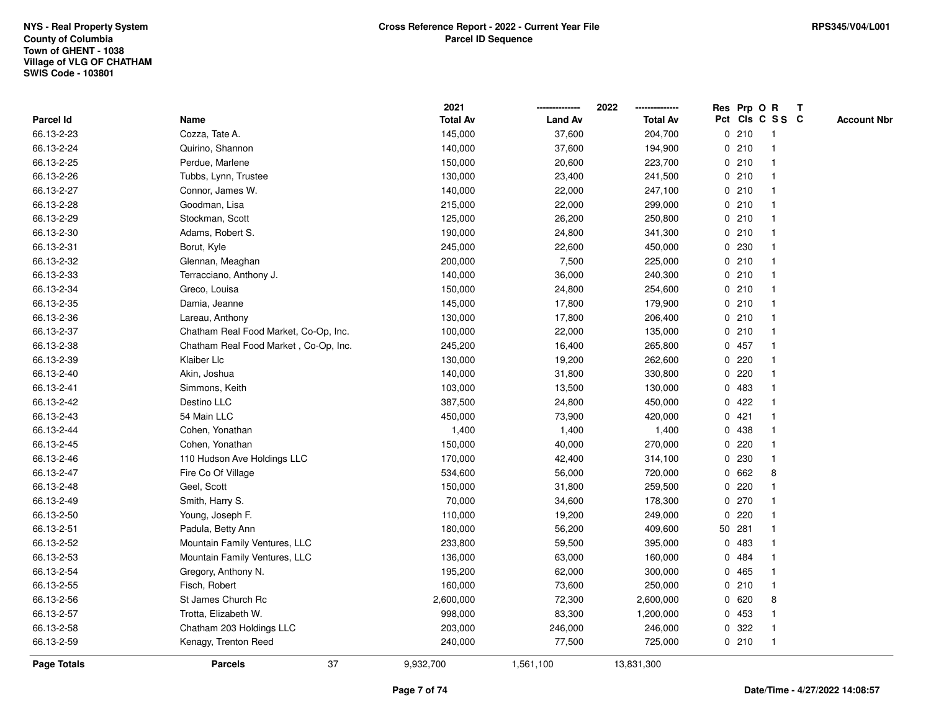|             |                                       | 2021            |                | 2022            |   |        | Res Prp O R     | Т |                    |
|-------------|---------------------------------------|-----------------|----------------|-----------------|---|--------|-----------------|---|--------------------|
| Parcel Id   | Name                                  | <b>Total Av</b> | <b>Land Av</b> | <b>Total Av</b> |   |        | Pct Cls C S S C |   | <b>Account Nbr</b> |
| 66.13-2-23  | Cozza, Tate A.                        | 145,000         | 37,600         | 204,700         |   | 0210   | $\mathbf{1}$    |   |                    |
| 66.13-2-24  | Quirino, Shannon                      | 140,000         | 37,600         | 194,900         |   | 0210   | 1               |   |                    |
| 66.13-2-25  | Perdue, Marlene                       | 150,000         | 20,600         | 223,700         |   | 0210   | $\mathbf 1$     |   |                    |
| 66.13-2-26  | Tubbs, Lynn, Trustee                  | 130,000         | 23,400         | 241,500         |   | 0210   | -1              |   |                    |
| 66.13-2-27  | Connor, James W.                      | 140,000         | 22,000         | 247,100         |   | 0210   |                 |   |                    |
| 66.13-2-28  | Goodman, Lisa                         | 215,000         | 22,000         | 299,000         |   | 0210   |                 |   |                    |
| 66.13-2-29  | Stockman, Scott                       | 125,000         | 26,200         | 250,800         |   | 0210   | $\mathbf 1$     |   |                    |
| 66.13-2-30  | Adams, Robert S.                      | 190,000         | 24,800         | 341,300         |   | 0210   | $\mathbf{1}$    |   |                    |
| 66.13-2-31  | Borut, Kyle                           | 245,000         | 22,600         | 450,000         |   | 0 230  | $\mathbf 1$     |   |                    |
| 66.13-2-32  | Glennan, Meaghan                      | 200,000         | 7,500          | 225,000         |   | 0210   | $\mathbf 1$     |   |                    |
| 66.13-2-33  | Terracciano, Anthony J.               | 140,000         | 36,000         | 240,300         |   | 0210   | $\mathbf 1$     |   |                    |
| 66.13-2-34  | Greco, Louisa                         | 150,000         | 24,800         | 254,600         |   | 0210   |                 |   |                    |
| 66.13-2-35  | Damia, Jeanne                         | 145,000         | 17,800         | 179,900         |   | 0210   |                 |   |                    |
| 66.13-2-36  | Lareau, Anthony                       | 130,000         | 17,800         | 206,400         |   | 0210   | $\mathbf 1$     |   |                    |
| 66.13-2-37  | Chatham Real Food Market, Co-Op, Inc. | 100,000         | 22,000         | 135,000         |   | 0210   | $\mathbf 1$     |   |                    |
| 66.13-2-38  | Chatham Real Food Market, Co-Op, Inc. | 245,200         | 16,400         | 265,800         |   | 0457   | $\mathbf{1}$    |   |                    |
| 66.13-2-39  | Klaiber Llc                           | 130,000         | 19,200         | 262,600         | 0 | 220    | -1              |   |                    |
| 66.13-2-40  | Akin, Joshua                          | 140,000         | 31,800         | 330,800         |   | 0220   | -1              |   |                    |
| 66.13-2-41  | Simmons, Keith                        | 103,000         | 13,500         | 130,000         |   | 0 483  |                 |   |                    |
| 66.13-2-42  | Destino LLC                           | 387,500         | 24,800         | 450,000         |   | 0422   |                 |   |                    |
| 66.13-2-43  | 54 Main LLC                           | 450,000         | 73,900         | 420,000         | 0 | 421    |                 |   |                    |
| 66.13-2-44  | Cohen, Yonathan                       | 1,400           | 1,400          | 1,400           |   | 0 438  |                 |   |                    |
| 66.13-2-45  | Cohen, Yonathan                       | 150,000         | 40,000         | 270,000         | 0 | 220    | 1               |   |                    |
| 66.13-2-46  | 110 Hudson Ave Holdings LLC           | 170,000         | 42,400         | 314,100         | 0 | 230    | $\mathbf 1$     |   |                    |
| 66.13-2-47  | Fire Co Of Village                    | 534,600         | 56,000         | 720,000         |   | 0 662  | 8               |   |                    |
| 66.13-2-48  | Geel, Scott                           | 150,000         | 31,800         | 259,500         |   | 0.220  |                 |   |                    |
| 66.13-2-49  | Smith, Harry S.                       | 70,000          | 34,600         | 178,300         |   | 0270   |                 |   |                    |
| 66.13-2-50  | Young, Joseph F.                      | 110,000         | 19,200         | 249,000         | 0 | 220    |                 |   |                    |
| 66.13-2-51  | Padula, Betty Ann                     | 180,000         | 56,200         | 409,600         |   | 50 281 | $\mathbf 1$     |   |                    |
| 66.13-2-52  | Mountain Family Ventures, LLC         | 233,800         | 59,500         | 395,000         | 0 | 483    | 1               |   |                    |
| 66.13-2-53  | Mountain Family Ventures, LLC         | 136,000         | 63,000         | 160,000         | 0 | 484    | 1               |   |                    |
| 66.13-2-54  | Gregory, Anthony N.                   | 195,200         | 62,000         | 300,000         |   | 0 465  | -1              |   |                    |
| 66.13-2-55  | Fisch, Robert                         | 160,000         | 73,600         | 250,000         |   | 0210   | -1              |   |                    |
| 66.13-2-56  | St James Church Rc                    | 2,600,000       | 72,300         | 2,600,000       |   | 0 620  | 8               |   |                    |
| 66.13-2-57  | Trotta, Elizabeth W.                  | 998,000         | 83,300         | 1,200,000       |   | 0 453  | -1              |   |                    |
| 66.13-2-58  | Chatham 203 Holdings LLC              | 203,000         | 246,000        | 246,000         | 0 | 322    | 1               |   |                    |
| 66.13-2-59  | Kenagy, Trenton Reed                  | 240,000         | 77,500         | 725,000         |   | 0210   | $\mathbf{1}$    |   |                    |
| Page Totals | 37<br><b>Parcels</b>                  | 9,932,700       | 1,561,100      | 13,831,300      |   |        |                 |   |                    |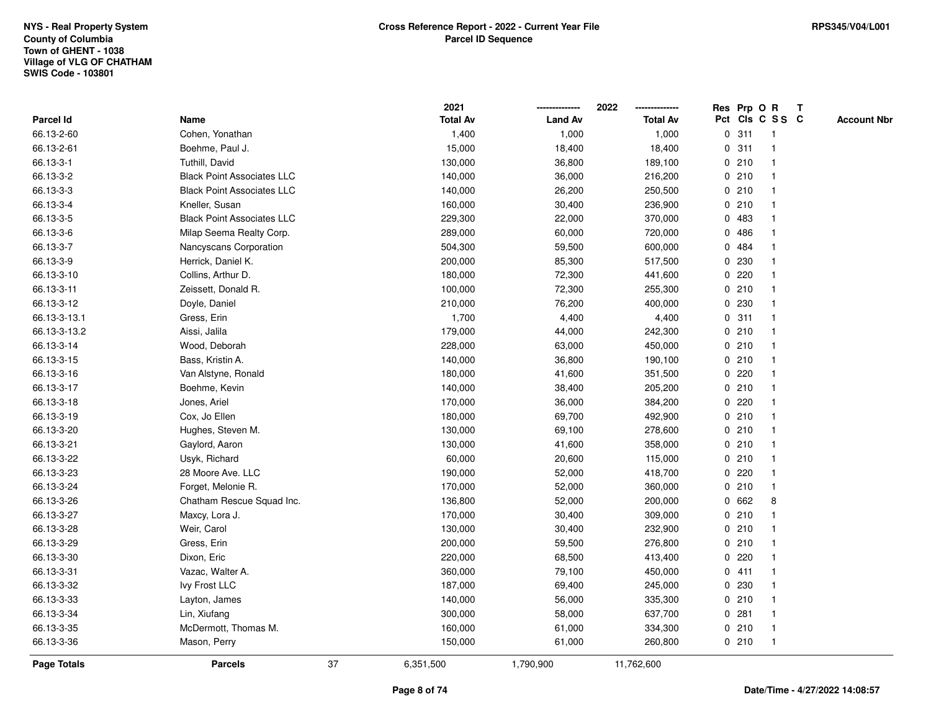|                    |                                   |    | 2021            |                | 2022            |             |         | Res Prp O R             | Т |                    |
|--------------------|-----------------------------------|----|-----------------|----------------|-----------------|-------------|---------|-------------------------|---|--------------------|
| Parcel Id          | Name                              |    | <b>Total Av</b> | <b>Land Av</b> | <b>Total Av</b> |             |         | Pct Cls C S S C         |   | <b>Account Nbr</b> |
| 66.13-2-60         | Cohen, Yonathan                   |    | 1,400           | 1,000          | 1,000           | $\mathbf 0$ | 311     | -1                      |   |                    |
| 66.13-2-61         | Boehme, Paul J.                   |    | 15,000          | 18,400         | 18,400          | 0           | 311     | -1                      |   |                    |
| 66.13-3-1          | Tuthill, David                    |    | 130,000         | 36,800         | 189,100         |             | 0210    | $\mathbf{1}$            |   |                    |
| 66.13-3-2          | <b>Black Point Associates LLC</b> |    | 140,000         | 36,000         | 216,200         |             | 0210    |                         |   |                    |
| 66.13-3-3          | <b>Black Point Associates LLC</b> |    | 140,000         | 26,200         | 250,500         |             | 0210    |                         |   |                    |
| 66.13-3-4          | Kneller, Susan                    |    | 160,000         | 30,400         | 236,900         |             | 0210    |                         |   |                    |
| 66.13-3-5          | <b>Black Point Associates LLC</b> |    | 229,300         | 22,000         | 370,000         |             | 0.483   |                         |   |                    |
| 66.13-3-6          | Milap Seema Realty Corp.          |    | 289,000         | 60,000         | 720,000         | $\mathbf 0$ | 486     |                         |   |                    |
| 66.13-3-7          | Nancyscans Corporation            |    | 504,300         | 59,500         | 600,000         |             | 0 484   | -1                      |   |                    |
| 66.13-3-9          | Herrick, Daniel K.                |    | 200,000         | 85,300         | 517,500         |             | 0 230   | $\mathbf 1$             |   |                    |
| 66.13-3-10         | Collins, Arthur D.                |    | 180,000         | 72,300         | 441,600         |             | 0.220   | -1                      |   |                    |
| 66.13-3-11         | Zeissett, Donald R.               |    | 100,000         | 72,300         | 255,300         |             | 0210    |                         |   |                    |
| 66.13-3-12         | Doyle, Daniel                     |    | 210,000         | 76,200         | 400,000         |             | 0 230   |                         |   |                    |
| 66.13-3-13.1       | Gress, Erin                       |    | 1,700           | 4,400          | 4,400           |             | 0.311   | -1                      |   |                    |
| 66.13-3-13.2       | Aissi, Jalila                     |    | 179,000         | 44,000         | 242,300         |             | 0210    |                         |   |                    |
| 66.13-3-14         | Wood, Deborah                     |    | 228,000         | 63,000         | 450,000         |             | 0210    | $\mathbf{1}$            |   |                    |
| 66.13-3-15         | Bass, Kristin A.                  |    | 140,000         | 36,800         | 190,100         |             | 0210    | $\overline{\mathbf{1}}$ |   |                    |
| 66.13-3-16         | Van Alstyne, Ronald               |    | 180,000         | 41,600         | 351,500         |             | 0220    |                         |   |                    |
| 66.13-3-17         | Boehme, Kevin                     |    | 140,000         | 38,400         | 205,200         |             | 0210    |                         |   |                    |
| 66.13-3-18         | Jones, Ariel                      |    | 170,000         | 36,000         | 384,200         |             | 0.220   |                         |   |                    |
| 66.13-3-19         | Cox, Jo Ellen                     |    | 180,000         | 69,700         | 492,900         |             | 0210    |                         |   |                    |
| 66.13-3-20         | Hughes, Steven M.                 |    | 130,000         | 69,100         | 278,600         |             | 0210    |                         |   |                    |
| 66.13-3-21         | Gaylord, Aaron                    |    | 130,000         | 41,600         | 358,000         |             | 0210    | -1                      |   |                    |
| 66.13-3-22         | Usyk, Richard                     |    | 60,000          | 20,600         | 115,000         |             | 0210    | $\mathbf 1$             |   |                    |
| 66.13-3-23         | 28 Moore Ave. LLC                 |    | 190,000         | 52,000         | 418,700         |             | $0$ 220 | -1                      |   |                    |
| 66.13-3-24         | Forget, Melonie R.                |    | 170,000         | 52,000         | 360,000         |             | 0210    |                         |   |                    |
| 66.13-3-26         | Chatham Rescue Squad Inc.         |    | 136,800         | 52,000         | 200,000         |             | 0 662   | 8                       |   |                    |
| 66.13-3-27         | Maxcy, Lora J.                    |    | 170,000         | 30,400         | 309,000         |             | 0210    |                         |   |                    |
| 66.13-3-28         | Weir, Carol                       |    | 130,000         | 30,400         | 232,900         |             | 0210    | -1                      |   |                    |
| 66.13-3-29         | Gress, Erin                       |    | 200,000         | 59,500         | 276,800         |             | 0210    | -1                      |   |                    |
| 66.13-3-30         | Dixon, Eric                       |    | 220,000         | 68,500         | 413,400         | 0           | 220     | -1                      |   |                    |
| 66.13-3-31         | Vazac, Walter A.                  |    | 360,000         | 79,100         | 450,000         |             | 0411    | -1                      |   |                    |
| 66.13-3-32         | Ivy Frost LLC                     |    | 187,000         | 69,400         | 245,000         |             | 0.230   |                         |   |                    |
| 66.13-3-33         | Layton, James                     |    | 140,000         | 56,000         | 335,300         |             | 0210    |                         |   |                    |
| 66.13-3-34         | Lin, Xiufang                      |    | 300,000         | 58,000         | 637,700         |             | 0.281   |                         |   |                    |
| 66.13-3-35         | McDermott, Thomas M.              |    | 160,000         | 61,000         | 334,300         |             | 0210    | -1                      |   |                    |
| 66.13-3-36         | Mason, Perry                      |    | 150,000         | 61,000         | 260,800         |             | 0210    | $\mathbf{1}$            |   |                    |
| <b>Page Totals</b> | <b>Parcels</b>                    | 37 | 6,351,500       | 1,790,900      | 11,762,600      |             |         |                         |   |                    |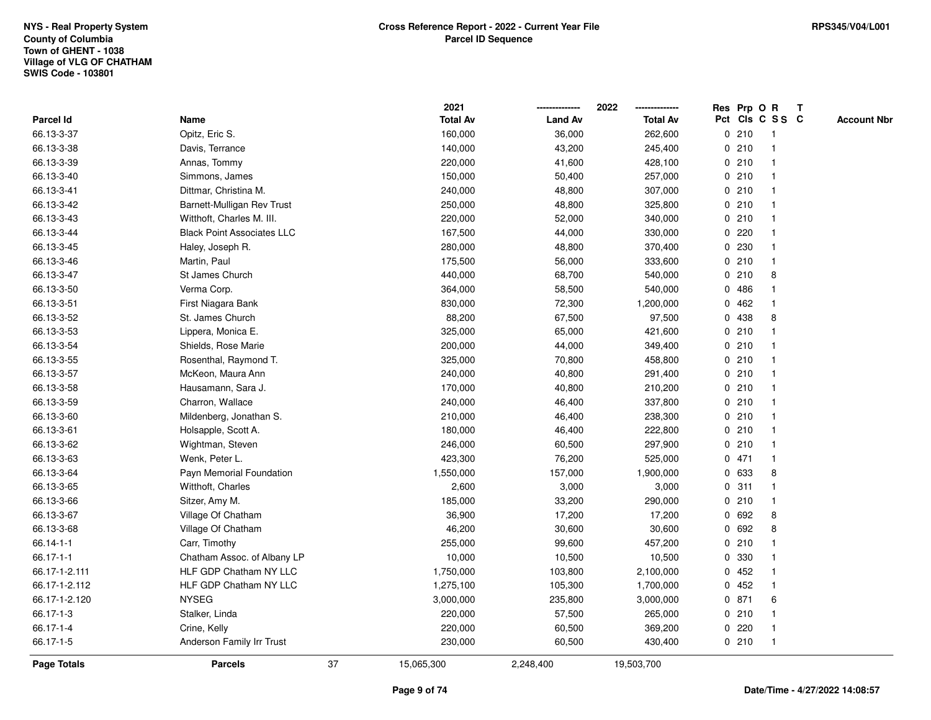|                 |                                   |    | 2021            |                | 2022            |   |       | Res Prp O R     | Т |                    |
|-----------------|-----------------------------------|----|-----------------|----------------|-----------------|---|-------|-----------------|---|--------------------|
| Parcel Id       | Name                              |    | <b>Total Av</b> | <b>Land Av</b> | <b>Total Av</b> |   |       | Pct Cls C S S C |   | <b>Account Nbr</b> |
| 66.13-3-37      | Opitz, Eric S.                    |    | 160,000         | 36,000         | 262,600         |   | 0210  | $\mathbf{1}$    |   |                    |
| 66.13-3-38      | Davis, Terrance                   |    | 140,000         | 43,200         | 245,400         |   | 0210  | $\mathbf 1$     |   |                    |
| 66.13-3-39      | Annas, Tommy                      |    | 220,000         | 41,600         | 428,100         |   | 0210  | $\mathbf 1$     |   |                    |
| 66.13-3-40      | Simmons, James                    |    | 150,000         | 50,400         | 257,000         |   | 0210  |                 |   |                    |
| 66.13-3-41      | Dittmar, Christina M.             |    | 240,000         | 48,800         | 307,000         |   | 0210  |                 |   |                    |
| 66.13-3-42      | Barnett-Mulligan Rev Trust        |    | 250,000         | 48,800         | 325,800         |   | 0210  |                 |   |                    |
| 66.13-3-43      | Witthoft, Charles M. III.         |    | 220,000         | 52,000         | 340,000         |   | 0210  | $\mathbf 1$     |   |                    |
| 66.13-3-44      | <b>Black Point Associates LLC</b> |    | 167,500         | 44,000         | 330,000         |   | 0220  |                 |   |                    |
| 66.13-3-45      | Haley, Joseph R.                  |    | 280,000         | 48,800         | 370,400         | 0 | 230   | 1               |   |                    |
| 66.13-3-46      | Martin, Paul                      |    | 175,500         | 56,000         | 333,600         |   | 0210  | $\mathbf{1}$    |   |                    |
| 66.13-3-47      | St James Church                   |    | 440,000         | 68,700         | 540,000         |   | 0210  | 8               |   |                    |
| 66.13-3-50      | Verma Corp.                       |    | 364,000         | 58,500         | 540,000         |   | 0486  |                 |   |                    |
| 66.13-3-51      | First Niagara Bank                |    | 830,000         | 72,300         | 1,200,000       | 0 | 462   |                 |   |                    |
| 66.13-3-52      | St. James Church                  |    | 88,200          | 67,500         | 97,500          | 0 | 438   | 8               |   |                    |
| 66.13-3-53      | Lippera, Monica E.                |    | 325,000         | 65,000         | 421,600         |   | 0210  | $\mathbf 1$     |   |                    |
| 66.13-3-54      | Shields, Rose Marie               |    | 200,000         | 44,000         | 349,400         |   | 0210  | 1               |   |                    |
| 66.13-3-55      | Rosenthal, Raymond T.             |    | 325,000         | 70,800         | 458,800         |   | 0210  | $\mathbf{1}$    |   |                    |
| 66.13-3-57      | McKeon, Maura Ann                 |    | 240,000         | 40,800         | 291,400         |   | 0210  | -1              |   |                    |
| 66.13-3-58      | Hausamann, Sara J.                |    | 170,000         | 40,800         | 210,200         |   | 0210  |                 |   |                    |
| 66.13-3-59      | Charron, Wallace                  |    | 240,000         | 46,400         | 337,800         |   | 0210  |                 |   |                    |
| 66.13-3-60      | Mildenberg, Jonathan S.           |    | 210,000         | 46,400         | 238,300         |   | 0210  | $\mathbf{1}$    |   |                    |
| 66.13-3-61      | Holsapple, Scott A.               |    | 180,000         | 46,400         | 222,800         |   | 0210  |                 |   |                    |
| 66.13-3-62      | Wightman, Steven                  |    | 246,000         | 60,500         | 297,900         |   | 0210  | $\mathbf{1}$    |   |                    |
| 66.13-3-63      | Wenk, Peter L.                    |    | 423,300         | 76,200         | 525,000         |   | 0471  | $\mathbf 1$     |   |                    |
| 66.13-3-64      | Payn Memorial Foundation          |    | 1,550,000       | 157,000        | 1,900,000       |   | 0 633 | 8               |   |                    |
| 66.13-3-65      | Witthoft, Charles                 |    | 2,600           | 3,000          | 3,000           |   | 0.311 |                 |   |                    |
| 66.13-3-66      | Sitzer, Amy M.                    |    | 185,000         | 33,200         | 290,000         |   | 0210  |                 |   |                    |
| 66.13-3-67      | Village Of Chatham                |    | 36,900          | 17,200         | 17,200          |   | 0 692 | 8               |   |                    |
| 66.13-3-68      | Village Of Chatham                |    | 46,200          | 30,600         | 30,600          | 0 | 692   | 8               |   |                    |
| $66.14 - 1 - 1$ | Carr, Timothy                     |    | 255,000         | 99,600         | 457,200         |   | 0210  | 1               |   |                    |
| 66.17-1-1       | Chatham Assoc. of Albany LP       |    | 10,000          | 10,500         | 10,500          | 0 | 330   | 1               |   |                    |
| 66.17-1-2.111   | <b>HLF GDP Chatham NY LLC</b>     |    | 1,750,000       | 103,800        | 2,100,000       |   | 0452  | -1              |   |                    |
| 66.17-1-2.112   | HLF GDP Chatham NY LLC            |    | 1,275,100       | 105,300        | 1,700,000       |   | 0452  |                 |   |                    |
| 66.17-1-2.120   | <b>NYSEG</b>                      |    | 3,000,000       | 235,800        | 3,000,000       |   | 0 871 | 6               |   |                    |
| 66.17-1-3       | Stalker, Linda                    |    | 220,000         | 57,500         | 265,000         |   | 0210  | $\mathbf 1$     |   |                    |
| 66.17-1-4       | Crine, Kelly                      |    | 220,000         | 60,500         | 369,200         |   | 0220  | 1               |   |                    |
| 66.17-1-5       | Anderson Family Irr Trust         |    | 230,000         | 60,500         | 430,400         |   | 0210  | $\mathbf{1}$    |   |                    |
| Page Totals     | <b>Parcels</b>                    | 37 | 15,065,300      | 2,248,400      | 19,503,700      |   |       |                 |   |                    |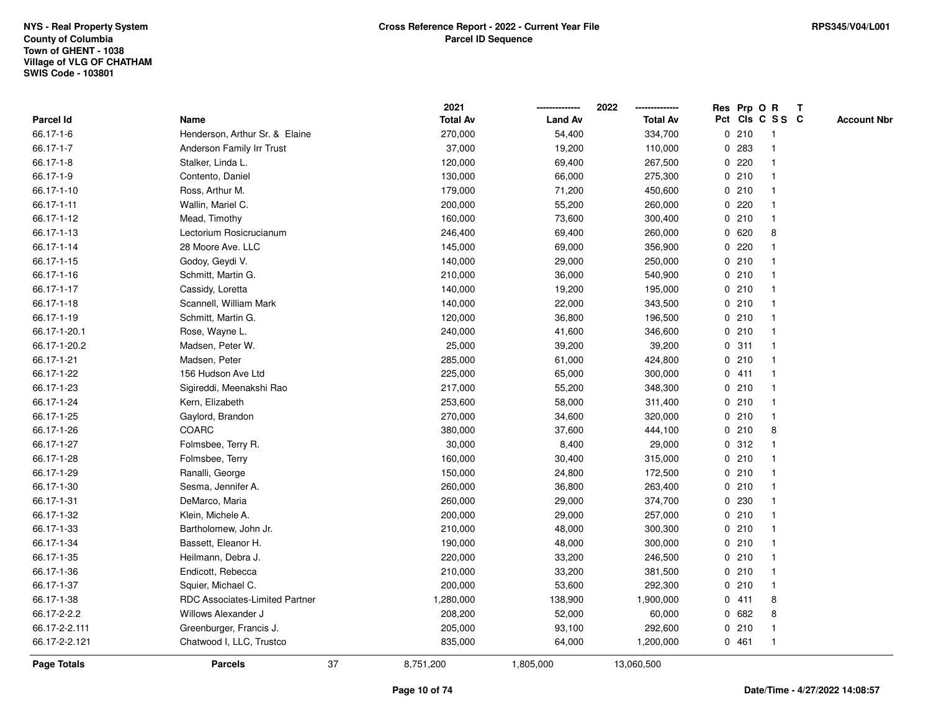|               |                                | 2021            |                | 2022            |   |       | Res Prp O R     | Т |                    |
|---------------|--------------------------------|-----------------|----------------|-----------------|---|-------|-----------------|---|--------------------|
| Parcel Id     | Name                           | <b>Total Av</b> | <b>Land Av</b> | <b>Total Av</b> |   |       | Pct Cls C S S C |   | <b>Account Nbr</b> |
| 66.17-1-6     | Henderson, Arthur Sr. & Elaine | 270,000         | 54,400         | 334,700         |   | 0210  | $\mathbf{1}$    |   |                    |
| 66.17-1-7     | Anderson Family Irr Trust      | 37,000          | 19,200         | 110,000         |   | 0.283 | $\mathbf{1}$    |   |                    |
| 66.17-1-8     | Stalker, Linda L.              | 120,000         | 69,400         | 267,500         |   | 0.220 | $\mathbf{1}$    |   |                    |
| 66.17-1-9     | Contento, Daniel               | 130,000         | 66,000         | 275,300         |   | 0210  | -1              |   |                    |
| 66.17-1-10    | Ross, Arthur M.                | 179,000         | 71,200         | 450,600         |   | 0210  |                 |   |                    |
| 66.17-1-11    | Wallin, Mariel C.              | 200,000         | 55,200         | 260,000         |   | 0220  |                 |   |                    |
| 66.17-1-12    | Mead, Timothy                  | 160,000         | 73,600         | 300,400         |   | 0210  | $\mathbf{1}$    |   |                    |
| 66.17-1-13    | Lectorium Rosicrucianum        | 246,400         | 69,400         | 260,000         |   | 0 620 | 8               |   |                    |
| 66.17-1-14    | 28 Moore Ave. LLC              | 145,000         | 69,000         | 356,900         | 0 | 220   | $\mathbf{1}$    |   |                    |
| 66.17-1-15    | Godoy, Geydi V.                | 140,000         | 29,000         | 250,000         |   | 0210  | $\mathbf{1}$    |   |                    |
| 66.17-1-16    | Schmitt, Martin G.             | 210,000         | 36,000         | 540,900         |   | 0210  | $\mathbf 1$     |   |                    |
| 66.17-1-17    | Cassidy, Loretta               | 140,000         | 19,200         | 195,000         |   | 0210  |                 |   |                    |
| 66.17-1-18    | Scannell, William Mark         | 140,000         | 22,000         | 343,500         |   | 0210  |                 |   |                    |
| 66.17-1-19    | Schmitt, Martin G.             | 120,000         | 36,800         | 196,500         |   | 0210  | $\mathbf 1$     |   |                    |
| 66.17-1-20.1  | Rose, Wayne L.                 | 240,000         | 41,600         | 346,600         |   | 0210  | $\mathbf{1}$    |   |                    |
| 66.17-1-20.2  | Madsen, Peter W.               | 25,000          | 39,200         | 39,200          | 0 | 311   | $\mathbf{1}$    |   |                    |
| 66.17-1-21    | Madsen, Peter                  | 285,000         | 61,000         | 424,800         |   | 0210  | $\mathbf{1}$    |   |                    |
| 66.17-1-22    | 156 Hudson Ave Ltd             | 225,000         | 65,000         | 300,000         |   | 0411  | -1              |   |                    |
| 66.17-1-23    | Sigireddi, Meenakshi Rao       | 217,000         | 55,200         | 348,300         |   | 0210  | $\mathbf 1$     |   |                    |
| 66.17-1-24    | Kern, Elizabeth                | 253,600         | 58,000         | 311,400         |   | 0210  |                 |   |                    |
| 66.17-1-25    | Gaylord, Brandon               | 270,000         | 34,600         | 320,000         |   | 0210  | $\mathbf{1}$    |   |                    |
| 66.17-1-26    | <b>COARC</b>                   | 380,000         | 37,600         | 444,100         |   | 0210  | 8               |   |                    |
| 66.17-1-27    | Folmsbee, Terry R.             | 30,000          | 8,400          | 29,000          |   | 0.312 | $\mathbf{1}$    |   |                    |
| 66.17-1-28    | Folmsbee, Terry                | 160,000         | 30,400         | 315,000         |   | 0210  | $\mathbf 1$     |   |                    |
| 66.17-1-29    | Ranalli, George                | 150,000         | 24,800         | 172,500         |   | 0210  | $\mathbf 1$     |   |                    |
| 66.17-1-30    | Sesma, Jennifer A.             | 260,000         | 36,800         | 263,400         |   | 0210  | -1              |   |                    |
| 66.17-1-31    | DeMarco, Maria                 | 260,000         | 29,000         | 374,700         |   | 0 230 |                 |   |                    |
| 66.17-1-32    | Klein, Michele A.              | 200,000         | 29,000         | 257,000         |   | 0210  | $\mathbf 1$     |   |                    |
| 66.17-1-33    | Bartholomew, John Jr.          | 210,000         | 48,000         | 300,300         |   | 0210  | $\mathbf{1}$    |   |                    |
| 66.17-1-34    | Bassett, Eleanor H.            | 190,000         | 48,000         | 300,000         |   | 0210  | $\mathbf 1$     |   |                    |
| 66.17-1-35    | Heilmann, Debra J.             | 220,000         | 33,200         | 246,500         |   | 0210  | $\mathbf{1}$    |   |                    |
| 66.17-1-36    | Endicott, Rebecca              | 210,000         | 33,200         | 381,500         |   | 0210  | $\mathbf{1}$    |   |                    |
| 66.17-1-37    | Squier, Michael C.             | 200,000         | 53,600         | 292,300         |   | 0210  | $\mathbf 1$     |   |                    |
| 66.17-1-38    | RDC Associates-Limited Partner | 1,280,000       | 138,900        | 1,900,000       |   | 0411  | 8               |   |                    |
| 66.17-2-2.2   | Willows Alexander J            | 208,200         | 52,000         | 60,000          |   | 0 682 | 8               |   |                    |
| 66.17-2-2.111 | Greenburger, Francis J.        | 205,000         | 93,100         | 292,600         |   | 0210  | $\mathbf{1}$    |   |                    |
| 66.17-2-2.121 | Chatwood I, LLC, Trustco       | 835,000         | 64,000         | 1,200,000       |   | 0461  | $\mathbf{1}$    |   |                    |
| Page Totals   | 37<br><b>Parcels</b>           | 8,751,200       | 1,805,000      | 13,060,500      |   |       |                 |   |                    |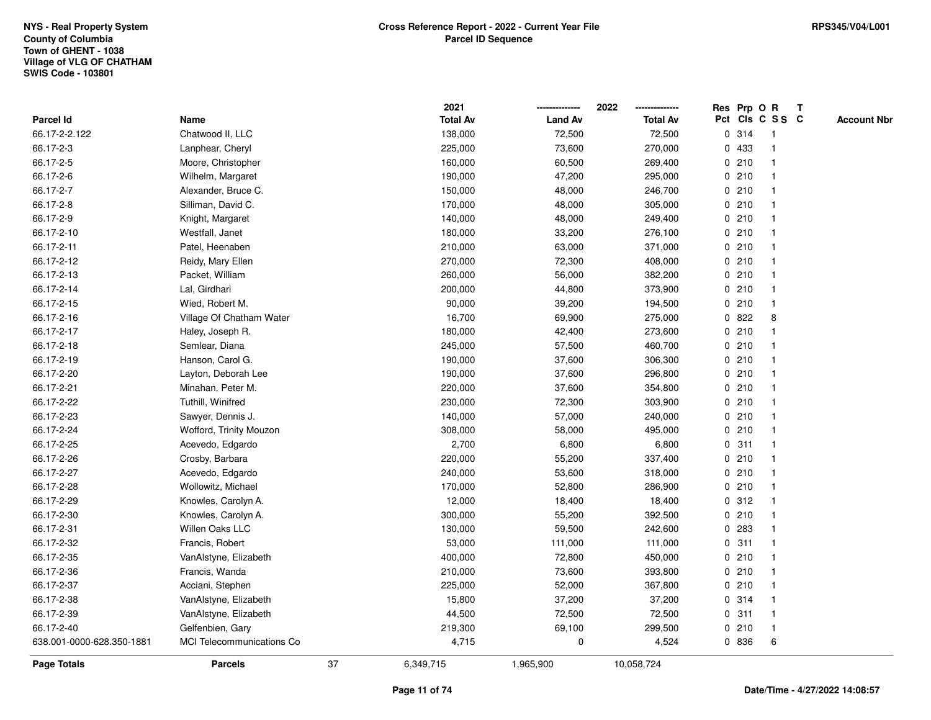|                           |                                  |    | 2021            |                | 2022            |   |       | Res Prp O R     | Т |                    |
|---------------------------|----------------------------------|----|-----------------|----------------|-----------------|---|-------|-----------------|---|--------------------|
| <b>Parcel Id</b>          | Name                             |    | <b>Total Av</b> | <b>Land Av</b> | <b>Total Av</b> |   |       | Pct Cls C S S C |   | <b>Account Nbr</b> |
| 66.17-2-2.122             | Chatwood II, LLC                 |    | 138,000         | 72,500         | 72,500          |   | 0 314 | $\mathbf{1}$    |   |                    |
| 66.17-2-3                 | Lanphear, Cheryl                 |    | 225,000         | 73,600         | 270,000         |   | 0 433 | $\mathbf 1$     |   |                    |
| 66.17-2-5                 | Moore, Christopher               |    | 160,000         | 60,500         | 269,400         |   | 0210  | $\mathbf 1$     |   |                    |
| 66.17-2-6                 | Wilhelm, Margaret                |    | 190,000         | 47,200         | 295,000         |   | 0210  |                 |   |                    |
| 66.17-2-7                 | Alexander, Bruce C.              |    | 150,000         | 48,000         | 246,700         |   | 0210  |                 |   |                    |
| 66.17-2-8                 | Silliman, David C.               |    | 170,000         | 48,000         | 305,000         |   | 0210  |                 |   |                    |
| 66.17-2-9                 | Knight, Margaret                 |    | 140,000         | 48,000         | 249,400         |   | 0210  |                 |   |                    |
| 66.17-2-10                | Westfall, Janet                  |    | 180,000         | 33,200         | 276,100         |   | 0210  | -1              |   |                    |
| 66.17-2-11                | Patel, Heenaben                  |    | 210,000         | 63,000         | 371,000         |   | 0210  | -1              |   |                    |
| 66.17-2-12                | Reidy, Mary Ellen                |    | 270,000         | 72,300         | 408,000         |   | 0210  | -1              |   |                    |
| 66.17-2-13                | Packet, William                  |    | 260,000         | 56,000         | 382,200         |   | 0210  | $\mathbf 1$     |   |                    |
| 66.17-2-14                | Lal, Girdhari                    |    | 200,000         | 44,800         | 373,900         |   | 0.210 |                 |   |                    |
| 66.17-2-15                | Wied, Robert M.                  |    | 90,000          | 39,200         | 194,500         |   | 0210  |                 |   |                    |
| 66.17-2-16                | Village Of Chatham Water         |    | 16,700          | 69,900         | 275,000         | 0 | 822   | 8               |   |                    |
| 66.17-2-17                | Haley, Joseph R.                 |    | 180,000         | 42,400         | 273,600         |   | 0210  |                 |   |                    |
| 66.17-2-18                | Semlear, Diana                   |    | 245,000         | 57,500         | 460,700         | 0 | 210   | $\mathbf 1$     |   |                    |
| 66.17-2-19                | Hanson, Carol G.                 |    | 190,000         | 37,600         | 306,300         | 0 | 210   | $\mathbf 1$     |   |                    |
| 66.17-2-20                | Layton, Deborah Lee              |    | 190,000         | 37,600         | 296,800         |   | 0210  | $\mathbf 1$     |   |                    |
| 66.17-2-21                | Minahan, Peter M.                |    | 220,000         | 37,600         | 354,800         |   | 0210  |                 |   |                    |
| 66.17-2-22                | Tuthill, Winifred                |    | 230,000         | 72,300         | 303,900         |   | 0210  |                 |   |                    |
| 66.17-2-23                | Sawyer, Dennis J.                |    | 140,000         | 57,000         | 240,000         |   | 0210  |                 |   |                    |
| 66.17-2-24                | Wofford, Trinity Mouzon          |    | 308,000         | 58,000         | 495,000         |   | 0210  |                 |   |                    |
| 66.17-2-25                | Acevedo, Edgardo                 |    | 2,700           | 6,800          | 6,800           | 0 | 311   | -1              |   |                    |
| 66.17-2-26                | Crosby, Barbara                  |    | 220,000         | 55,200         | 337,400         |   | 0210  | -1              |   |                    |
| 66.17-2-27                | Acevedo, Edgardo                 |    | 240,000         | 53,600         | 318,000         |   | 0210  | -1              |   |                    |
| 66.17-2-28                | Wollowitz, Michael               |    | 170,000         | 52,800         | 286,900         |   | 0210  | -1              |   |                    |
| 66.17-2-29                | Knowles, Carolyn A.              |    | 12,000          | 18,400         | 18,400          |   | 0.312 |                 |   |                    |
| 66.17-2-30                | Knowles, Carolyn A.              |    | 300,000         | 55,200         | 392,500         |   | 0210  |                 |   |                    |
| 66.17-2-31                | Willen Oaks LLC                  |    | 130,000         | 59,500         | 242,600         | 0 | 283   |                 |   |                    |
| 66.17-2-32                | Francis, Robert                  |    | 53,000          | 111,000        | 111,000         | 0 | 311   | 1               |   |                    |
| 66.17-2-35                | VanAlstyne, Elizabeth            |    | 400,000         | 72,800         | 450,000         | 0 | 210   | $\mathbf 1$     |   |                    |
| 66.17-2-36                | Francis, Wanda                   |    | 210,000         | 73,600         | 393,800         | 0 | 210   | $\mathbf 1$     |   |                    |
| 66.17-2-37                | Acciani, Stephen                 |    | 225,000         | 52,000         | 367,800         |   | 0210  | $\mathbf 1$     |   |                    |
| 66.17-2-38                | VanAlstyne, Elizabeth            |    | 15,800          | 37,200         | 37,200          |   | 0.314 |                 |   |                    |
| 66.17-2-39                | VanAlstyne, Elizabeth            |    | 44,500          | 72,500         | 72,500          |   | 0.311 |                 |   |                    |
| 66.17-2-40                | Gelfenbien, Gary                 |    | 219,300         | 69,100         | 299,500         |   | 0210  | $\mathbf{1}$    |   |                    |
| 638.001-0000-628.350-1881 | <b>MCI</b> Telecommunications Co |    | 4,715           | 0              | 4,524           |   | 0 836 | 6               |   |                    |
| Page Totals               | <b>Parcels</b>                   | 37 | 6,349,715       | 1,965,900      | 10,058,724      |   |       |                 |   |                    |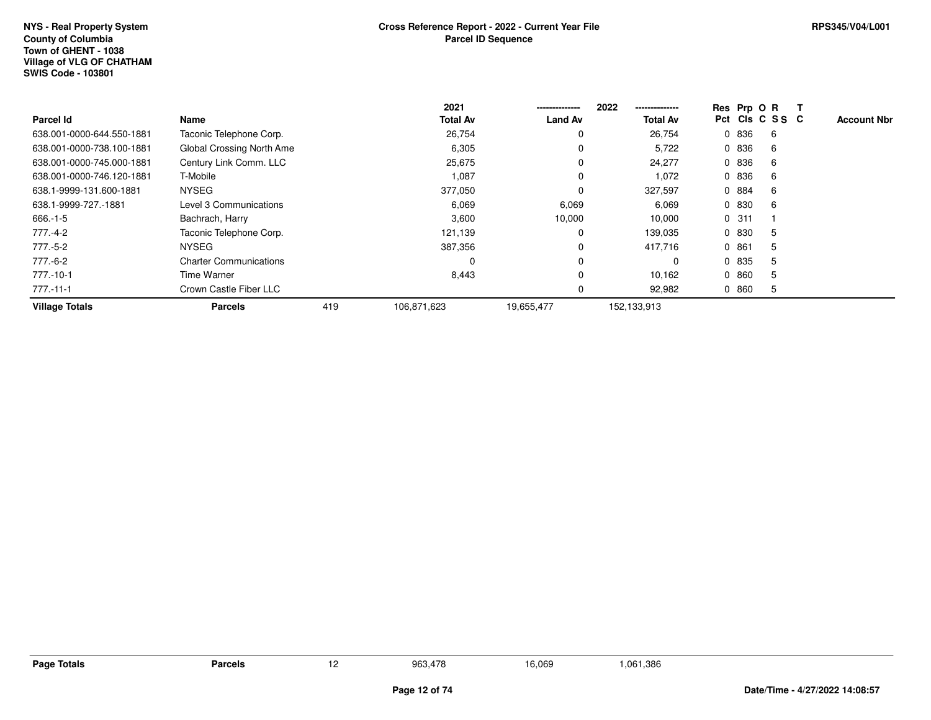## **Town of GHENT - 1038 Village of VLG OF CHATHAMSWIS Code - 103801NYS - Real Property SystemCounty of Columbia**

|                           |                               |     | 2021            | -------------- | 2022<br>--------------- |       | Res Prp O R     |                    |
|---------------------------|-------------------------------|-----|-----------------|----------------|-------------------------|-------|-----------------|--------------------|
| <b>Parcel Id</b>          | Name                          |     | <b>Total Av</b> | <b>Land Av</b> | <b>Total Av</b>         |       | Pct Cls C S S C | <b>Account Nbr</b> |
| 638.001-0000-644.550-1881 | Taconic Telephone Corp.       |     | 26,754          | 0              | 26,754                  | 0 836 | 6               |                    |
| 638.001-0000-738.100-1881 | Global Crossing North Ame     |     | 6,305           | 0              | 5,722                   | 0 836 | 6               |                    |
| 638.001-0000-745.000-1881 | Century Link Comm. LLC        |     | 25,675          | $\Omega$       | 24,277                  | 0 836 | 6               |                    |
| 638.001-0000-746.120-1881 | T-Mobile                      |     | 1,087           | $\Omega$       | 1,072                   | 0 836 | 6               |                    |
| 638.1-9999-131.600-1881   | <b>NYSEG</b>                  |     | 377,050         | $\Omega$       | 327,597                 | 0 884 | 6               |                    |
| 638.1-9999-727.-1881      | Level 3 Communications        |     | 6,069           | 6,069          | 6,069                   | 0 830 | 6               |                    |
| 666.-1-5                  | Bachrach, Harry               |     | 3,600           | 10,000         | 10,000                  | 0.311 |                 |                    |
| 777.-4-2                  | Taconic Telephone Corp.       |     | 121,139         | 0              | 139,035                 | 0 830 | 5               |                    |
| 777.-5-2                  | <b>NYSEG</b>                  |     | 387,356         | $\Omega$       | 417,716                 | 0861  | 5               |                    |
| 777.-6-2                  | <b>Charter Communications</b> |     | 0               | 0              | $\Omega$                | 0 835 | 5               |                    |
| 777.-10-1                 | Time Warner                   |     | 8,443           | $\Omega$       | 10,162                  | 0 860 | 5               |                    |
| $777 - 11 - 1$            | Crown Castle Fiber LLC        |     |                 | 0              | 92,982                  | 0860  | 5               |                    |
| <b>Village Totals</b>     | <b>Parcels</b>                | 419 | 106,871,623     | 19,655,477     | 152,133,913             |       |                 |                    |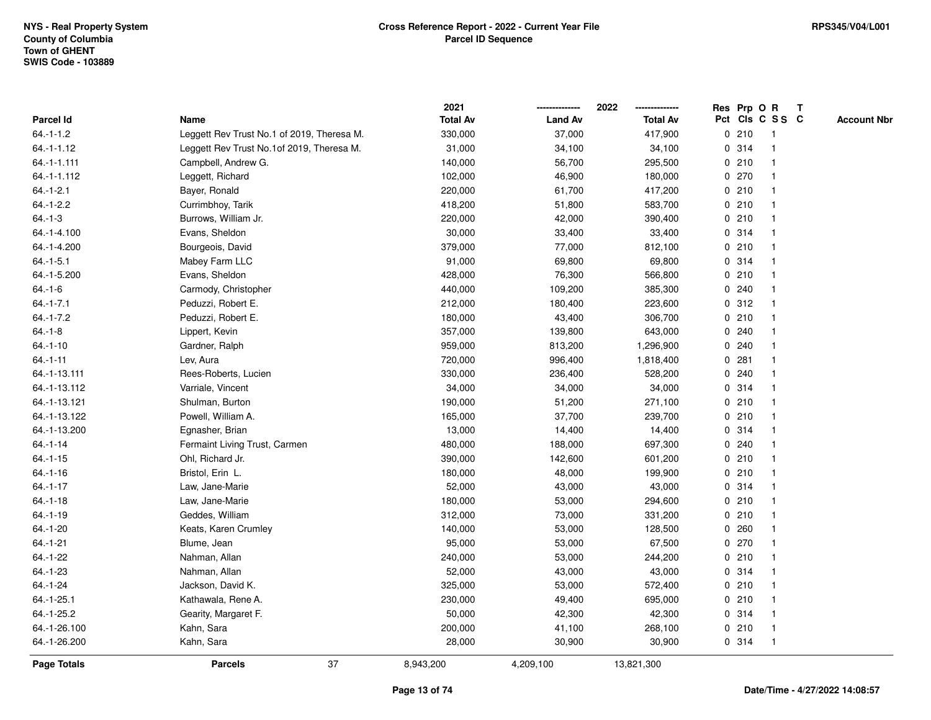|                 |                                            | 2021            |                | 2022<br>-------------- |   | Res Prp O R |                 | T |                    |
|-----------------|--------------------------------------------|-----------------|----------------|------------------------|---|-------------|-----------------|---|--------------------|
| Parcel Id       | Name                                       | <b>Total Av</b> | <b>Land Av</b> | <b>Total Av</b>        |   |             | Pct Cls C S S C |   | <b>Account Nbr</b> |
| $64 - 1 - 1.2$  | Leggett Rev Trust No.1 of 2019, Theresa M. | 330,000         | 37,000         | 417,900                |   | 0210        | $\mathbf{1}$    |   |                    |
| $64 - 1 - 1.12$ | Leggett Rev Trust No.1of 2019, Theresa M.  | 31,000          | 34,100         | 34,100                 | 0 | 314         | $\mathbf{1}$    |   |                    |
| $64.-1-1.111$   | Campbell, Andrew G.                        | 140,000         | 56,700         | 295,500                |   | 0210        | $\mathbf{1}$    |   |                    |
| 64.-1-1.112     | Leggett, Richard                           | 102,000         | 46,900         | 180,000                |   | 0270        | $\mathbf{1}$    |   |                    |
| $64.-1-2.1$     | Bayer, Ronald                              | 220,000         | 61,700         | 417,200                |   | 0210        | $\mathbf 1$     |   |                    |
| $64.-1-2.2$     | Currimbhoy, Tarik                          | 418,200         | 51,800         | 583,700                |   | 0210        |                 |   |                    |
| $64.-1-3$       | Burrows, William Jr.                       | 220,000         | 42,000         | 390,400                |   | 0210        | $\mathbf 1$     |   |                    |
| 64.-1-4.100     | Evans, Sheldon                             | 30,000          | 33,400         | 33,400                 |   | 0.314       | $\mathbf{1}$    |   |                    |
| 64.-1-4.200     | Bourgeois, David                           | 379,000         | 77,000         | 812,100                |   | 0210        | $\mathbf{1}$    |   |                    |
| $64.-1-5.1$     | Mabey Farm LLC                             | 91,000          | 69,800         | 69,800                 |   | 0.314       | $\mathbf{1}$    |   |                    |
| 64.-1-5.200     | Evans, Sheldon                             | 428,000         | 76,300         | 566,800                |   | 0210        | $\mathbf{1}$    |   |                    |
| $64.-1-6$       | Carmody, Christopher                       | 440,000         | 109,200        | 385,300                |   | 0.240       | -1              |   |                    |
| $64 - 1 - 7.1$  | Peduzzi, Robert E.                         | 212,000         | 180,400        | 223,600                |   | 0.312       |                 |   |                    |
| $64.-1-7.2$     | Peduzzi, Robert E.                         | 180,000         | 43,400         | 306,700                |   | 0210        | $\mathbf 1$     |   |                    |
| $64.-1-8$       | Lippert, Kevin                             | 357,000         | 139,800        | 643,000                |   | 0.240       | $\mathbf 1$     |   |                    |
| $64.-1-10$      | Gardner, Ralph                             | 959,000         | 813,200        | 1,296,900              |   | 0.240       | $\mathbf{1}$    |   |                    |
| $64.-1-11$      | Lev, Aura                                  | 720,000         | 996,400        | 1,818,400              |   | 0.281       | $\mathbf{1}$    |   |                    |
| 64.-1-13.111    | Rees-Roberts, Lucien                       | 330,000         | 236,400        | 528,200                |   | 0.240       | $\mathbf{1}$    |   |                    |
| 64.-1-13.112    | Varriale, Vincent                          | 34,000          | 34,000         | 34,000                 |   | 0.314       |                 |   |                    |
| 64.-1-13.121    | Shulman, Burton                            | 190,000         | 51,200         | 271,100                |   | 0210        |                 |   |                    |
| 64.-1-13.122    | Powell, William A.                         | 165,000         | 37,700         | 239,700                |   | 0210        | $\mathbf{1}$    |   |                    |
| 64.-1-13.200    | Egnasher, Brian                            | 13,000          | 14,400         | 14,400                 |   | 0.314       | $\mathbf{1}$    |   |                    |
| $64 - 1 - 14$   | Fermaint Living Trust, Carmen              | 480,000         | 188,000        | 697,300                |   | 0.240       | $\mathbf{1}$    |   |                    |
| $64.-1-15$      | Ohl, Richard Jr.                           | 390,000         | 142,600        | 601,200                |   | 0210        | $\mathbf{1}$    |   |                    |
| $64 - 1 - 16$   | Bristol, Erin L.                           | 180,000         | 48,000         | 199,900                |   | 0210        | $\mathbf{1}$    |   |                    |
| $64.-1-17$      | Law, Jane-Marie                            | 52,000          | 43,000         | 43,000                 |   | 0.314       | -1              |   |                    |
| $64.-1-18$      | Law, Jane-Marie                            | 180,000         | 53,000         | 294,600                |   | 0210        |                 |   |                    |
| $64.-1-19$      | Geddes, William                            | 312,000         | 73,000         | 331,200                |   | 0210        | $\mathbf{1}$    |   |                    |
| 64.-1-20        | Keats, Karen Crumley                       | 140,000         | 53,000         | 128,500                |   | 0.260       | $\mathbf 1$     |   |                    |
| $64.-1-21$      | Blume, Jean                                | 95,000          | 53,000         | 67,500                 |   | 0270        | $\mathbf{1}$    |   |                    |
| $64.-1-22$      | Nahman, Allan                              | 240,000         | 53,000         | 244,200                |   | 0210        | $\mathbf{1}$    |   |                    |
| $64.-1-23$      | Nahman, Allan                              | 52,000          | 43,000         | 43,000                 |   | 0.314       | $\mathbf{1}$    |   |                    |
| $64 - 1 - 24$   | Jackson, David K.                          | 325,000         | 53,000         | 572,400                |   | 0210        | $\mathbf{1}$    |   |                    |
| 64.-1-25.1      | Kathawala, Rene A.                         | 230,000         | 49,400         | 695,000                |   | 0210        | $\mathbf 1$     |   |                    |
| 64.-1-25.2      | Gearity, Margaret F.                       | 50,000          | 42,300         | 42,300                 |   | 0.314       | $\mathbf{1}$    |   |                    |
| 64.-1-26.100    | Kahn, Sara                                 | 200,000         | 41,100         | 268,100                |   | 0210        | $\mathbf{1}$    |   |                    |
| 64.-1-26.200    | Kahn, Sara                                 | 28,000          | 30,900         | 30,900                 |   | 0.314       | $\mathbf{1}$    |   |                    |
| Page Totals     | 37<br><b>Parcels</b>                       | 8,943,200       | 4,209,100      | 13,821,300             |   |             |                 |   |                    |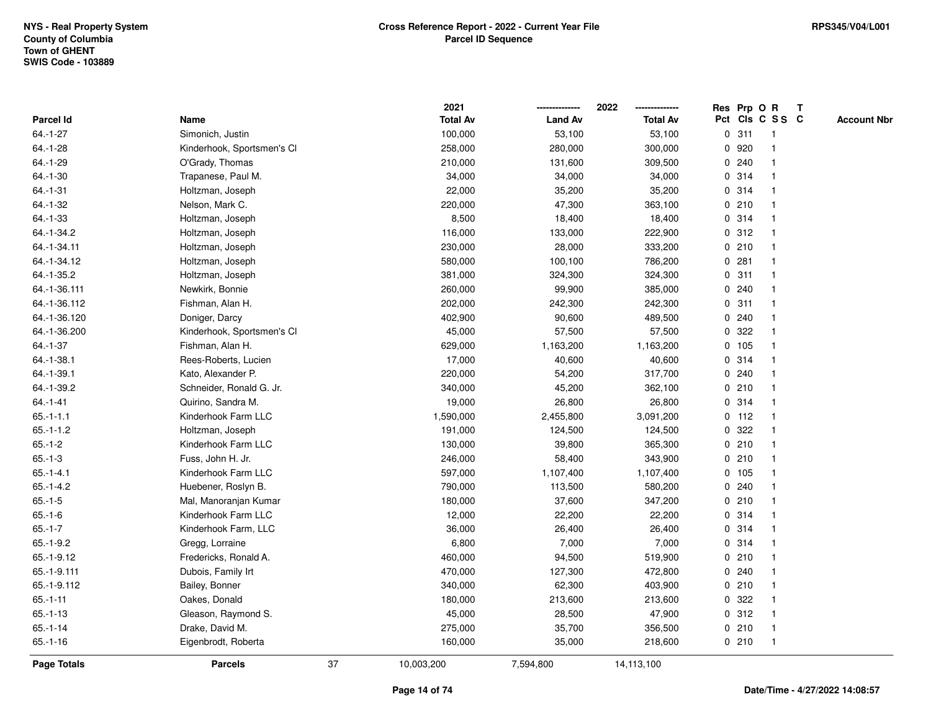| Pct Cls C S S C<br><b>Total Av</b><br><b>Land Av</b><br>Parcel Id<br>Name<br><b>Total Av</b><br>0.311<br>$64.-1-27$<br>Simonich, Justin<br>100,000<br>53,100<br>53,100<br>$\overline{\mathbf{1}}$<br>$64.-1-28$<br>Kinderhook, Sportsmen's Cl<br>258,000<br>280,000<br>300,000<br>0 920<br>$\overline{\mathbf{1}}$<br>0.240<br>64.-1-29<br>O'Grady, Thomas<br>210,000<br>131,600<br>309,500<br>1<br>Trapanese, Paul M.<br>34,000<br>34,000<br>0.314<br>$64.-1-30$<br>34,000<br>0.314<br>$64 - 1 - 31$<br>Holtzman, Joseph<br>22,000<br>35,200<br>35,200<br>0210<br>64.-1-32<br>Nelson, Mark C.<br>220,000<br>47,300<br>363,100<br>$64.-1-33$<br>8,500<br>18,400<br>0.314<br>Holtzman, Joseph<br>18,400<br>-1<br>0.312<br>64.-1-34.2<br>Holtzman, Joseph<br>116,000<br>133,000<br>222,900<br>$\overline{1}$<br>0210<br>64.-1-34.11<br>Holtzman, Joseph<br>230,000<br>28,000<br>333,200<br>$\overline{1}$<br>0.281<br>64.-1-34.12<br>580,000<br>100,100<br>786,200<br>Holtzman, Joseph<br>0.311<br>64.-1-35.2<br>Holtzman, Joseph<br>381,000<br>324,300<br>324,300<br>0.240<br>64.-1-36.111<br>Newkirk, Bonnie<br>260,000<br>99,900<br>385,000<br>64.-1-36.112<br>202,000<br>242,300<br>0.311<br>Fishman, Alan H.<br>242,300<br>64.-1-36.120<br>402,900<br>90,600<br>489,500<br>0.240<br>Doniger, Darcy<br>64.-1-36.200<br>322<br>Kinderhook, Sportsmen's Cl<br>45,000<br>57,500<br>57,500<br>0<br>1<br>0 105<br>1,163,200<br>64.-1-37<br>Fishman, Alan H.<br>629,000<br>1,163,200<br>$\mathbf{1}$<br>0.314<br>$64. -1 - 38.1$<br>Rees-Roberts, Lucien<br>17,000<br>40,600<br>40,600<br>317,700<br>0.240<br>64.-1-39.1<br>Kato, Alexander P.<br>220,000<br>54,200<br>0210<br>64.-1-39.2<br>Schneider, Ronald G. Jr.<br>340,000<br>45,200<br>362,100<br>$64 - 1 - 41$<br>Quirino, Sandra M.<br>19,000<br>26,800<br>26,800<br>0.314<br>-1<br>2,455,800<br>$0$ 112<br>$65.-1-1.1$<br>Kinderhook Farm LLC<br>1,590,000<br>3,091,200<br>$65.-1-1.2$<br>191,000<br>124,500<br>322<br>Holtzman, Joseph<br>124,500<br>0<br>-1<br>0210<br>$65.-1-2$<br>Kinderhook Farm LLC<br>130,000<br>39,800<br>365,300<br>1<br>0210<br>$65.-1-3$<br>Fuss, John H. Jr.<br>246,000<br>58,400<br>343,900<br>Kinderhook Farm LLC<br>597,000<br>1,107,400<br>1,107,400<br>0 105<br>$65 - 1 - 4.1$<br>$65.-1-4.2$<br>0.240<br>Huebener, Roslyn B.<br>790,000<br>113,500<br>580,200<br>0210<br>$65.-1-5$<br>Mal, Manoranjan Kumar<br>180,000<br>37,600<br>347,200<br>Kinderhook Farm LLC<br>12,000<br>22,200<br>0.314<br>$65.-1-6$<br>22,200<br>$65.-1-7$<br>Kinderhook Farm, LLC<br>0.314<br>36,000<br>26,400<br>26,400<br>$\overline{1}$<br>7,000<br>0.314<br>$65.-1-9.2$<br>6,800<br>7,000<br>Gregg, Lorraine<br>$\mathbf{1}$<br>0210<br>$65.-1-9.12$<br>Fredericks, Ronald A.<br>460,000<br>94,500<br>519,900<br>1<br>65.-1-9.111<br>Dubois, Family Irt<br>470,000<br>127,300<br>472,800<br>0.240<br>0210<br>65.-1-9.112<br>Bailey, Bonner<br>340,000<br>62,300<br>403,900<br>0.322<br>$65 - 1 - 11$<br>Oakes, Donald<br>180,000<br>213,600<br>213,600<br>-1<br>0.312<br>$65.-1-13$<br>Gleason, Raymond S.<br>45,000<br>28,500<br>47,900<br>-1<br>$65.-1-14$<br>Drake, David M.<br>275,000<br>35,700<br>356,500<br>0210<br>$\overline{1}$<br>0210<br>$65.-1-16$<br>Eigenbrodt, Roberta<br>160,000<br>35,000<br>218,600<br>$\overline{1}$<br>37<br><b>Page Totals</b><br><b>Parcels</b><br>10,003,200<br>7,594,800<br>14,113,100 |  | 2021 | 2022 | Res Prp O R | T |                    |
|-------------------------------------------------------------------------------------------------------------------------------------------------------------------------------------------------------------------------------------------------------------------------------------------------------------------------------------------------------------------------------------------------------------------------------------------------------------------------------------------------------------------------------------------------------------------------------------------------------------------------------------------------------------------------------------------------------------------------------------------------------------------------------------------------------------------------------------------------------------------------------------------------------------------------------------------------------------------------------------------------------------------------------------------------------------------------------------------------------------------------------------------------------------------------------------------------------------------------------------------------------------------------------------------------------------------------------------------------------------------------------------------------------------------------------------------------------------------------------------------------------------------------------------------------------------------------------------------------------------------------------------------------------------------------------------------------------------------------------------------------------------------------------------------------------------------------------------------------------------------------------------------------------------------------------------------------------------------------------------------------------------------------------------------------------------------------------------------------------------------------------------------------------------------------------------------------------------------------------------------------------------------------------------------------------------------------------------------------------------------------------------------------------------------------------------------------------------------------------------------------------------------------------------------------------------------------------------------------------------------------------------------------------------------------------------------------------------------------------------------------------------------------------------------------------------------------------------------------------------------------------------------------------------------------------------------------------------------------------------------------------------------------------------------------------------------------------------------------------------------------------------------------------------------------------------------------------------------------------------------------------------------------------------------------------------------------------------------------------------------------------------------------------|--|------|------|-------------|---|--------------------|
|                                                                                                                                                                                                                                                                                                                                                                                                                                                                                                                                                                                                                                                                                                                                                                                                                                                                                                                                                                                                                                                                                                                                                                                                                                                                                                                                                                                                                                                                                                                                                                                                                                                                                                                                                                                                                                                                                                                                                                                                                                                                                                                                                                                                                                                                                                                                                                                                                                                                                                                                                                                                                                                                                                                                                                                                                                                                                                                                                                                                                                                                                                                                                                                                                                                                                                                                                                                                       |  |      |      |             |   | <b>Account Nbr</b> |
|                                                                                                                                                                                                                                                                                                                                                                                                                                                                                                                                                                                                                                                                                                                                                                                                                                                                                                                                                                                                                                                                                                                                                                                                                                                                                                                                                                                                                                                                                                                                                                                                                                                                                                                                                                                                                                                                                                                                                                                                                                                                                                                                                                                                                                                                                                                                                                                                                                                                                                                                                                                                                                                                                                                                                                                                                                                                                                                                                                                                                                                                                                                                                                                                                                                                                                                                                                                                       |  |      |      |             |   |                    |
|                                                                                                                                                                                                                                                                                                                                                                                                                                                                                                                                                                                                                                                                                                                                                                                                                                                                                                                                                                                                                                                                                                                                                                                                                                                                                                                                                                                                                                                                                                                                                                                                                                                                                                                                                                                                                                                                                                                                                                                                                                                                                                                                                                                                                                                                                                                                                                                                                                                                                                                                                                                                                                                                                                                                                                                                                                                                                                                                                                                                                                                                                                                                                                                                                                                                                                                                                                                                       |  |      |      |             |   |                    |
|                                                                                                                                                                                                                                                                                                                                                                                                                                                                                                                                                                                                                                                                                                                                                                                                                                                                                                                                                                                                                                                                                                                                                                                                                                                                                                                                                                                                                                                                                                                                                                                                                                                                                                                                                                                                                                                                                                                                                                                                                                                                                                                                                                                                                                                                                                                                                                                                                                                                                                                                                                                                                                                                                                                                                                                                                                                                                                                                                                                                                                                                                                                                                                                                                                                                                                                                                                                                       |  |      |      |             |   |                    |
|                                                                                                                                                                                                                                                                                                                                                                                                                                                                                                                                                                                                                                                                                                                                                                                                                                                                                                                                                                                                                                                                                                                                                                                                                                                                                                                                                                                                                                                                                                                                                                                                                                                                                                                                                                                                                                                                                                                                                                                                                                                                                                                                                                                                                                                                                                                                                                                                                                                                                                                                                                                                                                                                                                                                                                                                                                                                                                                                                                                                                                                                                                                                                                                                                                                                                                                                                                                                       |  |      |      |             |   |                    |
|                                                                                                                                                                                                                                                                                                                                                                                                                                                                                                                                                                                                                                                                                                                                                                                                                                                                                                                                                                                                                                                                                                                                                                                                                                                                                                                                                                                                                                                                                                                                                                                                                                                                                                                                                                                                                                                                                                                                                                                                                                                                                                                                                                                                                                                                                                                                                                                                                                                                                                                                                                                                                                                                                                                                                                                                                                                                                                                                                                                                                                                                                                                                                                                                                                                                                                                                                                                                       |  |      |      |             |   |                    |
|                                                                                                                                                                                                                                                                                                                                                                                                                                                                                                                                                                                                                                                                                                                                                                                                                                                                                                                                                                                                                                                                                                                                                                                                                                                                                                                                                                                                                                                                                                                                                                                                                                                                                                                                                                                                                                                                                                                                                                                                                                                                                                                                                                                                                                                                                                                                                                                                                                                                                                                                                                                                                                                                                                                                                                                                                                                                                                                                                                                                                                                                                                                                                                                                                                                                                                                                                                                                       |  |      |      |             |   |                    |
|                                                                                                                                                                                                                                                                                                                                                                                                                                                                                                                                                                                                                                                                                                                                                                                                                                                                                                                                                                                                                                                                                                                                                                                                                                                                                                                                                                                                                                                                                                                                                                                                                                                                                                                                                                                                                                                                                                                                                                                                                                                                                                                                                                                                                                                                                                                                                                                                                                                                                                                                                                                                                                                                                                                                                                                                                                                                                                                                                                                                                                                                                                                                                                                                                                                                                                                                                                                                       |  |      |      |             |   |                    |
|                                                                                                                                                                                                                                                                                                                                                                                                                                                                                                                                                                                                                                                                                                                                                                                                                                                                                                                                                                                                                                                                                                                                                                                                                                                                                                                                                                                                                                                                                                                                                                                                                                                                                                                                                                                                                                                                                                                                                                                                                                                                                                                                                                                                                                                                                                                                                                                                                                                                                                                                                                                                                                                                                                                                                                                                                                                                                                                                                                                                                                                                                                                                                                                                                                                                                                                                                                                                       |  |      |      |             |   |                    |
|                                                                                                                                                                                                                                                                                                                                                                                                                                                                                                                                                                                                                                                                                                                                                                                                                                                                                                                                                                                                                                                                                                                                                                                                                                                                                                                                                                                                                                                                                                                                                                                                                                                                                                                                                                                                                                                                                                                                                                                                                                                                                                                                                                                                                                                                                                                                                                                                                                                                                                                                                                                                                                                                                                                                                                                                                                                                                                                                                                                                                                                                                                                                                                                                                                                                                                                                                                                                       |  |      |      |             |   |                    |
|                                                                                                                                                                                                                                                                                                                                                                                                                                                                                                                                                                                                                                                                                                                                                                                                                                                                                                                                                                                                                                                                                                                                                                                                                                                                                                                                                                                                                                                                                                                                                                                                                                                                                                                                                                                                                                                                                                                                                                                                                                                                                                                                                                                                                                                                                                                                                                                                                                                                                                                                                                                                                                                                                                                                                                                                                                                                                                                                                                                                                                                                                                                                                                                                                                                                                                                                                                                                       |  |      |      |             |   |                    |
|                                                                                                                                                                                                                                                                                                                                                                                                                                                                                                                                                                                                                                                                                                                                                                                                                                                                                                                                                                                                                                                                                                                                                                                                                                                                                                                                                                                                                                                                                                                                                                                                                                                                                                                                                                                                                                                                                                                                                                                                                                                                                                                                                                                                                                                                                                                                                                                                                                                                                                                                                                                                                                                                                                                                                                                                                                                                                                                                                                                                                                                                                                                                                                                                                                                                                                                                                                                                       |  |      |      |             |   |                    |
|                                                                                                                                                                                                                                                                                                                                                                                                                                                                                                                                                                                                                                                                                                                                                                                                                                                                                                                                                                                                                                                                                                                                                                                                                                                                                                                                                                                                                                                                                                                                                                                                                                                                                                                                                                                                                                                                                                                                                                                                                                                                                                                                                                                                                                                                                                                                                                                                                                                                                                                                                                                                                                                                                                                                                                                                                                                                                                                                                                                                                                                                                                                                                                                                                                                                                                                                                                                                       |  |      |      |             |   |                    |
|                                                                                                                                                                                                                                                                                                                                                                                                                                                                                                                                                                                                                                                                                                                                                                                                                                                                                                                                                                                                                                                                                                                                                                                                                                                                                                                                                                                                                                                                                                                                                                                                                                                                                                                                                                                                                                                                                                                                                                                                                                                                                                                                                                                                                                                                                                                                                                                                                                                                                                                                                                                                                                                                                                                                                                                                                                                                                                                                                                                                                                                                                                                                                                                                                                                                                                                                                                                                       |  |      |      |             |   |                    |
|                                                                                                                                                                                                                                                                                                                                                                                                                                                                                                                                                                                                                                                                                                                                                                                                                                                                                                                                                                                                                                                                                                                                                                                                                                                                                                                                                                                                                                                                                                                                                                                                                                                                                                                                                                                                                                                                                                                                                                                                                                                                                                                                                                                                                                                                                                                                                                                                                                                                                                                                                                                                                                                                                                                                                                                                                                                                                                                                                                                                                                                                                                                                                                                                                                                                                                                                                                                                       |  |      |      |             |   |                    |
|                                                                                                                                                                                                                                                                                                                                                                                                                                                                                                                                                                                                                                                                                                                                                                                                                                                                                                                                                                                                                                                                                                                                                                                                                                                                                                                                                                                                                                                                                                                                                                                                                                                                                                                                                                                                                                                                                                                                                                                                                                                                                                                                                                                                                                                                                                                                                                                                                                                                                                                                                                                                                                                                                                                                                                                                                                                                                                                                                                                                                                                                                                                                                                                                                                                                                                                                                                                                       |  |      |      |             |   |                    |
|                                                                                                                                                                                                                                                                                                                                                                                                                                                                                                                                                                                                                                                                                                                                                                                                                                                                                                                                                                                                                                                                                                                                                                                                                                                                                                                                                                                                                                                                                                                                                                                                                                                                                                                                                                                                                                                                                                                                                                                                                                                                                                                                                                                                                                                                                                                                                                                                                                                                                                                                                                                                                                                                                                                                                                                                                                                                                                                                                                                                                                                                                                                                                                                                                                                                                                                                                                                                       |  |      |      |             |   |                    |
|                                                                                                                                                                                                                                                                                                                                                                                                                                                                                                                                                                                                                                                                                                                                                                                                                                                                                                                                                                                                                                                                                                                                                                                                                                                                                                                                                                                                                                                                                                                                                                                                                                                                                                                                                                                                                                                                                                                                                                                                                                                                                                                                                                                                                                                                                                                                                                                                                                                                                                                                                                                                                                                                                                                                                                                                                                                                                                                                                                                                                                                                                                                                                                                                                                                                                                                                                                                                       |  |      |      |             |   |                    |
|                                                                                                                                                                                                                                                                                                                                                                                                                                                                                                                                                                                                                                                                                                                                                                                                                                                                                                                                                                                                                                                                                                                                                                                                                                                                                                                                                                                                                                                                                                                                                                                                                                                                                                                                                                                                                                                                                                                                                                                                                                                                                                                                                                                                                                                                                                                                                                                                                                                                                                                                                                                                                                                                                                                                                                                                                                                                                                                                                                                                                                                                                                                                                                                                                                                                                                                                                                                                       |  |      |      |             |   |                    |
|                                                                                                                                                                                                                                                                                                                                                                                                                                                                                                                                                                                                                                                                                                                                                                                                                                                                                                                                                                                                                                                                                                                                                                                                                                                                                                                                                                                                                                                                                                                                                                                                                                                                                                                                                                                                                                                                                                                                                                                                                                                                                                                                                                                                                                                                                                                                                                                                                                                                                                                                                                                                                                                                                                                                                                                                                                                                                                                                                                                                                                                                                                                                                                                                                                                                                                                                                                                                       |  |      |      |             |   |                    |
|                                                                                                                                                                                                                                                                                                                                                                                                                                                                                                                                                                                                                                                                                                                                                                                                                                                                                                                                                                                                                                                                                                                                                                                                                                                                                                                                                                                                                                                                                                                                                                                                                                                                                                                                                                                                                                                                                                                                                                                                                                                                                                                                                                                                                                                                                                                                                                                                                                                                                                                                                                                                                                                                                                                                                                                                                                                                                                                                                                                                                                                                                                                                                                                                                                                                                                                                                                                                       |  |      |      |             |   |                    |
|                                                                                                                                                                                                                                                                                                                                                                                                                                                                                                                                                                                                                                                                                                                                                                                                                                                                                                                                                                                                                                                                                                                                                                                                                                                                                                                                                                                                                                                                                                                                                                                                                                                                                                                                                                                                                                                                                                                                                                                                                                                                                                                                                                                                                                                                                                                                                                                                                                                                                                                                                                                                                                                                                                                                                                                                                                                                                                                                                                                                                                                                                                                                                                                                                                                                                                                                                                                                       |  |      |      |             |   |                    |
|                                                                                                                                                                                                                                                                                                                                                                                                                                                                                                                                                                                                                                                                                                                                                                                                                                                                                                                                                                                                                                                                                                                                                                                                                                                                                                                                                                                                                                                                                                                                                                                                                                                                                                                                                                                                                                                                                                                                                                                                                                                                                                                                                                                                                                                                                                                                                                                                                                                                                                                                                                                                                                                                                                                                                                                                                                                                                                                                                                                                                                                                                                                                                                                                                                                                                                                                                                                                       |  |      |      |             |   |                    |
|                                                                                                                                                                                                                                                                                                                                                                                                                                                                                                                                                                                                                                                                                                                                                                                                                                                                                                                                                                                                                                                                                                                                                                                                                                                                                                                                                                                                                                                                                                                                                                                                                                                                                                                                                                                                                                                                                                                                                                                                                                                                                                                                                                                                                                                                                                                                                                                                                                                                                                                                                                                                                                                                                                                                                                                                                                                                                                                                                                                                                                                                                                                                                                                                                                                                                                                                                                                                       |  |      |      |             |   |                    |
|                                                                                                                                                                                                                                                                                                                                                                                                                                                                                                                                                                                                                                                                                                                                                                                                                                                                                                                                                                                                                                                                                                                                                                                                                                                                                                                                                                                                                                                                                                                                                                                                                                                                                                                                                                                                                                                                                                                                                                                                                                                                                                                                                                                                                                                                                                                                                                                                                                                                                                                                                                                                                                                                                                                                                                                                                                                                                                                                                                                                                                                                                                                                                                                                                                                                                                                                                                                                       |  |      |      |             |   |                    |
|                                                                                                                                                                                                                                                                                                                                                                                                                                                                                                                                                                                                                                                                                                                                                                                                                                                                                                                                                                                                                                                                                                                                                                                                                                                                                                                                                                                                                                                                                                                                                                                                                                                                                                                                                                                                                                                                                                                                                                                                                                                                                                                                                                                                                                                                                                                                                                                                                                                                                                                                                                                                                                                                                                                                                                                                                                                                                                                                                                                                                                                                                                                                                                                                                                                                                                                                                                                                       |  |      |      |             |   |                    |
|                                                                                                                                                                                                                                                                                                                                                                                                                                                                                                                                                                                                                                                                                                                                                                                                                                                                                                                                                                                                                                                                                                                                                                                                                                                                                                                                                                                                                                                                                                                                                                                                                                                                                                                                                                                                                                                                                                                                                                                                                                                                                                                                                                                                                                                                                                                                                                                                                                                                                                                                                                                                                                                                                                                                                                                                                                                                                                                                                                                                                                                                                                                                                                                                                                                                                                                                                                                                       |  |      |      |             |   |                    |
|                                                                                                                                                                                                                                                                                                                                                                                                                                                                                                                                                                                                                                                                                                                                                                                                                                                                                                                                                                                                                                                                                                                                                                                                                                                                                                                                                                                                                                                                                                                                                                                                                                                                                                                                                                                                                                                                                                                                                                                                                                                                                                                                                                                                                                                                                                                                                                                                                                                                                                                                                                                                                                                                                                                                                                                                                                                                                                                                                                                                                                                                                                                                                                                                                                                                                                                                                                                                       |  |      |      |             |   |                    |
|                                                                                                                                                                                                                                                                                                                                                                                                                                                                                                                                                                                                                                                                                                                                                                                                                                                                                                                                                                                                                                                                                                                                                                                                                                                                                                                                                                                                                                                                                                                                                                                                                                                                                                                                                                                                                                                                                                                                                                                                                                                                                                                                                                                                                                                                                                                                                                                                                                                                                                                                                                                                                                                                                                                                                                                                                                                                                                                                                                                                                                                                                                                                                                                                                                                                                                                                                                                                       |  |      |      |             |   |                    |
|                                                                                                                                                                                                                                                                                                                                                                                                                                                                                                                                                                                                                                                                                                                                                                                                                                                                                                                                                                                                                                                                                                                                                                                                                                                                                                                                                                                                                                                                                                                                                                                                                                                                                                                                                                                                                                                                                                                                                                                                                                                                                                                                                                                                                                                                                                                                                                                                                                                                                                                                                                                                                                                                                                                                                                                                                                                                                                                                                                                                                                                                                                                                                                                                                                                                                                                                                                                                       |  |      |      |             |   |                    |
|                                                                                                                                                                                                                                                                                                                                                                                                                                                                                                                                                                                                                                                                                                                                                                                                                                                                                                                                                                                                                                                                                                                                                                                                                                                                                                                                                                                                                                                                                                                                                                                                                                                                                                                                                                                                                                                                                                                                                                                                                                                                                                                                                                                                                                                                                                                                                                                                                                                                                                                                                                                                                                                                                                                                                                                                                                                                                                                                                                                                                                                                                                                                                                                                                                                                                                                                                                                                       |  |      |      |             |   |                    |
|                                                                                                                                                                                                                                                                                                                                                                                                                                                                                                                                                                                                                                                                                                                                                                                                                                                                                                                                                                                                                                                                                                                                                                                                                                                                                                                                                                                                                                                                                                                                                                                                                                                                                                                                                                                                                                                                                                                                                                                                                                                                                                                                                                                                                                                                                                                                                                                                                                                                                                                                                                                                                                                                                                                                                                                                                                                                                                                                                                                                                                                                                                                                                                                                                                                                                                                                                                                                       |  |      |      |             |   |                    |
|                                                                                                                                                                                                                                                                                                                                                                                                                                                                                                                                                                                                                                                                                                                                                                                                                                                                                                                                                                                                                                                                                                                                                                                                                                                                                                                                                                                                                                                                                                                                                                                                                                                                                                                                                                                                                                                                                                                                                                                                                                                                                                                                                                                                                                                                                                                                                                                                                                                                                                                                                                                                                                                                                                                                                                                                                                                                                                                                                                                                                                                                                                                                                                                                                                                                                                                                                                                                       |  |      |      |             |   |                    |
|                                                                                                                                                                                                                                                                                                                                                                                                                                                                                                                                                                                                                                                                                                                                                                                                                                                                                                                                                                                                                                                                                                                                                                                                                                                                                                                                                                                                                                                                                                                                                                                                                                                                                                                                                                                                                                                                                                                                                                                                                                                                                                                                                                                                                                                                                                                                                                                                                                                                                                                                                                                                                                                                                                                                                                                                                                                                                                                                                                                                                                                                                                                                                                                                                                                                                                                                                                                                       |  |      |      |             |   |                    |
|                                                                                                                                                                                                                                                                                                                                                                                                                                                                                                                                                                                                                                                                                                                                                                                                                                                                                                                                                                                                                                                                                                                                                                                                                                                                                                                                                                                                                                                                                                                                                                                                                                                                                                                                                                                                                                                                                                                                                                                                                                                                                                                                                                                                                                                                                                                                                                                                                                                                                                                                                                                                                                                                                                                                                                                                                                                                                                                                                                                                                                                                                                                                                                                                                                                                                                                                                                                                       |  |      |      |             |   |                    |
|                                                                                                                                                                                                                                                                                                                                                                                                                                                                                                                                                                                                                                                                                                                                                                                                                                                                                                                                                                                                                                                                                                                                                                                                                                                                                                                                                                                                                                                                                                                                                                                                                                                                                                                                                                                                                                                                                                                                                                                                                                                                                                                                                                                                                                                                                                                                                                                                                                                                                                                                                                                                                                                                                                                                                                                                                                                                                                                                                                                                                                                                                                                                                                                                                                                                                                                                                                                                       |  |      |      |             |   |                    |
|                                                                                                                                                                                                                                                                                                                                                                                                                                                                                                                                                                                                                                                                                                                                                                                                                                                                                                                                                                                                                                                                                                                                                                                                                                                                                                                                                                                                                                                                                                                                                                                                                                                                                                                                                                                                                                                                                                                                                                                                                                                                                                                                                                                                                                                                                                                                                                                                                                                                                                                                                                                                                                                                                                                                                                                                                                                                                                                                                                                                                                                                                                                                                                                                                                                                                                                                                                                                       |  |      |      |             |   |                    |
|                                                                                                                                                                                                                                                                                                                                                                                                                                                                                                                                                                                                                                                                                                                                                                                                                                                                                                                                                                                                                                                                                                                                                                                                                                                                                                                                                                                                                                                                                                                                                                                                                                                                                                                                                                                                                                                                                                                                                                                                                                                                                                                                                                                                                                                                                                                                                                                                                                                                                                                                                                                                                                                                                                                                                                                                                                                                                                                                                                                                                                                                                                                                                                                                                                                                                                                                                                                                       |  |      |      |             |   |                    |
|                                                                                                                                                                                                                                                                                                                                                                                                                                                                                                                                                                                                                                                                                                                                                                                                                                                                                                                                                                                                                                                                                                                                                                                                                                                                                                                                                                                                                                                                                                                                                                                                                                                                                                                                                                                                                                                                                                                                                                                                                                                                                                                                                                                                                                                                                                                                                                                                                                                                                                                                                                                                                                                                                                                                                                                                                                                                                                                                                                                                                                                                                                                                                                                                                                                                                                                                                                                                       |  |      |      |             |   |                    |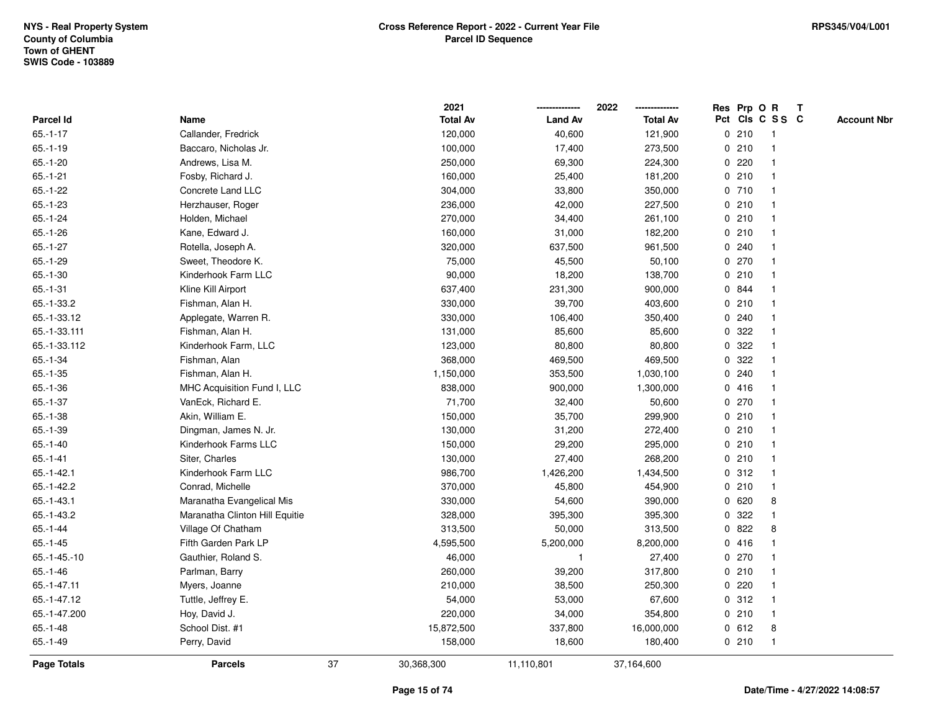|                    |                                |    | 2021            |                | 2022            |   |         | Res Prp O R     | $\mathbf{T}$ |                    |
|--------------------|--------------------------------|----|-----------------|----------------|-----------------|---|---------|-----------------|--------------|--------------------|
| Parcel Id          | Name                           |    | <b>Total Av</b> | <b>Land Av</b> | <b>Total Av</b> |   |         | Pct Cls C S S C |              | <b>Account Nbr</b> |
| $65.-1-17$         | Callander, Fredrick            |    | 120,000         | 40,600         | 121,900         |   | 0210    |                 |              |                    |
| $65.-1-19$         | Baccaro, Nicholas Jr.          |    | 100,000         | 17,400         | 273,500         |   | 0210    |                 |              |                    |
| $65.-1-20$         | Andrews, Lisa M.               |    | 250,000         | 69,300         | 224,300         |   | 0220    | -1              |              |                    |
| $65.-1-21$         | Fosby, Richard J.              |    | 160,000         | 25,400         | 181,200         | 0 | 210     | -1              |              |                    |
| $65.-1-22$         | Concrete Land LLC              |    | 304,000         | 33,800         | 350,000         |   | 0710    | $\mathbf 1$     |              |                    |
| $65.-1-23$         | Herzhauser, Roger              |    | 236,000         | 42,000         | 227,500         |   | 0210    | $\mathbf{1}$    |              |                    |
| $65.-1-24$         | Holden, Michael                |    | 270,000         | 34,400         | 261,100         |   | 0210    |                 |              |                    |
| $65.-1-26$         | Kane, Edward J.                |    | 160,000         | 31,000         | 182,200         |   | 0210    |                 |              |                    |
| $65.-1-27$         | Rotella, Joseph A.             |    | 320,000         | 637,500        | 961,500         |   | 0.240   |                 |              |                    |
| $65.-1-29$         | Sweet, Theodore K.             |    | 75,000          | 45,500         | 50,100          |   | $0$ 270 | -1              |              |                    |
| $65.-1-30$         | Kinderhook Farm LLC            |    | 90,000          | 18,200         | 138,700         |   | 0210    | $\mathbf{1}$    |              |                    |
| $65.-1-31$         | Kline Kill Airport             |    | 637,400         | 231,300        | 900,000         |   | 0 844   | -1              |              |                    |
| 65.-1-33.2         | Fishman, Alan H.               |    | 330,000         | 39,700         | 403,600         |   | 0210    | -1              |              |                    |
| 65.-1-33.12        | Applegate, Warren R.           |    | 330,000         | 106,400        | 350,400         |   | 0.240   |                 |              |                    |
| 65.-1-33.111       | Fishman, Alan H.               |    | 131,000         | 85,600         | 85,600          |   | 0.322   |                 |              |                    |
| 65.-1-33.112       | Kinderhook Farm, LLC           |    | 123,000         | 80,800         | 80,800          | 0 | 322     |                 |              |                    |
| $65.-1-34$         | Fishman, Alan                  |    | 368,000         | 469,500        | 469,500         | 0 | 322     |                 |              |                    |
| $65.-1-35$         | Fishman, Alan H.               |    | 1,150,000       | 353,500        | 1,030,100       |   | 0.240   | -1              |              |                    |
| $65.-1-36$         | MHC Acquisition Fund I, LLC    |    | 838,000         | 900,000        | 1,300,000       |   | 0416    | -1              |              |                    |
| $65.-1-37$         | VanEck, Richard E.             |    | 71,700          | 32,400         | 50,600          |   | 0270    | -1              |              |                    |
| $65.-1-38$         | Akin, William E.               |    | 150,000         | 35,700         | 299,900         |   | 0210    |                 |              |                    |
| $65.-1-39$         | Dingman, James N. Jr.          |    | 130,000         | 31,200         | 272,400         |   | 0210    |                 |              |                    |
| $65.-1-40$         | Kinderhook Farms LLC           |    | 150,000         | 29,200         | 295,000         |   | 0210    |                 |              |                    |
| $65.-1-41$         | Siter, Charles                 |    | 130,000         | 27,400         | 268,200         |   | 0210    | $\mathbf{1}$    |              |                    |
| $65.-1-42.1$       | Kinderhook Farm LLC            |    | 986,700         | 1,426,200      | 1,434,500       |   | 0.312   | -1              |              |                    |
| $65.-1-42.2$       | Conrad, Michelle               |    | 370,000         | 45,800         | 454,900         |   | 0210    | $\mathbf{1}$    |              |                    |
| $65.-1-43.1$       | Maranatha Evangelical Mis      |    | 330,000         | 54,600         | 390,000         |   | 0620    | 8               |              |                    |
| $65.-1-43.2$       | Maranatha Clinton Hill Equitie |    | 328,000         | 395,300        | 395,300         |   | 0.322   |                 |              |                    |
| $65.-1-44$         | Village Of Chatham             |    | 313,500         | 50,000         | 313,500         | 0 | 822     | 8               |              |                    |
| $65.-1-45$         | Fifth Garden Park LP           |    | 4,595,500       | 5,200,000      | 8,200,000       |   | 0416    | -1              |              |                    |
| $65.-1-45.-10$     | Gauthier, Roland S.            |    | 46,000          | $\mathbf{1}$   | 27,400          | 0 | 270     | -1              |              |                    |
| $65.-1-46$         | Parlman, Barry                 |    | 260,000         | 39,200         | 317,800         |   | 0210    | -1              |              |                    |
| 65.-1-47.11        | Myers, Joanne                  |    | 210,000         | 38,500         | 250,300         |   | $0$ 220 | -1              |              |                    |
| 65.-1-47.12        | Tuttle, Jeffrey E.             |    | 54,000          | 53,000         | 67,600          |   | 0.312   |                 |              |                    |
| 65.-1-47.200       | Hoy, David J.                  |    | 220,000         | 34,000         | 354,800         |   | 0210    |                 |              |                    |
| $65.-1-48$         | School Dist. #1                |    | 15,872,500      | 337,800        | 16,000,000      |   | 0 612   | 8               |              |                    |
| $65.-1-49$         | Perry, David                   |    | 158,000         | 18,600         | 180,400         |   | 0210    | -1              |              |                    |
| <b>Page Totals</b> | <b>Parcels</b>                 | 37 | 30,368,300      | 11,110,801     | 37,164,600      |   |         |                 |              |                    |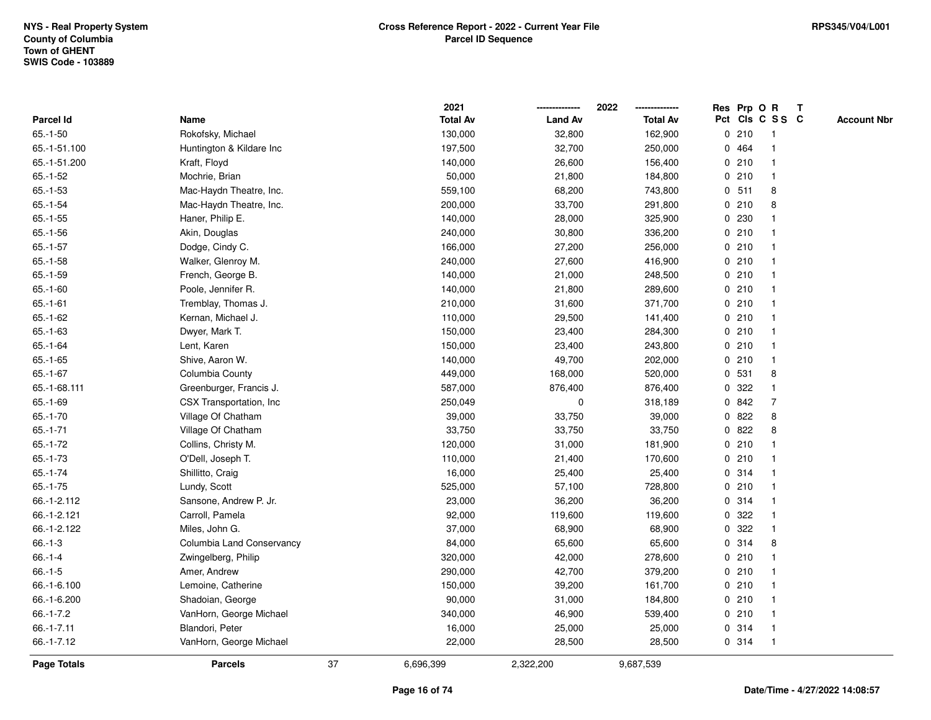|                    |                           |    | 2021            |                | 2022            |   |        | Res Prp O R     | Т |                    |
|--------------------|---------------------------|----|-----------------|----------------|-----------------|---|--------|-----------------|---|--------------------|
| Parcel Id          | Name                      |    | <b>Total Av</b> | <b>Land Av</b> | <b>Total Av</b> |   |        | Pct Cls C S S C |   | <b>Account Nbr</b> |
| $65.-1-50$         | Rokofsky, Michael         |    | 130,000         | 32,800         | 162,900         |   | 0210   | $\mathbf{1}$    |   |                    |
| 65.-1-51.100       | Huntington & Kildare Inc  |    | 197,500         | 32,700         | 250,000         |   | 0 464  | $\mathbf{1}$    |   |                    |
| 65.-1-51.200       | Kraft, Floyd              |    | 140,000         | 26,600         | 156,400         |   | 0210   | $\mathbf{1}$    |   |                    |
| $65.-1-52$         | Mochrie, Brian            |    | 50,000          | 21,800         | 184,800         |   | 0210   | $\mathbf{1}$    |   |                    |
| $65.-1-53$         | Mac-Haydn Theatre, Inc.   |    | 559,100         | 68,200         | 743,800         |   | 0, 511 | 8               |   |                    |
| $65.-1-54$         | Mac-Haydn Theatre, Inc.   |    | 200,000         | 33,700         | 291,800         |   | 0210   | 8               |   |                    |
| $65.-1-55$         | Haner, Philip E.          |    | 140,000         | 28,000         | 325,900         |   | 0 230  |                 |   |                    |
| $65.-1-56$         | Akin, Douglas             |    | 240,000         | 30,800         | 336,200         |   | 0210   | $\mathbf{1}$    |   |                    |
| $65.-1-57$         | Dodge, Cindy C.           |    | 166,000         | 27,200         | 256,000         |   | 0210   | $\mathbf{1}$    |   |                    |
| $65.-1-58$         | Walker, Glenroy M.        |    | 240,000         | 27,600         | 416,900         |   | 0210   | $\mathbf{1}$    |   |                    |
| $65.-1-59$         | French, George B.         |    | 140,000         | 21,000         | 248,500         |   | 0210   | $\mathbf 1$     |   |                    |
| $65.-1-60$         | Poole, Jennifer R.        |    | 140,000         | 21,800         | 289,600         |   | 0210   | 1               |   |                    |
| $65.-1-61$         | Tremblay, Thomas J.       |    | 210,000         | 31,600         | 371,700         |   | 0210   |                 |   |                    |
| $65.-1-62$         | Kernan, Michael J.        |    | 110,000         | 29,500         | 141,400         |   | 0210   | $\mathbf 1$     |   |                    |
| $65.-1-63$         | Dwyer, Mark T.            |    | 150,000         | 23,400         | 284,300         |   | 0210   | $\mathbf{1}$    |   |                    |
| $65.-1-64$         | Lent, Karen               |    | 150,000         | 23,400         | 243,800         |   | 0210   | $\mathbf{1}$    |   |                    |
| $65.-1-65$         | Shive, Aaron W.           |    | 140,000         | 49,700         | 202,000         |   | 0210   | $\mathbf{1}$    |   |                    |
| $65.-1-67$         | Columbia County           |    | 449,000         | 168,000        | 520,000         |   | 0 531  | 8               |   |                    |
| 65.-1-68.111       | Greenburger, Francis J.   |    | 587,000         | 876,400        | 876,400         |   | 0.322  | $\mathbf{1}$    |   |                    |
| $65.-1-69$         | CSX Transportation, Inc.  |    | 250,049         | 0              | 318,189         |   | 0 842  | $\overline{7}$  |   |                    |
| $65.-1-70$         | Village Of Chatham        |    | 39,000          | 33,750         | 39,000          |   | 0822   | 8               |   |                    |
| $65.-1-71$         | Village Of Chatham        |    | 33,750          | 33,750         | 33,750          |   | 0822   | 8               |   |                    |
| $65.-1-72$         | Collins, Christy M.       |    | 120,000         | 31,000         | 181,900         |   | 0210   | $\mathbf{1}$    |   |                    |
| $65.-1-73$         | O'Dell, Joseph T.         |    | 110,000         | 21,400         | 170,600         |   | 0210   | $\mathbf{1}$    |   |                    |
| $65.-1-74$         | Shillitto, Craig          |    | 16,000          | 25,400         | 25,400          |   | 0.314  | $\mathbf 1$     |   |                    |
| $65.-1-75$         | Lundy, Scott              |    | 525,000         | 57,100         | 728,800         |   | 0210   | -1              |   |                    |
| 66.-1-2.112        | Sansone, Andrew P. Jr.    |    | 23,000          | 36,200         | 36,200          |   | 0.314  | $\mathbf 1$     |   |                    |
| 66.-1-2.121        | Carroll, Pamela           |    | 92,000          | 119,600        | 119,600         |   | 0.322  | $\mathbf{1}$    |   |                    |
| 66.-1-2.122        | Miles, John G.            |    | 37,000          | 68,900         | 68,900          | 0 | 322    | $\mathbf{1}$    |   |                    |
| $66.-1-3$          | Columbia Land Conservancy |    | 84,000          | 65,600         | 65,600          |   | 0.314  | 8               |   |                    |
| $66.-1-4$          | Zwingelberg, Philip       |    | 320,000         | 42,000         | 278,600         |   | 0210   | $\mathbf{1}$    |   |                    |
| $66.-1-5$          | Amer, Andrew              |    | 290,000         | 42,700         | 379,200         |   | 0210   | $\mathbf{1}$    |   |                    |
| 66.-1-6.100        | Lemoine, Catherine        |    | 150,000         | 39,200         | 161,700         |   | 0210   | $\mathbf 1$     |   |                    |
| 66.-1-6.200        | Shadoian, George          |    | 90,000          | 31,000         | 184,800         |   | 0210   |                 |   |                    |
| $66.-1-7.2$        | VanHorn, George Michael   |    | 340,000         | 46,900         | 539,400         |   | 0210   | $\mathbf{1}$    |   |                    |
| $66.-1-7.11$       | Blandori, Peter           |    | 16,000          | 25,000         | 25,000          |   | 0.314  | $\mathbf{1}$    |   |                    |
| 66.-1-7.12         | VanHorn, George Michael   |    | 22,000          | 28,500         | 28,500          |   | 0.314  | $\mathbf{1}$    |   |                    |
| <b>Page Totals</b> | <b>Parcels</b>            | 37 | 6,696,399       | 2,322,200      | 9,687,539       |   |        |                 |   |                    |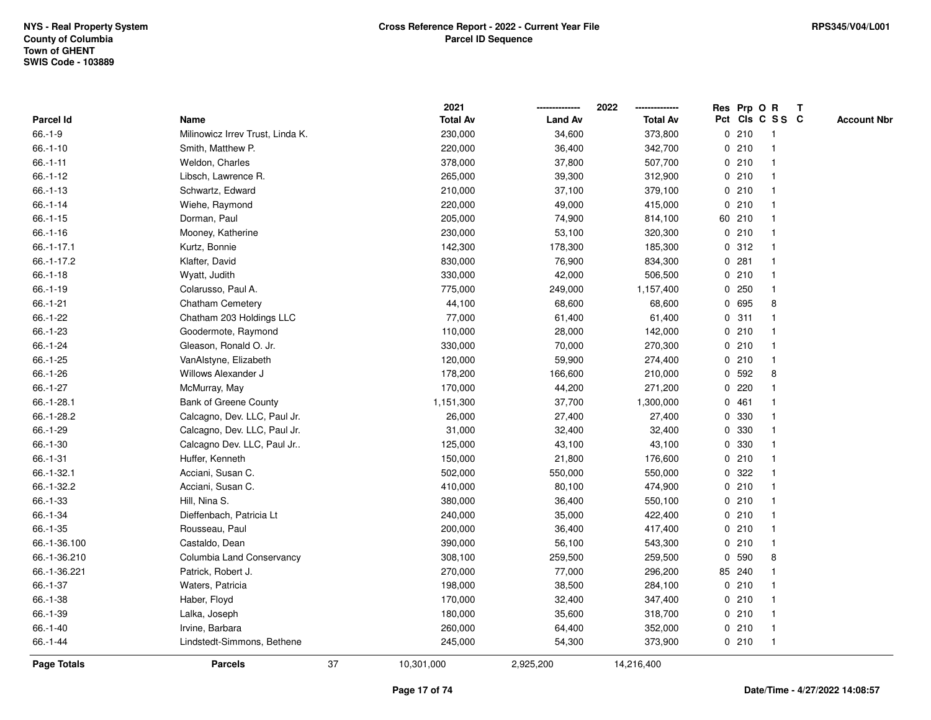|                  |                                  |    | 2021            |                | 2022            |   | Res Prp O R |                 | Т |                    |
|------------------|----------------------------------|----|-----------------|----------------|-----------------|---|-------------|-----------------|---|--------------------|
| Parcel Id        | Name                             |    | <b>Total Av</b> | <b>Land Av</b> | <b>Total Av</b> |   |             | Pct Cls C S S C |   | <b>Account Nbr</b> |
| $66.-1-9$        | Milinowicz Irrev Trust, Linda K. |    | 230,000         | 34,600         | 373,800         |   | 0210        | $\mathbf{1}$    |   |                    |
| $66.-1-10$       | Smith, Matthew P.                |    | 220,000         | 36,400         | 342,700         |   | 0210        | 1               |   |                    |
| $66. - 1 - 11$   | Weldon, Charles                  |    | 378,000         | 37,800         | 507,700         |   | 0210        | $\mathbf{1}$    |   |                    |
| $66.-1-12$       | Libsch, Lawrence R.              |    | 265,000         | 39,300         | 312,900         |   | 0210        | -1              |   |                    |
| $66.-1-13$       | Schwartz, Edward                 |    | 210,000         | 37,100         | 379,100         |   | 0210        |                 |   |                    |
| $66.-1-14$       | Wiehe, Raymond                   |    | 220,000         | 49,000         | 415,000         |   | 0210        |                 |   |                    |
| $66.-1-15$       | Dorman, Paul                     |    | 205,000         | 74,900         | 814,100         |   | 60 210      | -1              |   |                    |
| $66.-1-16$       | Mooney, Katherine                |    | 230,000         | 53,100         | 320,300         |   | 0210        | $\mathbf{1}$    |   |                    |
| $66. - 1 - 17.1$ | Kurtz, Bonnie                    |    | 142,300         | 178,300        | 185,300         |   | 0.312       | 1               |   |                    |
| $66.-1-17.2$     | Klafter, David                   |    | 830,000         | 76,900         | 834,300         |   | 0.281       | $\mathbf 1$     |   |                    |
| $66.-1-18$       | Wyatt, Judith                    |    | 330,000         | 42,000         | 506,500         |   | 0210        | $\mathbf 1$     |   |                    |
| $66.-1-19$       | Colarusso, Paul A.               |    | 775,000         | 249,000        | 1,157,400       |   | 0.250       | 1               |   |                    |
| $66.-1-21$       | Chatham Cemetery                 |    | 44,100          | 68,600         | 68,600          |   | 0 695       | 8               |   |                    |
| $66.-1-22$       | Chatham 203 Holdings LLC         |    | 77,000          | 61,400         | 61,400          |   | 0.311       | 1               |   |                    |
| 66.-1-23         | Goodermote, Raymond              |    | 110,000         | 28,000         | 142,000         |   | 0210        | 1               |   |                    |
| $66.-1-24$       | Gleason, Ronald O. Jr.           |    | 330,000         | 70,000         | 270,300         |   | 0210        | $\mathbf{1}$    |   |                    |
| $66.-1-25$       | VanAlstyne, Elizabeth            |    | 120,000         | 59,900         | 274,400         |   | 0210        | $\mathbf{1}$    |   |                    |
| 66.-1-26         | Willows Alexander J              |    | 178,200         | 166,600        | 210,000         |   | 0 592       | 8               |   |                    |
| $66.-1-27$       | McMurray, May                    |    | 170,000         | 44,200         | 271,200         |   | $0$ 220     |                 |   |                    |
| 66.-1-28.1       | <b>Bank of Greene County</b>     |    | 1,151,300       | 37,700         | 1,300,000       |   | 0461        |                 |   |                    |
| 66.-1-28.2       | Calcagno, Dev. LLC, Paul Jr.     |    | 26,000          | 27,400         | 27,400          |   | 0 330       |                 |   |                    |
| 66.-1-29         | Calcagno, Dev. LLC, Paul Jr.     |    | 31,000          | 32,400         | 32,400          |   | 0 330       |                 |   |                    |
| $66.-1-30$       | Calcagno Dev. LLC, Paul Jr       |    | 125,000         | 43,100         | 43,100          | 0 | 330         | $\mathbf{1}$    |   |                    |
| $66.-1-31$       | Huffer, Kenneth                  |    | 150,000         | 21,800         | 176,600         |   | 0210        | $\mathbf 1$     |   |                    |
| 66.-1-32.1       | Acciani, Susan C.                |    | 502,000         | 550,000        | 550,000         |   | 0.322       | $\mathbf 1$     |   |                    |
| 66.-1-32.2       | Acciani, Susan C.                |    | 410,000         | 80,100         | 474,900         |   | 0210        |                 |   |                    |
| 66.-1-33         | Hill, Nina S.                    |    | 380,000         | 36,400         | 550,100         |   | 0210        |                 |   |                    |
| 66.-1-34         | Dieffenbach, Patricia Lt         |    | 240,000         | 35,000         | 422,400         |   | 0210        | $\mathbf{1}$    |   |                    |
| $66. - 1 - 35$   | Rousseau, Paul                   |    | 200,000         | 36,400         | 417,400         |   | 0210        | $\mathbf{1}$    |   |                    |
| 66.-1-36.100     | Castaldo, Dean                   |    | 390,000         | 56,100         | 543,300         |   | 0210        | $\mathbf{1}$    |   |                    |
| 66.-1-36.210     | Columbia Land Conservancy        |    | 308,100         | 259,500        | 259,500         | 0 | 590         | 8               |   |                    |
| 66.-1-36.221     | Patrick, Robert J.               |    | 270,000         | 77,000         | 296,200         |   | 85 240      | -1              |   |                    |
| $66.-1-37$       | Waters, Patricia                 |    | 198,000         | 38,500         | 284,100         |   | 0210        |                 |   |                    |
| $66.-1-38$       | Haber, Floyd                     |    | 170,000         | 32,400         | 347,400         |   | 0210        |                 |   |                    |
| 66.-1-39         | Lalka, Joseph                    |    | 180,000         | 35,600         | 318,700         |   | 0210        | $\mathbf 1$     |   |                    |
| 66.-1-40         | Irvine, Barbara                  |    | 260,000         | 64,400         | 352,000         |   | 0210        | $\mathbf{1}$    |   |                    |
| $66.-1-44$       | Lindstedt-Simmons, Bethene       |    | 245,000         | 54,300         | 373,900         |   | 0210        | $\mathbf{1}$    |   |                    |
| Page Totals      | <b>Parcels</b>                   | 37 | 10,301,000      | 2,925,200      | 14,216,400      |   |             |                 |   |                    |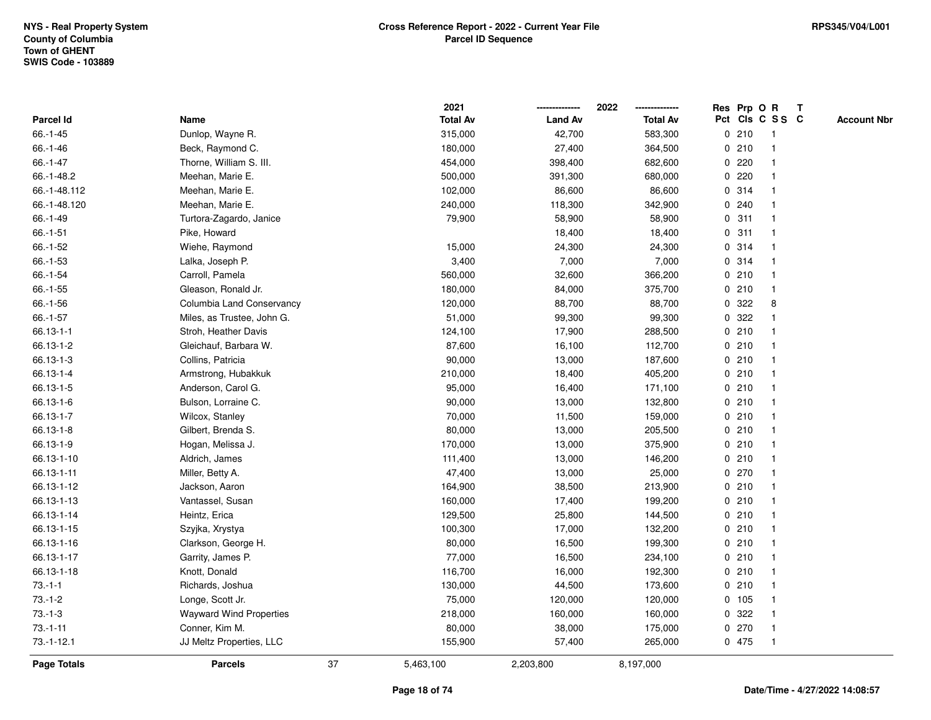|                    |                                |    | 2021            |                | 2022            |   |       | Res Prp O R     | $\mathsf{T}$ |                    |
|--------------------|--------------------------------|----|-----------------|----------------|-----------------|---|-------|-----------------|--------------|--------------------|
| Parcel Id          | Name                           |    | <b>Total Av</b> | <b>Land Av</b> | <b>Total Av</b> |   |       | Pct Cls C S S C |              | <b>Account Nbr</b> |
| $66.-1-45$         | Dunlop, Wayne R.               |    | 315,000         | 42,700         | 583,300         |   | 0210  |                 |              |                    |
| 66.-1-46           | Beck, Raymond C.               |    | 180,000         | 27,400         | 364,500         |   | 0210  |                 |              |                    |
| $66.-1-47$         | Thorne, William S. III.        |    | 454,000         | 398,400        | 682,600         |   | 0220  |                 |              |                    |
| 66.-1-48.2         | Meehan, Marie E.               |    | 500,000         | 391,300        | 680,000         | 0 | 220   | -1              |              |                    |
| 66.-1-48.112       | Meehan, Marie E.               |    | 102,000         | 86,600         | 86,600          |   | 0.314 | $\mathbf 1$     |              |                    |
| 66.-1-48.120       | Meehan, Marie E.               |    | 240,000         | 118,300        | 342,900         |   | 0.240 | -1              |              |                    |
| $66.-1-49$         | Turtora-Zagardo, Janice        |    | 79,900          | 58,900         | 58,900          |   | 0.311 |                 |              |                    |
| $66.-1-51$         | Pike, Howard                   |    |                 | 18,400         | 18,400          |   | 0.311 |                 |              |                    |
| 66.-1-52           | Wiehe, Raymond                 |    | 15,000          | 24,300         | 24,300          |   | 0.314 |                 |              |                    |
| 66.-1-53           | Lalka, Joseph P.               |    | 3,400           | 7,000          | 7,000           |   | 0.314 | -1              |              |                    |
| $66.-1-54$         | Carroll, Pamela                |    | 560,000         | 32,600         | 366,200         |   | 0210  | $\mathbf{1}$    |              |                    |
| $66.-1-55$         | Gleason, Ronald Jr.            |    | 180,000         | 84,000         | 375,700         |   | 0210  | $\mathbf 1$     |              |                    |
| 66.-1-56           | Columbia Land Conservancy      |    | 120,000         | 88,700         | 88,700          |   | 0.322 | 8               |              |                    |
| $66.-1-57$         | Miles, as Trustee, John G.     |    | 51,000          | 99,300         | 99,300          |   | 0.322 |                 |              |                    |
| 66.13-1-1          | Stroh, Heather Davis           |    | 124,100         | 17,900         | 288,500         |   | 0210  |                 |              |                    |
| 66.13-1-2          | Gleichauf, Barbara W.          |    | 87,600          | 16,100         | 112,700         |   | 0210  | -1              |              |                    |
| 66.13-1-3          | Collins, Patricia              |    | 90,000          | 13,000         | 187,600         |   | 0210  | -1              |              |                    |
| 66.13-1-4          | Armstrong, Hubakkuk            |    | 210,000         | 18,400         | 405,200         |   | 0210  | -1              |              |                    |
| 66.13-1-5          | Anderson, Carol G.             |    | 95,000          | 16,400         | 171,100         |   | 0210  | -1              |              |                    |
| 66.13-1-6          | Bulson, Lorraine C.            |    | 90,000          | 13,000         | 132,800         |   | 0210  | -1              |              |                    |
| 66.13-1-7          | Wilcox, Stanley                |    | 70,000          | 11,500         | 159,000         |   | 0210  |                 |              |                    |
| 66.13-1-8          | Gilbert, Brenda S.             |    | 80,000          | 13,000         | 205,500         |   | 0210  |                 |              |                    |
| 66.13-1-9          | Hogan, Melissa J.              |    | 170,000         | 13,000         | 375,900         |   | 0210  | -1              |              |                    |
| 66.13-1-10         | Aldrich, James                 |    | 111,400         | 13,000         | 146,200         |   | 0210  | $\mathbf{1}$    |              |                    |
| 66.13-1-11         | Miller, Betty A.               |    | 47,400          | 13,000         | 25,000          |   | 0270  | -1              |              |                    |
| 66.13-1-12         | Jackson, Aaron                 |    | 164,900         | 38,500         | 213,900         |   | 0210  | $\mathbf 1$     |              |                    |
| 66.13-1-13         | Vantassel, Susan               |    | 160,000         | 17,400         | 199,200         |   | 0210  |                 |              |                    |
| 66.13-1-14         | Heintz, Erica                  |    | 129,500         | 25,800         | 144,500         |   | 0210  |                 |              |                    |
| 66.13-1-15         | Szyjka, Xrystya                |    | 100,300         | 17,000         | 132,200         |   | 0210  |                 |              |                    |
| 66.13-1-16         | Clarkson, George H.            |    | 80,000          | 16,500         | 199,300         |   | 0210  | -1              |              |                    |
| 66.13-1-17         | Garrity, James P.              |    | 77,000          | 16,500         | 234,100         | 0 | 210   | -1              |              |                    |
| 66.13-1-18         | Knott, Donald                  |    | 116,700         | 16,000         | 192,300         |   | 0210  | -1              |              |                    |
| $73.-1-1$          | Richards, Joshua               |    | 130,000         | 44,500         | 173,600         |   | 0210  | $\mathbf{1}$    |              |                    |
| $73 - 1 - 2$       | Longe, Scott Jr.               |    | 75,000          | 120,000        | 120,000         |   | 0 105 |                 |              |                    |
| $73.-1-3$          | <b>Wayward Wind Properties</b> |    | 218,000         | 160,000        | 160,000         |   | 0.322 |                 |              |                    |
| $73.-1-11$         | Conner, Kim M.                 |    | 80,000          | 38,000         | 175,000         |   | 0270  | -1              |              |                    |
| $73.-1-12.1$       | JJ Meltz Properties, LLC       |    | 155,900         | 57,400         | 265,000         |   | 0 475 | -1              |              |                    |
| <b>Page Totals</b> | <b>Parcels</b>                 | 37 | 5,463,100       | 2,203,800      | 8,197,000       |   |       |                 |              |                    |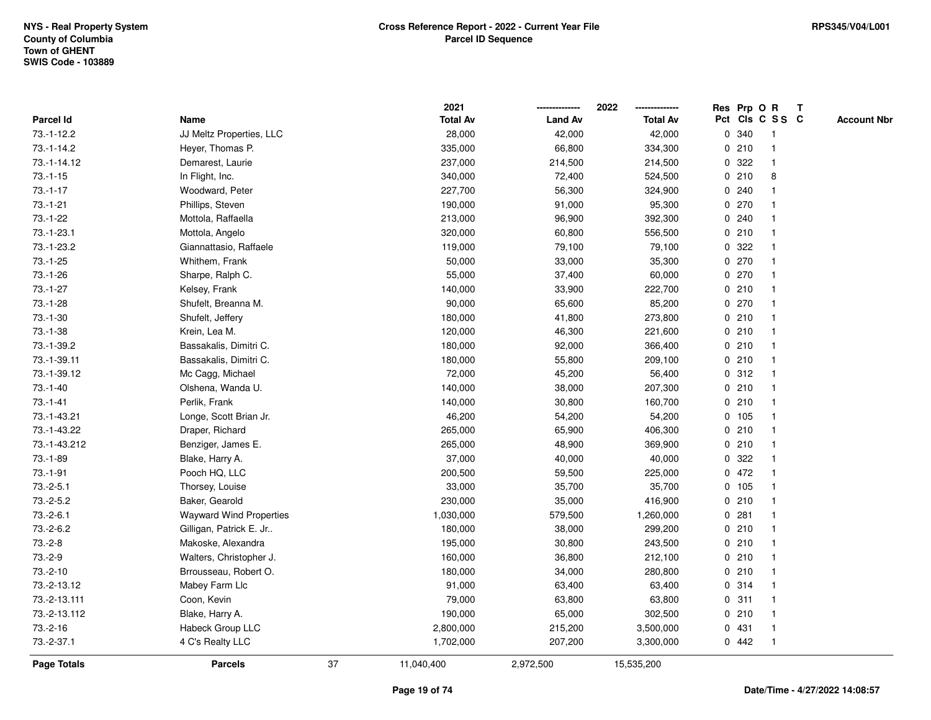|              |                                |    | 2021            |                | 2022            |              |       | Res Prp O R     | Т |                    |
|--------------|--------------------------------|----|-----------------|----------------|-----------------|--------------|-------|-----------------|---|--------------------|
| Parcel Id    | Name                           |    | <b>Total Av</b> | <b>Land Av</b> | <b>Total Av</b> |              |       | Pct Cls C S S C |   | <b>Account Nbr</b> |
| 73.-1-12.2   | JJ Meltz Properties, LLC       |    | 28,000          | 42,000         | 42,000          | 0            | 340   | $\mathbf{1}$    |   |                    |
| $73.-1-14.2$ | Heyer, Thomas P.               |    | 335,000         | 66,800         | 334,300         |              | 0210  | 1               |   |                    |
| 73.-1-14.12  | Demarest, Laurie               |    | 237,000         | 214,500        | 214,500         |              | 0.322 | $\mathbf{1}$    |   |                    |
| $73.-1-15$   | In Flight, Inc.                |    | 340,000         | 72,400         | 524,500         |              | 0210  | 8               |   |                    |
| $73.-1-17$   | Woodward, Peter                |    | 227,700         | 56,300         | 324,900         |              | 0.240 |                 |   |                    |
| $73.-1-21$   | Phillips, Steven               |    | 190,000         | 91,000         | 95,300          |              | 0270  |                 |   |                    |
| 73.-1-22     | Mottola, Raffaella             |    | 213,000         | 96,900         | 392,300         |              | 0.240 | $\mathbf 1$     |   |                    |
| $73.-1-23.1$ | Mottola, Angelo                |    | 320,000         | 60,800         | 556,500         |              | 0210  | $\mathbf{1}$    |   |                    |
| 73.-1-23.2   | Giannattasio, Raffaele         |    | 119,000         | 79,100         | 79,100          | 0            | 322   | 1               |   |                    |
| $73.-1-25$   | Whithem, Frank                 |    | 50,000          | 33,000         | 35,300          |              | 0270  | $\mathbf{1}$    |   |                    |
| $73.-1-26$   | Sharpe, Ralph C.               |    | 55,000          | 37,400         | 60,000          |              | 0270  | $\mathbf 1$     |   |                    |
| $73.-1-27$   | Kelsey, Frank                  |    | 140,000         | 33,900         | 222,700         |              | 0210  |                 |   |                    |
| $73.-1-28$   | Shufelt, Breanna M.            |    | 90,000          | 65,600         | 85,200          |              | 0270  |                 |   |                    |
| $73.-1-30$   | Shufelt, Jeffery               |    | 180,000         | 41,800         | 273,800         |              | 0210  | 1               |   |                    |
| $73.-1-38$   | Krein, Lea M.                  |    | 120,000         | 46,300         | 221,600         |              | 0210  | $\mathbf{1}$    |   |                    |
| 73.-1-39.2   | Bassakalis, Dimitri C.         |    | 180,000         | 92,000         | 366,400         |              | 0210  | $\mathbf{1}$    |   |                    |
| 73.-1-39.11  | Bassakalis, Dimitri C.         |    | 180,000         | 55,800         | 209,100         |              | 0210  | $\mathbf{1}$    |   |                    |
| 73.-1-39.12  | Mc Cagg, Michael               |    | 72,000          | 45,200         | 56,400          |              | 0.312 | 1               |   |                    |
| $73.-1-40$   | Olshena, Wanda U.              |    | 140,000         | 38,000         | 207,300         |              | 0210  |                 |   |                    |
| $73.-1-41$   | Perlik, Frank                  |    | 140,000         | 30,800         | 160,700         |              | 0210  |                 |   |                    |
| 73.-1-43.21  | Longe, Scott Brian Jr.         |    | 46,200          | 54,200         | 54,200          |              | 0 105 | $\mathbf{1}$    |   |                    |
| 73.-1-43.22  | Draper, Richard                |    | 265,000         | 65,900         | 406,300         |              | 0210  | $\mathbf{1}$    |   |                    |
| 73.-1-43.212 | Benziger, James E.             |    | 265,000         | 48,900         | 369,900         |              | 0210  | $\mathbf{1}$    |   |                    |
| $73.-1-89$   | Blake, Harry A.                |    | 37,000          | 40,000         | 40,000          | $\mathbf{0}$ | 322   | $\mathbf 1$     |   |                    |
| $73.-1-91$   | Pooch HQ, LLC                  |    | 200,500         | 59,500         | 225,000         |              | 0472  | $\mathbf 1$     |   |                    |
| $73.-2-5.1$  | Thorsey, Louise                |    | 33,000          | 35,700         | 35,700          |              | 0 105 | -1              |   |                    |
| $73.-2-5.2$  | Baker, Gearold                 |    | 230,000         | 35,000         | 416,900         |              | 0210  |                 |   |                    |
| $73.-2-6.1$  | <b>Wayward Wind Properties</b> |    | 1,030,000       | 579,500        | 1,260,000       |              | 0.281 | $\mathbf{1}$    |   |                    |
| $73.-2-6.2$  | Gilligan, Patrick E. Jr        |    | 180,000         | 38,000         | 299,200         |              | 0210  | $\mathbf{1}$    |   |                    |
| $73.-2-8$    | Makoske, Alexandra             |    | 195,000         | 30,800         | 243,500         |              | 0210  | $\mathbf{1}$    |   |                    |
| $73.-2-9$    | Walters, Christopher J.        |    | 160,000         | 36,800         | 212,100         |              | 0210  | 1               |   |                    |
| $73.-2-10$   | Brrousseau, Robert O.          |    | 180,000         | 34,000         | 280,800         |              | 0210  | $\mathbf 1$     |   |                    |
| 73.-2-13.12  | Mabey Farm Llc                 |    | 91,000          | 63,400         | 63,400          |              | 0.314 |                 |   |                    |
| 73.-2-13.111 | Coon, Kevin                    |    | 79,000          | 63,800         | 63,800          |              | 0.311 |                 |   |                    |
| 73.-2-13.112 | Blake, Harry A.                |    | 190,000         | 65,000         | 302,500         |              | 0210  | $\mathbf 1$     |   |                    |
| $73.-2-16$   | Habeck Group LLC               |    | 2,800,000       | 215,200        | 3,500,000       | 0            | 431   | 1               |   |                    |
| 73.-2-37.1   | 4 C's Realty LLC               |    | 1,702,000       | 207,200        | 3,300,000       |              | 0.442 | $\mathbf{1}$    |   |                    |
| Page Totals  | <b>Parcels</b>                 | 37 | 11,040,400      | 2,972,500      | 15,535,200      |              |       |                 |   |                    |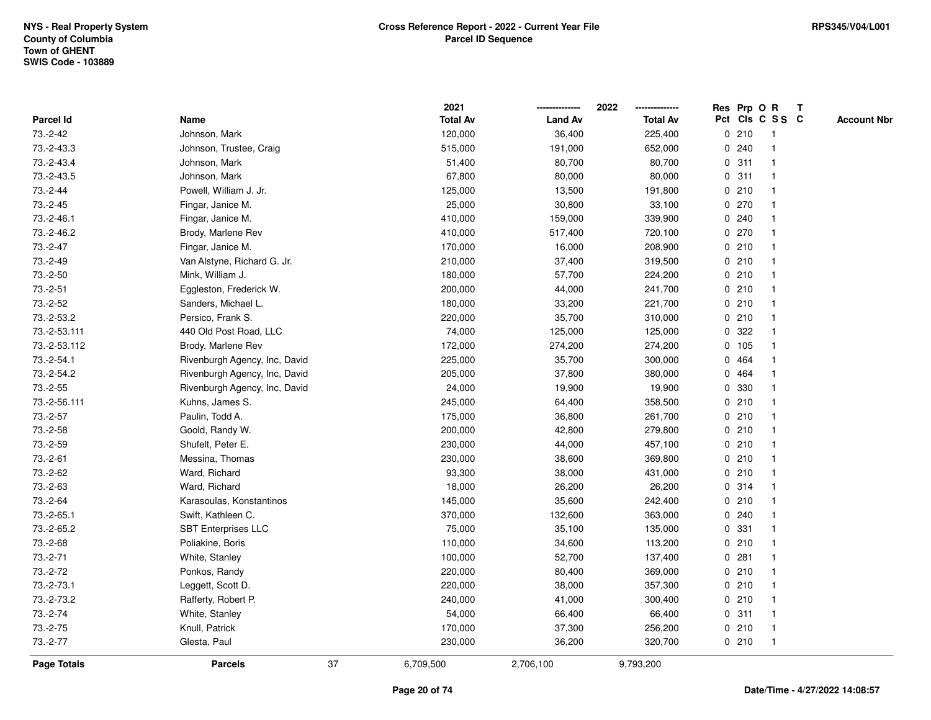|                    |                               |    | 2021            |                | 2022            |             | Res Prp O R |                 | Т |                    |
|--------------------|-------------------------------|----|-----------------|----------------|-----------------|-------------|-------------|-----------------|---|--------------------|
| Parcel Id          | Name                          |    | <b>Total Av</b> | <b>Land Av</b> | <b>Total Av</b> |             |             | Pct Cls C S S C |   | <b>Account Nbr</b> |
| 73.-2-42           | Johnson, Mark                 |    | 120,000         | 36,400         | 225,400         |             | 0210        | -1              |   |                    |
| 73.-2-43.3         | Johnson, Trustee, Craig       |    | 515,000         | 191,000        | 652,000         | 0           | 240         | -1              |   |                    |
| 73.-2-43.4         | Johnson, Mark                 |    | 51,400          | 80,700         | 80,700          |             | 0.311       | $\mathbf 1$     |   |                    |
| 73.-2-43.5         | Johnson, Mark                 |    | 67,800          | 80,000         | 80,000          |             | 0.311       |                 |   |                    |
| $73.-2-44$         | Powell, William J. Jr.        |    | 125,000         | 13,500         | 191,800         |             | 0210        |                 |   |                    |
| $73.-2-45$         | Fingar, Janice M.             |    | 25,000          | 30,800         | 33,100          |             | 0270        |                 |   |                    |
| 73.-2-46.1         | Fingar, Janice M.             |    | 410,000         | 159,000        | 339,900         |             | 0.240       |                 |   |                    |
| 73.-2-46.2         | Brody, Marlene Rev            |    | 410,000         | 517,400        | 720,100         |             | 0270        |                 |   |                    |
| 73.-2-47           | Fingar, Janice M.             |    | 170,000         | 16,000         | 208,900         |             | 0210        | -1              |   |                    |
| 73.-2-49           | Van Alstyne, Richard G. Jr.   |    | 210,000         | 37,400         | 319,500         |             | 0210        | $\mathbf 1$     |   |                    |
| $73.-2-50$         | Mink, William J.              |    | 180,000         | 57,700         | 224,200         |             | 0210        | -1              |   |                    |
| $73.-2-51$         | Eggleston, Frederick W.       |    | 200,000         | 44,000         | 241,700         |             | 0210        |                 |   |                    |
| 73.-2-52           | Sanders, Michael L.           |    | 180,000         | 33,200         | 221,700         |             | 0210        |                 |   |                    |
| 73.-2-53.2         | Persico, Frank S.             |    | 220,000         | 35,700         | 310,000         |             | 0210        |                 |   |                    |
| 73.-2-53.111       | 440 Old Post Road, LLC        |    | 74,000          | 125,000        | 125,000         | 0           | 322         |                 |   |                    |
| 73.-2-53.112       | Brody, Marlene Rev            |    | 172,000         | 274,200        | 274,200         |             | 0 105       | $\mathbf{1}$    |   |                    |
| $73.-2-54.1$       | Rivenburgh Agency, Inc, David |    | 225,000         | 35,700         | 300,000         | $\mathbf 0$ | 464         | -1              |   |                    |
| 73.-2-54.2         | Rivenburgh Agency, Inc, David |    | 205,000         | 37,800         | 380,000         |             | 0 464       |                 |   |                    |
| $73.-2-55$         | Rivenburgh Agency, Inc. David |    | 24,000          | 19,900         | 19,900          |             | 0 330       |                 |   |                    |
| 73.-2-56.111       | Kuhns, James S.               |    | 245,000         | 64,400         | 358,500         |             | 0210        |                 |   |                    |
| $73.-2-57$         | Paulin, Todd A.               |    | 175,000         | 36,800         | 261,700         |             | 0210        |                 |   |                    |
| $73.-2-58$         | Goold, Randy W.               |    | 200,000         | 42,800         | 279,800         |             | 0210        |                 |   |                    |
| 73.-2-59           | Shufelt, Peter E.             |    | 230,000         | 44,000         | 457,100         |             | 0210        | -1              |   |                    |
| 73.-2-61           | Messina, Thomas               |    | 230,000         | 38,600         | 369,800         |             | 0210        | -1              |   |                    |
| 73.-2-62           | Ward, Richard                 |    | 93,300          | 38,000         | 431,000         |             | 0210        | -1              |   |                    |
| 73.-2-63           | Ward, Richard                 |    | 18,000          | 26,200         | 26,200          |             | 0.314       |                 |   |                    |
| 73.-2-64           | Karasoulas, Konstantinos      |    | 145,000         | 35,600         | 242,400         |             | 0210        |                 |   |                    |
| 73.-2-65.1         | Swift, Kathleen C.            |    | 370,000         | 132,600        | 363,000         |             | 0.240       |                 |   |                    |
| 73.-2-65.2         | <b>SBT Enterprises LLC</b>    |    | 75,000          | 35,100         | 135,000         | 0           | 331         |                 |   |                    |
| 73.-2-68           | Poliakine, Boris              |    | 110,000         | 34,600         | 113,200         |             | 0210        | -1              |   |                    |
| $73.-2-71$         | White, Stanley                |    | 100,000         | 52,700         | 137,400         | 0           | 281         | -1              |   |                    |
| 73.-2-72           | Ponkos, Randy                 |    | 220,000         | 80,400         | 369,000         |             | 0210        | -1              |   |                    |
| 73.-2-73.1         | Leggett, Scott D.             |    | 220,000         | 38,000         | 357,300         |             | 0210        |                 |   |                    |
| 73.-2-73.2         | Rafferty, Robert P.           |    | 240,000         | 41,000         | 300,400         |             | 0210        |                 |   |                    |
| 73.-2-74           | White, Stanley                |    | 54,000          | 66,400         | 66,400          |             | 0.311       | -1              |   |                    |
| $73.-2-75$         | Knull, Patrick                |    | 170,000         | 37,300         | 256,200         |             | 0210        | -1              |   |                    |
| $73.-2-77$         | Glesta, Paul                  |    | 230,000         | 36,200         | 320,700         |             | 0210        | $\mathbf{1}$    |   |                    |
| <b>Page Totals</b> | <b>Parcels</b>                | 37 | 6,709,500       | 2,706,100      | 9,793,200       |             |             |                 |   |                    |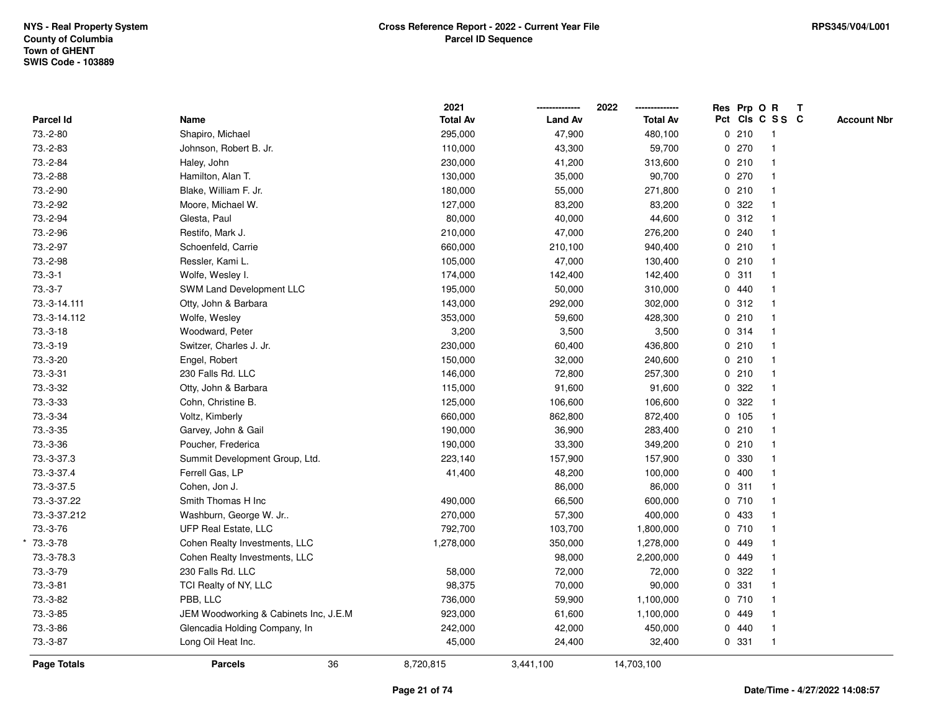|                  |                                       | 2021            |                | 2022<br>-------------- |             | Res Prp O R |                         | $\mathbf{T}$ |                    |
|------------------|---------------------------------------|-----------------|----------------|------------------------|-------------|-------------|-------------------------|--------------|--------------------|
| <b>Parcel Id</b> | Name                                  | <b>Total Av</b> | <b>Land Av</b> | <b>Total Av</b>        |             |             | Pct Cls C S S C         |              | <b>Account Nbr</b> |
| 73.-2-80         | Shapiro, Michael                      | 295,000         | 47,900         | 480,100                |             | 0210        | -1                      |              |                    |
| 73.-2-83         | Johnson, Robert B. Jr.                | 110,000         | 43,300         | 59,700                 |             | 0270        |                         |              |                    |
| 73.-2-84         | Haley, John                           | 230,000         | 41,200         | 313,600                |             | 0210        | -1                      |              |                    |
| 73.-2-88         | Hamilton, Alan T.                     | 130,000         | 35,000         | 90,700                 |             | 0270        | $\mathbf{1}$            |              |                    |
| 73.-2-90         | Blake, William F. Jr.                 | 180,000         | 55,000         | 271,800                |             | 0210        | $\overline{1}$          |              |                    |
| 73.-2-92         | Moore, Michael W.                     | 127,000         | 83,200         | 83,200                 |             | 0.322       |                         |              |                    |
| 73.-2-94         | Glesta, Paul                          | 80,000          | 40,000         | 44,600                 |             | 0.312       |                         |              |                    |
| 73.-2-96         | Restifo, Mark J.                      | 210,000         | 47,000         | 276,200                |             | 0.240       |                         |              |                    |
| 73.-2-97         | Schoenfeld, Carrie                    | 660,000         | 210,100        | 940,400                |             | 0210        |                         |              |                    |
| 73.-2-98         | Ressler, Kami L.                      | 105,000         | 47,000         | 130,400                |             | 0210        | $\overline{\mathbf{1}}$ |              |                    |
| $73.-3-1$        | Wolfe, Wesley I.                      | 174,000         | 142,400        | 142,400                | $\mathbf 0$ | 311         | $\mathbf{1}$            |              |                    |
| $73.-3-7$        | SWM Land Development LLC              | 195,000         | 50,000         | 310,000                |             | 0440        |                         |              |                    |
| 73.-3-14.111     | Otty, John & Barbara                  | 143,000         | 292,000        | 302,000                |             | 0.312       |                         |              |                    |
| 73.-3-14.112     | Wolfe, Wesley                         | 353,000         | 59,600         | 428,300                |             | 0210        |                         |              |                    |
| $73.-3-18$       | Woodward, Peter                       | 3,200           | 3,500          | 3,500                  |             | 0.314       |                         |              |                    |
| 73.-3-19         | Switzer, Charles J. Jr.               | 230,000         | 60,400         | 436,800                |             | 0210        |                         |              |                    |
| 73.-3-20         | Engel, Robert                         | 150,000         | 32,000         | 240,600                |             | 0210        | $\mathbf{1}$            |              |                    |
| 73.-3-31         | 230 Falls Rd. LLC                     | 146,000         | 72,800         | 257,300                |             | 0210        | $\mathbf{1}$            |              |                    |
| 73.-3-32         | Otty, John & Barbara                  | 115,000         | 91,600         | 91,600                 |             | 0.322       | $\mathbf{1}$            |              |                    |
| 73.-3-33         | Cohn, Christine B.                    | 125,000         | 106,600        | 106,600                |             | 0.322       |                         |              |                    |
| 73.-3-34         | Voltz, Kimberly                       | 660,000         | 862,800        | 872,400                |             | 0 105       |                         |              |                    |
| $73.-3-35$       | Garvey, John & Gail                   | 190,000         | 36,900         | 283,400                |             | 0210        |                         |              |                    |
| 73.-3-36         | Poucher, Frederica                    | 190,000         | 33,300         | 349,200                |             | 0210        |                         |              |                    |
| 73.-3-37.3       | Summit Development Group, Ltd.        | 223,140         | 157,900        | 157,900                |             | 0 330       |                         |              |                    |
| 73.-3-37.4       | Ferrell Gas, LP                       | 41,400          | 48,200         | 100,000                |             | 0400        |                         |              |                    |
| 73.-3-37.5       | Cohen, Jon J.                         |                 | 86,000         | 86,000                 |             | 0.311       |                         |              |                    |
| 73.-3-37.22      | Smith Thomas H Inc                    | 490,000         | 66,500         | 600,000                |             | 0710        |                         |              |                    |
| 73.-3-37.212     | Washburn, George W. Jr                | 270,000         | 57,300         | 400,000                |             | 0 433       |                         |              |                    |
| 73.-3-76         | UFP Real Estate, LLC                  | 792,700         | 103,700        | 1,800,000              |             | 0710        |                         |              |                    |
| 73.-3-78         | Cohen Realty Investments, LLC         | 1,278,000       | 350,000        | 1,278,000              |             | 0 449       |                         |              |                    |
| 73.-3-78.3       | Cohen Realty Investments, LLC         |                 | 98,000         | 2,200,000              |             | 0 449       |                         |              |                    |
| 73.-3-79         | 230 Falls Rd. LLC                     | 58,000          | 72,000         | 72,000                 |             | 0.322       | $\mathbf{1}$            |              |                    |
| $73.-3-81$       | TCI Realty of NY, LLC                 | 98,375          | 70,000         | 90,000                 |             | 0 331       |                         |              |                    |
| 73.-3-82         | PBB, LLC                              | 736,000         | 59,900         | 1,100,000              |             | 0710        |                         |              |                    |
| 73.-3-85         | JEM Woodworking & Cabinets Inc, J.E.M | 923,000         | 61,600         | 1,100,000              |             | 0 449       |                         |              |                    |
| 73.-3-86         | Glencadia Holding Company, In         | 242,000         | 42,000         | 450,000                |             | 0440        | $\mathbf{1}$            |              |                    |
| 73.-3-87         | Long Oil Heat Inc.                    | 45,000          | 24,400         | 32,400                 |             | 0 331       | $\overline{1}$          |              |                    |
| Page Totals      | 36<br><b>Parcels</b>                  | 8,720,815       | 3,441,100      | 14,703,100             |             |             |                         |              |                    |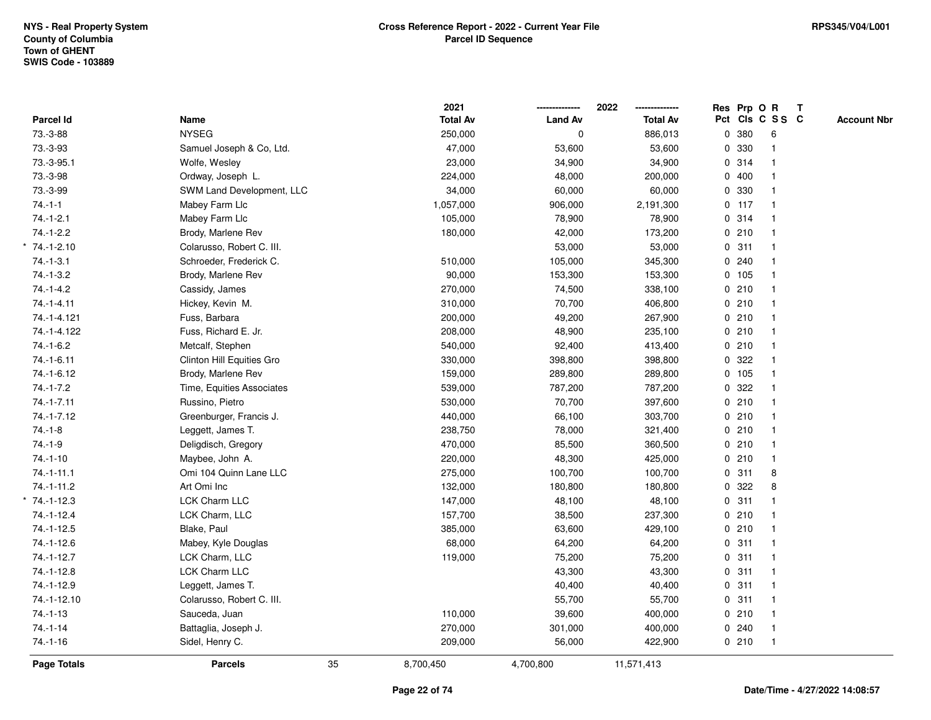|                    |                           | 2021            |                | 2022            |   |         | Res Prp O R     | $\mathbf{T}$ |                    |
|--------------------|---------------------------|-----------------|----------------|-----------------|---|---------|-----------------|--------------|--------------------|
| Parcel Id          | Name                      | <b>Total Av</b> | <b>Land Av</b> | <b>Total Av</b> |   |         | Pct Cls C S S C |              | <b>Account Nbr</b> |
| 73.-3-88           | <b>NYSEG</b>              | 250,000         | 0              | 886,013         |   | 0 380   | 6               |              |                    |
| 73.-3-93           | Samuel Joseph & Co, Ltd.  | 47,000          | 53,600         | 53,600          | 0 | 330     | $\mathbf{1}$    |              |                    |
| 73.-3-95.1         | Wolfe, Wesley             | 23,000          | 34,900         | 34,900          |   | 0.314   | $\mathbf{1}$    |              |                    |
| 73.-3-98           | Ordway, Joseph L.         | 224,000         | 48,000         | 200,000         |   | 0400    | $\mathbf 1$     |              |                    |
| 73.-3-99           | SWM Land Development, LLC | 34,000          | 60,000         | 60,000          |   | 0 330   |                 |              |                    |
| $74.-1-1$          | Mabey Farm Llc            | 1,057,000       | 906,000        | 2,191,300       |   | $0$ 117 | $\mathbf{1}$    |              |                    |
| $74.-1-2.1$        | Mabey Farm Llc            | 105,000         | 78,900         | 78,900          |   | 0.314   | $\mathbf{1}$    |              |                    |
| $74.-1-2.2$        | Brody, Marlene Rev        | 180,000         | 42,000         | 173,200         |   | 0210    | $\mathbf{1}$    |              |                    |
| $* 74. - 1 - 2.10$ | Colarusso, Robert C. III. |                 | 53,000         | 53,000          |   | 0.311   | $\mathbf{1}$    |              |                    |
| $74 - 1 - 3.1$     | Schroeder, Frederick C.   | 510,000         | 105,000        | 345,300         |   | 0.240   | $\mathbf{1}$    |              |                    |
| $74.-1-3.2$        | Brody, Marlene Rev        | 90,000          | 153,300        | 153,300         |   | 0 105   |                 |              |                    |
| $74.-1-4.2$        | Cassidy, James            | 270,000         | 74,500         | 338,100         |   | 0210    |                 |              |                    |
| $74.-1-4.11$       | Hickey, Kevin M.          | 310,000         | 70,700         | 406,800         |   | 0210    |                 |              |                    |
| 74.-1-4.121        | Fuss, Barbara             | 200,000         | 49,200         | 267,900         |   | 0210    | $\mathbf{1}$    |              |                    |
| 74.-1-4.122        | Fuss, Richard E. Jr.      | 208,000         | 48,900         | 235,100         |   | 0210    | $\mathbf{1}$    |              |                    |
| $74 - 1 - 6.2$     | Metcalf, Stephen          | 540,000         | 92,400         | 413,400         |   | 0210    | $\mathbf{1}$    |              |                    |
| $74.-1-6.11$       | Clinton Hill Equities Gro | 330,000         | 398,800        | 398,800         |   | 0.322   | $\mathbf{1}$    |              |                    |
| 74.-1-6.12         | Brody, Marlene Rev        | 159,000         | 289,800        | 289,800         |   | 0 105   | $\mathbf 1$     |              |                    |
| $74.-1-7.2$        | Time, Equities Associates | 539,000         | 787,200        | 787,200         |   | 0.322   |                 |              |                    |
| $74.-1-7.11$       | Russino, Pietro           | 530,000         | 70,700         | 397,600         |   | 0210    |                 |              |                    |
| 74.-1-7.12         | Greenburger, Francis J.   | 440,000         | 66,100         | 303,700         |   | 0210    | $\mathbf{1}$    |              |                    |
| $74.-1-8$          | Leggett, James T.         | 238,750         | 78,000         | 321,400         |   | 0210    | $\mathbf{1}$    |              |                    |
| $74.-1-9$          | Deligdisch, Gregory       | 470,000         | 85,500         | 360,500         |   | 0210    | $\mathbf{1}$    |              |                    |
| $74.-1-10$         | Maybee, John A.           | 220,000         | 48,300         | 425,000         |   | 0210    | $\mathbf{1}$    |              |                    |
| $74.-1-11.1$       | Omi 104 Quinn Lane LLC    | 275,000         | 100,700        | 100,700         |   | 0.311   | 8               |              |                    |
| 74.-1-11.2         | Art Omi Inc               | 132,000         | 180,800        | 180,800         |   | 0.322   | 8               |              |                    |
| $*$ 74.-1-12.3     | <b>LCK Charm LLC</b>      | 147,000         | 48,100         | 48,100          |   | 0.311   |                 |              |                    |
| 74.-1-12.4         | LCK Charm, LLC            | 157,700         | 38,500         | 237,300         |   | 0210    | $\mathbf{1}$    |              |                    |
| $74.-1-12.5$       | Blake, Paul               | 385,000         | 63,600         | 429,100         |   | 0210    | $\mathbf{1}$    |              |                    |
| 74.-1-12.6         | Mabey, Kyle Douglas       | 68,000          | 64,200         | 64,200          |   | 0.311   | $\mathbf{1}$    |              |                    |
| $74.-1-12.7$       | LCK Charm, LLC            | 119,000         | 75,200         | 75,200          |   | 0.311   | $\mathbf{1}$    |              |                    |
| $74.-1-12.8$       | LCK Charm LLC             |                 | 43,300         | 43,300          |   | 0.311   | $\mathbf{1}$    |              |                    |
| 74.-1-12.9         | Leggett, James T.         |                 | 40,400         | 40,400          |   | 0.311   |                 |              |                    |
| 74.-1-12.10        | Colarusso, Robert C. III. |                 | 55,700         | 55,700          |   | 0.311   | $\mathbf{1}$    |              |                    |
| $74. - 1 - 13$     | Sauceda, Juan             | 110,000         | 39,600         | 400,000         |   | 0210    | $\mathbf{1}$    |              |                    |
| $74 - 1 - 14$      | Battaglia, Joseph J.      | 270,000         | 301,000        | 400,000         |   | 0.240   | $\mathbf{1}$    |              |                    |
| $74.-1-16$         | Sidel, Henry C.           | 209,000         | 56,000         | 422,900         |   | 0210    | $\mathbf{1}$    |              |                    |
| <b>Page Totals</b> | <b>Parcels</b>            | 35<br>8,700,450 | 4,700,800      | 11,571,413      |   |         |                 |              |                    |
|                    |                           |                 |                |                 |   |         |                 |              |                    |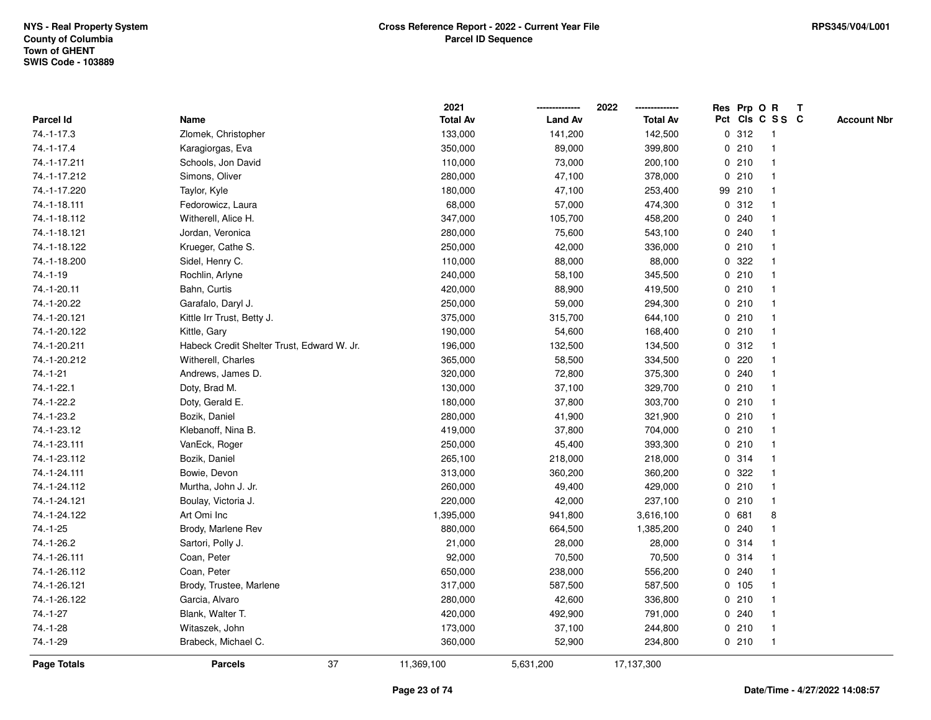|                  |                                            | 2021            |                | 2022            |         | Res Prp O R     | Т |                    |
|------------------|--------------------------------------------|-----------------|----------------|-----------------|---------|-----------------|---|--------------------|
| Parcel Id        | Name                                       | <b>Total Av</b> | <b>Land Av</b> | <b>Total Av</b> |         | Pct Cls C S S C |   | <b>Account Nbr</b> |
| 74.-1-17.3       | Zlomek, Christopher                        | 133,000         | 141,200        | 142,500         | 0.312   | $\overline{1}$  |   |                    |
| $74. - 1 - 17.4$ | Karagiorgas, Eva                           | 350,000         | 89,000         | 399,800         | 0210    | 1               |   |                    |
| 74.-1-17.211     | Schools, Jon David                         | 110,000         | 73,000         | 200,100         | 0210    | $\mathbf{1}$    |   |                    |
| 74.-1-17.212     | Simons, Oliver                             | 280,000         | 47,100         | 378,000         | 0210    | -1              |   |                    |
| 74.-1-17.220     | Taylor, Kyle                               | 180,000         | 47,100         | 253,400         | 99 210  |                 |   |                    |
| 74.-1-18.111     | Fedorowicz, Laura                          | 68,000          | 57,000         | 474,300         | 0.312   |                 |   |                    |
| 74.-1-18.112     | Witherell, Alice H.                        | 347,000         | 105,700        | 458,200         | 0.240   |                 |   |                    |
| 74.-1-18.121     | Jordan, Veronica                           | 280,000         | 75,600         | 543,100         | 0.240   | $\mathbf{1}$    |   |                    |
| 74.-1-18.122     | Krueger, Cathe S.                          | 250,000         | 42,000         | 336,000         | 0210    | 1               |   |                    |
| 74.-1-18.200     | Sidel, Henry C.                            | 110,000         | 88,000         | 88,000          | 0.322   | $\mathbf 1$     |   |                    |
| $74. - 1 - 19$   | Rochlin, Arlyne                            | 240,000         | 58,100         | 345,500         | 0210    | $\mathbf 1$     |   |                    |
| 74.-1-20.11      | Bahn, Curtis                               | 420,000         | 88,900         | 419,500         | 0210    |                 |   |                    |
| 74.-1-20.22      | Garafalo, Daryl J.                         | 250,000         | 59,000         | 294,300         | 0210    |                 |   |                    |
| 74.-1-20.121     | Kittle Irr Trust, Betty J.                 | 375,000         | 315,700        | 644,100         | 0210    | $\mathbf 1$     |   |                    |
| 74.-1-20.122     | Kittle, Gary                               | 190,000         | 54,600         | 168,400         | 0210    | $\mathbf{1}$    |   |                    |
| 74.-1-20.211     | Habeck Credit Shelter Trust, Edward W. Jr. | 196,000         | 132,500        | 134,500         | 0.312   | $\mathbf{1}$    |   |                    |
| 74.-1-20.212     | Witherell, Charles                         | 365,000         | 58,500         | 334,500         | $0$ 220 | $\mathbf{1}$    |   |                    |
| $74.-1-21$       | Andrews, James D.                          | 320,000         | 72,800         | 375,300         | 0.240   | -1              |   |                    |
| 74.-1-22.1       | Doty, Brad M.                              | 130,000         | 37,100         | 329,700         | 0210    |                 |   |                    |
| 74.-1-22.2       | Doty, Gerald E.                            | 180,000         | 37,800         | 303,700         | 0210    |                 |   |                    |
| 74.-1-23.2       | Bozik, Daniel                              | 280,000         | 41,900         | 321,900         | 0210    | $\mathbf{1}$    |   |                    |
| 74.-1-23.12      | Klebanoff, Nina B.                         | 419,000         | 37,800         | 704,000         | 0210    | 1               |   |                    |
| 74.-1-23.111     | VanEck, Roger                              | 250,000         | 45,400         | 393,300         | 0210    | $\mathbf{1}$    |   |                    |
| 74.-1-23.112     | Bozik, Daniel                              | 265,100         | 218,000        | 218,000         | 0.314   | $\mathbf{1}$    |   |                    |
| 74.-1-24.111     | Bowie, Devon                               | 313,000         | 360,200        | 360,200         | 0.322   | $\mathbf 1$     |   |                    |
| 74.-1-24.112     | Murtha, John J. Jr.                        | 260,000         | 49,400         | 429,000         | 0210    |                 |   |                    |
| 74.-1-24.121     | Boulay, Victoria J.                        | 220,000         | 42,000         | 237,100         | 0210    |                 |   |                    |
| 74.-1-24.122     | Art Omi Inc                                | 1,395,000       | 941,800        | 3,616,100       | 0 681   | 8               |   |                    |
| $74.-1-25$       | Brody, Marlene Rev                         | 880,000         | 664,500        | 1,385,200       | 0.240   | $\mathbf{1}$    |   |                    |
| 74.-1-26.2       | Sartori, Polly J.                          | 21,000          | 28,000         | 28,000          | 0.314   | 1               |   |                    |
| 74.-1-26.111     | Coan, Peter                                | 92,000          | 70,500         | 70,500          | 0.314   | $\mathbf 1$     |   |                    |
| 74.-1-26.112     | Coan, Peter                                | 650,000         | 238,000        | 556,200         | 0.240   | 1               |   |                    |
| 74.-1-26.121     | Brody, Trustee, Marlene                    | 317,000         | 587,500        | 587,500         | 0 105   |                 |   |                    |
| 74.-1-26.122     | Garcia, Alvaro                             | 280,000         | 42,600         | 336,800         | 0210    |                 |   |                    |
| $74.-1-27$       | Blank, Walter T.                           | 420,000         | 492,900        | 791,000         | 0.240   | $\mathbf 1$     |   |                    |
| 74.-1-28         | Witaszek, John                             | 173,000         | 37,100         | 244,800         | 0210    | $\mathbf{1}$    |   |                    |
| 74.-1-29         | Brabeck, Michael C.                        | 360,000         | 52,900         | 234,800         | 0210    | $\mathbf{1}$    |   |                    |
| Page Totals      | 37<br><b>Parcels</b>                       | 11,369,100      | 5,631,200      | 17,137,300      |         |                 |   |                    |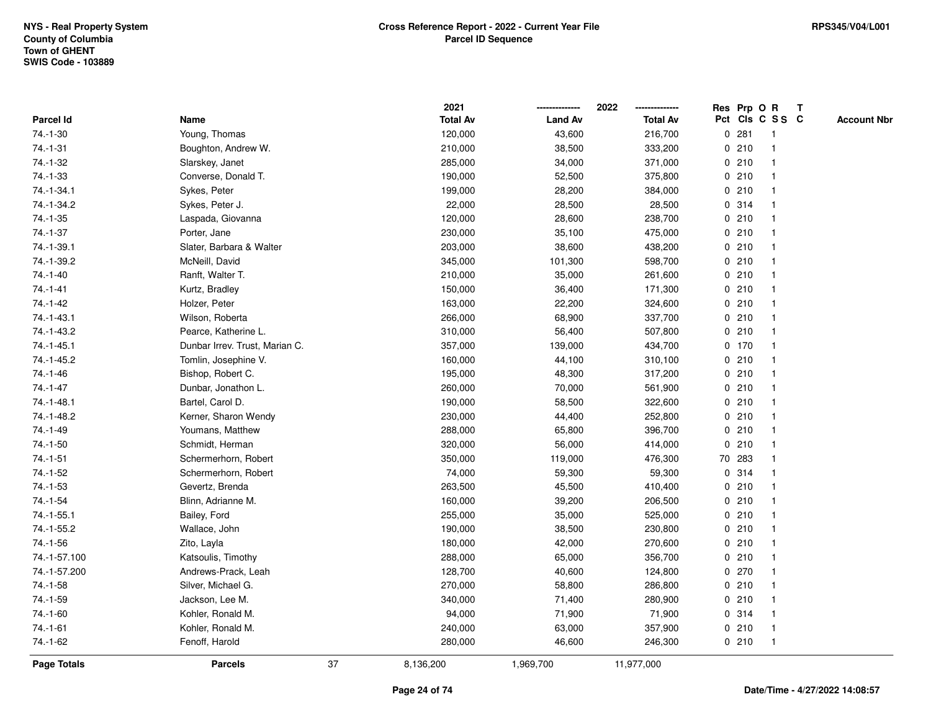|                |                                |    | 2021            |                | 2022            |             |         | Res Prp O R             | $\mathbf{T}$ |                    |
|----------------|--------------------------------|----|-----------------|----------------|-----------------|-------------|---------|-------------------------|--------------|--------------------|
| Parcel Id      | Name                           |    | <b>Total Av</b> | <b>Land Av</b> | <b>Total Av</b> |             |         | Pct Cls C S S C         |              | <b>Account Nbr</b> |
| 74.-1-30       | Young, Thomas                  |    | 120,000         | 43,600         | 216,700         |             | 0.281   |                         |              |                    |
| $74.-1-31$     | Boughton, Andrew W.            |    | 210,000         | 38,500         | 333,200         |             | 0210    |                         |              |                    |
| 74.-1-32       | Slarskey, Janet                |    | 285,000         | 34,000         | 371,000         |             | 0210    | -1                      |              |                    |
| 74.-1-33       | Converse, Donald T.            |    | 190,000         | 52,500         | 375,800         | $\mathbf 0$ | 210     | -1                      |              |                    |
| 74.-1-34.1     | Sykes, Peter                   |    | 199,000         | 28,200         | 384,000         |             | 0210    | -1                      |              |                    |
| 74.-1-34.2     | Sykes, Peter J.                |    | 22,000          | 28,500         | 28,500          |             | 0.314   | -1                      |              |                    |
| $74.-1-35$     | Laspada, Giovanna              |    | 120,000         | 28,600         | 238,700         |             | 0210    |                         |              |                    |
| 74.-1-37       | Porter, Jane                   |    | 230,000         | 35,100         | 475,000         |             | 0210    |                         |              |                    |
| 74.-1-39.1     | Slater, Barbara & Walter       |    | 203,000         | 38,600         | 438,200         |             | 0210    |                         |              |                    |
| 74.-1-39.2     | McNeill, David                 |    | 345,000         | 101,300        | 598,700         |             | 0210    |                         |              |                    |
| $74.-1-40$     | Ranft, Walter T.               |    | 210,000         | 35,000         | 261,600         |             | 0210    | $\mathbf 1$             |              |                    |
| $74. - 1 - 41$ | Kurtz, Bradley                 |    | 150,000         | 36,400         | 171,300         |             | 0210    | $\mathbf 1$             |              |                    |
| 74.-1-42       | Holzer, Peter                  |    | 163,000         | 22,200         | 324,600         |             | 0210    | -1                      |              |                    |
| 74.-1-43.1     | Wilson, Roberta                |    | 266,000         | 68,900         | 337,700         |             | 0210    |                         |              |                    |
| 74.-1-43.2     | Pearce, Katherine L.           |    | 310,000         | 56,400         | 507,800         |             | 0210    |                         |              |                    |
| 74.-1-45.1     | Dunbar Irrev. Trust, Marian C. |    | 357,000         | 139,000        | 434,700         |             | $0$ 170 | -1                      |              |                    |
| 74.-1-45.2     | Tomlin, Josephine V.           |    | 160,000         | 44,100         | 310,100         | $\mathbf 0$ | 210     | $\overline{\mathbf{1}}$ |              |                    |
| 74.-1-46       | Bishop, Robert C.              |    | 195,000         | 48,300         | 317,200         |             | 0210    | -1                      |              |                    |
| $74. - 1 - 47$ | Dunbar, Jonathon L.            |    | 260,000         | 70,000         | 561,900         |             | 0210    | $\mathbf 1$             |              |                    |
| 74.-1-48.1     | Bartel, Carol D.               |    | 190,000         | 58,500         | 322,600         |             | 0210    |                         |              |                    |
| 74.-1-48.2     | Kerner, Sharon Wendy           |    | 230,000         | 44,400         | 252,800         |             | 0210    |                         |              |                    |
| 74.-1-49       | Youmans, Matthew               |    | 288,000         | 65,800         | 396,700         |             | 0210    |                         |              |                    |
| $74.-1-50$     | Schmidt, Herman                |    | 320,000         | 56,000         | 414,000         |             | 0210    |                         |              |                    |
| $74.-1-51$     | Schermerhorn, Robert           |    | 350,000         | 119,000        | 476,300         |             | 70 283  | $\mathbf{1}$            |              |                    |
| $74 - 1 - 52$  | Schermerhorn, Robert           |    | 74,000          | 59,300         | 59,300          | 0           | 314     | -1                      |              |                    |
| 74.-1-53       | Gevertz, Brenda                |    | 263,500         | 45,500         | 410,400         |             | 0210    | $\mathbf 1$             |              |                    |
| $74.-1-54$     | Blinn, Adrianne M.             |    | 160,000         | 39,200         | 206,500         |             | 0210    |                         |              |                    |
| $74.-1-55.1$   | Bailey, Ford                   |    | 255,000         | 35,000         | 525,000         |             | 0210    |                         |              |                    |
| 74.-1-55.2     | Wallace, John                  |    | 190,000         | 38,500         | 230,800         |             | 0210    |                         |              |                    |
| 74.-1-56       | Zito, Layla                    |    | 180,000         | 42,000         | 270,600         |             | 0210    |                         |              |                    |
| 74.-1-57.100   | Katsoulis, Timothy             |    | 288,000         | 65,000         | 356,700         |             | 0210    | -1                      |              |                    |
| 74.-1-57.200   | Andrews-Prack, Leah            |    | 128,700         | 40,600         | 124,800         |             | 0270    | $\mathbf 1$             |              |                    |
| 74.-1-58       | Silver, Michael G.             |    | 270,000         | 58,800         | 286,800         |             | 0210    |                         |              |                    |
| 74.-1-59       | Jackson, Lee M.                |    | 340,000         | 71,400         | 280,900         |             | 0210    |                         |              |                    |
| 74.-1-60       | Kohler, Ronald M.              |    | 94,000          | 71,900         | 71,900          |             | 0.314   |                         |              |                    |
| $74.-1-61$     | Kohler, Ronald M.              |    | 240,000         | 63,000         | 357,900         |             | 0210    | $\mathbf 1$             |              |                    |
| 74.-1-62       | Fenoff, Harold                 |    | 280,000         | 46,600         | 246,300         |             | 0210    | -1                      |              |                    |
| Page Totals    | <b>Parcels</b>                 | 37 | 8,136,200       | 1,969,700      | 11,977,000      |             |         |                         |              |                    |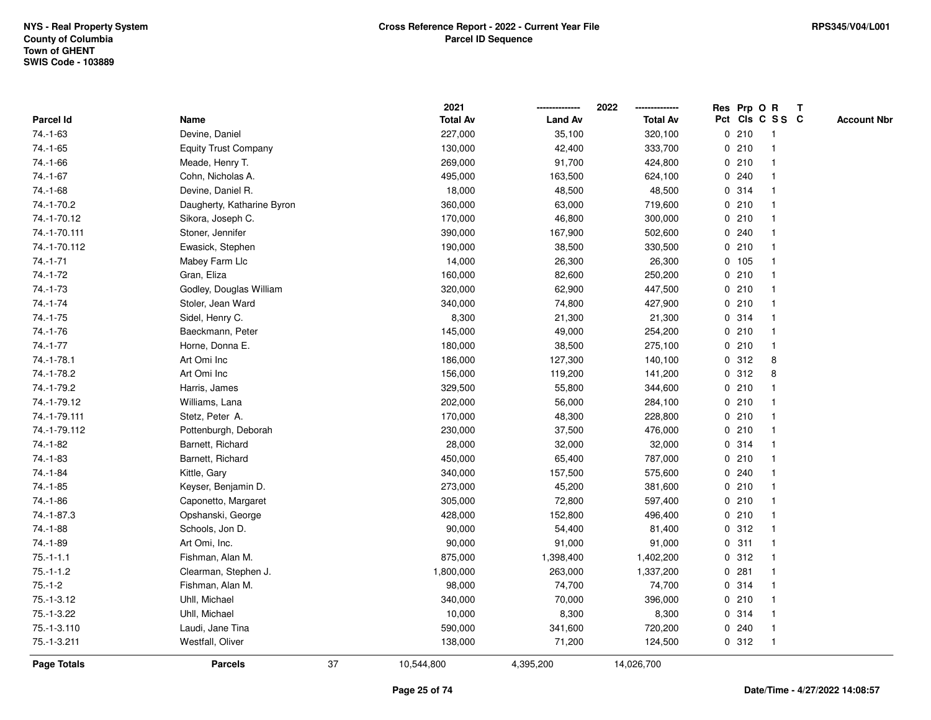|                |                             |    | 2021            |                | 2022            |       | Res Prp O R     | Т |                    |
|----------------|-----------------------------|----|-----------------|----------------|-----------------|-------|-----------------|---|--------------------|
| Parcel Id      | Name                        |    | <b>Total Av</b> | <b>Land Av</b> | <b>Total Av</b> |       | Pct Cls C S S C |   | <b>Account Nbr</b> |
| 74.-1-63       | Devine, Daniel              |    | 227,000         | 35,100         | 320,100         | 0210  | $\mathbf{1}$    |   |                    |
| $74. - 1 - 65$ | <b>Equity Trust Company</b> |    | 130,000         | 42,400         | 333,700         | 0210  | 1               |   |                    |
| 74.-1-66       | Meade, Henry T.             |    | 269,000         | 91,700         | 424,800         | 0210  | $\mathbf{1}$    |   |                    |
| $74.-1-67$     | Cohn, Nicholas A.           |    | 495,000         | 163,500        | 624,100         | 0.240 | -1              |   |                    |
| 74.-1-68       | Devine, Daniel R.           |    | 18,000          | 48,500         | 48,500          | 0.314 |                 |   |                    |
| 74.-1-70.2     | Daugherty, Katharine Byron  |    | 360,000         | 63,000         | 719,600         | 0210  |                 |   |                    |
| 74.-1-70.12    | Sikora, Joseph C.           |    | 170,000         | 46,800         | 300,000         | 0210  | $\mathbf 1$     |   |                    |
| 74.-1-70.111   | Stoner, Jennifer            |    | 390,000         | 167,900        | 502,600         | 0.240 | $\mathbf{1}$    |   |                    |
| 74.-1-70.112   | Ewasick, Stephen            |    | 190,000         | 38,500         | 330,500         | 0210  | 1               |   |                    |
| $74.-1-71$     | Mabey Farm Llc              |    | 14,000          | 26,300         | 26,300          | 0 105 | $\mathbf{1}$    |   |                    |
| 74.-1-72       | Gran, Eliza                 |    | 160,000         | 82,600         | 250,200         | 0210  | $\mathbf 1$     |   |                    |
| 74.-1-73       | Godley, Douglas William     |    | 320,000         | 62,900         | 447,500         | 0210  |                 |   |                    |
| $74. - 1 - 74$ | Stoler, Jean Ward           |    | 340,000         | 74,800         | 427,900         | 0210  |                 |   |                    |
| $74.-1-75$     | Sidel, Henry C.             |    | 8,300           | 21,300         | 21,300          | 0.314 | 1               |   |                    |
| 74.-1-76       | Baeckmann, Peter            |    | 145,000         | 49,000         | 254,200         | 0210  | $\mathbf{1}$    |   |                    |
| $74. - 1 - 77$ | Horne, Donna E.             |    | 180,000         | 38,500         | 275,100         | 0210  | $\mathbf{1}$    |   |                    |
| 74.-1-78.1     | Art Omi Inc                 |    | 186,000         | 127,300        | 140,100         | 0.312 | 8               |   |                    |
| 74.-1-78.2     | Art Omi Inc                 |    | 156,000         | 119,200        | 141,200         | 0.312 | 8               |   |                    |
| 74.-1-79.2     | Harris, James               |    | 329,500         | 55,800         | 344,600         | 0210  | -1              |   |                    |
| 74.-1-79.12    | Williams, Lana              |    | 202,000         | 56,000         | 284,100         | 0210  |                 |   |                    |
| 74.-1-79.111   | Stetz, Peter A.             |    | 170,000         | 48,300         | 228,800         | 0210  | $\mathbf{1}$    |   |                    |
| 74.-1-79.112   | Pottenburgh, Deborah        |    | 230,000         | 37,500         | 476,000         | 0210  | $\mathbf{1}$    |   |                    |
| 74.-1-82       | Barnett, Richard            |    | 28,000          | 32,000         | 32,000          | 0.314 | $\mathbf{1}$    |   |                    |
| 74.-1-83       | Barnett, Richard            |    | 450,000         | 65,400         | 787,000         | 0210  | $\mathbf 1$     |   |                    |
| 74.-1-84       | Kittle, Gary                |    | 340,000         | 157,500        | 575,600         | 0.240 | $\mathbf 1$     |   |                    |
| $74.-1-85$     | Keyser, Benjamin D.         |    | 273,000         | 45,200         | 381,600         | 0210  |                 |   |                    |
| 74.-1-86       | Caponetto, Margaret         |    | 305,000         | 72,800         | 597,400         | 0210  |                 |   |                    |
| 74.-1-87.3     | Opshanski, George           |    | 428,000         | 152,800        | 496,400         | 0210  | $\mathbf{1}$    |   |                    |
| 74.-1-88       | Schools, Jon D.             |    | 90,000          | 54,400         | 81,400          | 0.312 | $\mathbf{1}$    |   |                    |
| 74.-1-89       | Art Omi, Inc.               |    | 90,000          | 91,000         | 91,000          | 0.311 | $\mathbf{1}$    |   |                    |
| $75.-1-1.1$    | Fishman, Alan M.            |    | 875,000         | 1,398,400      | 1,402,200       | 0.312 | 1               |   |                    |
| $75.-1-1.2$    | Clearman, Stephen J.        |    | 1,800,000       | 263,000        | 1,337,200       | 0.281 | $\mathbf 1$     |   |                    |
| $75.-1-2$      | Fishman, Alan M.            |    | 98,000          | 74,700         | 74,700          | 0.314 |                 |   |                    |
| 75.-1-3.12     | Uhll, Michael               |    | 340,000         | 70,000         | 396,000         | 0210  |                 |   |                    |
| 75.-1-3.22     | Uhll, Michael               |    | 10,000          | 8,300          | 8,300           | 0.314 | $\mathbf 1$     |   |                    |
| 75.-1-3.110    | Laudi, Jane Tina            |    | 590,000         | 341,600        | 720,200         | 0.240 | $\mathbf{1}$    |   |                    |
| 75.-1-3.211    | Westfall, Oliver            |    | 138,000         | 71,200         | 124,500         | 0.312 | $\mathbf{1}$    |   |                    |
| Page Totals    | <b>Parcels</b>              | 37 | 10,544,800      | 4,395,200      | 14,026,700      |       |                 |   |                    |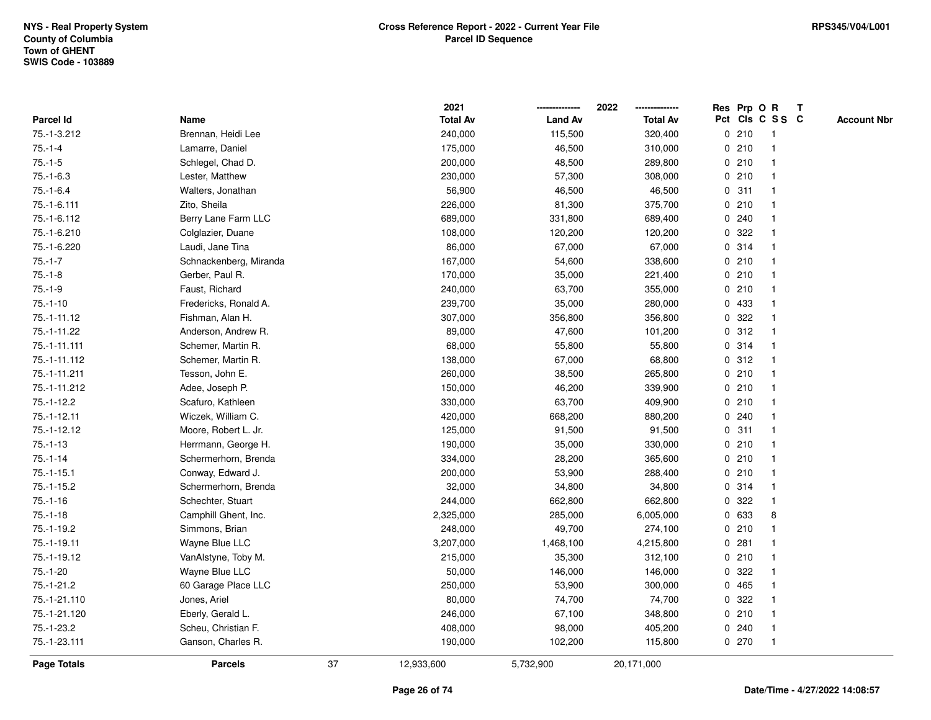|               |                        |    | 2021            |                | 2022            |   |       | Res Prp O R     | Т |                    |
|---------------|------------------------|----|-----------------|----------------|-----------------|---|-------|-----------------|---|--------------------|
| Parcel Id     | Name                   |    | <b>Total Av</b> | <b>Land Av</b> | <b>Total Av</b> |   |       | Pct Cls C S S C |   | <b>Account Nbr</b> |
| 75.-1-3.212   | Brennan, Heidi Lee     |    | 240,000         | 115,500        | 320,400         |   | 0210  | $\mathbf{1}$    |   |                    |
| $75.-1-4$     | Lamarre, Daniel        |    | 175,000         | 46,500         | 310,000         |   | 0210  | 1               |   |                    |
| $75.-1-5$     | Schlegel, Chad D.      |    | 200,000         | 48,500         | 289,800         |   | 0210  | $\mathbf{1}$    |   |                    |
| $75.-1-6.3$   | Lester, Matthew        |    | 230,000         | 57,300         | 308,000         |   | 0210  | -1              |   |                    |
| $75.-1-6.4$   | Walters, Jonathan      |    | 56,900          | 46,500         | 46,500          |   | 0.311 |                 |   |                    |
| 75.-1-6.111   | Zito, Sheila           |    | 226,000         | 81,300         | 375,700         |   | 0210  |                 |   |                    |
| 75.-1-6.112   | Berry Lane Farm LLC    |    | 689,000         | 331,800        | 689,400         |   | 0.240 |                 |   |                    |
| 75.-1-6.210   | Colglazier, Duane      |    | 108,000         | 120,200        | 120,200         | 0 | 322   | $\mathbf{1}$    |   |                    |
| 75.-1-6.220   | Laudi, Jane Tina       |    | 86,000          | 67,000         | 67,000          |   | 0.314 | 1               |   |                    |
| $75.-1-7$     | Schnackenberg, Miranda |    | 167,000         | 54,600         | 338,600         |   | 0210  | $\mathbf{1}$    |   |                    |
| $75.-1-8$     | Gerber, Paul R.        |    | 170,000         | 35,000         | 221,400         |   | 0210  | $\mathbf 1$     |   |                    |
| $75.-1-9$     | Faust, Richard         |    | 240,000         | 63,700         | 355,000         |   | 0210  |                 |   |                    |
| $75.-1-10$    | Fredericks, Ronald A.  |    | 239,700         | 35,000         | 280,000         |   | 0 433 |                 |   |                    |
| 75.-1-11.12   | Fishman, Alan H.       |    | 307,000         | 356,800        | 356,800         |   | 0.322 | $\mathbf 1$     |   |                    |
| 75.-1-11.22   | Anderson, Andrew R.    |    | 89,000          | 47,600         | 101,200         | 0 | 312   | $\mathbf{1}$    |   |                    |
| 75.-1-11.111  | Schemer, Martin R.     |    | 68,000          | 55,800         | 55,800          |   | 0.314 | $\mathbf{1}$    |   |                    |
| 75.-1-11.112  | Schemer, Martin R.     |    | 138,000         | 67,000         | 68,800          |   | 0.312 | $\mathbf{1}$    |   |                    |
| 75.-1-11.211  | Tesson, John E.        |    | 260,000         | 38,500         | 265,800         |   | 0210  | $\mathbf 1$     |   |                    |
| 75.-1-11.212  | Adee, Joseph P.        |    | 150,000         | 46,200         | 339,900         |   | 0210  |                 |   |                    |
| $75.-1-12.2$  | Scafuro, Kathleen      |    | 330,000         | 63,700         | 409,900         |   | 0210  |                 |   |                    |
| $75.-1-12.11$ | Wiczek, William C.     |    | 420,000         | 668,200        | 880,200         |   | 0.240 | $\mathbf{1}$    |   |                    |
| 75.-1-12.12   | Moore, Robert L. Jr.   |    | 125,000         | 91,500         | 91,500          |   | 0.311 | 1               |   |                    |
| $75.-1-13$    | Herrmann, George H.    |    | 190,000         | 35,000         | 330,000         |   | 0210  | $\mathbf{1}$    |   |                    |
| $75.-1-14$    | Schermerhorn, Brenda   |    | 334,000         | 28,200         | 365,600         |   | 0210  | $\mathbf{1}$    |   |                    |
| $75.-1-15.1$  | Conway, Edward J.      |    | 200,000         | 53,900         | 288,400         |   | 0210  | $\mathbf 1$     |   |                    |
| $75.-1-15.2$  | Schermerhorn, Brenda   |    | 32,000          | 34,800         | 34,800          |   | 0.314 |                 |   |                    |
| $75.-1-16$    | Schechter, Stuart      |    | 244,000         | 662,800        | 662,800         |   | 0 322 |                 |   |                    |
| $75.-1-18$    | Camphill Ghent, Inc.   |    | 2,325,000       | 285,000        | 6,005,000       |   | 0 633 | 8               |   |                    |
| $75.-1-19.2$  | Simmons, Brian         |    | 248,000         | 49,700         | 274,100         |   | 0210  | $\mathbf{1}$    |   |                    |
| 75.-1-19.11   | Wayne Blue LLC         |    | 3,207,000       | 1,468,100      | 4,215,800       |   | 0.281 | 1               |   |                    |
| 75.-1-19.12   | VanAlstyne, Toby M.    |    | 215,000         | 35,300         | 312,100         |   | 0210  | 1               |   |                    |
| $75.-1-20$    | Wayne Blue LLC         |    | 50,000          | 146,000        | 146,000         |   | 0.322 | $\mathbf 1$     |   |                    |
| $75.-1-21.2$  | 60 Garage Place LLC    |    | 250,000         | 53,900         | 300,000         |   | 0465  |                 |   |                    |
| 75.-1-21.110  | Jones, Ariel           |    | 80,000          | 74,700         | 74,700          |   | 0.322 |                 |   |                    |
| 75.-1-21.120  | Eberly, Gerald L.      |    | 246,000         | 67,100         | 348,800         |   | 0210  | $\mathbf 1$     |   |                    |
| 75.-1-23.2    | Scheu, Christian F.    |    | 408,000         | 98,000         | 405,200         |   | 0.240 | $\mathbf{1}$    |   |                    |
| 75.-1-23.111  | Ganson, Charles R.     |    | 190,000         | 102,200        | 115,800         |   | 0270  | $\mathbf{1}$    |   |                    |
| Page Totals   | <b>Parcels</b>         | 37 | 12,933,600      | 5,732,900      | 20,171,000      |   |       |                 |   |                    |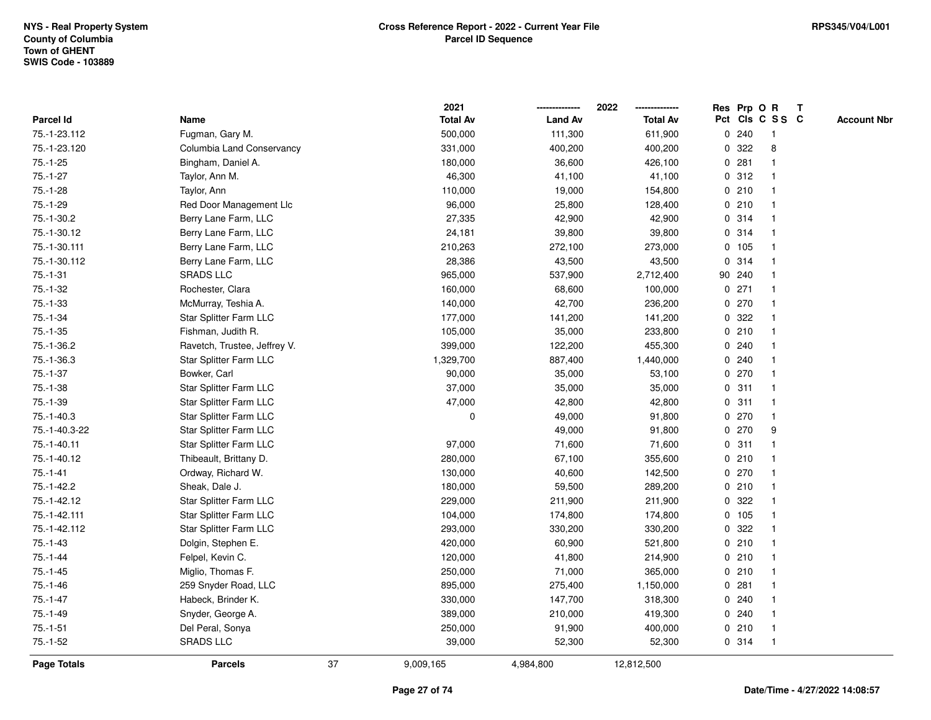|                |                              |    | 2021            |                | 2022            |   |         | Res Prp O R             | Т |                    |
|----------------|------------------------------|----|-----------------|----------------|-----------------|---|---------|-------------------------|---|--------------------|
| Parcel Id      | Name                         |    | <b>Total Av</b> | <b>Land Av</b> | <b>Total Av</b> |   |         | Pct Cls C S S C         |   | <b>Account Nbr</b> |
| 75.-1-23.112   | Fugman, Gary M.              |    | 500,000         | 111,300        | 611,900         |   | 0.240   | $\mathbf{1}$            |   |                    |
| 75.-1-23.120   | Columbia Land Conservancy    |    | 331,000         | 400,200        | 400,200         | 0 | 322     | 8                       |   |                    |
| $75.-1-25$     | Bingham, Daniel A.           |    | 180,000         | 36,600         | 426,100         |   | 0.281   | $\mathbf 1$             |   |                    |
| $75.-1-27$     | Taylor, Ann M.               |    | 46,300          | 41,100         | 41,100          |   | 0.312   |                         |   |                    |
| $75.-1-28$     | Taylor, Ann                  |    | 110,000         | 19,000         | 154,800         |   | 0210    |                         |   |                    |
| $75.-1-29$     | Red Door Management Llc      |    | 96,000          | 25,800         | 128,400         |   | 0210    |                         |   |                    |
| 75.-1-30.2     | Berry Lane Farm, LLC         |    | 27,335          | 42,900         | 42,900          |   | 0.314   | $\overline{\mathbf{1}}$ |   |                    |
| 75.-1-30.12    | Berry Lane Farm, LLC         |    | 24,181          | 39,800         | 39,800          | 0 | 314     |                         |   |                    |
| 75.-1-30.111   | Berry Lane Farm, LLC         |    | 210,263         | 272,100        | 273,000         |   | 0, 105  | -1                      |   |                    |
| 75.-1-30.112   | Berry Lane Farm, LLC         |    | 28,386          | 43,500         | 43,500          |   | 0.314   | $\mathbf{1}$            |   |                    |
| $75.-1-31$     | <b>SRADS LLC</b>             |    | 965,000         | 537,900        | 2,712,400       |   | 90 240  |                         |   |                    |
| $75.-1-32$     | Rochester, Clara             |    | 160,000         | 68,600         | 100,000         |   | $0$ 271 |                         |   |                    |
| $75.-1-33$     | McMurray, Teshia A.          |    | 140,000         | 42,700         | 236,200         |   | 0270    |                         |   |                    |
| $75.-1-34$     | Star Splitter Farm LLC       |    | 177,000         | 141,200        | 141,200         |   | 0 322   |                         |   |                    |
| $75.-1-35$     | Fishman, Judith R.           |    | 105,000         | 35,000         | 233,800         |   | 0210    | $\overline{\mathbf{1}}$ |   |                    |
| 75.-1-36.2     | Ravetch, Trustee, Jeffrey V. |    | 399,000         | 122,200        | 455,300         | 0 | 240     |                         |   |                    |
| 75.-1-36.3     | Star Splitter Farm LLC       |    | 1,329,700       | 887,400        | 1,440,000       |   | 0.240   | $\mathbf 1$             |   |                    |
| $75.-1-37$     | Bowker, Carl                 |    | 90,000          | 35,000         | 53,100          |   | 0.270   |                         |   |                    |
| $75.-1-38$     | Star Splitter Farm LLC       |    | 37,000          | 35,000         | 35,000          |   | 0.311   |                         |   |                    |
| $75.-1-39$     | Star Splitter Farm LLC       |    | 47,000          | 42,800         | 42,800          |   | 0.311   |                         |   |                    |
| 75.-1-40.3     | Star Splitter Farm LLC       |    | $\mathbf 0$     | 49,000         | 91,800          |   | 0270    | $\mathbf 1$             |   |                    |
| 75.-1-40.3-22  | Star Splitter Farm LLC       |    |                 | 49,000         | 91,800          |   | 0.270   | 9                       |   |                    |
| 75.-1-40.11    | Star Splitter Farm LLC       |    | 97,000          | 71,600         | 71,600          |   | 0.311   | $\mathbf{1}$            |   |                    |
| 75.-1-40.12    | Thibeault, Brittany D.       |    | 280,000         | 67,100         | 355,600         |   | 0210    | $\mathbf 1$             |   |                    |
| $75. - 1 - 41$ | Ordway, Richard W.           |    | 130,000         | 40,600         | 142,500         |   | 0.270   | -1                      |   |                    |
| 75.-1-42.2     | Sheak, Dale J.               |    | 180,000         | 59,500         | 289,200         |   | 0210    |                         |   |                    |
| 75.-1-42.12    | Star Splitter Farm LLC       |    | 229,000         | 211,900        | 211,900         |   | 0.322   |                         |   |                    |
| 75.-1-42.111   | Star Splitter Farm LLC       |    | 104,000         | 174,800        | 174,800         |   | 0 105   |                         |   |                    |
| 75.-1-42.112   | Star Splitter Farm LLC       |    | 293,000         | 330,200        | 330,200         | 0 | 322     |                         |   |                    |
| $75.-1-43$     | Dolgin, Stephen E.           |    | 420,000         | 60,900         | 521,800         |   | 0210    | $\mathbf{1}$            |   |                    |
| $75.-1-44$     | Felpel, Kevin C.             |    | 120,000         | 41,800         | 214,900         |   | 0210    | $\mathbf{1}$            |   |                    |
| $75.-1-45$     | Miglio, Thomas F.            |    | 250,000         | 71,000         | 365,000         |   | 0210    | -1                      |   |                    |
| $75.-1-46$     | 259 Snyder Road, LLC         |    | 895,000         | 275,400        | 1,150,000       |   | 0.281   |                         |   |                    |
| $75.-1-47$     | Habeck, Brinder K.           |    | 330,000         | 147,700        | 318,300         |   | 0.240   |                         |   |                    |
| $75.-1-49$     | Snyder, George A.            |    | 389,000         | 210,000        | 419,300         |   | 0.240   |                         |   |                    |
| $75.-1-51$     | Del Peral, Sonya             |    | 250,000         | 91,900         | 400,000         |   | 0210    | -1                      |   |                    |
| $75.-1-52$     | <b>SRADS LLC</b>             |    | 39,000          | 52,300         | 52,300          |   | 0.314   | $\mathbf{1}$            |   |                    |
| Page Totals    | <b>Parcels</b>               | 37 | 9,009,165       | 4,984,800      | 12,812,500      |   |         |                         |   |                    |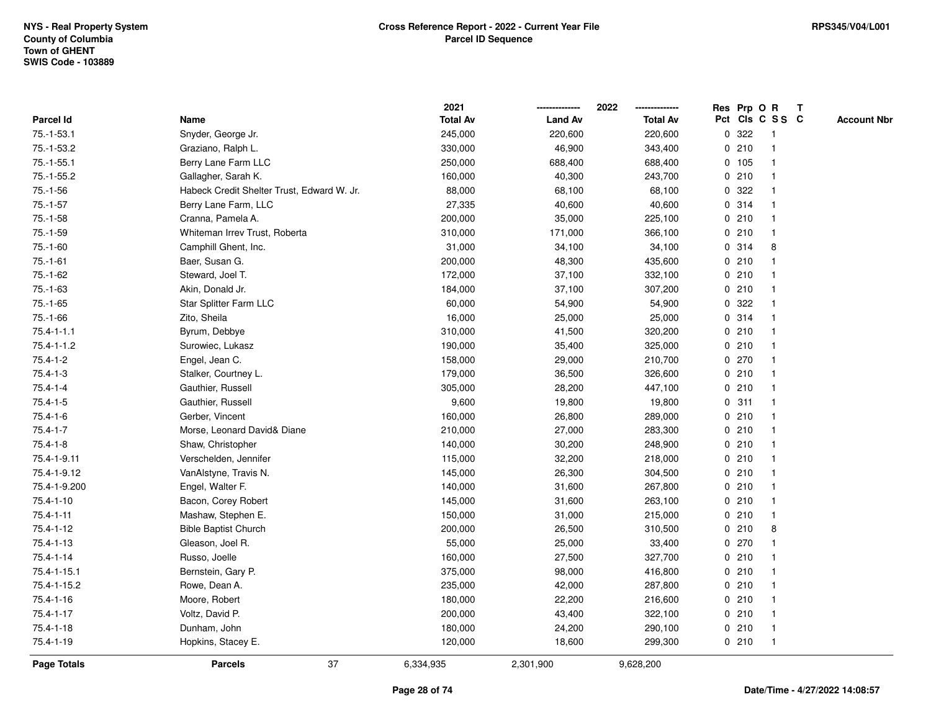|                    |                                            | 2021            |                | 2022            | Res Prp O R     |     |              | Т |                    |
|--------------------|--------------------------------------------|-----------------|----------------|-----------------|-----------------|-----|--------------|---|--------------------|
| Parcel Id          | Name                                       | <b>Total Av</b> | <b>Land Av</b> | <b>Total Av</b> | Pct Cls C S S C |     |              |   | <b>Account Nbr</b> |
| 75.-1-53.1         | Snyder, George Jr.                         | 245,000         | 220,600        | 220,600         | 0               | 322 | $\mathbf{1}$ |   |                    |
| 75.-1-53.2         | Graziano, Ralph L.                         | 330,000         | 46,900         | 343,400         | 0210            |     | $\mathbf{1}$ |   |                    |
| $75.-1-55.1$       | Berry Lane Farm LLC                        | 250,000         | 688,400        | 688,400         | 0 105           |     | $\mathbf{1}$ |   |                    |
| $75.-1-55.2$       | Gallagher, Sarah K.                        | 160,000         | 40,300         | 243,700         | 0210            |     | $\mathbf{1}$ |   |                    |
| $75.-1-56$         | Habeck Credit Shelter Trust, Edward W. Jr. | 88,000          | 68,100         | 68,100          | 0.322           |     |              |   |                    |
| $75.-1-57$         | Berry Lane Farm, LLC                       | 27,335          | 40,600         | 40,600          | 0.314           |     |              |   |                    |
| $75.-1-58$         | Cranna, Pamela A.                          | 200,000         | 35,000         | 225,100         | 0210            |     | $\mathbf{1}$ |   |                    |
| $75.-1-59$         | Whiteman Irrev Trust, Roberta              | 310,000         | 171,000        | 366,100         | 0210            |     | $\mathbf{1}$ |   |                    |
| $75.-1-60$         | Camphill Ghent, Inc.                       | 31,000          | 34,100         | 34,100          | 0.314           |     | 8            |   |                    |
| $75.-1-61$         | Baer, Susan G.                             | 200,000         | 48,300         | 435,600         | 0210            |     | $\mathbf{1}$ |   |                    |
| 75.-1-62           | Steward, Joel T.                           | 172,000         | 37,100         | 332,100         | 0210            |     | -1           |   |                    |
| $75.-1-63$         | Akin, Donald Jr.                           | 184,000         | 37,100         | 307,200         | 0210            |     |              |   |                    |
| $75.-1-65$         | Star Splitter Farm LLC                     | 60,000          | 54,900         | 54,900          | 0.322           |     |              |   |                    |
| $75.-1-66$         | Zito, Sheila                               | 16,000          | 25,000         | 25,000          | 0.314           |     | $\mathbf{1}$ |   |                    |
| $75.4 - 1 - 1.1$   | Byrum, Debbye                              | 310,000         | 41,500         | 320,200         | 0               | 210 | $\mathbf{1}$ |   |                    |
| $75.4 - 1 - 1.2$   | Surowiec, Lukasz                           | 190,000         | 35,400         | 325,000         | 0210            |     | $\mathbf{1}$ |   |                    |
| $75.4 - 1 - 2$     | Engel, Jean C.                             | 158,000         | 29,000         | 210,700         | 0270            |     | $\mathbf{1}$ |   |                    |
| $75.4 - 1 - 3$     | Stalker, Courtney L.                       | 179,000         | 36,500         | 326,600         | 0210            |     | -1           |   |                    |
| $75.4 - 1 - 4$     | Gauthier, Russell                          | 305,000         | 28,200         | 447,100         | 0210            |     |              |   |                    |
| $75.4 - 1 - 5$     | Gauthier, Russell                          | 9,600           | 19,800         | 19,800          | 0.311           |     |              |   |                    |
| $75.4 - 1 - 6$     | Gerber, Vincent                            | 160,000         | 26,800         | 289,000         | 0210            |     | $\mathbf{1}$ |   |                    |
| $75.4 - 1 - 7$     | Morse, Leonard David& Diane                | 210,000         | 27,000         | 283,300         | 0210            |     | $\mathbf{1}$ |   |                    |
| $75.4 - 1 - 8$     | Shaw, Christopher                          | 140,000         | 30,200         | 248,900         | 0210            |     | $\mathbf{1}$ |   |                    |
| 75.4-1-9.11        | Verschelden, Jennifer                      | 115,000         | 32,200         | 218,000         | 0210            |     | $\mathbf{1}$ |   |                    |
| 75.4-1-9.12        | VanAlstyne, Travis N.                      | 145,000         | 26,300         | 304,500         | 0210            |     | -1           |   |                    |
| 75.4-1-9.200       | Engel, Walter F.                           | 140,000         | 31,600         | 267,800         | 0210            |     |              |   |                    |
| 75.4-1-10          | Bacon, Corey Robert                        | 145,000         | 31,600         | 263,100         | 0210            |     |              |   |                    |
| $75.4 - 1 - 11$    | Mashaw, Stephen E.                         | 150,000         | 31,000         | 215,000         | 0210            |     | $\mathbf{1}$ |   |                    |
| $75.4 - 1 - 12$    | <b>Bible Baptist Church</b>                | 200,000         | 26,500         | 310,500         | 0210            |     | 8            |   |                    |
| 75.4-1-13          | Gleason, Joel R.                           | 55,000          | 25,000         | 33,400          | 0270            |     | $\mathbf{1}$ |   |                    |
| $75.4 - 1 - 14$    | Russo, Joelle                              | 160,000         | 27,500         | 327,700         | 0210            |     | $\mathbf{1}$ |   |                    |
| 75.4-1-15.1        | Bernstein, Gary P.                         | 375,000         | 98,000         | 416,800         | 0210            |     | -1           |   |                    |
| 75.4-1-15.2        | Rowe, Dean A.                              | 235,000         | 42,000         | 287,800         | 0210            |     |              |   |                    |
| 75.4-1-16          | Moore, Robert                              | 180,000         | 22,200         | 216,600         | 0210            |     |              |   |                    |
| $75.4 - 1 - 17$    | Voltz, David P.                            | 200,000         | 43,400         | 322,100         | 0210            |     | $\mathbf{1}$ |   |                    |
| $75.4 - 1 - 18$    | Dunham, John                               | 180,000         | 24,200         | 290,100         | 0210            |     | $\mathbf{1}$ |   |                    |
| 75.4-1-19          | Hopkins, Stacey E.                         | 120,000         | 18,600         | 299,300         | 0210            |     | $\mathbf{1}$ |   |                    |
| <b>Page Totals</b> | 37<br><b>Parcels</b>                       | 6,334,935       | 2,301,900      | 9,628,200       |                 |     |              |   |                    |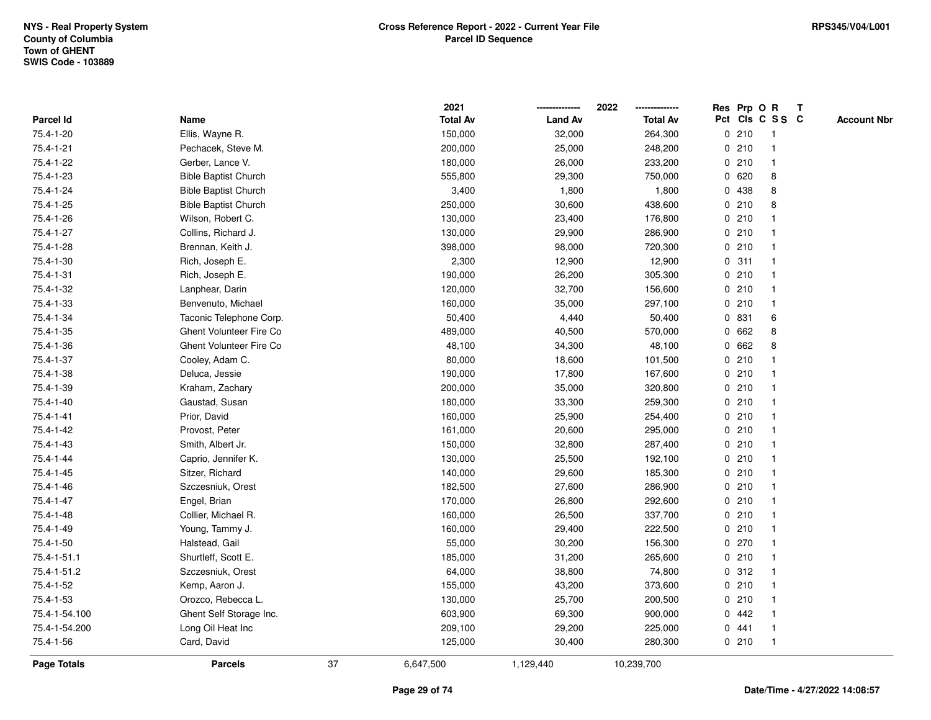|               |                             |    | 2021            |                | 2022            |   |       | Res Prp O R     | Т |                    |
|---------------|-----------------------------|----|-----------------|----------------|-----------------|---|-------|-----------------|---|--------------------|
| Parcel Id     | Name                        |    | <b>Total Av</b> | <b>Land Av</b> | <b>Total Av</b> |   |       | Pct Cls C S S C |   | <b>Account Nbr</b> |
| 75.4-1-20     | Ellis, Wayne R.             |    | 150,000         | 32,000         | 264,300         |   | 0210  | $\mathbf{1}$    |   |                    |
| 75.4-1-21     | Pechacek, Steve M.          |    | 200,000         | 25,000         | 248,200         |   | 0210  | $\mathbf{1}$    |   |                    |
| 75.4-1-22     | Gerber, Lance V.            |    | 180,000         | 26,000         | 233,200         |   | 0210  | $\mathbf{1}$    |   |                    |
| 75.4-1-23     | <b>Bible Baptist Church</b> |    | 555,800         | 29,300         | 750,000         |   | 0620  | 8               |   |                    |
| 75.4-1-24     | <b>Bible Baptist Church</b> |    | 3,400           | 1,800          | 1,800           |   | 0 438 | 8               |   |                    |
| 75.4-1-25     | <b>Bible Baptist Church</b> |    | 250,000         | 30,600         | 438,600         |   | 0210  | 8               |   |                    |
| 75.4-1-26     | Wilson, Robert C.           |    | 130,000         | 23,400         | 176,800         |   | 0210  | $\mathbf 1$     |   |                    |
| 75.4-1-27     | Collins, Richard J.         |    | 130,000         | 29,900         | 286,900         |   | 0210  | $\mathbf{1}$    |   |                    |
| 75.4-1-28     | Brennan, Keith J.           |    | 398,000         | 98,000         | 720,300         |   | 0210  | $\mathbf{1}$    |   |                    |
| 75.4-1-30     | Rich, Joseph E.             |    | 2,300           | 12,900         | 12,900          |   | 0.311 | $\mathbf{1}$    |   |                    |
| 75.4-1-31     | Rich, Joseph E.             |    | 190,000         | 26,200         | 305,300         |   | 0210  | -1              |   |                    |
| 75.4-1-32     | Lanphear, Darin             |    | 120,000         | 32,700         | 156,600         |   | 0210  |                 |   |                    |
| 75.4-1-33     | Benvenuto, Michael          |    | 160,000         | 35,000         | 297,100         |   | 0210  | $\mathbf 1$     |   |                    |
| 75.4-1-34     | Taconic Telephone Corp.     |    | 50,400          | 4,440          | 50,400          |   | 0 831 | 6               |   |                    |
| 75.4-1-35     | Ghent Volunteer Fire Co     |    | 489,000         | 40,500         | 570,000         | 0 | 662   | 8               |   |                    |
| 75.4-1-36     | Ghent Volunteer Fire Co     |    | 48,100          | 34,300         | 48,100          |   | 0 662 | 8               |   |                    |
| 75.4-1-37     | Cooley, Adam C.             |    | 80,000          | 18,600         | 101,500         |   | 0210  | $\mathbf{1}$    |   |                    |
| 75.4-1-38     | Deluca, Jessie              |    | 190,000         | 17,800         | 167,600         |   | 0210  | -1              |   |                    |
| 75.4-1-39     | Kraham, Zachary             |    | 200,000         | 35,000         | 320,800         |   | 0210  |                 |   |                    |
| 75.4-1-40     | Gaustad, Susan              |    | 180,000         | 33,300         | 259,300         |   | 0210  | $\mathbf 1$     |   |                    |
| 75.4-1-41     | Prior, David                |    | 160,000         | 25,900         | 254,400         |   | 0210  | $\mathbf{1}$    |   |                    |
| 75.4-1-42     | Provost, Peter              |    | 161,000         | 20,600         | 295,000         |   | 0210  | $\mathbf{1}$    |   |                    |
| 75.4-1-43     | Smith, Albert Jr.           |    | 150,000         | 32,800         | 287,400         |   | 0210  | $\mathbf{1}$    |   |                    |
| 75.4-1-44     | Caprio, Jennifer K.         |    | 130,000         | 25,500         | 192,100         |   | 0210  | $\mathbf{1}$    |   |                    |
| 75.4-1-45     | Sitzer, Richard             |    | 140,000         | 29,600         | 185,300         |   | 0210  | -1              |   |                    |
| 75.4-1-46     | Szczesniuk, Orest           |    | 182,500         | 27,600         | 286,900         |   | 0210  |                 |   |                    |
| 75.4-1-47     | Engel, Brian                |    | 170,000         | 26,800         | 292,600         |   | 0210  |                 |   |                    |
| 75.4-1-48     | Collier, Michael R.         |    | 160,000         | 26,500         | 337,700         |   | 0210  | $\mathbf{1}$    |   |                    |
| 75.4-1-49     | Young, Tammy J.             |    | 160,000         | 29,400         | 222,500         |   | 0210  | $\mathbf{1}$    |   |                    |
| 75.4-1-50     | Halstead, Gail              |    | 55,000          | 30,200         | 156,300         |   | 0270  | $\mathbf{1}$    |   |                    |
| 75.4-1-51.1   | Shurtleff, Scott E.         |    | 185,000         | 31,200         | 265,600         |   | 0210  | $\mathbf{1}$    |   |                    |
| 75.4-1-51.2   | Szczesniuk, Orest           |    | 64,000          | 38,800         | 74,800          |   | 0.312 | -1              |   |                    |
| 75.4-1-52     | Kemp, Aaron J.              |    | 155,000         | 43,200         | 373,600         |   | 0210  |                 |   |                    |
| 75.4-1-53     | Orozco, Rebecca L.          |    | 130,000         | 25,700         | 200,500         |   | 0210  |                 |   |                    |
| 75.4-1-54.100 | Ghent Self Storage Inc.     |    | 603,900         | 69,300         | 900,000         |   | 0.442 | $\mathbf{1}$    |   |                    |
| 75.4-1-54.200 | Long Oil Heat Inc           |    | 209,100         | 29,200         | 225,000         |   | 0.441 | $\mathbf{1}$    |   |                    |
| 75.4-1-56     | Card, David                 |    | 125,000         | 30,400         | 280,300         |   | 0210  | $\mathbf{1}$    |   |                    |
| Page Totals   | <b>Parcels</b>              | 37 | 6,647,500       | 1,129,440      | 10,239,700      |   |       |                 |   |                    |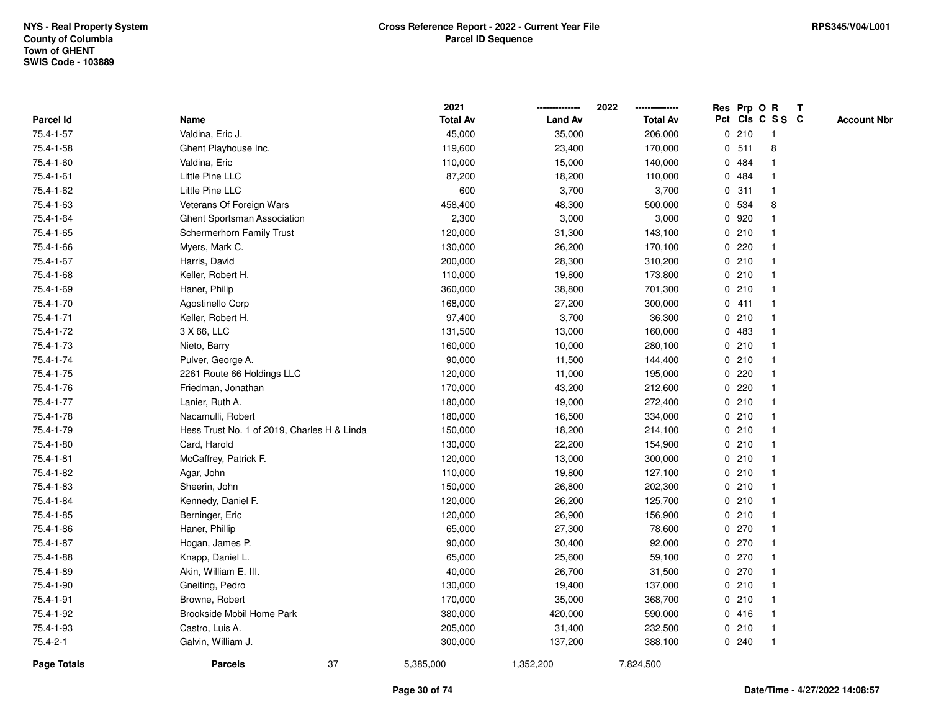|                    |                                             | 2021            |                | 2022            |   |       | Res Prp O R     | Т |                    |
|--------------------|---------------------------------------------|-----------------|----------------|-----------------|---|-------|-----------------|---|--------------------|
| Parcel Id          | Name                                        | <b>Total Av</b> | <b>Land Av</b> | <b>Total Av</b> |   |       | Pct Cls C S S C |   | <b>Account Nbr</b> |
| 75.4-1-57          | Valdina, Eric J.                            | 45,000          | 35,000         | 206,000         |   | 0210  | $\mathbf{1}$    |   |                    |
| 75.4-1-58          | Ghent Playhouse Inc.                        | 119,600         | 23,400         | 170,000         | 0 | 511   | 8               |   |                    |
| 75.4-1-60          | Valdina, Eric                               | 110,000         | 15,000         | 140,000         |   | 0 484 | -1              |   |                    |
| 75.4-1-61          | Little Pine LLC                             | 87,200          | 18,200         | 110,000         |   | 0 484 |                 |   |                    |
| 75.4-1-62          | Little Pine LLC                             | 600             | 3,700          | 3,700           |   | 0.311 |                 |   |                    |
| 75.4-1-63          | Veterans Of Foreign Wars                    | 458,400         | 48,300         | 500,000         |   | 0 534 | 8               |   |                    |
| 75.4-1-64          | Ghent Sportsman Association                 | 2,300           | 3,000          | 3,000           |   | 0 920 |                 |   |                    |
| 75.4-1-65          | Schermerhorn Family Trust                   | 120,000         | 31,300         | 143,100         |   | 0210  |                 |   |                    |
| 75.4-1-66          | Myers, Mark C.                              | 130,000         | 26,200         | 170,100         |   | 0220  |                 |   |                    |
| 75.4-1-67          | Harris, David                               | 200,000         | 28,300         | 310,200         |   | 0210  | $\mathbf 1$     |   |                    |
| 75.4-1-68          | Keller, Robert H.                           | 110,000         | 19,800         | 173,800         |   | 0210  |                 |   |                    |
| 75.4-1-69          | Haner, Philip                               | 360,000         | 38,800         | 701,300         |   | 0210  |                 |   |                    |
| 75.4-1-70          | Agostinello Corp                            | 168,000         | 27,200         | 300,000         |   | 0411  |                 |   |                    |
| 75.4-1-71          | Keller, Robert H.                           | 97,400          | 3,700          | 36,300          |   | 0210  |                 |   |                    |
| 75.4-1-72          | 3 X 66, LLC                                 | 131,500         | 13,000         | 160,000         |   | 0 483 |                 |   |                    |
| 75.4-1-73          | Nieto, Barry                                | 160,000         | 10,000         | 280,100         |   | 0210  | -1              |   |                    |
| 75.4-1-74          | Pulver, George A.                           | 90,000          | 11,500         | 144,400         |   | 0210  | -1              |   |                    |
| 75.4-1-75          | 2261 Route 66 Holdings LLC                  | 120,000         | 11,000         | 195,000         |   | 0220  |                 |   |                    |
| 75.4-1-76          | Friedman, Jonathan                          | 170,000         | 43,200         | 212,600         |   | 0220  |                 |   |                    |
| 75.4-1-77          | Lanier, Ruth A.                             | 180,000         | 19,000         | 272,400         |   | 0210  |                 |   |                    |
| 75.4-1-78          | Nacamulli, Robert                           | 180,000         | 16,500         | 334,000         |   | 0210  |                 |   |                    |
| 75.4-1-79          | Hess Trust No. 1 of 2019, Charles H & Linda | 150,000         | 18,200         | 214,100         |   | 0210  |                 |   |                    |
| 75.4-1-80          | Card, Harold                                | 130,000         | 22,200         | 154,900         |   | 0210  | -1              |   |                    |
| 75.4-1-81          | McCaffrey, Patrick F.                       | 120,000         | 13,000         | 300,000         |   | 0210  | -1              |   |                    |
| 75.4-1-82          | Agar, John                                  | 110,000         | 19,800         | 127,100         |   | 0210  | -1              |   |                    |
| 75.4-1-83          | Sheerin, John                               | 150,000         | 26,800         | 202,300         |   | 0210  |                 |   |                    |
| 75.4-1-84          | Kennedy, Daniel F.                          | 120,000         | 26,200         | 125,700         |   | 0210  |                 |   |                    |
| 75.4-1-85          | Berninger, Eric                             | 120,000         | 26,900         | 156,900         |   | 0210  |                 |   |                    |
| 75.4-1-86          | Haner, Phillip                              | 65,000          | 27,300         | 78,600          |   | 0270  | -1              |   |                    |
| 75.4-1-87          | Hogan, James P.                             | 90,000          | 30,400         | 92,000          |   | 0270  | -1              |   |                    |
| 75.4-1-88          | Knapp, Daniel L.                            | 65,000          | 25,600         | 59,100          |   | 0270  | -1              |   |                    |
| 75.4-1-89          | Akin, William E. III.                       | 40,000          | 26,700         | 31,500          |   | 0270  | -1              |   |                    |
| 75.4-1-90          | Gneiting, Pedro                             | 130,000         | 19,400         | 137,000         |   | 0210  |                 |   |                    |
| 75.4-1-91          | Browne, Robert                              | 170,000         | 35,000         | 368,700         |   | 0210  |                 |   |                    |
| 75.4-1-92          | Brookside Mobil Home Park                   | 380,000         | 420,000        | 590,000         |   | 0416  |                 |   |                    |
| 75.4-1-93          | Castro, Luis A.                             | 205,000         | 31,400         | 232,500         |   | 0210  | -1              |   |                    |
| $75.4 - 2 - 1$     | Galvin, William J.                          | 300,000         | 137,200        | 388,100         |   | 0.240 | $\mathbf{1}$    |   |                    |
| <b>Page Totals</b> | 37<br><b>Parcels</b>                        | 5,385,000       | 1,352,200      | 7,824,500       |   |       |                 |   |                    |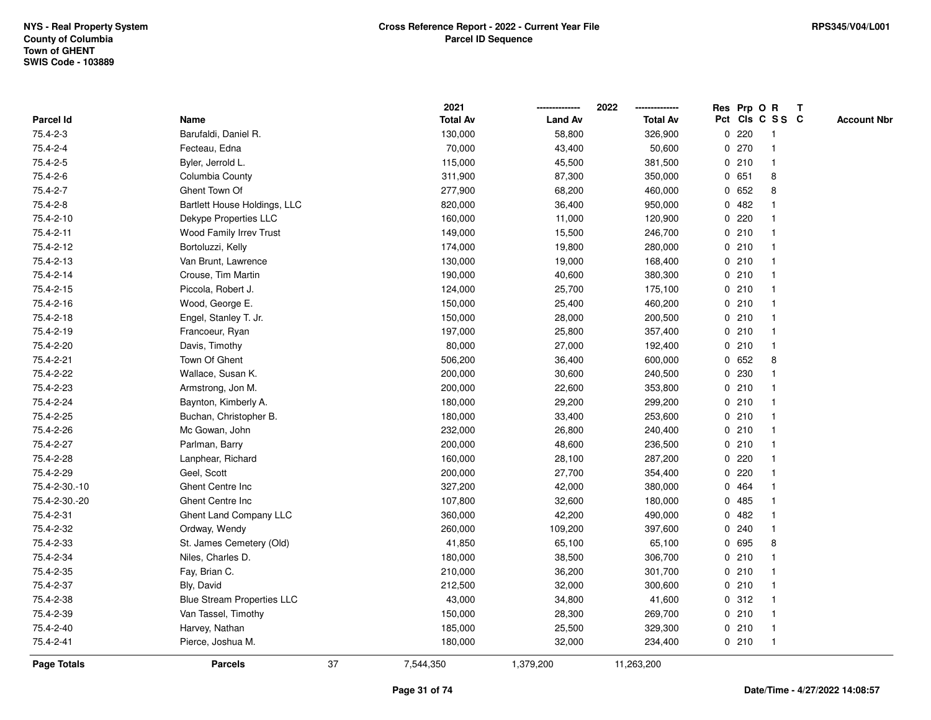|               |                                   |    | 2021            |                | 2022            |   | Res Prp O R |                 | Т |                    |
|---------------|-----------------------------------|----|-----------------|----------------|-----------------|---|-------------|-----------------|---|--------------------|
| Parcel Id     | Name                              |    | <b>Total Av</b> | <b>Land Av</b> | <b>Total Av</b> |   |             | Pct Cls C S S C |   | <b>Account Nbr</b> |
| 75.4-2-3      | Barufaldi, Daniel R.              |    | 130,000         | 58,800         | 326,900         | 0 | 220         | $\mathbf{1}$    |   |                    |
| 75.4-2-4      | Fecteau, Edna                     |    | 70,000          | 43,400         | 50,600          | 0 | 270         | 1               |   |                    |
| 75.4-2-5      | Byler, Jerrold L.                 |    | 115,000         | 45,500         | 381,500         |   | 0210        | $\mathbf{1}$    |   |                    |
| 75.4-2-6      | Columbia County                   |    | 311,900         | 87,300         | 350,000         |   | 0 651       | 8               |   |                    |
| 75.4-2-7      | Ghent Town Of                     |    | 277,900         | 68,200         | 460,000         |   | 0 652       | 8               |   |                    |
| 75.4-2-8      | Bartlett House Holdings, LLC      |    | 820,000         | 36,400         | 950,000         |   | 0.482       |                 |   |                    |
| 75.4-2-10     | Dekype Properties LLC             |    | 160,000         | 11,000         | 120,900         |   | 0220        |                 |   |                    |
| 75.4-2-11     | Wood Family Irrev Trust           |    | 149,000         | 15,500         | 246,700         |   | 0210        | $\mathbf{1}$    |   |                    |
| 75.4-2-12     | Bortoluzzi, Kelly                 |    | 174,000         | 19,800         | 280,000         |   | 0210        | 1               |   |                    |
| 75.4-2-13     | Van Brunt, Lawrence               |    | 130,000         | 19,000         | 168,400         |   | 0210        | $\mathbf{1}$    |   |                    |
| 75.4-2-14     | Crouse, Tim Martin                |    | 190,000         | 40,600         | 380,300         |   | 0210        | $\mathbf 1$     |   |                    |
| 75.4-2-15     | Piccola, Robert J.                |    | 124,000         | 25,700         | 175,100         |   | 0210        |                 |   |                    |
| 75.4-2-16     | Wood, George E.                   |    | 150,000         | 25,400         | 460,200         |   | 0210        |                 |   |                    |
| 75.4-2-18     | Engel, Stanley T. Jr.             |    | 150,000         | 28,000         | 200,500         |   | 0210        | $\mathbf 1$     |   |                    |
| 75.4-2-19     | Francoeur, Ryan                   |    | 197,000         | 25,800         | 357,400         |   | 0210        | $\mathbf{1}$    |   |                    |
| 75.4-2-20     | Davis, Timothy                    |    | 80,000          | 27,000         | 192,400         |   | 0210        | $\mathbf{1}$    |   |                    |
| 75.4-2-21     | Town Of Ghent                     |    | 506,200         | 36,400         | 600,000         |   | 0 652       | 8               |   |                    |
| 75.4-2-22     | Wallace, Susan K.                 |    | 200,000         | 30,600         | 240,500         |   | 0 230       | -1              |   |                    |
| 75.4-2-23     | Armstrong, Jon M.                 |    | 200,000         | 22,600         | 353,800         |   | 0210        |                 |   |                    |
| 75.4-2-24     | Baynton, Kimberly A.              |    | 180,000         | 29,200         | 299,200         |   | 0210        |                 |   |                    |
| 75.4-2-25     | Buchan, Christopher B.            |    | 180,000         | 33,400         | 253,600         |   | 0210        | $\mathbf{1}$    |   |                    |
| 75.4-2-26     | Mc Gowan, John                    |    | 232,000         | 26,800         | 240,400         |   | 0210        | -1              |   |                    |
| 75.4-2-27     | Parlman, Barry                    |    | 200,000         | 48,600         | 236,500         |   | 0210        | $\mathbf{1}$    |   |                    |
| 75.4-2-28     | Lanphear, Richard                 |    | 160,000         | 28,100         | 287,200         |   | 0.220       | -1              |   |                    |
| 75.4-2-29     | Geel, Scott                       |    | 200,000         | 27,700         | 354,400         |   | $0$ 220     | $\mathbf 1$     |   |                    |
| 75.4-2-30.-10 | Ghent Centre Inc                  |    | 327,200         | 42,000         | 380,000         |   | 0 464       |                 |   |                    |
| 75.4-2-30.-20 | Ghent Centre Inc                  |    | 107,800         | 32,600         | 180,000         |   | 0.485       |                 |   |                    |
| 75.4-2-31     | Ghent Land Company LLC            |    | 360,000         | 42,200         | 490,000         | 0 | 482         |                 |   |                    |
| 75.4-2-32     | Ordway, Wendy                     |    | 260,000         | 109,200        | 397,600         |   | 0.240       | $\mathbf{1}$    |   |                    |
| 75.4-2-33     | St. James Cemetery (Old)          |    | 41,850          | 65,100         | 65,100          | 0 | 695         | 8               |   |                    |
| 75.4-2-34     | Niles, Charles D.                 |    | 180,000         | 38,500         | 306,700         |   | 0210        | $\mathbf 1$     |   |                    |
| 75.4-2-35     | Fay, Brian C.                     |    | 210,000         | 36,200         | 301,700         |   | 0210        | 1               |   |                    |
| 75.4-2-37     | Bly, David                        |    | 212,500         | 32,000         | 300,600         |   | 0210        |                 |   |                    |
| 75.4-2-38     | <b>Blue Stream Properties LLC</b> |    | 43,000          | 34,800         | 41,600          |   | 0.312       |                 |   |                    |
| 75.4-2-39     | Van Tassel, Timothy               |    | 150,000         | 28,300         | 269,700         |   | 0210        | $\mathbf 1$     |   |                    |
| 75.4-2-40     | Harvey, Nathan                    |    | 185,000         | 25,500         | 329,300         |   | 0210        | $\mathbf{1}$    |   |                    |
| 75.4-2-41     | Pierce, Joshua M.                 |    | 180,000         | 32,000         | 234,400         |   | 0210        | $\mathbf{1}$    |   |                    |
| Page Totals   | <b>Parcels</b>                    | 37 | 7,544,350       | 1,379,200      | 11,263,200      |   |             |                 |   |                    |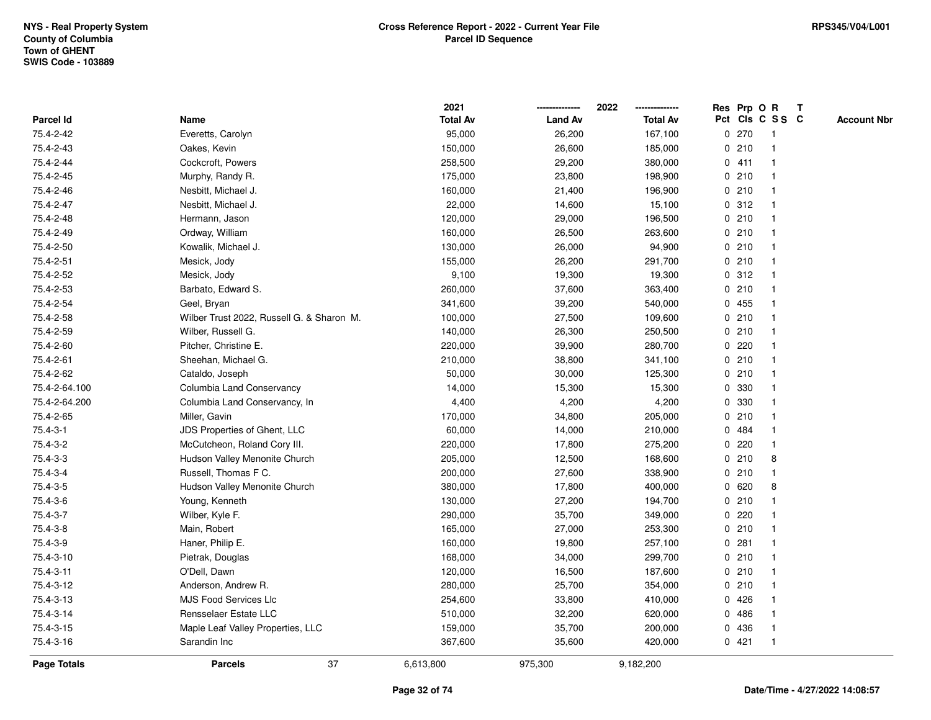|                |                                           | 2021            |                | 2022            |   |       | Res Prp O R     | $\mathbf{T}$ |                    |
|----------------|-------------------------------------------|-----------------|----------------|-----------------|---|-------|-----------------|--------------|--------------------|
| Parcel Id      | Name                                      | <b>Total Av</b> | <b>Land Av</b> | <b>Total Av</b> |   |       | Pct Cls C S S C |              | <b>Account Nbr</b> |
| 75.4-2-42      | Everetts, Carolyn                         | 95,000          | 26,200         | 167,100         |   | 0270  | -1              |              |                    |
| 75.4-2-43      | Oakes, Kevin                              | 150,000         | 26,600         | 185,000         |   | 0210  |                 |              |                    |
| 75.4-2-44      | Cockcroft, Powers                         | 258,500         | 29,200         | 380,000         |   | 0411  | -1              |              |                    |
| 75.4-2-45      | Murphy, Randy R.                          | 175,000         | 23,800         | 198,900         |   | 0210  | $\mathbf{1}$    |              |                    |
| 75.4-2-46      | Nesbitt, Michael J.                       | 160,000         | 21,400         | 196,900         |   | 0210  | $\mathbf{1}$    |              |                    |
| 75.4-2-47      | Nesbitt, Michael J.                       | 22,000          | 14,600         | 15,100          |   | 0.312 | 1               |              |                    |
| 75.4-2-48      | Hermann, Jason                            | 120,000         | 29,000         | 196,500         |   | 0210  | $\mathbf 1$     |              |                    |
| 75.4-2-49      | Ordway, William                           | 160,000         | 26,500         | 263,600         |   | 0210  |                 |              |                    |
| 75.4-2-50      | Kowalik, Michael J.                       | 130,000         | 26,000         | 94,900          |   | 0210  | $\mathbf{1}$    |              |                    |
| 75.4-2-51      | Mesick, Jody                              | 155,000         | 26,200         | 291,700         |   | 0210  | $\mathbf{1}$    |              |                    |
| 75.4-2-52      | Mesick, Jody                              | 9,100           | 19,300         | 19,300          |   | 0.312 | $\mathbf{1}$    |              |                    |
| 75.4-2-53      | Barbato, Edward S.                        | 260,000         | 37,600         | 363,400         |   | 0210  | $\mathbf{1}$    |              |                    |
| 75.4-2-54      | Geel, Bryan                               | 341,600         | 39,200         | 540,000         |   | 0455  | -1              |              |                    |
| 75.4-2-58      | Wilber Trust 2022, Russell G. & Sharon M. | 100,000         | 27,500         | 109,600         |   | 0210  |                 |              |                    |
| 75.4-2-59      | Wilber, Russell G.                        | 140,000         | 26,300         | 250,500         |   | 0210  |                 |              |                    |
| 75.4-2-60      | Pitcher, Christine E.                     | 220,000         | 39,900         | 280,700         |   | 0220  | $\mathbf 1$     |              |                    |
| 75.4-2-61      | Sheehan, Michael G.                       | 210,000         | 38,800         | 341,100         |   | 0210  | $\mathbf{1}$    |              |                    |
| 75.4-2-62      | Cataldo, Joseph                           | 50,000          | 30,000         | 125,300         |   | 0210  | 1               |              |                    |
| 75.4-2-64.100  | Columbia Land Conservancy                 | 14,000          | 15,300         | 15,300          |   | 0 330 | $\mathbf{1}$    |              |                    |
| 75.4-2-64.200  | Columbia Land Conservancy, In             | 4,400           | 4,200          | 4,200           |   | 0 330 |                 |              |                    |
| 75.4-2-65      | Miller, Gavin                             | 170,000         | 34,800         | 205,000         |   | 0210  |                 |              |                    |
| $75.4 - 3 - 1$ | JDS Properties of Ghent, LLC              | 60,000          | 14,000         | 210,000         |   | 0 484 |                 |              |                    |
| 75.4-3-2       | McCutcheon, Roland Cory III.              | 220,000         | 17,800         | 275,200         |   | 0220  | $\mathbf 1$     |              |                    |
| 75.4-3-3       | Hudson Valley Menonite Church             | 205,000         | 12,500         | 168,600         |   | 0210  | 8               |              |                    |
| 75.4-3-4       | Russell, Thomas F C.                      | 200,000         | 27,600         | 338,900         |   | 0210  | $\mathbf 1$     |              |                    |
| 75.4-3-5       | Hudson Valley Menonite Church             | 380,000         | 17,800         | 400,000         |   | 0620  | 8               |              |                    |
| 75.4-3-6       | Young, Kenneth                            | 130,000         | 27,200         | 194,700         |   | 0210  | -1              |              |                    |
| 75.4-3-7       | Wilber, Kyle F.                           | 290,000         | 35,700         | 349,000         |   | 0220  |                 |              |                    |
| 75.4-3-8       | Main, Robert                              | 165,000         | 27,000         | 253,300         |   | 0210  | $\mathbf{1}$    |              |                    |
| 75.4-3-9       | Haner, Philip E.                          | 160,000         | 19,800         | 257,100         |   | 0.281 |                 |              |                    |
| 75.4-3-10      | Pietrak, Douglas                          | 168,000         | 34,000         | 299,700         |   | 0210  | $\mathbf{1}$    |              |                    |
| 75.4-3-11      | O'Dell, Dawn                              | 120,000         | 16,500         | 187,600         |   | 0210  | $\mathbf 1$     |              |                    |
| 75.4-3-12      | Anderson, Andrew R.                       | 280,000         | 25,700         | 354,000         |   | 0210  | $\mathbf 1$     |              |                    |
| 75.4-3-13      | <b>MJS Food Services Llc</b>              | 254,600         | 33,800         | 410,000         |   | 0426  |                 |              |                    |
| 75.4-3-14      | Rensselaer Estate LLC                     | 510,000         | 32,200         | 620,000         |   | 0486  |                 |              |                    |
| 75.4-3-15      | Maple Leaf Valley Properties, LLC         | 159,000         | 35,700         | 200,000         | 0 | 436   | 1               |              |                    |
| 75.4-3-16      | Sarandin Inc                              | 367,600         | 35,600         | 420,000         |   | 0421  | 1               |              |                    |
| Page Totals    | 37<br><b>Parcels</b>                      | 6,613,800       | 975,300        | 9,182,200       |   |       |                 |              |                    |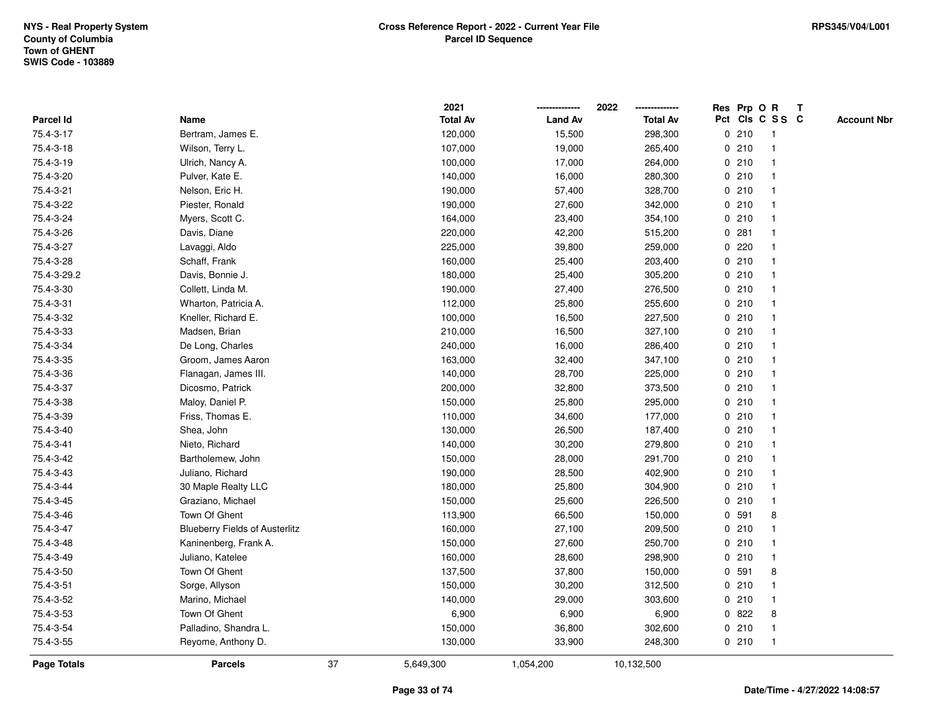|                    |                                       |    | 2021            |                | 2022            |             |       | Res Prp O R             | $\mathsf{T}$ |                    |
|--------------------|---------------------------------------|----|-----------------|----------------|-----------------|-------------|-------|-------------------------|--------------|--------------------|
| Parcel Id          | Name                                  |    | <b>Total Av</b> | <b>Land Av</b> | <b>Total Av</b> |             |       | Pct Cls C S S C         |              | <b>Account Nbr</b> |
| 75.4-3-17          | Bertram, James E.                     |    | 120,000         | 15,500         | 298,300         |             | 0210  | -1                      |              |                    |
| 75.4-3-18          | Wilson, Terry L.                      |    | 107,000         | 19,000         | 265,400         |             | 0210  |                         |              |                    |
| 75.4-3-19          | Ulrich, Nancy A.                      |    | 100,000         | 17,000         | 264,000         |             | 0210  | -1                      |              |                    |
| 75.4-3-20          | Pulver, Kate E.                       |    | 140,000         | 16,000         | 280,300         |             | 0210  | $\mathbf{1}$            |              |                    |
| 75.4-3-21          | Nelson, Eric H.                       |    | 190,000         | 57,400         | 328,700         |             | 0210  | $\mathbf{1}$            |              |                    |
| 75.4-3-22          | Piester, Ronald                       |    | 190,000         | 27,600         | 342,000         |             | 0210  | -1                      |              |                    |
| 75.4-3-24          | Myers, Scott C.                       |    | 164,000         | 23,400         | 354,100         |             | 0210  |                         |              |                    |
| 75.4-3-26          | Davis, Diane                          |    | 220,000         | 42,200         | 515,200         |             | 0.281 |                         |              |                    |
| 75.4-3-27          | Lavaggi, Aldo                         |    | 225,000         | 39,800         | 259,000         |             | 0.220 | -1                      |              |                    |
| 75.4-3-28          | Schaff, Frank                         |    | 160,000         | 25,400         | 203,400         |             | 0210  |                         |              |                    |
| 75.4-3-29.2        | Davis, Bonnie J.                      |    | 180,000         | 25,400         | 305,200         |             | 0210  | $\mathbf{1}$            |              |                    |
| 75.4-3-30          | Collett, Linda M.                     |    | 190,000         | 27,400         | 276,500         |             | 0210  | $\overline{\mathbf{1}}$ |              |                    |
| 75.4-3-31          | Wharton, Patricia A.                  |    | 112,000         | 25,800         | 255,600         |             | 0210  | -1                      |              |                    |
| 75.4-3-32          | Kneller, Richard E.                   |    | 100,000         | 16,500         | 227,500         |             | 0210  |                         |              |                    |
| 75.4-3-33          | Madsen, Brian                         |    | 210,000         | 16,500         | 327,100         |             | 0210  |                         |              |                    |
| 75.4-3-34          | De Long, Charles                      |    | 240,000         | 16,000         | 286,400         |             | 0210  | -1                      |              |                    |
| 75.4-3-35          | Groom, James Aaron                    |    | 163,000         | 32,400         | 347,100         | $\mathbf 0$ | 210   | $\overline{\mathbf{1}}$ |              |                    |
| 75.4-3-36          | Flanagan, James III.                  |    | 140,000         | 28,700         | 225,000         |             | 0210  | -1                      |              |                    |
| 75.4-3-37          | Dicosmo, Patrick                      |    | 200,000         | 32,800         | 373,500         |             | 0210  | $\mathbf 1$             |              |                    |
| 75.4-3-38          | Maloy, Daniel P.                      |    | 150,000         | 25,800         | 295,000         |             | 0210  |                         |              |                    |
| 75.4-3-39          | Friss, Thomas E.                      |    | 110,000         | 34,600         | 177,000         |             | 0210  |                         |              |                    |
| 75.4-3-40          | Shea, John                            |    | 130,000         | 26,500         | 187,400         |             | 0210  |                         |              |                    |
| 75.4-3-41          | Nieto, Richard                        |    | 140,000         | 30,200         | 279,800         |             | 0210  | -1                      |              |                    |
| 75.4-3-42          | Bartholemew, John                     |    | 150,000         | 28,000         | 291,700         |             | 0210  | $\mathbf{1}$            |              |                    |
| 75.4-3-43          | Juliano, Richard                      |    | 190,000         | 28,500         | 402,900         |             | 0210  | -1                      |              |                    |
| 75.4-3-44          | 30 Maple Realty LLC                   |    | 180,000         | 25,800         | 304,900         |             | 0210  | -1                      |              |                    |
| 75.4-3-45          | Graziano, Michael                     |    | 150,000         | 25,600         | 226,500         |             | 0210  |                         |              |                    |
| 75.4-3-46          | Town Of Ghent                         |    | 113,900         | 66,500         | 150,000         |             | 0 591 | 8                       |              |                    |
| 75.4-3-47          | <b>Blueberry Fields of Austerlitz</b> |    | 160,000         | 27,100         | 209,500         |             | 0210  |                         |              |                    |
| 75.4-3-48          | Kaninenberg, Frank A.                 |    | 150,000         | 27,600         | 250,700         |             | 0210  |                         |              |                    |
| 75.4-3-49          | Juliano, Katelee                      |    | 160,000         | 28,600         | 298,900         |             | 0210  | $\mathbf{1}$            |              |                    |
| 75.4-3-50          | Town Of Ghent                         |    | 137,500         | 37,800         | 150,000         |             | 0 591 | 8                       |              |                    |
| 75.4-3-51          | Sorge, Allyson                        |    | 150,000         | 30,200         | 312,500         |             | 0210  | -1                      |              |                    |
| 75.4-3-52          | Marino, Michael                       |    | 140,000         | 29,000         | 303,600         |             | 0210  |                         |              |                    |
| 75.4-3-53          | Town Of Ghent                         |    | 6,900           | 6,900          | 6,900           |             | 0822  | 8                       |              |                    |
| 75.4-3-54          | Palladino, Shandra L.                 |    | 150,000         | 36,800         | 302,600         |             | 0210  | -1                      |              |                    |
| 75.4-3-55          | Reyome, Anthony D.                    |    | 130,000         | 33,900         | 248,300         |             | 0210  | -1                      |              |                    |
| <b>Page Totals</b> | <b>Parcels</b>                        | 37 | 5,649,300       | 1,054,200      | 10,132,500      |             |       |                         |              |                    |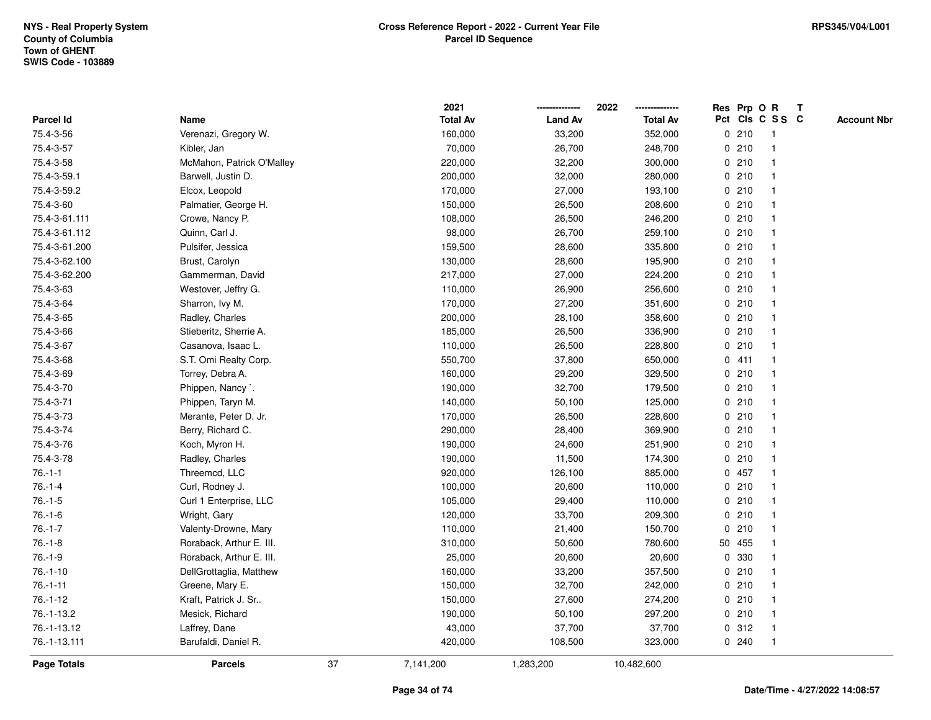|               |                           |    | 2021            |                | 2022            |              | Res Prp O R |                 | T |                    |
|---------------|---------------------------|----|-----------------|----------------|-----------------|--------------|-------------|-----------------|---|--------------------|
| Parcel Id     | Name                      |    | <b>Total Av</b> | <b>Land Av</b> | <b>Total Av</b> |              |             | Pct Cls C S S C |   | <b>Account Nbr</b> |
| 75.4-3-56     | Verenazi, Gregory W.      |    | 160,000         | 33,200         | 352,000         |              | 0210        | $\mathbf{1}$    |   |                    |
| 75.4-3-57     | Kibler, Jan               |    | 70,000          | 26,700         | 248,700         |              | 0210        | $\mathbf{1}$    |   |                    |
| 75.4-3-58     | McMahon, Patrick O'Malley |    | 220,000         | 32,200         | 300,000         |              | 0210        | $\mathbf{1}$    |   |                    |
| 75.4-3-59.1   | Barwell, Justin D.        |    | 200,000         | 32,000         | 280,000         |              | 0210        | $\mathbf 1$     |   |                    |
| 75.4-3-59.2   | Elcox, Leopold            |    | 170,000         | 27,000         | 193,100         |              | 0210        |                 |   |                    |
| 75.4-3-60     | Palmatier, George H.      |    | 150,000         | 26,500         | 208,600         |              | 0210        | $\mathbf 1$     |   |                    |
| 75.4-3-61.111 | Crowe, Nancy P.           |    | 108,000         | 26,500         | 246,200         |              | 0210        | $\mathbf{1}$    |   |                    |
| 75.4-3-61.112 | Quinn, Carl J.            |    | 98,000          | 26,700         | 259,100         |              | 0210        | $\mathbf{1}$    |   |                    |
| 75.4-3-61.200 | Pulsifer, Jessica         |    | 159,500         | 28,600         | 335,800         |              | 0210        | $\mathbf{1}$    |   |                    |
| 75.4-3-62.100 | Brust, Carolyn            |    | 130,000         | 28,600         | 195,900         |              | 0210        | $\mathbf{1}$    |   |                    |
| 75.4-3-62.200 | Gammerman, David          |    | 217,000         | 27,000         | 224,200         |              | 0210        |                 |   |                    |
| 75.4-3-63     | Westover, Jeffry G.       |    | 110,000         | 26,900         | 256,600         |              | 0210        |                 |   |                    |
| 75.4-3-64     | Sharron, Ivy M.           |    | 170,000         | 27,200         | 351,600         |              | 0210        | $\mathbf 1$     |   |                    |
| 75.4-3-65     | Radley, Charles           |    | 200,000         | 28,100         | 358,600         |              | 0210        | $\mathbf{1}$    |   |                    |
| 75.4-3-66     | Stieberitz, Sherrie A.    |    | 185,000         | 26,500         | 336,900         |              | 0210        | $\mathbf{1}$    |   |                    |
| 75.4-3-67     | Casanova, Isaac L.        |    | 110,000         | 26,500         | 228,800         |              | 0210        | $\mathbf{1}$    |   |                    |
| 75.4-3-68     | S.T. Omi Realty Corp.     |    | 550,700         | 37,800         | 650,000         |              | 0411        | $\mathbf 1$     |   |                    |
| 75.4-3-69     | Torrey, Debra A.          |    | 160,000         | 29,200         | 329,500         |              | 0210        | -1              |   |                    |
| 75.4-3-70     | Phippen, Nancy `.         |    | 190,000         | 32,700         | 179,500         |              | 0210        |                 |   |                    |
| 75.4-3-71     | Phippen, Taryn M.         |    | 140,000         | 50,100         | 125,000         |              | 0210        | $\mathbf{1}$    |   |                    |
| 75.4-3-73     | Merante, Peter D. Jr.     |    | 170,000         | 26,500         | 228,600         |              | 0210        | $\mathbf{1}$    |   |                    |
| 75.4-3-74     | Berry, Richard C.         |    | 290,000         | 28,400         | 369,900         |              | 0210        | $\mathbf{1}$    |   |                    |
| 75.4-3-76     | Koch, Myron H.            |    | 190,000         | 24,600         | 251,900         |              | 0210        | $\mathbf{1}$    |   |                    |
| 75.4-3-78     | Radley, Charles           |    | 190,000         | 11,500         | 174,300         |              | 0210        | $\mathbf{1}$    |   |                    |
| $76.-1-1$     | Threemcd, LLC             |    | 920,000         | 126,100        | 885,000         |              | 0 457       |                 |   |                    |
| $76.-1-4$     | Curl, Rodney J.           |    | 100,000         | 20,600         | 110,000         |              | 0210        |                 |   |                    |
| $76.-1-5$     | Curl 1 Enterprise, LLC    |    | 105,000         | 29,400         | 110,000         |              | 0210        | $\mathbf{1}$    |   |                    |
| $76.-1-6$     | Wright, Gary              |    | 120,000         | 33,700         | 209,300         |              | 0210        | $\mathbf{1}$    |   |                    |
| $76.-1-7$     | Valenty-Drowne, Mary      |    | 110,000         | 21,400         | 150,700         | $\mathbf{0}$ | 210         | $\mathbf{1}$    |   |                    |
| $76.-1-8$     | Roraback, Arthur E. III.  |    | 310,000         | 50,600         | 780,600         |              | 50 455      | $\mathbf{1}$    |   |                    |
| $76.-1-9$     | Roraback, Arthur E. III.  |    | 25,000          | 20,600         | 20,600          |              | 0 330       | $\mathbf{1}$    |   |                    |
| $76.-1-10$    | DellGrottaglia, Matthew   |    | 160,000         | 33,200         | 357,500         |              | 0210        | $\mathbf{1}$    |   |                    |
| $76.-1-11$    | Greene, Mary E.           |    | 150,000         | 32,700         | 242,000         |              | 0210        |                 |   |                    |
| $76.-1-12$    | Kraft, Patrick J. Sr      |    | 150,000         | 27,600         | 274,200         |              | 0210        | $\mathbf{1}$    |   |                    |
| 76.-1-13.2    | Mesick, Richard           |    | 190,000         | 50,100         | 297,200         |              | 0210        | $\mathbf{1}$    |   |                    |
| 76.-1-13.12   | Laffrey, Dane             |    | 43,000          | 37,700         | 37,700          | $\mathbf{0}$ | 312         | $\mathbf{1}$    |   |                    |
| 76.-1-13.111  | Barufaldi, Daniel R.      |    | 420,000         | 108,500        | 323,000         |              | 0.240       | $\mathbf{1}$    |   |                    |
| Page Totals   | <b>Parcels</b>            | 37 | 7,141,200       | 1,283,200      | 10,482,600      |              |             |                 |   |                    |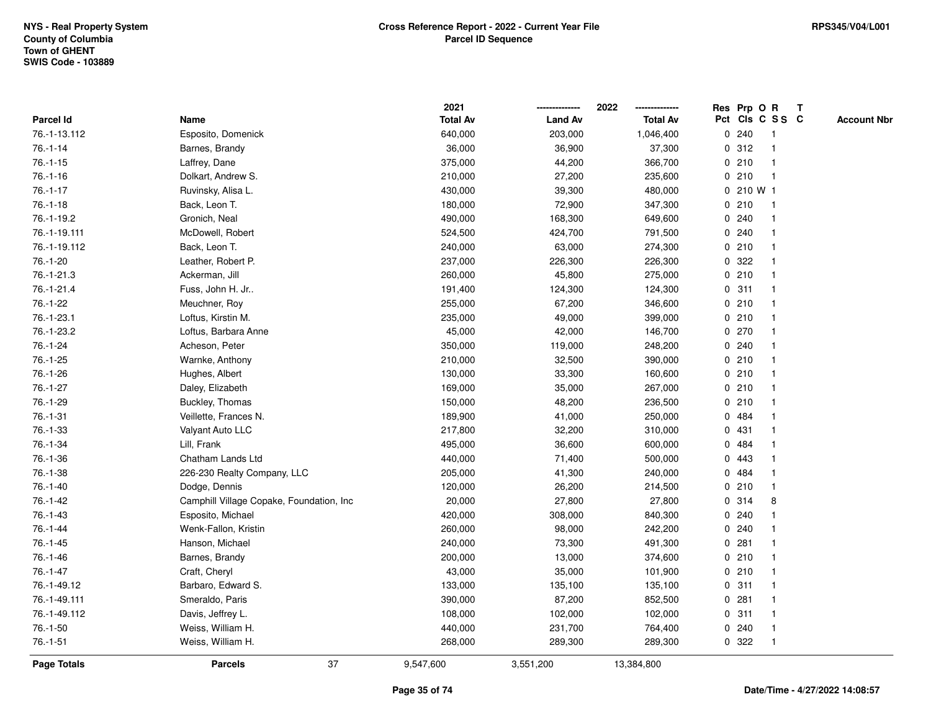|              |                                          | 2021            |                | 2022            | Res Prp O R |       |                 | $\mathbf{T}$ |                    |
|--------------|------------------------------------------|-----------------|----------------|-----------------|-------------|-------|-----------------|--------------|--------------------|
| Parcel Id    | Name                                     | <b>Total Av</b> | <b>Land Av</b> | <b>Total Av</b> |             |       | Pct Cls C S S C |              | <b>Account Nbr</b> |
| 76.-1-13.112 | Esposito, Domenick                       | 640,000         | 203,000        | 1,046,400       |             | 0.240 |                 |              |                    |
| $76.-1-14$   | Barnes, Brandy                           | 36,000          | 36,900         | 37,300          |             | 0.312 |                 |              |                    |
| $76.-1-15$   | Laffrey, Dane                            | 375,000         | 44,200         | 366,700         |             | 0210  | 1               |              |                    |
| $76.-1-16$   | Dolkart, Andrew S.                       | 210,000         | 27,200         | 235,600         | 0           | 210   | $\mathbf{1}$    |              |                    |
| $76.-1-17$   | Ruvinsky, Alisa L.                       | 430,000         | 39,300         | 480,000         |             |       | 0210W1          |              |                    |
| $76.-1-18$   | Back, Leon T.                            | 180,000         | 72,900         | 347,300         |             | 0210  | $\mathbf 1$     |              |                    |
| 76.-1-19.2   | Gronich, Neal                            | 490,000         | 168,300        | 649,600         |             | 0.240 | $\mathbf 1$     |              |                    |
| 76.-1-19.111 | McDowell, Robert                         | 524,500         | 424,700        | 791,500         |             | 0.240 |                 |              |                    |
| 76.-1-19.112 | Back, Leon T.                            | 240,000         | 63,000         | 274,300         |             | 0210  | $\mathbf{1}$    |              |                    |
| 76.-1-20     | Leather, Robert P.                       | 237,000         | 226,300        | 226,300         |             | 0.322 | $\mathbf{1}$    |              |                    |
| 76.-1-21.3   | Ackerman, Jill                           | 260,000         | 45,800         | 275,000         |             | 0210  | $\mathbf{1}$    |              |                    |
| 76.-1-21.4   | Fuss, John H. Jr                         | 191,400         | 124,300        | 124,300         |             | 0.311 | $\mathbf 1$     |              |                    |
| 76.-1-22     | Meuchner, Roy                            | 255,000         | 67,200         | 346,600         |             | 0210  | 1               |              |                    |
| 76.-1-23.1   | Loftus, Kirstin M.                       | 235,000         | 49,000         | 399,000         |             | 0210  |                 |              |                    |
| 76.-1-23.2   | Loftus, Barbara Anne                     | 45,000          | 42,000         | 146,700         |             | 0270  |                 |              |                    |
| 76.-1-24     | Acheson, Peter                           | 350,000         | 119,000        | 248,200         |             | 0.240 | $\mathbf 1$     |              |                    |
| $76.-1-25$   | Warnke, Anthony                          | 210,000         | 32,500         | 390,000         |             | 0210  | $\mathbf{1}$    |              |                    |
| 76.-1-26     | Hughes, Albert                           | 130,000         | 33,300         | 160,600         |             | 0210  | $\mathbf 1$     |              |                    |
| $76.-1-27$   | Daley, Elizabeth                         | 169,000         | 35,000         | 267,000         |             | 0210  | $\mathbf 1$     |              |                    |
| 76.-1-29     | Buckley, Thomas                          | 150,000         | 48,200         | 236,500         |             | 0210  |                 |              |                    |
| $76.-1-31$   | Veillette, Frances N.                    | 189,900         | 41,000         | 250,000         |             | 0 484 |                 |              |                    |
| 76.-1-33     | Valyant Auto LLC                         | 217,800         | 32,200         | 310,000         |             | 0431  |                 |              |                    |
| 76.-1-34     | Lill, Frank                              | 495,000         | 36,600         | 600,000         | 0           | 484   | $\mathbf 1$     |              |                    |
| 76.-1-36     | Chatham Lands Ltd                        | 440,000         | 71,400         | 500,000         | 0           | 443   | $\mathbf{1}$    |              |                    |
| 76.-1-38     | 226-230 Realty Company, LLC              | 205,000         | 41,300         | 240,000         | 0           | 484   | $\mathbf 1$     |              |                    |
| $76.-1-40$   | Dodge, Dennis                            | 120,000         | 26,200         | 214,500         |             | 0210  | $\mathbf 1$     |              |                    |
| 76.-1-42     | Camphill Village Copake, Foundation, Inc | 20,000          | 27,800         | 27,800          |             | 0.314 | 8               |              |                    |
| 76.-1-43     | Esposito, Michael                        | 420,000         | 308,000        | 840,300         |             | 0.240 |                 |              |                    |
| $76.-1-44$   | Wenk-Fallon, Kristin                     | 260,000         | 98,000         | 242,200         |             | 0.240 |                 |              |                    |
| 76.-1-45     | Hanson, Michael                          | 240,000         | 73,300         | 491,300         | 0           | 281   |                 |              |                    |
| 76.-1-46     | Barnes, Brandy                           | 200,000         | 13,000         | 374,600         |             | 0210  | $\mathbf{1}$    |              |                    |
| $76.-1-47$   | Craft, Cheryl                            | 43,000          | 35,000         | 101,900         |             | 0210  | 1               |              |                    |
| 76.-1-49.12  | Barbaro, Edward S.                       | 133,000         | 135,100        | 135,100         |             | 0.311 | $\mathbf 1$     |              |                    |
| 76.-1-49.111 | Smeraldo, Paris                          | 390,000         | 87,200         | 852,500         |             | 0.281 |                 |              |                    |
| 76.-1-49.112 | Davis, Jeffrey L.                        | 108,000         | 102,000        | 102,000         |             | 0.311 | $\mathbf 1$     |              |                    |
| $76.-1-50$   | Weiss, William H.                        | 440,000         | 231,700        | 764,400         |             | 0.240 | $\mathbf 1$     |              |                    |
| $76.-1-51$   | Weiss, William H.                        | 268,000         | 289,300        | 289,300         |             | 0.322 | 1               |              |                    |
| Page Totals  | 37<br><b>Parcels</b>                     | 9,547,600       | 3,551,200      | 13,384,800      |             |       |                 |              |                    |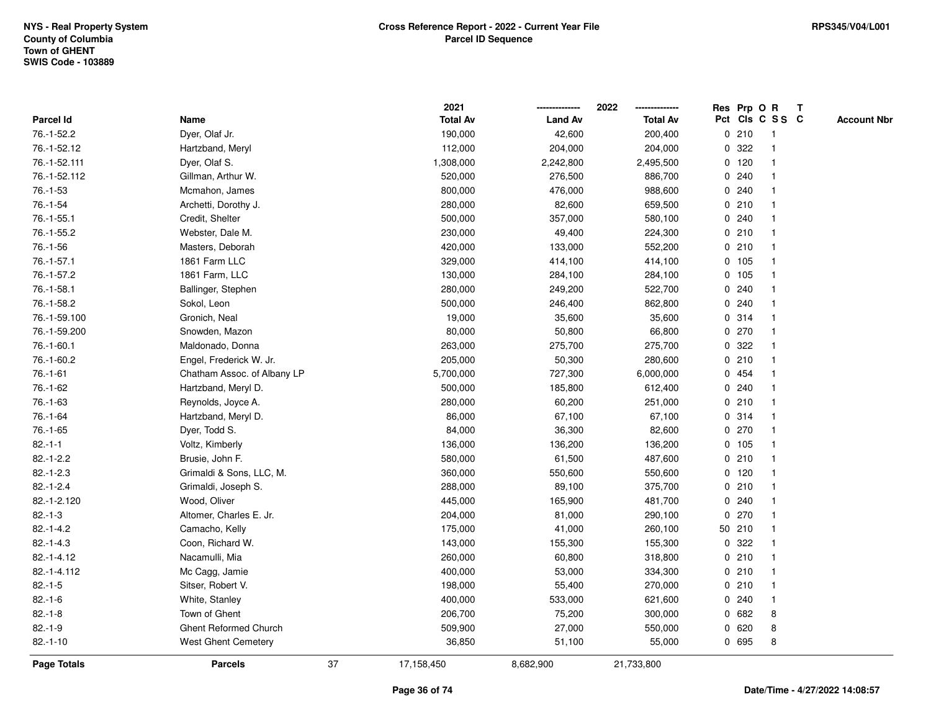|              |                             |    | 2021            |                | 2022            |   | Res Prp O R |                 | Т |                    |
|--------------|-----------------------------|----|-----------------|----------------|-----------------|---|-------------|-----------------|---|--------------------|
| Parcel Id    | Name                        |    | <b>Total Av</b> | <b>Land Av</b> | <b>Total Av</b> |   |             | Pct Cls C S S C |   | <b>Account Nbr</b> |
| 76.-1-52.2   | Dyer, Olaf Jr.              |    | 190,000         | 42,600         | 200,400         |   | 0210        | $\mathbf{1}$    |   |                    |
| 76.-1-52.12  | Hartzband, Meryl            |    | 112,000         | 204,000        | 204,000         | 0 | 322         | $\mathbf{1}$    |   |                    |
| 76.-1-52.111 | Dyer, Olaf S.               |    | 1,308,000       | 2,242,800      | 2,495,500       |   | $0$ 120     | $\mathbf{1}$    |   |                    |
| 76.-1-52.112 | Gillman, Arthur W.          |    | 520,000         | 276,500        | 886,700         |   | 0.240       | -1              |   |                    |
| 76.-1-53     | Mcmahon, James              |    | 800,000         | 476,000        | 988,600         |   | 0.240       |                 |   |                    |
| 76.-1-54     | Archetti, Dorothy J.        |    | 280,000         | 82,600         | 659,500         |   | 0210        |                 |   |                    |
| 76.-1-55.1   | Credit, Shelter             |    | 500,000         | 357,000        | 580,100         |   | 0.240       | $\mathbf 1$     |   |                    |
| 76.-1-55.2   | Webster, Dale M.            |    | 230,000         | 49,400         | 224,300         |   | 0210        | $\mathbf{1}$    |   |                    |
| 76.-1-56     | Masters, Deborah            |    | 420,000         | 133,000        | 552,200         |   | 0210        | $\mathbf{1}$    |   |                    |
| 76.-1-57.1   | 1861 Farm LLC               |    | 329,000         | 414,100        | 414,100         |   | 0 105       | $\mathbf{1}$    |   |                    |
| 76.-1-57.2   | 1861 Farm, LLC              |    | 130,000         | 284,100        | 284,100         |   | 0, 105      | $\mathbf 1$     |   |                    |
| 76.-1-58.1   | Ballinger, Stephen          |    | 280,000         | 249,200        | 522,700         |   | 0.240       |                 |   |                    |
| 76.-1-58.2   | Sokol, Leon                 |    | 500,000         | 246,400        | 862,800         |   | 0.240       |                 |   |                    |
| 76.-1-59.100 | Gronich, Neal               |    | 19,000          | 35,600         | 35,600          |   | 0.314       | $\mathbf 1$     |   |                    |
| 76.-1-59.200 | Snowden, Mazon              |    | 80,000          | 50,800         | 66,800          |   | 0270        | $\mathbf{1}$    |   |                    |
| 76.-1-60.1   | Maldonado, Donna            |    | 263,000         | 275,700        | 275,700         | 0 | 322         | $\mathbf{1}$    |   |                    |
| 76.-1-60.2   | Engel, Frederick W. Jr.     |    | 205,000         | 50,300         | 280,600         |   | 0210        | $\mathbf{1}$    |   |                    |
| $76.-1-61$   | Chatham Assoc. of Albany LP |    | 5,700,000       | 727,300        | 6,000,000       |   | 0 454       | -1              |   |                    |
| 76.-1-62     | Hartzband, Meryl D.         |    | 500,000         | 185,800        | 612,400         |   | 0.240       | -1              |   |                    |
| 76.-1-63     | Reynolds, Joyce A.          |    | 280,000         | 60,200         | 251,000         |   | 0210        |                 |   |                    |
| 76.-1-64     | Hartzband, Meryl D.         |    | 86,000          | 67,100         | 67,100          |   | 0.314       | $\mathbf{1}$    |   |                    |
| 76.-1-65     | Dyer, Todd S.               |    | 84,000          | 36,300         | 82,600          |   | 0270        | $\mathbf{1}$    |   |                    |
| $82 - 1 - 1$ | Voltz, Kimberly             |    | 136,000         | 136,200        | 136,200         |   | 0, 105      | $\mathbf{1}$    |   |                    |
| $82.-1-2.2$  | Brusie, John F.             |    | 580,000         | 61,500         | 487,600         |   | 0210        | $\mathbf{1}$    |   |                    |
| $82.-1-2.3$  | Grimaldi & Sons, LLC, M.    |    | 360,000         | 550,600        | 550,600         |   | $0$ 120     | $\mathbf 1$     |   |                    |
| $82.-1-2.4$  | Grimaldi, Joseph S.         |    | 288,000         | 89,100         | 375,700         |   | 0210        | -1              |   |                    |
| 82.-1-2.120  | Wood, Oliver                |    | 445,000         | 165,900        | 481,700         |   | 0.240       |                 |   |                    |
| $82.-1-3$    | Altomer, Charles E. Jr.     |    | 204,000         | 81,000         | 290,100         | 0 | 270         | $\mathbf{1}$    |   |                    |
| $82.-1-4.2$  | Camacho, Kelly              |    | 175,000         | 41,000         | 260,100         |   | 50 210      | $\mathbf{1}$    |   |                    |
| $82.-1-4.3$  | Coon, Richard W.            |    | 143,000         | 155,300        | 155,300         | 0 | 322         | 1               |   |                    |
| 82.-1-4.12   | Nacamulli, Mia              |    | 260,000         | 60,800         | 318,800         |   | 0210        | $\mathbf{1}$    |   |                    |
| 82.-1-4.112  | Mc Cagg, Jamie              |    | 400,000         | 53,000         | 334,300         |   | 0210        | $\mathbf{1}$    |   |                    |
| $82.-1-5$    | Sitser, Robert V.           |    | 198,000         | 55,400         | 270,000         |   | 0210        | $\mathbf 1$     |   |                    |
| $82.-1-6$    | White, Stanley              |    | 400,000         | 533,000        | 621,600         |   | 0.240       | -1              |   |                    |
| $82.-1-8$    | Town of Ghent               |    | 206,700         | 75,200         | 300,000         |   | 0 682       | 8               |   |                    |
| $82.-1-9$    | Ghent Reformed Church       |    | 509,900         | 27,000         | 550,000         |   | 0620        | 8               |   |                    |
| $82.-1-10$   | West Ghent Cemetery         |    | 36,850          | 51,100         | 55,000          |   | 0 695       | 8               |   |                    |
| Page Totals  | <b>Parcels</b>              | 37 | 17,158,450      | 8,682,900      | 21,733,800      |   |             |                 |   |                    |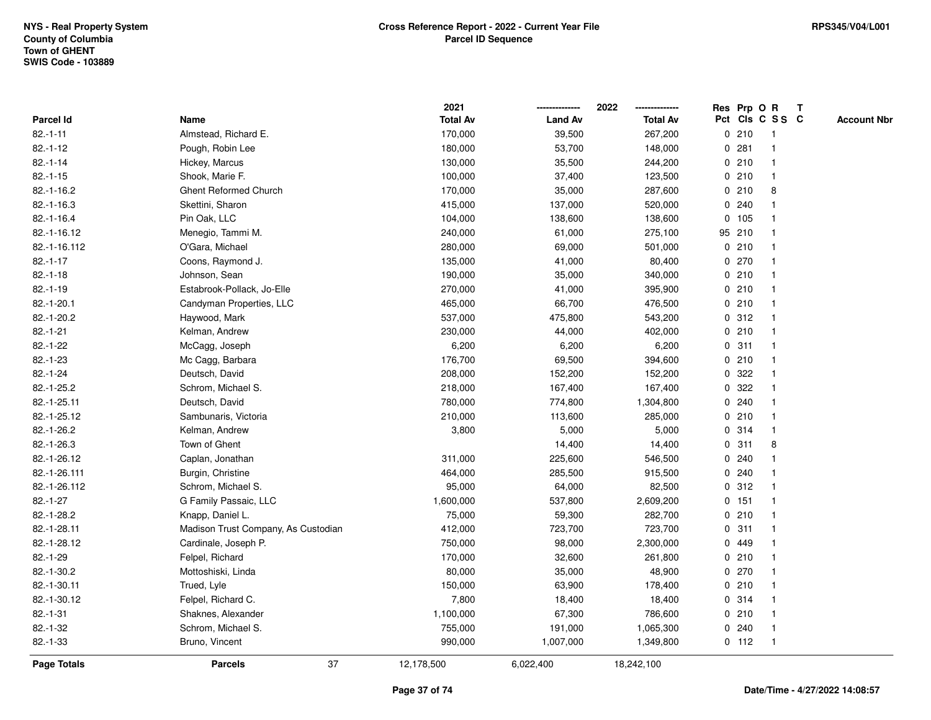|                    |                                     | 2021            |                | 2022            |   |         | Res Prp O R             | $\mathbf{T}$ |                    |
|--------------------|-------------------------------------|-----------------|----------------|-----------------|---|---------|-------------------------|--------------|--------------------|
| Parcel Id          | Name                                | <b>Total Av</b> | <b>Land Av</b> | <b>Total Av</b> |   |         | Pct Cls C S S C         |              | <b>Account Nbr</b> |
| $82.-1-11$         | Almstead, Richard E.                | 170,000         | 39,500         | 267,200         |   | 0210    | -1                      |              |                    |
| $82.-1-12$         | Pough, Robin Lee                    | 180,000         | 53,700         | 148,000         |   | 0.281   |                         |              |                    |
| $82.-1-14$         | Hickey, Marcus                      | 130,000         | 35,500         | 244,200         |   | 0210    | $\mathbf 1$             |              |                    |
| $82.-1-15$         | Shook, Marie F.                     | 100,000         | 37,400         | 123,500         |   | 0210    | $\mathbf{1}$            |              |                    |
| $82.-1-16.2$       | <b>Ghent Reformed Church</b>        | 170,000         | 35,000         | 287,600         |   | 0210    | 8                       |              |                    |
| $82.-1-16.3$       | Skettini, Sharon                    | 415,000         | 137,000        | 520,000         |   | 0.240   | -1                      |              |                    |
| $82.-1-16.4$       | Pin Oak, LLC                        | 104,000         | 138,600        | 138,600         |   | 0 105   |                         |              |                    |
| 82.-1-16.12        | Menegio, Tammi M.                   | 240,000         | 61,000         | 275,100         |   | 95 210  |                         |              |                    |
| 82.-1-16.112       | O'Gara, Michael                     | 280,000         | 69,000         | 501,000         |   | 0210    | $\mathbf{1}$            |              |                    |
| $82.-1-17$         | Coons, Raymond J.                   | 135,000         | 41,000         | 80,400          |   | 0270    |                         |              |                    |
| $82.-1-18$         | Johnson, Sean                       | 190,000         | 35,000         | 340,000         |   | 0210    | $\mathbf{1}$            |              |                    |
| $82.-1-19$         | Estabrook-Pollack, Jo-Elle          | 270,000         | 41,000         | 395,900         |   | 0210    | $\mathbf{1}$            |              |                    |
| $82.-1-20.1$       | Candyman Properties, LLC            | 465,000         | 66,700         | 476,500         |   | 0210    | $\mathbf 1$             |              |                    |
| 82.-1-20.2         | Haywood, Mark                       | 537,000         | 475,800        | 543,200         |   | 0.312   |                         |              |                    |
| $82.-1-21$         | Kelman, Andrew                      | 230,000         | 44,000         | 402,000         |   | 0210    |                         |              |                    |
| $82.-1-22$         | McCagg, Joseph                      | 6,200           | 6,200          | 6,200           |   | 0.311   | -1                      |              |                    |
| $82.-1-23$         | Mc Cagg, Barbara                    | 176,700         | 69,500         | 394,600         |   | 0210    | $\overline{\mathbf{1}}$ |              |                    |
| $82.-1-24$         | Deutsch, David                      | 208,000         | 152,200        | 152,200         | 0 | 322     | -1                      |              |                    |
| 82.-1-25.2         | Schrom, Michael S.                  | 218,000         | 167,400        | 167,400         |   | 0.322   | $\mathbf 1$             |              |                    |
| 82.-1-25.11        | Deutsch, David                      | 780,000         | 774,800        | 1,304,800       |   | 0.240   |                         |              |                    |
| 82.-1-25.12        | Sambunaris, Victoria                | 210,000         | 113,600        | 285,000         |   | 0210    |                         |              |                    |
| 82.-1-26.2         | Kelman, Andrew                      | 3,800           | 5,000          | 5,000           |   | 0.314   |                         |              |                    |
| 82.-1-26.3         | Town of Ghent                       |                 | 14,400         | 14,400          |   | 0.311   | 8                       |              |                    |
| 82.-1-26.12        | Caplan, Jonathan                    | 311,000         | 225,600        | 546,500         |   | 0.240   | $\overline{\mathbf{1}}$ |              |                    |
| 82.-1-26.111       | Burgin, Christine                   | 464,000         | 285,500        | 915,500         |   | 0.240   | -1                      |              |                    |
| 82.-1-26.112       | Schrom, Michael S.                  | 95,000          | 64,000         | 82,500          |   | 0.312   | -1                      |              |                    |
| $82.-1-27$         | G Family Passaic, LLC               | 1,600,000       | 537,800        | 2,609,200       |   | 0 151   |                         |              |                    |
| 82.-1-28.2         | Knapp, Daniel L.                    | 75,000          | 59,300         | 282,700         |   | 0210    |                         |              |                    |
| 82.-1-28.11        | Madison Trust Company, As Custodian | 412,000         | 723,700        | 723,700         |   | 0.311   | -1                      |              |                    |
| 82.-1-28.12        | Cardinale, Joseph P.                | 750,000         | 98,000         | 2,300,000       | 0 | 449     |                         |              |                    |
| $82.-1-29$         | Felpel, Richard                     | 170,000         | 32,600         | 261,800         |   | 0210    | $\mathbf{1}$            |              |                    |
| 82.-1-30.2         | Mottoshiski, Linda                  | 80,000          | 35,000         | 48,900          |   | 0270    | $\mathbf 1$             |              |                    |
| 82.-1-30.11        | Trued, Lyle                         | 150,000         | 63,900         | 178,400         |   | 0210    | -1                      |              |                    |
| 82.-1-30.12        | Felpel, Richard C.                  | 7,800           | 18,400         | 18,400          |   | 0.314   |                         |              |                    |
| $82.-1-31$         | Shaknes, Alexander                  | 1,100,000       | 67,300         | 786,600         |   | 0210    |                         |              |                    |
| 82.-1-32           | Schrom, Michael S.                  | 755,000         | 191,000        | 1,065,300       |   | 0.240   | $\mathbf{1}$            |              |                    |
| $82.-1-33$         | Bruno, Vincent                      | 990,000         | 1,007,000      | 1,349,800       |   | $0$ 112 | $\mathbf{1}$            |              |                    |
| <b>Page Totals</b> | 37<br><b>Parcels</b>                | 12,178,500      | 6,022,400      | 18,242,100      |   |         |                         |              |                    |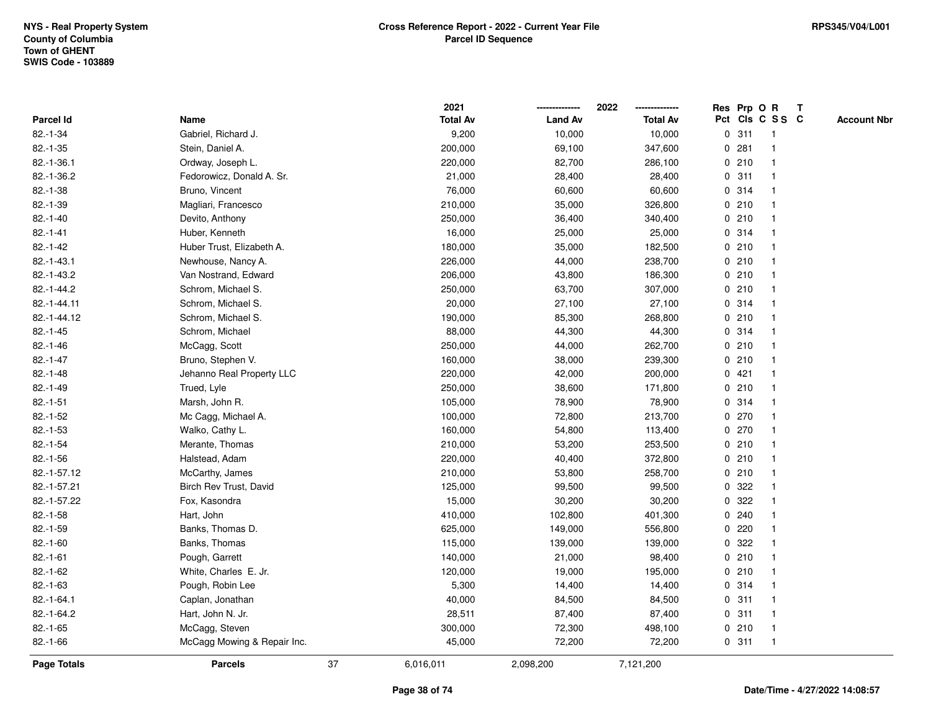|               |                             |    | 2021            |                | 2022            |             |       | Res Prp O R     | $\mathbf{T}$ |                    |
|---------------|-----------------------------|----|-----------------|----------------|-----------------|-------------|-------|-----------------|--------------|--------------------|
| Parcel Id     | Name                        |    | <b>Total Av</b> | <b>Land Av</b> | <b>Total Av</b> |             |       | Pct Cls C S S C |              | <b>Account Nbr</b> |
| $82.-1-34$    | Gabriel, Richard J.         |    | 9,200           | 10,000         | 10,000          |             | 0.311 |                 |              |                    |
| $82.-1-35$    | Stein, Daniel A.            |    | 200,000         | 69,100         | 347,600         | 0           | 281   |                 |              |                    |
| 82.-1-36.1    | Ordway, Joseph L.           |    | 220,000         | 82,700         | 286,100         |             | 0210  | -1              |              |                    |
| 82.-1-36.2    | Fedorowicz, Donald A. Sr.   |    | 21,000          | 28,400         | 28,400          | 0           | 311   | -1              |              |                    |
| $82.-1-38$    | Bruno, Vincent              |    | 76,000          | 60,600         | 60,600          |             | 0.314 | -1              |              |                    |
| $82.-1-39$    | Magliari, Francesco         |    | 210,000         | 35,000         | 326,800         |             | 0210  | -1              |              |                    |
| $82.-1-40$    | Devito, Anthony             |    | 250,000         | 36,400         | 340,400         |             | 0210  |                 |              |                    |
| $82.-1-41$    | Huber, Kenneth              |    | 16,000          | 25,000         | 25,000          |             | 0.314 |                 |              |                    |
| $82.-1-42$    | Huber Trust, Elizabeth A.   |    | 180,000         | 35,000         | 182,500         |             | 0210  | -1              |              |                    |
| $82.-1-43.1$  | Newhouse, Nancy A.          |    | 226,000         | 44,000         | 238,700         |             | 0210  |                 |              |                    |
| 82.-1-43.2    | Van Nostrand, Edward        |    | 206,000         | 43,800         | 186,300         |             | 0210  | -1              |              |                    |
| 82.-1-44.2    | Schrom, Michael S.          |    | 250,000         | 63,700         | 307,000         |             | 0210  | $\mathbf{1}$    |              |                    |
| 82.-1-44.11   | Schrom, Michael S.          |    | 20,000          | 27,100         | 27,100          |             | 0.314 | -1              |              |                    |
| 82.-1-44.12   | Schrom, Michael S.          |    | 190,000         | 85,300         | 268,800         |             | 0210  |                 |              |                    |
| $82.-1-45$    | Schrom, Michael             |    | 88,000          | 44,300         | 44,300          |             | 0.314 |                 |              |                    |
| $82.-1-46$    | McCagg, Scott               |    | 250,000         | 44,000         | 262,700         |             | 0210  | -1              |              |                    |
| $82.-1-47$    | Bruno, Stephen V.           |    | 160,000         | 38,000         | 239,300         | $\mathbf 0$ | 210   | -1              |              |                    |
| $82 - 1 - 48$ | Jehanno Real Property LLC   |    | 220,000         | 42,000         | 200,000         |             | 0421  | -1              |              |                    |
| $82.-1-49$    | Trued, Lyle                 |    | 250,000         | 38,600         | 171,800         |             | 0210  | -1              |              |                    |
| $82.-1-51$    | Marsh, John R.              |    | 105,000         | 78,900         | 78,900          |             | 0.314 |                 |              |                    |
| $82.-1-52$    | Mc Cagg, Michael A.         |    | 100,000         | 72,800         | 213,700         |             | 0270  |                 |              |                    |
| $82.-1-53$    | Walko, Cathy L.             |    | 160,000         | 54,800         | 113,400         |             | 0270  |                 |              |                    |
| $82.-1-54$    | Merante, Thomas             |    | 210,000         | 53,200         | 253,500         |             | 0210  | -1              |              |                    |
| $82.-1-56$    | Halstead, Adam              |    | 220,000         | 40,400         | 372,800         | $\mathbf 0$ | 210   | $\mathbf{1}$    |              |                    |
| 82.-1-57.12   | McCarthy, James             |    | 210,000         | 53,800         | 258,700         |             | 0210  | -1              |              |                    |
| 82.-1-57.21   | Birch Rev Trust, David      |    | 125,000         | 99,500         | 99,500          |             | 0.322 | -1              |              |                    |
| 82.-1-57.22   | Fox, Kasondra               |    | 15,000          | 30,200         | 30,200          |             | 0.322 |                 |              |                    |
| $82.-1-58$    | Hart, John                  |    | 410,000         | 102,800        | 401,300         |             | 0.240 |                 |              |                    |
| $82.-1-59$    | Banks, Thomas D.            |    | 625,000         | 149,000        | 556,800         | $\mathbf 0$ | 220   |                 |              |                    |
| $82.-1-60$    | Banks, Thomas               |    | 115,000         | 139,000        | 139,000         | 0           | 322   |                 |              |                    |
| $82.-1-61$    | Pough, Garrett              |    | 140,000         | 21,000         | 98,400          | 0           | 210   | -1              |              |                    |
| $82 - 1 - 62$ | White, Charles E. Jr.       |    | 120,000         | 19,000         | 195,000         |             | 0210  | -1              |              |                    |
| $82.-1-63$    | Pough, Robin Lee            |    | 5,300           | 14,400         | 14,400          |             | 0.314 |                 |              |                    |
| 82.-1-64.1    | Caplan, Jonathan            |    | 40,000          | 84,500         | 84,500          |             | 0.311 |                 |              |                    |
| 82.-1-64.2    | Hart, John N. Jr.           |    | 28,511          | 87,400         | 87,400          |             | 0.311 |                 |              |                    |
| $82.-1-65$    | McCagg, Steven              |    | 300,000         | 72,300         | 498,100         |             | 0210  | $\mathbf{1}$    |              |                    |
| $82.-1-66$    | McCagg Mowing & Repair Inc. |    | 45,000          | 72,200         | 72,200          |             | 0.311 | -1              |              |                    |
| Page Totals   | <b>Parcels</b>              | 37 | 6,016,011       | 2,098,200      | 7,121,200       |             |       |                 |              |                    |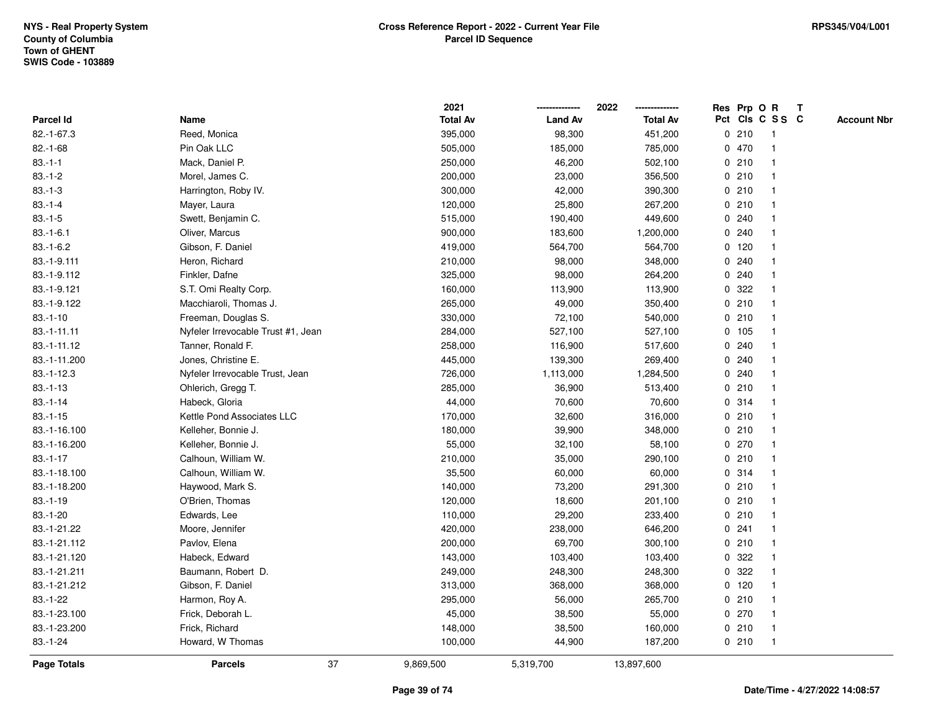|               |                                    |    | 2021            |                | 2022            |   |         | Res Prp O R     | $\mathbf{T}$ |                    |
|---------------|------------------------------------|----|-----------------|----------------|-----------------|---|---------|-----------------|--------------|--------------------|
| Parcel Id     | Name                               |    | <b>Total Av</b> | <b>Land Av</b> | <b>Total Av</b> |   |         | Pct Cls C S S C |              | <b>Account Nbr</b> |
| 82.-1-67.3    | Reed, Monica                       |    | 395,000         | 98,300         | 451,200         |   | 0210    | -1              |              |                    |
| $82.-1-68$    | Pin Oak LLC                        |    | 505,000         | 185,000        | 785,000         |   | 0 470   |                 |              |                    |
| $83.-1-1$     | Mack, Daniel P.                    |    | 250,000         | 46,200         | 502,100         |   | 0210    | $\mathbf 1$     |              |                    |
| $83.-1-2$     | Morel, James C.                    |    | 200,000         | 23,000         | 356,500         |   | 0210    | $\mathbf{1}$    |              |                    |
| $83.-1-3$     | Harrington, Roby IV.               |    | 300,000         | 42,000         | 390,300         |   | 0210    | $\mathbf{1}$    |              |                    |
| $83.-1-4$     | Mayer, Laura                       |    | 120,000         | 25,800         | 267,200         |   | 0210    | $\mathbf 1$     |              |                    |
| $83.-1-5$     | Swett, Benjamin C.                 |    | 515,000         | 190,400        | 449,600         |   | 0.240   |                 |              |                    |
| $83.-1-6.1$   | Oliver, Marcus                     |    | 900,000         | 183,600        | 1,200,000       |   | 0.240   |                 |              |                    |
| $83.-1-6.2$   | Gibson, F. Daniel                  |    | 419,000         | 564,700        | 564,700         |   | $0$ 120 | $\mathbf{1}$    |              |                    |
| 83.-1-9.111   | Heron, Richard                     |    | 210,000         | 98,000         | 348,000         |   | 0.240   |                 |              |                    |
| 83.-1-9.112   | Finkler, Dafne                     |    | 325,000         | 98,000         | 264,200         |   | 0.240   | $\mathbf{1}$    |              |                    |
| 83.-1-9.121   | S.T. Omi Realty Corp.              |    | 160,000         | 113,900        | 113,900         |   | 0.322   | $\mathbf 1$     |              |                    |
| 83.-1-9.122   | Macchiaroli, Thomas J.             |    | 265,000         | 49,000         | 350,400         |   | 0210    | 1               |              |                    |
| $83.-1-10$    | Freeman, Douglas S.                |    | 330,000         | 72,100         | 540,000         |   | 0210    |                 |              |                    |
| $83.-1-11.11$ | Nyfeler Irrevocable Trust #1, Jean |    | 284,000         | 527,100        | 527,100         |   | 0 105   |                 |              |                    |
| 83.-1-11.12   | Tanner, Ronald F.                  |    | 258,000         | 116,900        | 517,600         |   | 0.240   |                 |              |                    |
| 83.-1-11.200  | Jones, Christine E.                |    | 445,000         | 139,300        | 269,400         | 0 | 240     | $\mathbf{1}$    |              |                    |
| $83.-1-12.3$  | Nyfeler Irrevocable Trust, Jean    |    | 726,000         | 1,113,000      | 1,284,500       | 0 | 240     | $\mathbf 1$     |              |                    |
| $83.-1-13$    | Ohlerich, Gregg T.                 |    | 285,000         | 36,900         | 513,400         |   | 0210    | $\mathbf 1$     |              |                    |
| $83.-1-14$    | Habeck, Gloria                     |    | 44,000          | 70,600         | 70,600          |   | 0.314   |                 |              |                    |
| $83.-1-15$    | Kettle Pond Associates LLC         |    | 170,000         | 32,600         | 316,000         |   | 0210    |                 |              |                    |
| 83.-1-16.100  | Kelleher, Bonnie J.                |    | 180,000         | 39,900         | 348,000         |   | 0210    |                 |              |                    |
| 83.-1-16.200  | Kelleher, Bonnie J.                |    | 55,000          | 32,100         | 58,100          |   | 0270    | $\mathbf 1$     |              |                    |
| $83.-1-17$    | Calhoun, William W.                |    | 210,000         | 35,000         | 290,100         |   | 0210    | $\mathbf{1}$    |              |                    |
| 83.-1-18.100  | Calhoun, William W.                |    | 35,500          | 60,000         | 60,000          |   | 0.314   | $\mathbf 1$     |              |                    |
| 83.-1-18.200  | Haywood, Mark S.                   |    | 140,000         | 73,200         | 291,300         |   | 0210    | $\mathbf 1$     |              |                    |
| $83.-1-19$    | O'Brien, Thomas                    |    | 120,000         | 18,600         | 201,100         |   | 0210    | -1              |              |                    |
| $83.-1-20$    | Edwards, Lee                       |    | 110,000         | 29,200         | 233,400         |   | 0210    |                 |              |                    |
| 83.-1-21.22   | Moore, Jennifer                    |    | 420,000         | 238,000        | 646,200         |   | 0.241   | $\mathbf{1}$    |              |                    |
| 83.-1-21.112  | Pavlov, Elena                      |    | 200,000         | 69,700         | 300,100         |   | 0210    | 1               |              |                    |
| 83.-1-21.120  | Habeck, Edward                     |    | 143,000         | 103,400        | 103,400         | 0 | 322     | $\mathbf{1}$    |              |                    |
| 83.-1-21.211  | Baumann, Robert D.                 |    | 249,000         | 248,300        | 248,300         | 0 | 322     | 1               |              |                    |
| 83.-1-21.212  | Gibson, F. Daniel                  |    | 313,000         | 368,000        | 368,000         |   | 0, 120  | $\mathbf 1$     |              |                    |
| $83 - 1 - 22$ | Harmon, Roy A.                     |    | 295,000         | 56,000         | 265,700         |   | 0210    |                 |              |                    |
| 83.-1-23.100  | Frick, Deborah L.                  |    | 45,000          | 38,500         | 55,000          |   | 0270    | -1              |              |                    |
| 83.-1-23.200  | Frick, Richard                     |    | 148,000         | 38,500         | 160,000         |   | 0210    | $\mathbf{1}$    |              |                    |
| $83.-1-24$    | Howard, W Thomas                   |    | 100,000         | 44,900         | 187,200         |   | 0210    | $\mathbf{1}$    |              |                    |
| Page Totals   | <b>Parcels</b>                     | 37 | 9,869,500       | 5,319,700      | 13,897,600      |   |         |                 |              |                    |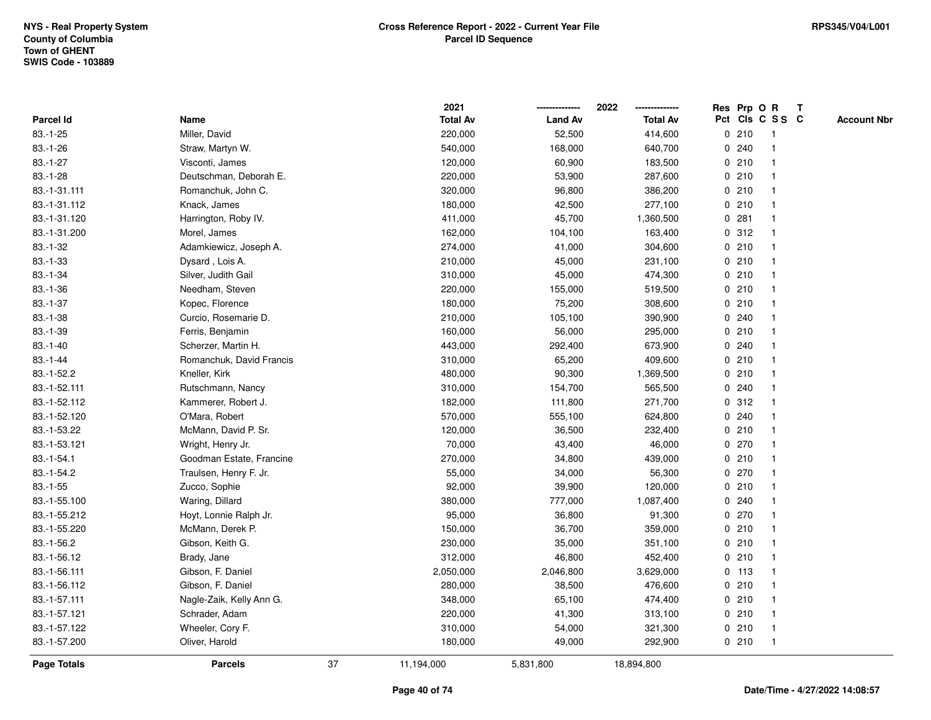|                    |                          |    | 2021            |                | 2022            |             |         | Res Prp O R     | T |                    |
|--------------------|--------------------------|----|-----------------|----------------|-----------------|-------------|---------|-----------------|---|--------------------|
| Parcel Id          | Name                     |    | <b>Total Av</b> | <b>Land Av</b> | <b>Total Av</b> |             |         | Pct Cls C S S C |   | <b>Account Nbr</b> |
| $83.-1-25$         | Miller, David            |    | 220,000         | 52,500         | 414,600         |             | 0210    | -1              |   |                    |
| $83.-1-26$         | Straw, Martyn W.         |    | 540,000         | 168,000        | 640,700         | 0           | 240     | -1              |   |                    |
| $83.-1-27$         | Visconti, James          |    | 120,000         | 60,900         | 183,500         |             | 0210    | $\mathbf{1}$    |   |                    |
| $83.-1-28$         | Deutschman, Deborah E.   |    | 220,000         | 53,900         | 287,600         |             | 0210    |                 |   |                    |
| 83.-1-31.111       | Romanchuk, John C.       |    | 320,000         | 96,800         | 386,200         |             | 0210    |                 |   |                    |
| 83.-1-31.112       | Knack, James             |    | 180,000         | 42,500         | 277,100         |             | 0210    |                 |   |                    |
| 83.-1-31.120       | Harrington, Roby IV.     |    | 411,000         | 45,700         | 1,360,500       |             | 0.281   |                 |   |                    |
| 83.-1-31.200       | Morel, James             |    | 162,000         | 104,100        | 163,400         | 0           | 312     | -1              |   |                    |
| $83.-1-32$         | Adamkiewicz, Joseph A.   |    | 274,000         | 41,000         | 304,600         | 0           | 210     |                 |   |                    |
| $83.-1-33$         | Dysard, Lois A.          |    | 210,000         | 45,000         | 231,100         |             | 0210    | 1               |   |                    |
| $83.-1-34$         | Silver, Judith Gail      |    | 310,000         | 45,000         | 474,300         |             | 0210    |                 |   |                    |
| $83.-1-36$         | Needham, Steven          |    | 220,000         | 155,000        | 519,500         |             | 0210    |                 |   |                    |
| $83.-1-37$         | Kopec, Florence          |    | 180,000         | 75,200         | 308,600         |             | 0210    |                 |   |                    |
| $83.-1-38$         | Curcio, Rosemarie D.     |    | 210,000         | 105,100        | 390,900         |             | 0.240   |                 |   |                    |
| $83.-1-39$         | Ferris, Benjamin         |    | 160,000         | 56,000         | 295,000         | 0           | 210     |                 |   |                    |
| $83.-1-40$         | Scherzer, Martin H.      |    | 443,000         | 292,400        | 673,900         | 0           | 240     |                 |   |                    |
| $83 - 1 - 44$      | Romanchuk, David Francis |    | 310,000         | 65,200         | 409,600         |             | 0210    | $\mathbf 1$     |   |                    |
| $83.-1-52.2$       | Kneller, Kirk            |    | 480,000         | 90,300         | 1,369,500       |             | 0210    |                 |   |                    |
| 83.-1-52.111       | Rutschmann, Nancy        |    | 310,000         | 154,700        | 565,500         |             | 0.240   |                 |   |                    |
| 83.-1-52.112       | Kammerer, Robert J.      |    | 182,000         | 111,800        | 271,700         |             | 0.312   |                 |   |                    |
| 83.-1-52.120       | O'Mara, Robert           |    | 570,000         | 555,100        | 624,800         |             | 0.240   |                 |   |                    |
| 83.-1-53.22        | McMann, David P. Sr.     |    | 120,000         | 36,500         | 232,400         | $\mathbf 0$ | 210     |                 |   |                    |
| 83.-1-53.121       | Wright, Henry Jr.        |    | 70,000          | 43,400         | 46,000          |             | $0$ 270 | $\mathbf{1}$    |   |                    |
| $83.-1-54.1$       | Goodman Estate, Francine |    | 270,000         | 34,800         | 439,000         |             | 0210    | $\mathbf 1$     |   |                    |
| 83.-1-54.2         | Traulsen, Henry F. Jr.   |    | 55,000          | 34,000         | 56,300          |             | 0270    |                 |   |                    |
| $83.-1-55$         | Zucco, Sophie            |    | 92,000          | 39,900         | 120,000         |             | 0210    |                 |   |                    |
| 83.-1-55.100       | Waring, Dillard          |    | 380,000         | 777,000        | 1,087,400       |             | 0.240   |                 |   |                    |
| 83.-1-55.212       | Hoyt, Lonnie Ralph Jr.   |    | 95,000          | 36,800         | 91,300          |             | $0$ 270 |                 |   |                    |
| 83.-1-55.220       | McMann, Derek P.         |    | 150,000         | 36,700         | 359,000         | 0           | 210     | $\mathbf{1}$    |   |                    |
| 83.-1-56.2         | Gibson, Keith G.         |    | 230,000         | 35,000         | 351,100         |             | 0210    | $\overline{1}$  |   |                    |
| 83.-1-56.12        | Brady, Jane              |    | 312,000         | 46,800         | 452,400         |             | 0210    | $\mathbf{1}$    |   |                    |
| 83.-1-56.111       | Gibson, F. Daniel        |    | 2,050,000       | 2,046,800      | 3,629,000       |             | $0$ 113 | $\mathbf 1$     |   |                    |
| 83.-1-56.112       | Gibson, F. Daniel        |    | 280,000         | 38,500         | 476,600         |             | 0210    |                 |   |                    |
| 83.-1-57.111       | Nagle-Zaik, Kelly Ann G. |    | 348,000         | 65,100         | 474,400         |             | 0210    |                 |   |                    |
| 83.-1-57.121       | Schrader, Adam           |    | 220,000         | 41,300         | 313,100         |             | 0210    |                 |   |                    |
| 83.-1-57.122       | Wheeler, Cory F.         |    | 310,000         | 54,000         | 321,300         |             | 0210    | $\overline{1}$  |   |                    |
| 83.-1-57.200       | Oliver, Harold           |    | 180,000         | 49,000         | 292,900         |             | 0210    | $\mathbf{1}$    |   |                    |
| <b>Page Totals</b> | <b>Parcels</b>           | 37 | 11,194,000      | 5,831,800      | 18,894,800      |             |         |                 |   |                    |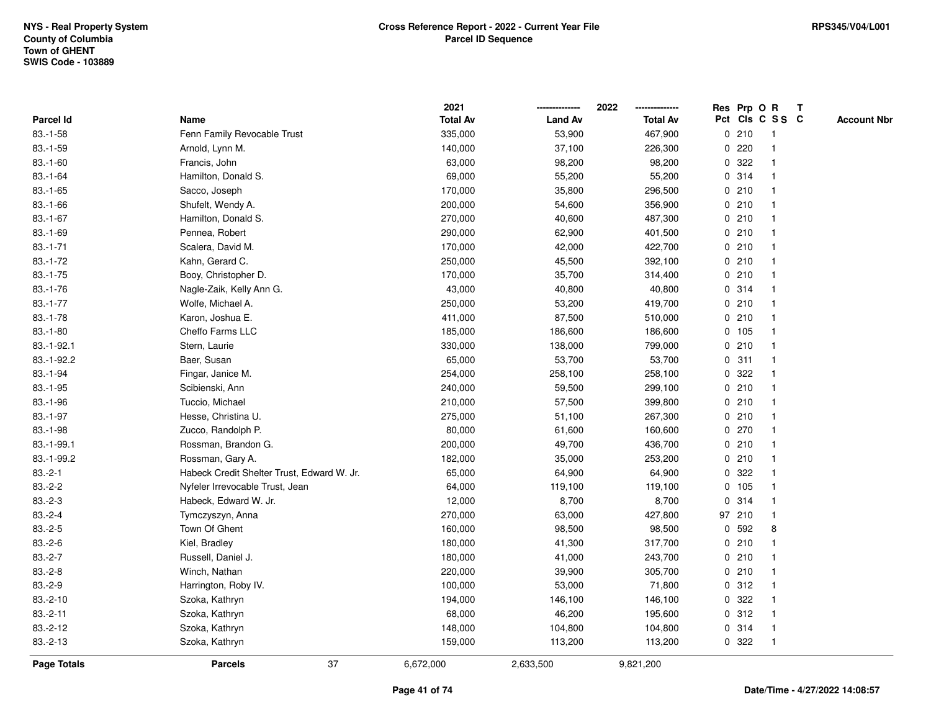|             |                                            | 2021            |                | 2022            |             |        | Res Prp O R     | $\mathsf{T}$       |
|-------------|--------------------------------------------|-----------------|----------------|-----------------|-------------|--------|-----------------|--------------------|
| Parcel Id   | Name                                       | <b>Total Av</b> | <b>Land Av</b> | <b>Total Av</b> |             |        | Pct Cls C S S C | <b>Account Nbr</b> |
| $83.-1-58$  | Fenn Family Revocable Trust                | 335,000         | 53,900         | 467,900         |             | 0210   |                 |                    |
| $83.-1-59$  | Arnold, Lynn M.                            | 140,000         | 37,100         | 226,300         | 0           | 220    |                 |                    |
| $83.-1-60$  | Francis, John                              | 63,000          | 98,200         | 98,200          | $\mathbf 0$ | 322    |                 |                    |
| $83.-1-64$  | Hamilton, Donald S.                        | 69,000          | 55,200         | 55,200          |             | 0.314  | $\mathbf{1}$    |                    |
| $83.-1-65$  | Sacco, Joseph                              | 170,000         | 35,800         | 296,500         |             | 0210   | -1              |                    |
| $83.-1-66$  | Shufelt, Wendy A.                          | 200,000         | 54,600         | 356,900         |             | 0210   | -1              |                    |
| $83.-1-67$  | Hamilton, Donald S.                        | 270,000         | 40,600         | 487,300         |             | 0210   |                 |                    |
| $83.-1-69$  | Pennea, Robert                             | 290,000         | 62,900         | 401,500         |             | 0210   |                 |                    |
| $83.-1-71$  | Scalera, David M.                          | 170,000         | 42,000         | 422,700         |             | 0210   | -1              |                    |
| $83.-1-72$  | Kahn, Gerard C.                            | 250,000         | 45,500         | 392,100         |             | 0210   |                 |                    |
| $83.-1-75$  | Booy, Christopher D.                       | 170,000         | 35,700         | 314,400         |             | 0210   | -1              |                    |
| $83.-1-76$  | Nagle-Zaik, Kelly Ann G.                   | 43,000          | 40,800         | 40,800          |             | 0.314  | -1              |                    |
| $83.-1-77$  | Wolfe, Michael A.                          | 250,000         | 53,200         | 419,700         |             | 0210   | -1              |                    |
| $83.-1-78$  | Karon, Joshua E.                           | 411,000         | 87,500         | 510,000         |             | 0210   |                 |                    |
| $83.-1-80$  | Cheffo Farms LLC                           | 185,000         | 186,600        | 186,600         |             | 0, 105 |                 |                    |
| 83.-1-92.1  | Stern, Laurie                              | 330,000         | 138,000        | 799,000         |             | 0210   |                 |                    |
| 83.-1-92.2  | Baer, Susan                                | 65,000          | 53,700         | 53,700          | 0           | 311    |                 |                    |
| $83.-1-94$  | Fingar, Janice M.                          | 254,000         | 258,100        | 258,100         | 0           | 322    | -1              |                    |
| $83.-1-95$  | Scibienski, Ann                            | 240,000         | 59,500         | 299,100         |             | 0210   | $\mathbf{1}$    |                    |
| 83.-1-96    | Tuccio, Michael                            | 210,000         | 57,500         | 399,800         |             | 0210   |                 |                    |
| $83.-1-97$  | Hesse, Christina U.                        | 275,000         | 51,100         | 267,300         |             | 0210   |                 |                    |
| 83.-1-98    | Zucco, Randolph P.                         | 80,000          | 61,600         | 160,600         |             | 0270   |                 |                    |
| 83.-1-99.1  | Rossman, Brandon G.                        | 200,000         | 49,700         | 436,700         |             | 0210   |                 |                    |
| 83.-1-99.2  | Rossman, Gary A.                           | 182,000         | 35,000         | 253,200         |             | 0210   | $\mathbf{1}$    |                    |
| $83.-2-1$   | Habeck Credit Shelter Trust, Edward W. Jr. | 65,000          | 64,900         | 64,900          | 0           | 322    |                 |                    |
| $83.-2-2$   | Nyfeler Irrevocable Trust, Jean            | 64,000          | 119,100        | 119,100         |             | 0 105  | $\mathbf 1$     |                    |
| $83.-2-3$   | Habeck, Edward W. Jr.                      | 12,000          | 8,700          | 8,700           |             | 0.314  |                 |                    |
| $83.-2-4$   | Tymczyszyn, Anna                           | 270,000         | 63,000         | 427,800         |             | 97 210 |                 |                    |
| $83.-2-5$   | Town Of Ghent                              | 160,000         | 98,500         | 98,500          | $\mathbf 0$ | 592    | 8               |                    |
| $83.-2-6$   | Kiel, Bradley                              | 180,000         | 41,300         | 317,700         |             | 0210   | -1              |                    |
| $83.-2-7$   | Russell, Daniel J.                         | 180,000         | 41,000         | 243,700         |             | 0210   | -1              |                    |
| $83.-2-8$   | Winch, Nathan                              | 220,000         | 39,900         | 305,700         |             | 0210   | $\mathbf 1$     |                    |
| $83.-2-9$   | Harrington, Roby IV.                       | 100,000         | 53,000         | 71,800          |             | 0.312  |                 |                    |
| $83.-2-10$  | Szoka, Kathryn                             | 194,000         | 146,100        | 146,100         |             | 0.322  |                 |                    |
| $83.-2-11$  | Szoka, Kathryn                             | 68,000          | 46,200         | 195,600         |             | 0.312  |                 |                    |
| $83.-2-12$  | Szoka, Kathryn                             | 148,000         | 104,800        | 104,800         |             | 0.314  | -1              |                    |
| $83.-2-13$  | Szoka, Kathryn                             | 159,000         | 113,200        | 113,200         |             | 0 322  | -1              |                    |
| Page Totals | 37<br><b>Parcels</b>                       | 6,672,000       | 2,633,500      | 9,821,200       |             |        |                 |                    |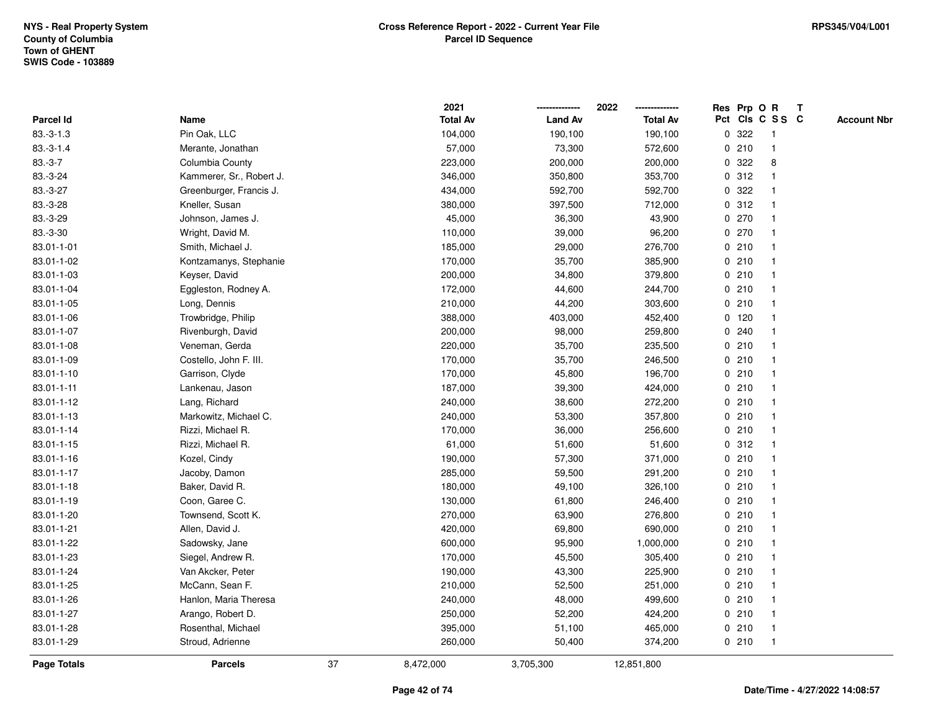|                  |                          |    | 2021            |                | 2022            |             | Res Prp O R |                 | Т |                    |
|------------------|--------------------------|----|-----------------|----------------|-----------------|-------------|-------------|-----------------|---|--------------------|
| <b>Parcel Id</b> | Name                     |    | <b>Total Av</b> | <b>Land Av</b> | <b>Total Av</b> |             |             | Pct Cls C S S C |   | <b>Account Nbr</b> |
| $83.-3-1.3$      | Pin Oak, LLC             |    | 104,000         | 190,100        | 190,100         | 0           | 322         | $\mathbf 1$     |   |                    |
| $83.-3-1.4$      | Merante, Jonathan        |    | 57,000          | 73,300         | 572,600         | 0           | 210         | $\mathbf 1$     |   |                    |
| $83.-3-7$        | Columbia County          |    | 223,000         | 200,000        | 200,000         | $\mathbf 0$ | 322         | 8               |   |                    |
| 83.-3-24         | Kammerer, Sr., Robert J. |    | 346,000         | 350,800        | 353,700         |             | 0.312       |                 |   |                    |
| 83.-3-27         | Greenburger, Francis J.  |    | 434,000         | 592,700        | 592,700         |             | 0 322       |                 |   |                    |
| 83.-3-28         | Kneller, Susan           |    | 380,000         | 397,500        | 712,000         |             | 0.312       |                 |   |                    |
| 83.-3-29         | Johnson, James J.        |    | 45,000          | 36,300         | 43,900          |             | 0270        |                 |   |                    |
| 83.-3-30         | Wright, David M.         |    | 110,000         | 39,000         | 96,200          | $\mathbf 0$ | 270         |                 |   |                    |
| 83.01-1-01       | Smith, Michael J.        |    | 185,000         | 29,000         | 276,700         |             | 0210        | -1              |   |                    |
| 83.01-1-02       | Kontzamanys, Stephanie   |    | 170,000         | 35,700         | 385,900         |             | 0210        | $\mathbf 1$     |   |                    |
| 83.01-1-03       | Keyser, David            |    | 200,000         | 34,800         | 379,800         |             | 0210        |                 |   |                    |
| 83.01-1-04       | Eggleston, Rodney A.     |    | 172,000         | 44,600         | 244,700         |             | 0210        |                 |   |                    |
| 83.01-1-05       | Long, Dennis             |    | 210,000         | 44,200         | 303,600         |             | 0210        |                 |   |                    |
| 83.01-1-06       | Trowbridge, Philip       |    | 388,000         | 403,000        | 452,400         |             | $0$ 120     |                 |   |                    |
| 83.01-1-07       | Rivenburgh, David        |    | 200,000         | 98,000         | 259,800         | 0           | 240         |                 |   |                    |
| 83.01-1-08       | Veneman, Gerda           |    | 220,000         | 35,700         | 235,500         | 0           | 210         |                 |   |                    |
| 83.01-1-09       | Costello, John F. III.   |    | 170,000         | 35,700         | 246,500         |             | 0210        |                 |   |                    |
| 83.01-1-10       | Garrison, Clyde          |    | 170,000         | 45,800         | 196,700         |             | 0210        |                 |   |                    |
| 83.01-1-11       | Lankenau, Jason          |    | 187,000         | 39,300         | 424,000         |             | 0210        |                 |   |                    |
| 83.01-1-12       | Lang, Richard            |    | 240,000         | 38,600         | 272,200         |             | 0210        |                 |   |                    |
| 83.01-1-13       | Markowitz, Michael C.    |    | 240,000         | 53,300         | 357,800         |             | 0210        |                 |   |                    |
| 83.01-1-14       | Rizzi, Michael R.        |    | 170,000         | 36,000         | 256,600         |             | 0210        |                 |   |                    |
| 83.01-1-15       | Rizzi, Michael R.        |    | 61,000          | 51,600         | 51,600          | 0           | 312         | -1              |   |                    |
| 83.01-1-16       | Kozel, Cindy             |    | 190,000         | 57,300         | 371,000         |             | 0210        | -1              |   |                    |
| 83.01-1-17       | Jacoby, Damon            |    | 285,000         | 59,500         | 291,200         |             | 0210        |                 |   |                    |
| 83.01-1-18       | Baker, David R.          |    | 180,000         | 49,100         | 326,100         |             | 0210        |                 |   |                    |
| 83.01-1-19       | Coon, Garee C.           |    | 130,000         | 61,800         | 246,400         |             | 0210        |                 |   |                    |
| 83.01-1-20       | Townsend, Scott K.       |    | 270,000         | 63,900         | 276,800         |             | 0210        |                 |   |                    |
| 83.01-1-21       | Allen, David J.          |    | 420,000         | 69,800         | 690,000         |             | 0210        |                 |   |                    |
| 83.01-1-22       | Sadowsky, Jane           |    | 600,000         | 95,900         | 1,000,000       |             | 0210        | -1              |   |                    |
| 83.01-1-23       | Siegel, Andrew R.        |    | 170,000         | 45,500         | 305,400         |             | 0210        |                 |   |                    |
| 83.01-1-24       | Van Akcker, Peter        |    | 190,000         | 43,300         | 225,900         |             | 0210        |                 |   |                    |
| 83.01-1-25       | McCann, Sean F.          |    | 210,000         | 52,500         | 251,000         |             | 0210        |                 |   |                    |
| 83.01-1-26       | Hanlon, Maria Theresa    |    | 240,000         | 48,000         | 499,600         |             | 0210        |                 |   |                    |
| 83.01-1-27       | Arango, Robert D.        |    | 250,000         | 52,200         | 424,200         |             | 0210        |                 |   |                    |
| 83.01-1-28       | Rosenthal, Michael       |    | 395,000         | 51,100         | 465,000         |             | 0210        | -1              |   |                    |
| 83.01-1-29       | Stroud, Adrienne         |    | 260,000         | 50,400         | 374,200         |             | 0210        | $\mathbf{1}$    |   |                    |
| Page Totals      | <b>Parcels</b>           | 37 | 8,472,000       | 3,705,300      | 12,851,800      |             |             |                 |   |                    |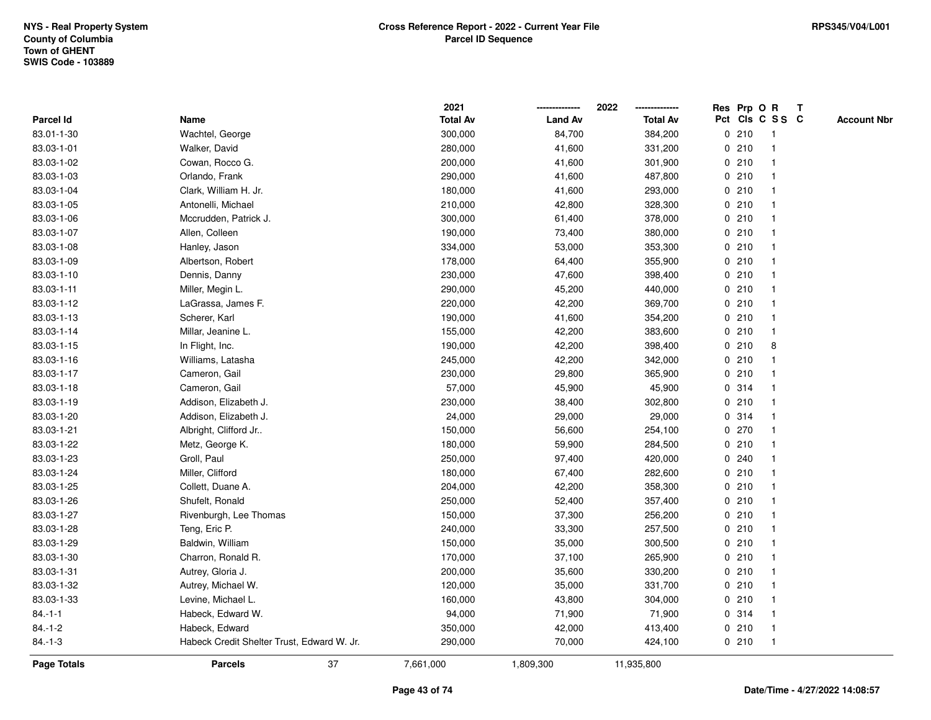|              |                                            | 2021            |                | 2022            | Res Prp O R |       |                 | Т |                    |
|--------------|--------------------------------------------|-----------------|----------------|-----------------|-------------|-------|-----------------|---|--------------------|
| Parcel Id    | Name                                       | <b>Total Av</b> | <b>Land Av</b> | <b>Total Av</b> |             |       | Pct Cls C S S C |   | <b>Account Nbr</b> |
| 83.01-1-30   | Wachtel, George                            | 300,000         | 84,700         | 384,200         |             | 0210  | $\mathbf{1}$    |   |                    |
| 83.03-1-01   | Walker, David                              | 280,000         | 41,600         | 331,200         | 0           | 210   | $\mathbf 1$     |   |                    |
| 83.03-1-02   | Cowan, Rocco G.                            | 200,000         | 41,600         | 301,900         |             | 0210  | $\mathbf{1}$    |   |                    |
| 83.03-1-03   | Orlando, Frank                             | 290,000         | 41,600         | 487,800         |             | 0210  | -1              |   |                    |
| 83.03-1-04   | Clark, William H. Jr.                      | 180,000         | 41,600         | 293,000         |             | 0210  |                 |   |                    |
| 83.03-1-05   | Antonelli, Michael                         | 210,000         | 42,800         | 328,300         |             | 0210  |                 |   |                    |
| 83.03-1-06   | Mccrudden, Patrick J.                      | 300,000         | 61,400         | 378,000         |             | 0210  | $\mathbf{1}$    |   |                    |
| 83.03-1-07   | Allen, Colleen                             | 190,000         | 73,400         | 380,000         |             | 0210  | $\overline{1}$  |   |                    |
| 83.03-1-08   | Hanley, Jason                              | 334,000         | 53,000         | 353,300         |             | 0210  | -1              |   |                    |
| 83.03-1-09   | Albertson, Robert                          | 178,000         | 64,400         | 355,900         |             | 0210  | $\mathbf 1$     |   |                    |
| 83.03-1-10   | Dennis, Danny                              | 230,000         | 47,600         | 398,400         |             | 0210  |                 |   |                    |
| 83.03-1-11   | Miller, Megin L.                           | 290,000         | 45,200         | 440,000         |             | 0210  |                 |   |                    |
| 83.03-1-12   | LaGrassa, James F.                         | 220,000         | 42,200         | 369,700         |             | 0210  |                 |   |                    |
| 83.03-1-13   | Scherer, Karl                              | 190,000         | 41,600         | 354,200         |             | 0210  |                 |   |                    |
| 83.03-1-14   | Millar, Jeanine L.                         | 155,000         | 42,200         | 383,600         |             | 0210  | $\mathbf{1}$    |   |                    |
| 83.03-1-15   | In Flight, Inc.                            | 190,000         | 42,200         | 398,400         | $\mathbf 0$ | 210   | 8               |   |                    |
| 83.03-1-16   | Williams, Latasha                          | 245,000         | 42,200         | 342,000         |             | 0210  | $\mathbf{1}$    |   |                    |
| 83.03-1-17   | Cameron, Gail                              | 230,000         | 29,800         | 365,900         |             | 0210  |                 |   |                    |
| 83.03-1-18   | Cameron, Gail                              | 57,000          | 45,900         | 45,900          |             | 0.314 |                 |   |                    |
| 83.03-1-19   | Addison, Elizabeth J.                      | 230,000         | 38,400         | 302,800         |             | 0210  |                 |   |                    |
| 83.03-1-20   | Addison, Elizabeth J.                      | 24,000          | 29,000         | 29,000          |             | 0.314 |                 |   |                    |
| 83.03-1-21   | Albright, Clifford Jr                      | 150,000         | 56,600         | 254,100         |             | 0270  | 1               |   |                    |
| 83.03-1-22   | Metz, George K.                            | 180,000         | 59,900         | 284,500         |             | 0210  | -1              |   |                    |
| 83.03-1-23   | Groll, Paul                                | 250,000         | 97,400         | 420,000         |             | 0.240 | $\mathbf{1}$    |   |                    |
| 83.03-1-24   | Miller, Clifford                           | 180,000         | 67,400         | 282,600         |             | 0210  |                 |   |                    |
| 83.03-1-25   | Collett, Duane A.                          | 204,000         | 42,200         | 358,300         |             | 0210  |                 |   |                    |
| 83.03-1-26   | Shufelt, Ronald                            | 250,000         | 52,400         | 357,400         |             | 0210  |                 |   |                    |
| 83.03-1-27   | Rivenburgh, Lee Thomas                     | 150,000         | 37,300         | 256,200         |             | 0210  |                 |   |                    |
| 83.03-1-28   | Teng, Eric P.                              | 240,000         | 33,300         | 257,500         |             | 0210  |                 |   |                    |
| 83.03-1-29   | Baldwin, William                           | 150,000         | 35,000         | 300,500         | 0           | 210   | $\mathbf 1$     |   |                    |
| 83.03-1-30   | Charron, Ronald R.                         | 170,000         | 37,100         | 265,900         | 0           | 210   | $\mathbf 1$     |   |                    |
| 83.03-1-31   | Autrey, Gloria J.                          | 200,000         | 35,600         | 330,200         |             | 0210  | $\mathbf 1$     |   |                    |
| 83.03-1-32   | Autrey, Michael W.                         | 120,000         | 35,000         | 331,700         |             | 0210  |                 |   |                    |
| 83.03-1-33   | Levine, Michael L.                         | 160,000         | 43,800         | 304,000         |             | 0210  |                 |   |                    |
| $84 - 1 - 1$ | Habeck, Edward W.                          | 94,000          | 71,900         | 71,900          |             | 0.314 |                 |   |                    |
| $84.-1-2$    | Habeck, Edward                             | 350,000         | 42,000         | 413,400         |             | 0210  | -1              |   |                    |
| $84.-1-3$    | Habeck Credit Shelter Trust, Edward W. Jr. | 290,000         | 70,000         | 424,100         |             | 0210  | $\overline{1}$  |   |                    |
| Page Totals  | 37<br><b>Parcels</b>                       | 7,661,000       | 1,809,300      | 11,935,800      |             |       |                 |   |                    |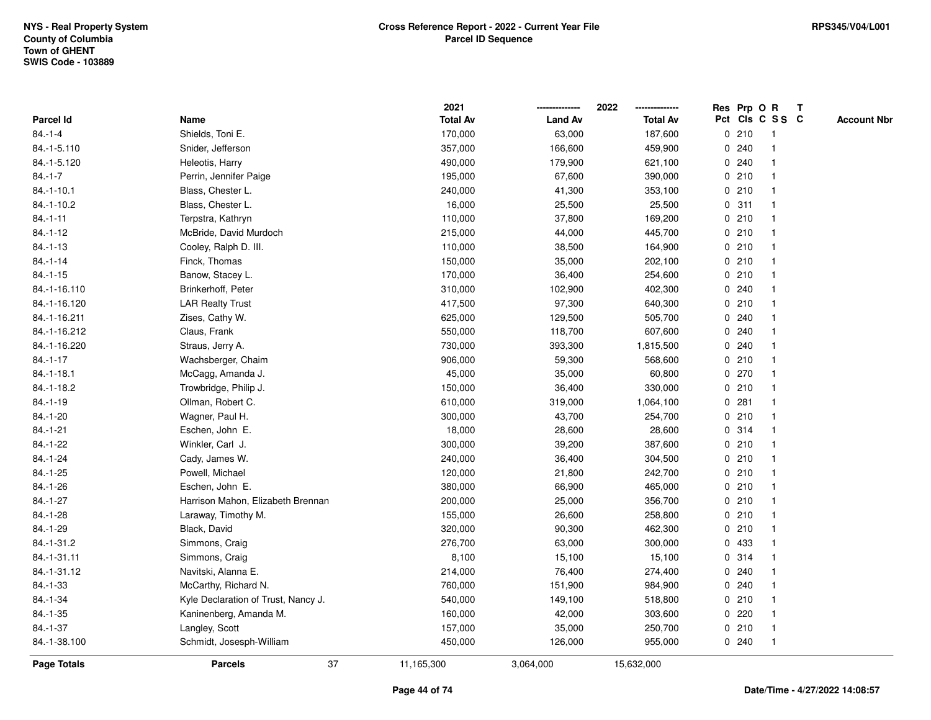|                 |                                     | 2021            |                | 2022            |   |       | Res Prp O R     | $\mathbf{T}$ |                    |
|-----------------|-------------------------------------|-----------------|----------------|-----------------|---|-------|-----------------|--------------|--------------------|
| Parcel Id       | Name                                | <b>Total Av</b> | <b>Land Av</b> | <b>Total Av</b> |   |       | Pct Cls C S S C |              | <b>Account Nbr</b> |
| $84 - 1 - 4$    | Shields, Toni E.                    | 170,000         | 63,000         | 187,600         |   | 0210  |                 |              |                    |
| 84.-1-5.110     | Snider, Jefferson                   | 357,000         | 166,600        | 459,900         |   | 0.240 |                 |              |                    |
| 84.-1-5.120     | Heleotis, Harry                     | 490,000         | 179,900        | 621,100         |   | 0.240 | -1              |              |                    |
| $84.-1-7$       | Perrin, Jennifer Paige              | 195,000         | 67,600         | 390,000         |   | 0210  | $\mathbf{1}$    |              |                    |
| $84.-1-10.1$    | Blass, Chester L.                   | 240,000         | 41,300         | 353,100         |   | 0210  | $\mathbf{1}$    |              |                    |
| 84.-1-10.2      | Blass, Chester L.                   | 16,000          | 25,500         | 25,500          |   | 0.311 | 1               |              |                    |
| $84.-1-11$      | Terpstra, Kathryn                   | 110,000         | 37,800         | 169,200         |   | 0210  | 1               |              |                    |
| $84 - 1 - 12$   | McBride, David Murdoch              | 215,000         | 44,000         | 445,700         |   | 0210  |                 |              |                    |
| $84.-1-13$      | Cooley, Ralph D. III.               | 110,000         | 38,500         | 164,900         |   | 0210  | $\mathbf{1}$    |              |                    |
| $84.-1-14$      | Finck, Thomas                       | 150,000         | 35,000         | 202,100         |   | 0210  | $\mathbf{1}$    |              |                    |
| $84.-1-15$      | Banow, Stacey L.                    | 170,000         | 36,400         | 254,600         |   | 0210  | $\mathbf{1}$    |              |                    |
| 84.-1-16.110    | Brinkerhoff, Peter                  | 310,000         | 102,900        | 402,300         |   | 0.240 | $\mathbf{1}$    |              |                    |
| 84.-1-16.120    | <b>LAR Realty Trust</b>             | 417,500         | 97,300         | 640,300         |   | 0210  | 1               |              |                    |
| 84.-1-16.211    | Zises, Cathy W.                     | 625,000         | 129,500        | 505,700         |   | 0.240 |                 |              |                    |
| 84.-1-16.212    | Claus, Frank                        | 550,000         | 118,700        | 607,600         |   | 0.240 |                 |              |                    |
| 84.-1-16.220    | Straus, Jerry A.                    | 730,000         | 393,300        | 1,815,500       |   | 0.240 |                 |              |                    |
| $84 - 1 - 17$   | Wachsberger, Chaim                  | 906,000         | 59,300         | 568,600         | 0 | 210   | $\mathbf{1}$    |              |                    |
| $84 - 1 - 18.1$ | McCagg, Amanda J.                   | 45,000          | 35,000         | 60,800          | 0 | 270   | 1               |              |                    |
| 84.-1-18.2      | Trowbridge, Philip J.               | 150,000         | 36,400         | 330,000         |   | 0210  | $\mathbf{1}$    |              |                    |
| $84.-1-19$      | Ollman, Robert C.                   | 610,000         | 319,000        | 1,064,100       |   | 0.281 |                 |              |                    |
| $84.-1-20$      | Wagner, Paul H.                     | 300,000         | 43,700         | 254,700         |   | 0210  |                 |              |                    |
| $84.-1-21$      | Eschen, John E.                     | 18,000          | 28,600         | 28,600          |   | 0.314 |                 |              |                    |
| 84.-1-22        | Winkler, Carl J.                    | 300,000         | 39,200         | 387,600         |   | 0210  | $\mathbf 1$     |              |                    |
| $84 - 1 - 24$   | Cady, James W.                      | 240,000         | 36,400         | 304,500         |   | 0210  | $\mathbf{1}$    |              |                    |
| $84.-1-25$      | Powell, Michael                     | 120,000         | 21,800         | 242,700         |   | 0210  | 1               |              |                    |
| 84.-1-26        | Eschen, John E.                     | 380,000         | 66,900         | 465,000         |   | 0210  | $\mathbf 1$     |              |                    |
| $84.-1-27$      | Harrison Mahon, Elizabeth Brennan   | 200,000         | 25,000         | 356,700         |   | 0210  | -1              |              |                    |
| 84.-1-28        | Laraway, Timothy M.                 | 155,000         | 26,600         | 258,800         |   | 0210  |                 |              |                    |
| 84.-1-29        | Black, David                        | 320,000         | 90,300         | 462,300         |   | 0210  | $\mathbf{1}$    |              |                    |
| 84.-1-31.2      | Simmons, Craig                      | 276,700         | 63,000         | 300,000         | 0 | 433   | 1               |              |                    |
| 84.-1-31.11     | Simmons, Craig                      | 8,100           | 15,100         | 15,100          | 0 | 314   | $\mathbf{1}$    |              |                    |
| 84.-1-31.12     | Navitski, Alanna E.                 | 214,000         | 76,400         | 274,400         |   | 0.240 | 1               |              |                    |
| $84.-1-33$      | McCarthy, Richard N.                | 760,000         | 151,900        | 984,900         |   | 0.240 | $\mathbf 1$     |              |                    |
| 84.-1-34        | Kyle Declaration of Trust, Nancy J. | 540,000         | 149,100        | 518,800         |   | 0210  |                 |              |                    |
| 84.-1-35        | Kaninenberg, Amanda M.              | 160,000         | 42,000         | 303,600         |   | 0220  |                 |              |                    |
| $84.-1-37$      | Langley, Scott                      | 157,000         | 35,000         | 250,700         |   | 0210  | $\mathbf{1}$    |              |                    |
| 84.-1-38.100    | Schmidt, Josesph-William            | 450,000         | 126,000        | 955,000         |   | 0240  | $\mathbf{1}$    |              |                    |
| Page Totals     | 37<br><b>Parcels</b>                | 11,165,300      | 3,064,000      | 15,632,000      |   |       |                 |              |                    |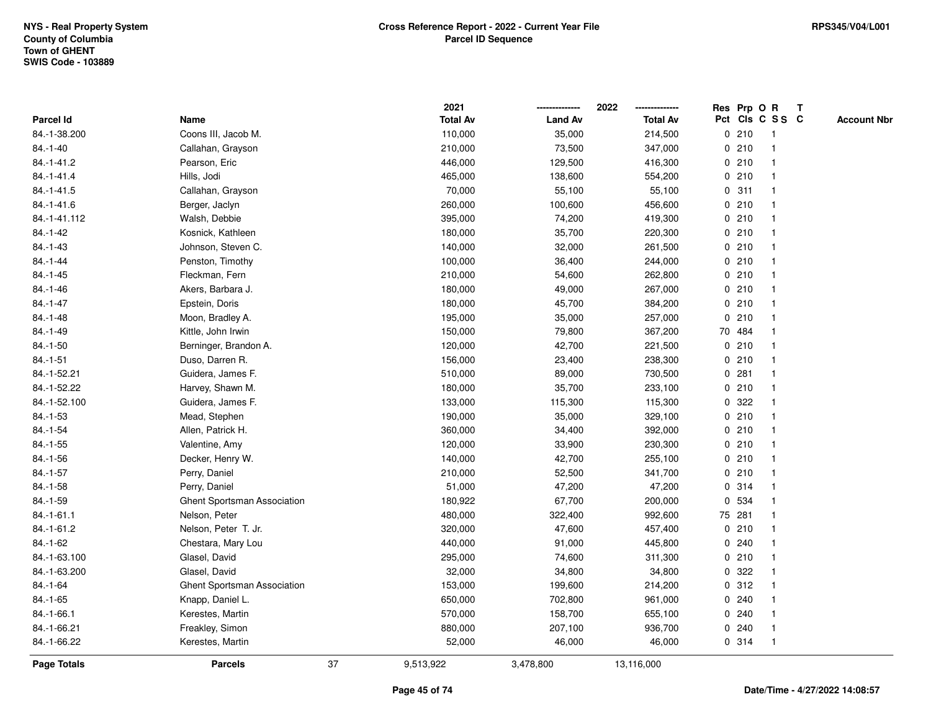|                  |                             |    | 2021            |                | 2022            |   |        | Res Prp O R     | $\mathbf{T}$ |                    |
|------------------|-----------------------------|----|-----------------|----------------|-----------------|---|--------|-----------------|--------------|--------------------|
| Parcel Id        | Name                        |    | <b>Total Av</b> | <b>Land Av</b> | <b>Total Av</b> |   |        | Pct Cls C S S C |              | <b>Account Nbr</b> |
| 84.-1-38.200     | Coons III, Jacob M.         |    | 110,000         | 35,000         | 214,500         |   | 0210   | -1              |              |                    |
| $84.-1-40$       | Callahan, Grayson           |    | 210,000         | 73,500         | 347,000         |   | 0210   |                 |              |                    |
| 84.-1-41.2       | Pearson, Eric               |    | 446,000         | 129,500        | 416,300         |   | 0210   | $\mathbf 1$     |              |                    |
| $84. - 1 - 41.4$ | Hills, Jodi                 |    | 465,000         | 138,600        | 554,200         |   | 0210   | $\mathbf{1}$    |              |                    |
| $84.-1-41.5$     | Callahan, Grayson           |    | 70,000          | 55,100         | 55,100          |   | 0.311  | $\mathbf{1}$    |              |                    |
| $84.-1-41.6$     | Berger, Jaclyn              |    | 260,000         | 100,600        | 456,600         |   | 0210   | $\mathbf 1$     |              |                    |
| 84.-1-41.112     | Walsh, Debbie               |    | 395,000         | 74,200         | 419,300         |   | 0210   |                 |              |                    |
| $84.-1-42$       | Kosnick, Kathleen           |    | 180,000         | 35,700         | 220,300         |   | 0210   |                 |              |                    |
| 84.-1-43         | Johnson, Steven C.          |    | 140,000         | 32,000         | 261,500         |   | 0210   | $\mathbf{1}$    |              |                    |
| $84.-1-44$       | Penston, Timothy            |    | 100,000         | 36,400         | 244,000         |   | 0210   | $\mathbf{1}$    |              |                    |
| $84.-1-45$       | Fleckman, Fern              |    | 210,000         | 54,600         | 262,800         |   | 0210   | $\mathbf{1}$    |              |                    |
| $84.-1-46$       | Akers, Barbara J.           |    | 180,000         | 49,000         | 267,000         |   | 0210   | $\mathbf{1}$    |              |                    |
| 84.-1-47         | Epstein, Doris              |    | 180,000         | 45,700         | 384,200         |   | 0210   | 1               |              |                    |
| 84.-1-48         | Moon, Bradley A.            |    | 195,000         | 35,000         | 257,000         |   | 0210   |                 |              |                    |
| 84.-1-49         | Kittle, John Irwin          |    | 150,000         | 79,800         | 367,200         |   | 70 484 |                 |              |                    |
| $84.-1-50$       | Berninger, Brandon A.       |    | 120,000         | 42,700         | 221,500         |   | 0210   | $\mathbf 1$     |              |                    |
| $84.-1-51$       | Duso, Darren R.             |    | 156,000         | 23,400         | 238,300         |   | 0210   | $\mathbf{1}$    |              |                    |
| 84.-1-52.21      | Guidera, James F.           |    | 510,000         | 89,000         | 730,500         | 0 | 281    | $\mathbf 1$     |              |                    |
| 84.-1-52.22      | Harvey, Shawn M.            |    | 180,000         | 35,700         | 233,100         |   | 0210   | $\mathbf{1}$    |              |                    |
| 84.-1-52.100     | Guidera, James F.           |    | 133,000         | 115,300        | 115,300         |   | 0.322  |                 |              |                    |
| 84.-1-53         | Mead, Stephen               |    | 190,000         | 35,000         | 329,100         |   | 0210   |                 |              |                    |
| $84.-1-54$       | Allen, Patrick H.           |    | 360,000         | 34,400         | 392,000         |   | 0210   |                 |              |                    |
| $84.-1-55$       | Valentine, Amy              |    | 120,000         | 33,900         | 230,300         |   | 0210   | $\mathbf 1$     |              |                    |
| 84.-1-56         | Decker, Henry W.            |    | 140,000         | 42,700         | 255,100         |   | 0210   | $\mathbf{1}$    |              |                    |
| $84.-1-57$       | Perry, Daniel               |    | 210,000         | 52,500         | 341,700         |   | 0210   | 1               |              |                    |
| 84.-1-58         | Perry, Daniel               |    | 51,000          | 47,200         | 47,200          |   | 0.314  | $\mathbf 1$     |              |                    |
| 84.-1-59         | Ghent Sportsman Association |    | 180,922         | 67,700         | 200,000         |   | 0 534  | -1              |              |                    |
| $84 - 1 - 61.1$  | Nelson, Peter               |    | 480,000         | 322,400        | 992,600         |   | 75 281 |                 |              |                    |
| 84.-1-61.2       | Nelson, Peter T. Jr.        |    | 320,000         | 47,600         | 457,400         |   | 0210   | $\mathbf{1}$    |              |                    |
| 84.-1-62         | Chestara, Mary Lou          |    | 440,000         | 91,000         | 445,800         |   | 0.240  | $\mathbf 1$     |              |                    |
| 84.-1-63.100     | Glasel, David               |    | 295,000         | 74,600         | 311,300         |   | 0210   | $\mathbf{1}$    |              |                    |
| 84.-1-63.200     | Glasel, David               |    | 32,000          | 34,800         | 34,800          |   | 0.322  | 1               |              |                    |
| $84.-1-64$       | Ghent Sportsman Association |    | 153,000         | 199,600        | 214,200         |   | 0.312  | $\mathbf 1$     |              |                    |
| $84.-1-65$       | Knapp, Daniel L.            |    | 650,000         | 702,800        | 961,000         |   | 0.240  |                 |              |                    |
| 84.-1-66.1       | Kerestes, Martin            |    | 570,000         | 158,700        | 655,100         |   | 0.240  |                 |              |                    |
| 84.-1-66.21      | Freakley, Simon             |    | 880,000         | 207,100        | 936,700         |   | 0.240  | $\mathbf{1}$    |              |                    |
| 84.-1-66.22      | Kerestes, Martin            |    | 52,000          | 46,000         | 46,000          |   | 0.314  | $\mathbf{1}$    |              |                    |
| Page Totals      | <b>Parcels</b>              | 37 | 9,513,922       | 3,478,800      | 13,116,000      |   |        |                 |              |                    |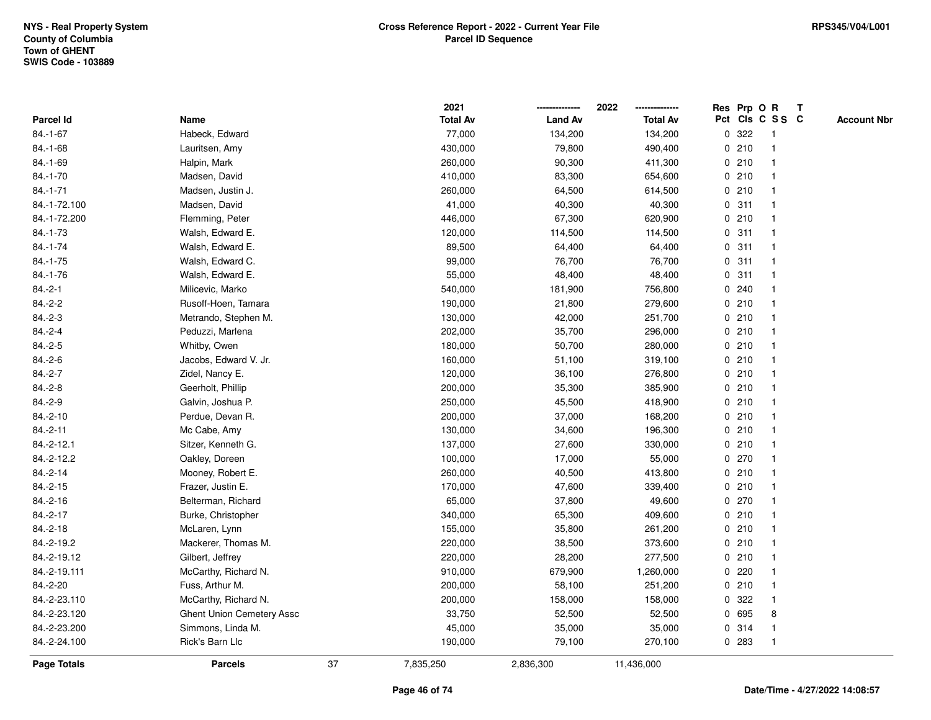|                    |                                  |    | 2021            |                | 2022            |              |       | Res Prp O R     | T |                    |
|--------------------|----------------------------------|----|-----------------|----------------|-----------------|--------------|-------|-----------------|---|--------------------|
| Parcel Id          | Name                             |    | <b>Total Av</b> | <b>Land Av</b> | <b>Total Av</b> |              |       | Pct Cls C S S C |   | <b>Account Nbr</b> |
| 84.-1-67           | Habeck, Edward                   |    | 77,000          | 134,200        | 134,200         | $\mathbf 0$  | 322   | -1              |   |                    |
| 84.-1-68           | Lauritsen, Amy                   |    | 430,000         | 79,800         | 490,400         | 0            | 210   | -1              |   |                    |
| 84.-1-69           | Halpin, Mark                     |    | 260,000         | 90,300         | 411,300         |              | 0210  | $\mathbf{1}$    |   |                    |
| $84.-1-70$         | Madsen, David                    |    | 410,000         | 83,300         | 654,600         |              | 0210  |                 |   |                    |
| 84.-1-71           | Madsen, Justin J.                |    | 260,000         | 64,500         | 614,500         |              | 0210  |                 |   |                    |
| 84.-1-72.100       | Madsen, David                    |    | 41,000          | 40,300         | 40,300          |              | 0.311 |                 |   |                    |
| 84.-1-72.200       | Flemming, Peter                  |    | 446,000         | 67,300         | 620,900         |              | 0210  |                 |   |                    |
| $84.-1-73$         | Walsh, Edward E.                 |    | 120,000         | 114,500        | 114,500         | 0            | 311   | $\mathbf{1}$    |   |                    |
| 84.-1-74           | Walsh, Edward E.                 |    | 89,500          | 64,400         | 64,400          | 0            | 311   | -1              |   |                    |
| $84.-1-75$         | Walsh, Edward C.                 |    | 99,000          | 76,700         | 76,700          |              | 0.311 | $\mathbf 1$     |   |                    |
| $84.-1-76$         | Walsh, Edward E.                 |    | 55,000          | 48,400         | 48,400          |              | 0.311 |                 |   |                    |
| $84.-2-1$          | Milicevic, Marko                 |    | 540,000         | 181,900        | 756,800         |              | 0.240 |                 |   |                    |
| $84.-2-2$          | Rusoff-Hoen, Tamara              |    | 190,000         | 21,800         | 279,600         |              | 0210  |                 |   |                    |
| $84.-2-3$          | Metrando, Stephen M.             |    | 130,000         | 42,000         | 251,700         |              | 0210  |                 |   |                    |
| $84.-2-4$          | Peduzzi, Marlena                 |    | 202,000         | 35,700         | 296,000         | $\mathbf 0$  | 210   |                 |   |                    |
| $84.-2-5$          | Whitby, Owen                     |    | 180,000         | 50,700         | 280,000         |              | 0210  | $\overline{1}$  |   |                    |
| $84.-2-6$          | Jacobs, Edward V. Jr.            |    | 160,000         | 51,100         | 319,100         |              | 0210  | $\mathbf{1}$    |   |                    |
| $84.-2-7$          | Zidel, Nancy E.                  |    | 120,000         | 36,100         | 276,800         |              | 0210  |                 |   |                    |
| $84.-2-8$          | Geerholt, Phillip                |    | 200,000         | 35,300         | 385,900         |              | 0210  |                 |   |                    |
| $84.-2-9$          | Galvin, Joshua P.                |    | 250,000         | 45,500         | 418,900         |              | 0210  |                 |   |                    |
| $84.-2-10$         | Perdue, Devan R.                 |    | 200,000         | 37,000         | 168,200         |              | 0210  |                 |   |                    |
| $84.-2-11$         | Mc Cabe, Amy                     |    | 130,000         | 34,600         | 196,300         |              | 0210  |                 |   |                    |
| 84.-2-12.1         | Sitzer, Kenneth G.               |    | 137,000         | 27,600         | 330,000         |              | 0210  | $\overline{1}$  |   |                    |
| 84.-2-12.2         | Oakley, Doreen                   |    | 100,000         | 17,000         | 55,000          | $\mathbf{0}$ | 270   | 1               |   |                    |
| $84.-2-14$         | Mooney, Robert E.                |    | 260,000         | 40,500         | 413,800         |              | 0210  |                 |   |                    |
| 84.-2-15           | Frazer, Justin E.                |    | 170,000         | 47,600         | 339,400         |              | 0210  |                 |   |                    |
| 84.-2-16           | Belterman, Richard               |    | 65,000          | 37,800         | 49,600          |              | 0270  |                 |   |                    |
| 84.-2-17           | Burke, Christopher               |    | 340,000         | 65,300         | 409,600         |              | 0210  |                 |   |                    |
| $84.-2-18$         | McLaren, Lynn                    |    | 155,000         | 35,800         | 261,200         |              | 0210  |                 |   |                    |
| 84.-2-19.2         | Mackerer, Thomas M.              |    | 220,000         | 38,500         | 373,600         | 0            | 210   | 1               |   |                    |
| 84.-2-19.12        | Gilbert, Jeffrey                 |    | 220,000         | 28,200         | 277,500         |              | 0210  | $\mathbf 1$     |   |                    |
| 84.-2-19.111       | McCarthy, Richard N.             |    | 910,000         | 679,900        | 1,260,000       |              | 0.220 | $\mathbf 1$     |   |                    |
| 84.-2-20           | Fuss, Arthur M.                  |    | 200,000         | 58,100         | 251,200         |              | 0210  |                 |   |                    |
| 84.-2-23.110       | McCarthy, Richard N.             |    | 200,000         | 158,000        | 158,000         |              | 0 322 |                 |   |                    |
| 84.-2-23.120       | <b>Ghent Union Cemetery Assc</b> |    | 33,750          | 52,500         | 52,500          |              | 0 695 | 8               |   |                    |
| 84.-2-23.200       | Simmons, Linda M.                |    | 45,000          | 35,000         | 35,000          |              | 0.314 | -1              |   |                    |
| 84.-2-24.100       | Rick's Barn Llc                  |    | 190,000         | 79,100         | 270,100         |              | 0 283 | $\overline{1}$  |   |                    |
| <b>Page Totals</b> | <b>Parcels</b>                   | 37 | 7,835,250       | 2,836,300      | 11,436,000      |              |       |                 |   |                    |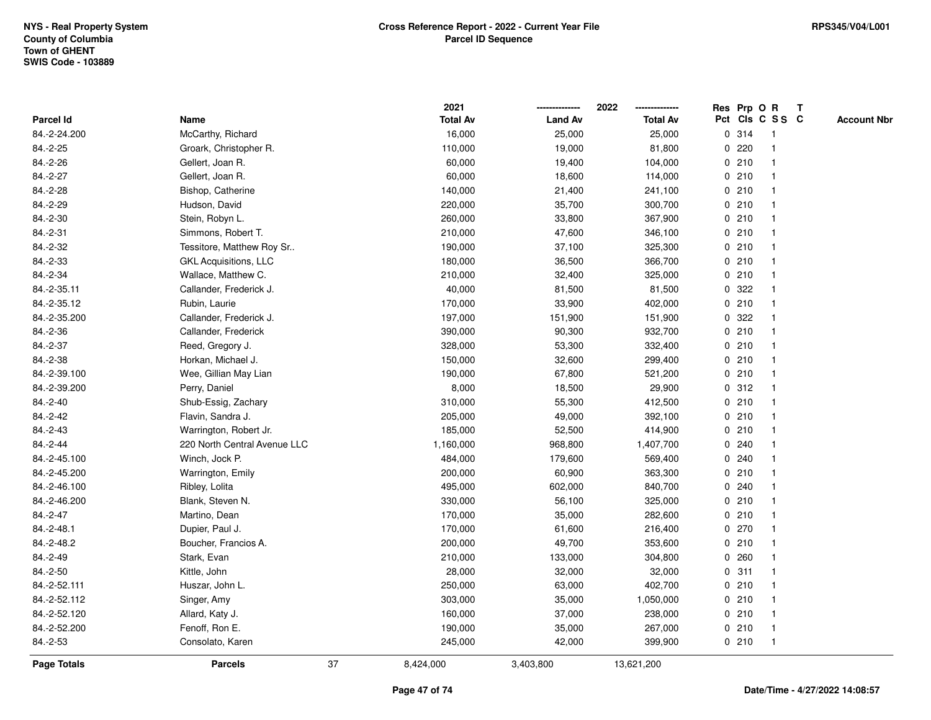|                    |                              |    | 2021            |                | 2022            |             |       | Res Prp O R     | T |                    |
|--------------------|------------------------------|----|-----------------|----------------|-----------------|-------------|-------|-----------------|---|--------------------|
| <b>Parcel Id</b>   | Name                         |    | <b>Total Av</b> | <b>Land Av</b> | <b>Total Av</b> |             |       | Pct Cls C S S C |   | <b>Account Nbr</b> |
| 84.-2-24.200       | McCarthy, Richard            |    | 16,000          | 25,000         | 25,000          |             | 0 314 | -1              |   |                    |
| 84.-2-25           | Groark, Christopher R.       |    | 110,000         | 19,000         | 81,800          | 0           | 220   |                 |   |                    |
| 84.-2-26           | Gellert, Joan R.             |    | 60,000          | 19,400         | 104,000         |             | 0210  | -1              |   |                    |
| 84.-2-27           | Gellert, Joan R.             |    | 60,000          | 18,600         | 114,000         |             | 0210  |                 |   |                    |
| 84.-2-28           | Bishop, Catherine            |    | 140,000         | 21,400         | 241,100         |             | 0210  |                 |   |                    |
| 84.-2-29           | Hudson, David                |    | 220,000         | 35,700         | 300,700         |             | 0210  |                 |   |                    |
| 84.-2-30           | Stein, Robyn L.              |    | 260,000         | 33,800         | 367,900         |             | 0210  |                 |   |                    |
| 84.-2-31           | Simmons, Robert T.           |    | 210,000         | 47,600         | 346,100         | 0           | 210   |                 |   |                    |
| 84.-2-32           | Tessitore, Matthew Roy Sr    |    | 190,000         | 37,100         | 325,300         |             | 0210  | -1              |   |                    |
| 84.-2-33           | <b>GKL Acquisitions, LLC</b> |    | 180,000         | 36,500         | 366,700         |             | 0210  | -1              |   |                    |
| 84.-2-34           | Wallace, Matthew C.          |    | 210,000         | 32,400         | 325,000         |             | 0210  |                 |   |                    |
| 84.-2-35.11        | Callander, Frederick J.      |    | 40,000          | 81,500         | 81,500          |             | 0 322 |                 |   |                    |
| 84.-2-35.12        | Rubin, Laurie                |    | 170,000         | 33,900         | 402,000         |             | 0210  |                 |   |                    |
| 84.-2-35.200       | Callander, Frederick J.      |    | 197,000         | 151,900        | 151,900         |             | 0.322 |                 |   |                    |
| 84.-2-36           | Callander, Frederick         |    | 390,000         | 90,300         | 932,700         | $\mathbf 0$ | 210   |                 |   |                    |
| 84.-2-37           | Reed, Gregory J.             |    | 328,000         | 53,300         | 332,400         |             | 0210  | $\overline{1}$  |   |                    |
| 84.-2-38           | Horkan, Michael J.           |    | 150,000         | 32,600         | 299,400         |             | 0210  | $\mathbf{1}$    |   |                    |
| 84.-2-39.100       | Wee, Gillian May Lian        |    | 190,000         | 67,800         | 521,200         |             | 0210  |                 |   |                    |
| 84.-2-39.200       | Perry, Daniel                |    | 8,000           | 18,500         | 29,900          |             | 0.312 |                 |   |                    |
| 84.-2-40           | Shub-Essig, Zachary          |    | 310,000         | 55,300         | 412,500         |             | 0210  |                 |   |                    |
| 84.-2-42           | Flavin, Sandra J.            |    | 205,000         | 49,000         | 392,100         |             | 0210  |                 |   |                    |
| 84.-2-43           | Warrington, Robert Jr.       |    | 185,000         | 52,500         | 414,900         |             | 0210  |                 |   |                    |
| 84.-2-44           | 220 North Central Avenue LLC |    | 1,160,000       | 968,800        | 1,407,700       |             | 0.240 |                 |   |                    |
| 84.-2-45.100       | Winch, Jock P.               |    | 484,000         | 179,600        | 569,400         | $\mathbf 0$ | 240   |                 |   |                    |
| 84.-2-45.200       | Warrington, Emily            |    | 200,000         | 60,900         | 363,300         |             | 0210  |                 |   |                    |
| 84.-2-46.100       | Ribley, Lolita               |    | 495,000         | 602,000        | 840,700         |             | 0.240 |                 |   |                    |
| 84.-2-46.200       | Blank, Steven N.             |    | 330,000         | 56,100         | 325,000         |             | 0210  |                 |   |                    |
| 84.-2-47           | Martino, Dean                |    | 170,000         | 35,000         | 282,600         |             | 0210  |                 |   |                    |
| 84.-2-48.1         | Dupier, Paul J.              |    | 170,000         | 61,600         | 216,400         |             | 0270  |                 |   |                    |
| 84.-2-48.2         | Boucher, Francios A.         |    | 200,000         | 49,700         | 353,600         | 0           | 210   |                 |   |                    |
| 84.-2-49           | Stark, Evan                  |    | 210,000         | 133,000        | 304,800         | 0           | 260   | -1              |   |                    |
| 84.-2-50           | Kittle, John                 |    | 28,000          | 32,000         | 32,000          |             | 0.311 | -1              |   |                    |
| 84.-2-52.111       | Huszar, John L.              |    | 250,000         | 63,000         | 402,700         |             | 0210  |                 |   |                    |
| 84.-2-52.112       | Singer, Amy                  |    | 303,000         | 35,000         | 1,050,000       |             | 0210  |                 |   |                    |
| 84.-2-52.120       | Allard, Katy J.              |    | 160,000         | 37,000         | 238,000         |             | 0210  |                 |   |                    |
| 84.-2-52.200       | Fenoff, Ron E.               |    | 190,000         | 35,000         | 267,000         |             | 0210  | -1              |   |                    |
| 84.-2-53           | Consolato, Karen             |    | 245,000         | 42,000         | 399,900         |             | 0210  | $\overline{1}$  |   |                    |
| <b>Page Totals</b> | <b>Parcels</b>               | 37 | 8,424,000       | 3,403,800      | 13,621,200      |             |       |                 |   |                    |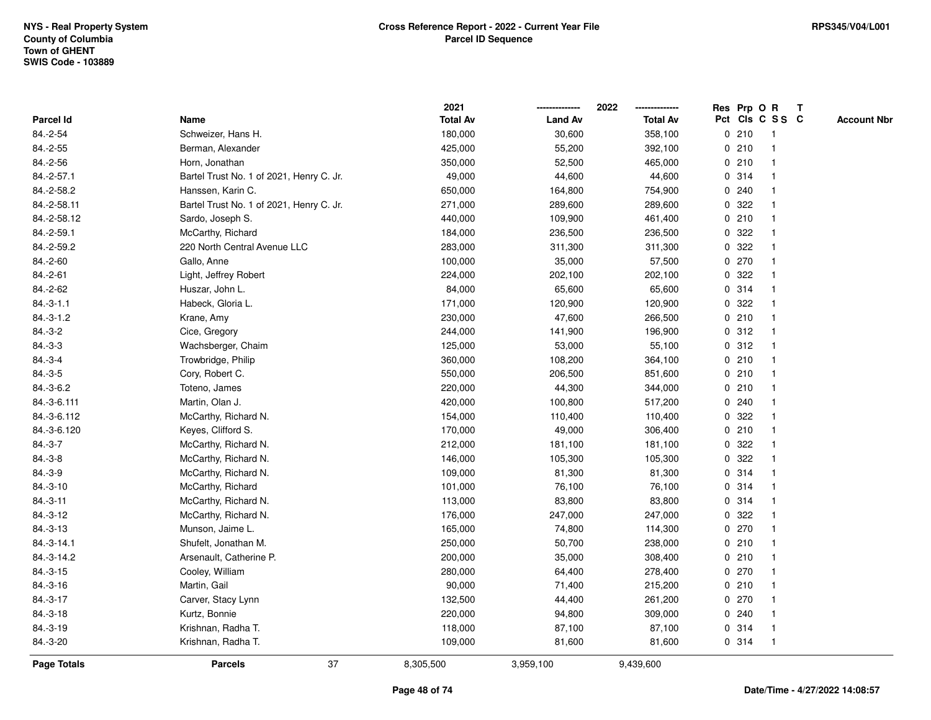|                    |                                          | 2021            |                | 2022            |   | Res Prp O R |                         | T |                    |
|--------------------|------------------------------------------|-----------------|----------------|-----------------|---|-------------|-------------------------|---|--------------------|
| Parcel Id          | Name                                     | <b>Total Av</b> | <b>Land Av</b> | <b>Total Av</b> |   |             | Pct Cls C S S C         |   | <b>Account Nbr</b> |
| 84.-2-54           | Schweizer, Hans H.                       | 180,000         | 30,600         | 358,100         |   | 0210        | $\overline{1}$          |   |                    |
| 84.-2-55           | Berman, Alexander                        | 425,000         | 55,200         | 392,100         |   | 0210        | $\overline{\mathbf{1}}$ |   |                    |
| 84.-2-56           | Horn, Jonathan                           | 350,000         | 52,500         | 465,000         |   | 0210        | -1                      |   |                    |
| 84.-2-57.1         | Bartel Trust No. 1 of 2021, Henry C. Jr. | 49,000          | 44,600         | 44,600          |   | 0.314       |                         |   |                    |
| 84.-2-58.2         | Hanssen, Karin C.                        | 650,000         | 164,800        | 754,900         |   | 0.240       |                         |   |                    |
| 84.-2-58.11        | Bartel Trust No. 1 of 2021, Henry C. Jr. | 271,000         | 289,600        | 289,600         |   | 0.322       |                         |   |                    |
| 84.-2-58.12        | Sardo, Joseph S.                         | 440,000         | 109,900        | 461,400         |   | 0210        |                         |   |                    |
| 84.-2-59.1         | McCarthy, Richard                        | 184,000         | 236,500        | 236,500         | 0 | 322         | -1                      |   |                    |
| 84.-2-59.2         | 220 North Central Avenue LLC             | 283,000         | 311,300        | 311,300         | 0 | 322         | -1                      |   |                    |
| 84.-2-60           | Gallo, Anne                              | 100,000         | 35,000         | 57,500          |   | 0.270       | $\mathbf{1}$            |   |                    |
| 84.-2-61           | Light, Jeffrey Robert                    | 224,000         | 202,100        | 202,100         |   | 0 322       |                         |   |                    |
| 84.-2-62           | Huszar, John L.                          | 84,000          | 65,600         | 65,600          |   | 0.314       |                         |   |                    |
| $84.-3-1.1$        | Habeck, Gloria L.                        | 171,000         | 120,900        | 120,900         |   | 0.322       |                         |   |                    |
| $84.-3-1.2$        | Krane, Amy                               | 230,000         | 47,600         | 266,500         |   | 0210        |                         |   |                    |
| $84.-3-2$          | Cice, Gregory                            | 244,000         | 141,900        | 196,900         |   | 0.312       | $\overline{\mathbf{1}}$ |   |                    |
| $84.-3-3$          | Wachsberger, Chaim                       | 125,000         | 53,000         | 55,100          |   | 0.312       | -1                      |   |                    |
| $84.-3-4$          | Trowbridge, Philip                       | 360,000         | 108,200        | 364,100         |   | 0210        | -1                      |   |                    |
| $84.-3-5$          | Cory, Robert C.                          | 550,000         | 206,500        | 851,600         |   | 0210        |                         |   |                    |
| 84.-3-6.2          | Toteno, James                            | 220,000         | 44,300         | 344,000         |   | 0210        |                         |   |                    |
| 84.-3-6.111        | Martin, Olan J.                          | 420,000         | 100,800        | 517,200         |   | 0.240       |                         |   |                    |
| 84.-3-6.112        | McCarthy, Richard N.                     | 154,000         | 110,400        | 110,400         |   | 0.322       |                         |   |                    |
| 84.-3-6.120        | Keyes, Clifford S.                       | 170,000         | 49,000         | 306,400         |   | 0210        |                         |   |                    |
| $84.-3-7$          | McCarthy, Richard N.                     | 212,000         | 181,100        | 181,100         | 0 | 322         | $\overline{\mathbf{1}}$ |   |                    |
| $84.-3-8$          | McCarthy, Richard N.                     | 146,000         | 105,300        | 105,300         |   | 0.322       |                         |   |                    |
| $84.-3-9$          | McCarthy, Richard N.                     | 109,000         | 81,300         | 81,300          |   | 0.314       |                         |   |                    |
| $84.-3-10$         | McCarthy, Richard                        | 101,000         | 76,100         | 76,100          |   | 0.314       |                         |   |                    |
| $84.-3-11$         | McCarthy, Richard N.                     | 113,000         | 83,800         | 83,800          |   | 0.314       |                         |   |                    |
| 84.-3-12           | McCarthy, Richard N.                     | 176,000         | 247,000        | 247,000         |   | 0.322       |                         |   |                    |
| $84.-3-13$         | Munson, Jaime L.                         | 165,000         | 74,800         | 114,300         |   | 0 270       | -1                      |   |                    |
| 84.-3-14.1         | Shufelt, Jonathan M.                     | 250,000         | 50,700         | 238,000         |   | 0210        | $\overline{\mathbf{1}}$ |   |                    |
| 84.-3-14.2         | Arsenault, Catherine P.                  | 200,000         | 35,000         | 308,400         |   | 0210        | $\overline{1}$          |   |                    |
| $84.-3-15$         | Cooley, William                          | 280,000         | 64,400         | 278,400         |   | 0270        |                         |   |                    |
| $84.-3-16$         | Martin, Gail                             | 90,000          | 71,400         | 215,200         |   | 0210        |                         |   |                    |
| $84.-3-17$         | Carver, Stacy Lynn                       | 132,500         | 44,400         | 261,200         |   | 0270        |                         |   |                    |
| $84.-3-18$         | Kurtz, Bonnie                            | 220,000         | 94,800         | 309,000         |   | 0.240       | -1                      |   |                    |
| 84.-3-19           | Krishnan, Radha T.                       | 118,000         | 87,100         | 87,100          |   | 0.314       | -1                      |   |                    |
| 84.-3-20           | Krishnan, Radha T.                       | 109,000         | 81,600         | 81,600          |   | 0.314       | $\overline{1}$          |   |                    |
| <b>Page Totals</b> | 37<br><b>Parcels</b>                     | 8,305,500       | 3,959,100      | 9,439,600       |   |             |                         |   |                    |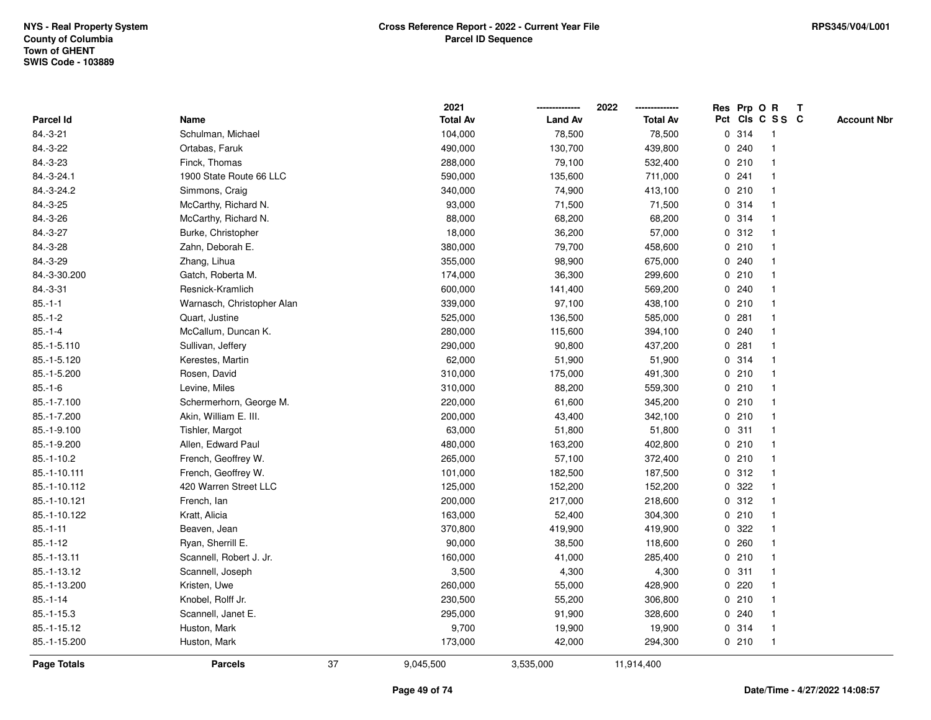|                |                            |    | 2021            |                | 2022            |   |       | Res Prp O R     | Т |                    |
|----------------|----------------------------|----|-----------------|----------------|-----------------|---|-------|-----------------|---|--------------------|
| Parcel Id      | Name                       |    | <b>Total Av</b> | <b>Land Av</b> | <b>Total Av</b> |   |       | Pct Cls C S S C |   | <b>Account Nbr</b> |
| 84.-3-21       | Schulman, Michael          |    | 104,000         | 78,500         | 78,500          |   | 0 314 | $\mathbf{1}$    |   |                    |
| 84.-3-22       | Ortabas, Faruk             |    | 490,000         | 130,700        | 439,800         | 0 | 240   | 1               |   |                    |
| 84.-3-23       | Finck, Thomas              |    | 288,000         | 79,100         | 532,400         |   | 0210  | $\mathbf{1}$    |   |                    |
| 84.-3-24.1     | 1900 State Route 66 LLC    |    | 590,000         | 135,600        | 711,000         |   | 0.241 |                 |   |                    |
| 84.-3-24.2     | Simmons, Craig             |    | 340,000         | 74,900         | 413,100         |   | 0210  |                 |   |                    |
| 84.-3-25       | McCarthy, Richard N.       |    | 93,000          | 71,500         | 71,500          |   | 0.314 |                 |   |                    |
| 84.-3-26       | McCarthy, Richard N.       |    | 88,000          | 68,200         | 68,200          |   | 0.314 | $\mathbf{1}$    |   |                    |
| 84.-3-27       | Burke, Christopher         |    | 18,000          | 36,200         | 57,000          |   | 0.312 | $\mathbf{1}$    |   |                    |
| 84.-3-28       | Zahn, Deborah E.           |    | 380,000         | 79,700         | 458,600         |   | 0210  | 1               |   |                    |
| 84.-3-29       | Zhang, Lihua               |    | 355,000         | 98,900         | 675,000         |   | 0.240 | $\mathbf{1}$    |   |                    |
| 84.-3-30.200   | Gatch, Roberta M.          |    | 174,000         | 36,300         | 299,600         |   | 0210  | $\mathbf 1$     |   |                    |
| 84.-3-31       | Resnick-Kramlich           |    | 600,000         | 141,400        | 569,200         |   | 0.240 |                 |   |                    |
| $85.-1-1$      | Warnasch, Christopher Alan |    | 339,000         | 97,100         | 438,100         |   | 0210  |                 |   |                    |
| $85.-1-2$      | Quart, Justine             |    | 525,000         | 136,500        | 585,000         |   | 0.281 | $\mathbf 1$     |   |                    |
| $85.-1-4$      | McCallum, Duncan K.        |    | 280,000         | 115,600        | 394,100         |   | 0.240 | $\mathbf{1}$    |   |                    |
| 85.-1-5.110    | Sullivan, Jeffery          |    | 290,000         | 90,800         | 437,200         | 0 | 281   | $\mathbf{1}$    |   |                    |
| 85.-1-5.120    | Kerestes, Martin           |    | 62,000          | 51,900         | 51,900          |   | 0.314 | $\mathbf{1}$    |   |                    |
| 85.-1-5.200    | Rosen, David               |    | 310,000         | 175,000        | 491,300         |   | 0210  | 1               |   |                    |
| $85.-1-6$      | Levine, Miles              |    | 310,000         | 88,200         | 559,300         |   | 0210  |                 |   |                    |
| 85.-1-7.100    | Schermerhorn, George M.    |    | 220,000         | 61,600         | 345,200         |   | 0210  |                 |   |                    |
| 85.-1-7.200    | Akin, William E. III.      |    | 200,000         | 43,400         | 342,100         |   | 0210  | $\mathbf{1}$    |   |                    |
| 85.-1-9.100    | Tishler, Margot            |    | 63,000          | 51,800         | 51,800          |   | 0.311 | 1               |   |                    |
| 85.-1-9.200    | Allen, Edward Paul         |    | 480,000         | 163,200        | 402,800         |   | 0210  | $\mathbf{1}$    |   |                    |
| $85.-1-10.2$   | French, Geoffrey W.        |    | 265,000         | 57,100         | 372,400         |   | 0210  | $\mathbf{1}$    |   |                    |
| 85.-1-10.111   | French, Geoffrey W.        |    | 101,000         | 182,500        | 187,500         |   | 0.312 | $\mathbf 1$     |   |                    |
| 85.-1-10.112   | 420 Warren Street LLC      |    | 125,000         | 152,200        | 152,200         |   | 0.322 |                 |   |                    |
| 85.-1-10.121   | French, Ian                |    | 200,000         | 217,000        | 218,600         |   | 0.312 |                 |   |                    |
| 85.-1-10.122   | Kratt, Alicia              |    | 163,000         | 52,400         | 304,300         |   | 0210  | $\mathbf{1}$    |   |                    |
| $85. - 1 - 11$ | Beaven, Jean               |    | 370,800         | 419,900        | 419,900         |   | 0.322 | $\mathbf{1}$    |   |                    |
| $85.-1-12$     | Ryan, Sherrill E.          |    | 90,000          | 38,500         | 118,600         |   | 0.260 | $\mathbf{1}$    |   |                    |
| 85.-1-13.11    | Scannell, Robert J. Jr.    |    | 160,000         | 41,000         | 285,400         |   | 0210  | 1               |   |                    |
| 85.-1-13.12    | Scannell, Joseph           |    | 3,500           | 4,300          | 4,300           |   | 0.311 | $\mathbf 1$     |   |                    |
| 85.-1-13.200   | Kristen, Uwe               |    | 260,000         | 55,000         | 428,900         |   | 0.220 |                 |   |                    |
| $85.-1-14$     | Knobel, Rolff Jr.          |    | 230,500         | 55,200         | 306,800         |   | 0210  |                 |   |                    |
| $85.-1-15.3$   | Scannell, Janet E.         |    | 295,000         | 91,900         | 328,600         |   | 0.240 | $\mathbf 1$     |   |                    |
| 85.-1-15.12    | Huston, Mark               |    | 9,700           | 19,900         | 19,900          |   | 0.314 | $\mathbf{1}$    |   |                    |
| 85.-1-15.200   | Huston, Mark               |    | 173,000         | 42,000         | 294,300         |   | 0210  | $\mathbf{1}$    |   |                    |
| Page Totals    | <b>Parcels</b>             | 37 | 9,045,500       | 3,535,000      | 11,914,400      |   |       |                 |   |                    |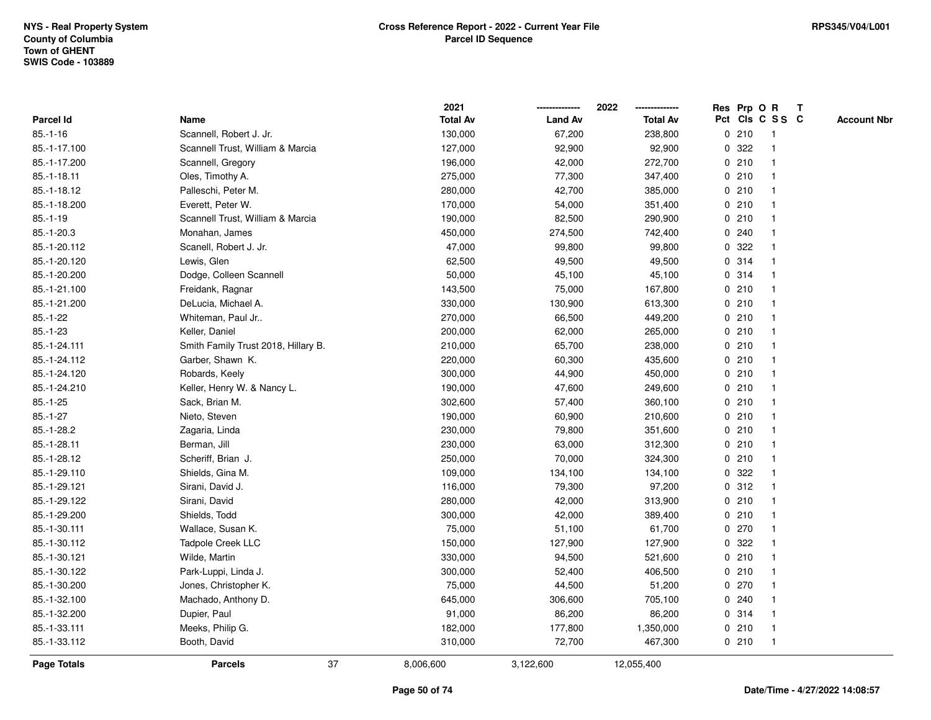|                    |                                     | 2021            |                | 2022            |   |       | Res Prp O R     | $\mathbf{T}$ |                    |
|--------------------|-------------------------------------|-----------------|----------------|-----------------|---|-------|-----------------|--------------|--------------------|
| Parcel Id          | Name                                | <b>Total Av</b> | <b>Land Av</b> | <b>Total Av</b> |   |       | Pct Cls C S S C |              | <b>Account Nbr</b> |
| $85.-1-16$         | Scannell, Robert J. Jr.             | 130,000         | 67,200         | 238,800         |   | 0210  | -1              |              |                    |
| 85.-1-17.100       | Scannell Trust, William & Marcia    | 127,000         | 92,900         | 92,900          | 0 | 322   |                 |              |                    |
| 85.-1-17.200       | Scannell, Gregory                   | 196,000         | 42,000         | 272,700         |   | 0210  | $\mathbf 1$     |              |                    |
| 85.-1-18.11        | Oles, Timothy A.                    | 275,000         | 77,300         | 347,400         |   | 0210  | $\mathbf{1}$    |              |                    |
| 85.-1-18.12        | Palleschi, Peter M.                 | 280,000         | 42,700         | 385,000         |   | 0210  | $\mathbf{1}$    |              |                    |
| 85.-1-18.200       | Everett, Peter W.                   | 170,000         | 54,000         | 351,400         |   | 0210  | $\mathbf 1$     |              |                    |
| $85.-1-19$         | Scannell Trust, William & Marcia    | 190,000         | 82,500         | 290,900         |   | 0210  |                 |              |                    |
| 85.-1-20.3         | Monahan, James                      | 450,000         | 274,500        | 742,400         |   | 0.240 |                 |              |                    |
| 85.-1-20.112       | Scanell, Robert J. Jr.              | 47,000          | 99,800         | 99,800          |   | 0.322 | $\mathbf 1$     |              |                    |
| 85.-1-20.120       | Lewis, Glen                         | 62,500          | 49,500         | 49,500          |   | 0.314 | $\mathbf{1}$    |              |                    |
| 85.-1-20.200       | Dodge, Colleen Scannell             | 50,000          | 45,100         | 45,100          |   | 0.314 | $\mathbf{1}$    |              |                    |
| 85.-1-21.100       | Freidank, Ragnar                    | 143,500         | 75,000         | 167,800         |   | 0210  | $\mathbf{1}$    |              |                    |
| 85.-1-21.200       | DeLucia, Michael A.                 | 330,000         | 130,900        | 613,300         |   | 0210  | $\mathbf 1$     |              |                    |
| $85.-1-22$         | Whiteman, Paul Jr                   | 270,000         | 66,500         | 449,200         |   | 0210  |                 |              |                    |
| $85.-1-23$         | Keller, Daniel                      | 200,000         | 62,000         | 265,000         |   | 0210  |                 |              |                    |
| 85.-1-24.111       | Smith Family Trust 2018, Hillary B. | 210,000         | 65,700         | 238,000         |   | 0210  | $\mathbf 1$     |              |                    |
| 85.-1-24.112       | Garber, Shawn K.                    | 220,000         | 60,300         | 435,600         |   | 0210  | $\mathbf{1}$    |              |                    |
| 85.-1-24.120       | Robards, Keely                      | 300,000         | 44,900         | 450,000         |   | 0210  | 1               |              |                    |
| 85.-1-24.210       | Keller, Henry W. & Nancy L.         | 190,000         | 47,600         | 249,600         |   | 0210  | $\mathbf{1}$    |              |                    |
| $85.-1-25$         | Sack, Brian M.                      | 302,600         | 57,400         | 360,100         |   | 0210  |                 |              |                    |
| $85.-1-27$         | Nieto, Steven                       | 190,000         | 60,900         | 210,600         |   | 0210  |                 |              |                    |
| 85.-1-28.2         | Zagaria, Linda                      | 230,000         | 79,800         | 351,600         |   | 0210  |                 |              |                    |
| 85.-1-28.11        | Berman, Jill                        | 230,000         | 63,000         | 312,300         |   | 0210  | $\mathbf 1$     |              |                    |
| 85.-1-28.12        | Scheriff, Brian J.                  | 250,000         | 70,000         | 324,300         |   | 0210  | $\mathbf{1}$    |              |                    |
| 85.-1-29.110       | Shields, Gina M.                    | 109,000         | 134,100        | 134,100         | 0 | 322   | $\mathbf 1$     |              |                    |
| 85.-1-29.121       | Sirani, David J.                    | 116,000         | 79,300         | 97,200          |   | 0.312 | $\mathbf 1$     |              |                    |
| 85.-1-29.122       | Sirani, David                       | 280,000         | 42,000         | 313,900         |   | 0210  | -1              |              |                    |
| 85.-1-29.200       | Shields, Todd                       | 300,000         | 42,000         | 389,400         |   | 0210  |                 |              |                    |
| 85.-1-30.111       | Wallace, Susan K.                   | 75,000          | 51,100         | 61,700          |   | 0270  | $\mathbf{1}$    |              |                    |
| 85.-1-30.112       | Tadpole Creek LLC                   | 150,000         | 127,900        | 127,900         | 0 | 322   |                 |              |                    |
| 85.-1-30.121       | Wilde, Martin                       | 330,000         | 94,500         | 521,600         |   | 0210  | $\mathbf{1}$    |              |                    |
| 85.-1-30.122       | Park-Luppi, Linda J.                | 300,000         | 52,400         | 406,500         |   | 0210  | 1               |              |                    |
| 85.-1-30.200       | Jones, Christopher K.               | 75,000          | 44,500         | 51,200          |   | 0270  | $\mathbf 1$     |              |                    |
| 85.-1-32.100       | Machado, Anthony D.                 | 645,000         | 306,600        | 705,100         |   | 0.240 |                 |              |                    |
| 85.-1-32.200       | Dupier, Paul                        | 91,000          | 86,200         | 86,200          |   | 0.314 |                 |              |                    |
| 85.-1-33.111       | Meeks, Philip G.                    | 182,000         | 177,800        | 1,350,000       |   | 0210  | $\mathbf{1}$    |              |                    |
| 85.-1-33.112       | Booth, David                        | 310,000         | 72,700         | 467,300         |   | 0210  | $\mathbf{1}$    |              |                    |
| <b>Page Totals</b> | 37<br><b>Parcels</b>                | 8,006,600       | 3,122,600      | 12,055,400      |   |       |                 |              |                    |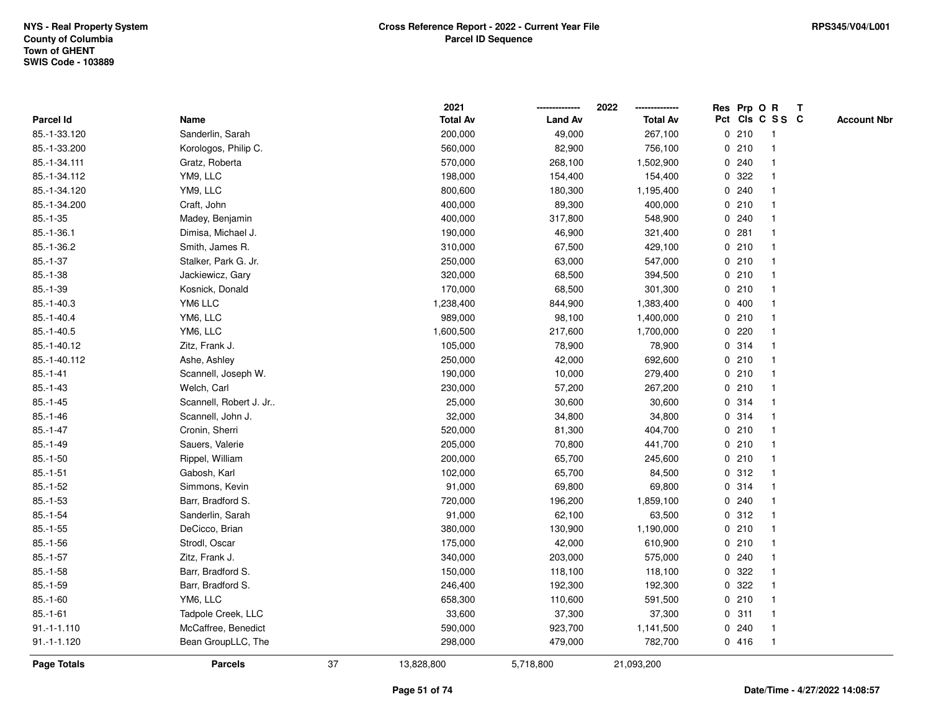|                    |                        |    | 2021            |                | 2022            |   |         | Res Prp O R     | $\mathbf{T}$ |                    |
|--------------------|------------------------|----|-----------------|----------------|-----------------|---|---------|-----------------|--------------|--------------------|
| <b>Parcel Id</b>   | Name                   |    | <b>Total Av</b> | <b>Land Av</b> | <b>Total Av</b> |   |         | Pct Cls C S S C |              | <b>Account Nbr</b> |
| 85.-1-33.120       | Sanderlin, Sarah       |    | 200,000         | 49,000         | 267,100         |   | 0210    | -1              |              |                    |
| 85.-1-33.200       | Korologos, Philip C.   |    | 560,000         | 82,900         | 756,100         |   | 0210    |                 |              |                    |
| 85.-1-34.111       | Gratz, Roberta         |    | 570,000         | 268,100        | 1,502,900       |   | 0.240   | $\mathbf{1}$    |              |                    |
| 85.-1-34.112       | YM9, LLC               |    | 198,000         | 154,400        | 154,400         | 0 | 322     | $\mathbf{1}$    |              |                    |
| 85.-1-34.120       | YM9, LLC               |    | 800,600         | 180,300        | 1,195,400       |   | 0.240   | $\mathbf{1}$    |              |                    |
| 85.-1-34.200       | Craft, John            |    | 400,000         | 89,300         | 400,000         |   | 0210    | $\mathbf{1}$    |              |                    |
| $85.-1-35$         | Madey, Benjamin        |    | 400,000         | 317,800        | 548,900         |   | 0.240   |                 |              |                    |
| $85.-1-36.1$       | Dimisa, Michael J.     |    | 190,000         | 46,900         | 321,400         |   | 0.281   |                 |              |                    |
| 85.-1-36.2         | Smith, James R.        |    | 310,000         | 67,500         | 429,100         |   | 0210    | $\mathbf{1}$    |              |                    |
| $85.-1-37$         | Stalker, Park G. Jr.   |    | 250,000         | 63,000         | 547,000         |   | 0210    | $\mathbf{1}$    |              |                    |
| $85.-1-38$         | Jackiewicz, Gary       |    | 320,000         | 68,500         | 394,500         |   | 0210    | $\mathbf{1}$    |              |                    |
| $85.-1-39$         | Kosnick, Donald        |    | 170,000         | 68,500         | 301,300         |   | 0210    | $\mathbf{1}$    |              |                    |
| $85.-1-40.3$       | YM6 LLC                |    | 1,238,400       | 844,900        | 1,383,400       |   | 0400    | $\mathbf{1}$    |              |                    |
| $85.-1-40.4$       | YM6, LLC               |    | 989,000         | 98,100         | 1,400,000       |   | 0210    | $\mathbf 1$     |              |                    |
| $85.-1-40.5$       | YM6, LLC               |    | 1,600,500       | 217,600        | 1,700,000       |   | $0$ 220 |                 |              |                    |
| 85.-1-40.12        | Zitz, Frank J.         |    | 105,000         | 78,900         | 78,900          |   | 0.314   | $\mathbf{1}$    |              |                    |
| 85.-1-40.112       | Ashe, Ashley           |    | 250,000         | 42,000         | 692,600         |   | 0210    | $\mathbf{1}$    |              |                    |
| $85.-1-41$         | Scannell, Joseph W.    |    | 190,000         | 10,000         | 279,400         |   | 0210    | $\mathbf{1}$    |              |                    |
| $85 - 1 - 43$      | Welch, Carl            |    | 230,000         | 57,200         | 267,200         |   | 0210    | $\mathbf{1}$    |              |                    |
| $85.-1-45$         | Scannell, Robert J. Jr |    | 25,000          | 30,600         | 30,600          |   | 0.314   |                 |              |                    |
| $85.-1-46$         | Scannell, John J.      |    | 32,000          | 34,800         | 34,800          |   | 0.314   |                 |              |                    |
| $85.-1-47$         | Cronin, Sherri         |    | 520,000         | 81,300         | 404,700         |   | 0210    | $\mathbf{1}$    |              |                    |
| $85.-1-49$         | Sauers, Valerie        |    | 205,000         | 70,800         | 441,700         |   | 0210    | $\mathbf{1}$    |              |                    |
| $85.-1-50$         | Rippel, William        |    | 200,000         | 65,700         | 245,600         |   | 0210    | $\mathbf{1}$    |              |                    |
| $85.-1-51$         | Gabosh, Karl           |    | 102,000         | 65,700         | 84,500          |   | 0.312   | $\mathbf{1}$    |              |                    |
| $85.-1-52$         | Simmons, Kevin         |    | 91,000          | 69,800         | 69,800          |   | 0.314   | $\mathbf{1}$    |              |                    |
| $85.-1-53$         | Barr, Bradford S.      |    | 720,000         | 196,200        | 1,859,100       |   | 0.240   | -1              |              |                    |
| $85.-1-54$         | Sanderlin, Sarah       |    | 91,000          | 62,100         | 63,500          |   | 0.312   |                 |              |                    |
| $85.-1-55$         | DeCicco, Brian         |    | 380,000         | 130,900        | 1,190,000       |   | 0210    | $\mathbf{1}$    |              |                    |
| $85.-1-56$         | Strodl, Oscar          |    | 175,000         | 42,000         | 610,900         |   | 0210    | $\mathbf{1}$    |              |                    |
| $85.-1-57$         | Zitz, Frank J.         |    | 340,000         | 203,000        | 575,000         |   | 0.240   | $\mathbf{1}$    |              |                    |
| $85.-1-58$         | Barr, Bradford S.      |    | 150,000         | 118,100        | 118,100         | 0 | 322     | 1               |              |                    |
| $85.-1-59$         | Barr, Bradford S.      |    | 246,400         | 192,300        | 192,300         |   | 0.322   | $\mathbf{1}$    |              |                    |
| $85.-1-60$         | YM6, LLC               |    | 658,300         | 110,600        | 591,500         |   | 0210    |                 |              |                    |
| $85.-1-61$         | Tadpole Creek, LLC     |    | 33,600          | 37,300         | 37,300          |   | 0.311   | $\mathbf 1$     |              |                    |
| $91.-1-1.110$      | McCaffree, Benedict    |    | 590,000         | 923,700        | 1,141,500       |   | 0.240   | $\mathbf{1}$    |              |                    |
| $91.-1-1.120$      | Bean GroupLLC, The     |    | 298,000         | 479,000        | 782,700         |   | 0416    | $\mathbf{1}$    |              |                    |
| <b>Page Totals</b> | <b>Parcels</b>         | 37 | 13,828,800      | 5,718,800      | 21,093,200      |   |         |                 |              |                    |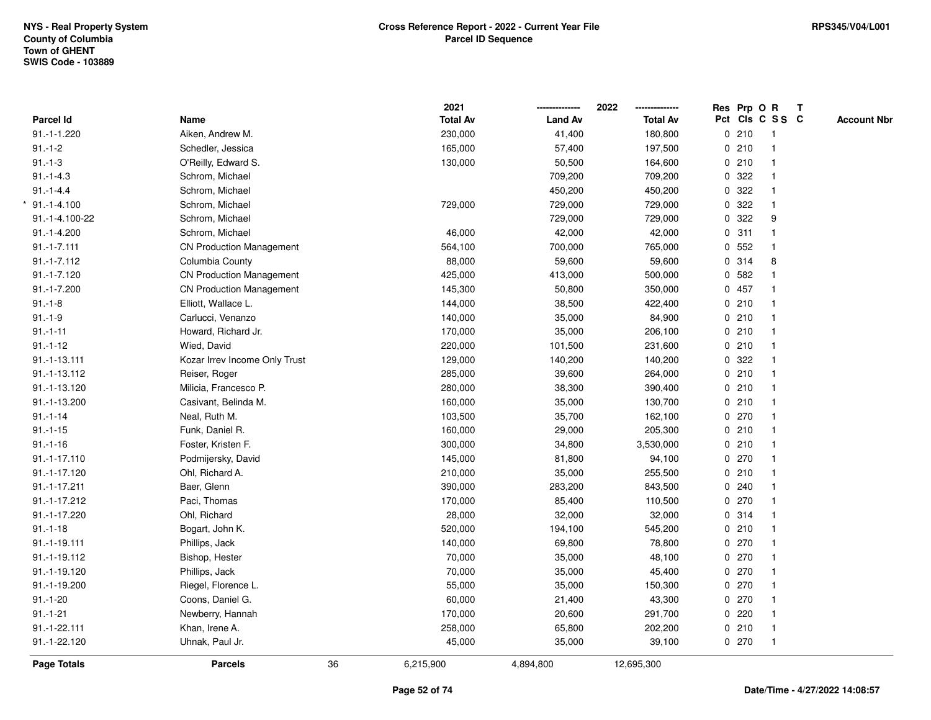|                  |                                 |    | 2021            |                | 2022<br>-------------- | Res Prp O R     |              | $\mathbf{T}$ |                    |
|------------------|---------------------------------|----|-----------------|----------------|------------------------|-----------------|--------------|--------------|--------------------|
| <b>Parcel Id</b> | Name                            |    | <b>Total Av</b> | <b>Land Av</b> | <b>Total Av</b>        | Pct Cls C S S C |              |              | <b>Account Nbr</b> |
| 91.-1-1.220      | Aiken, Andrew M.                |    | 230,000         | 41,400         | 180,800                | 0210            | $\mathbf{1}$ |              |                    |
| $91.-1-2$        | Schedler, Jessica               |    | 165,000         | 57,400         | 197,500                | 0210            |              |              |                    |
| $91.-1-3$        | O'Reilly, Edward S.             |    | 130,000         | 50,500         | 164,600                | 0210            | $\mathbf{1}$ |              |                    |
| $91.-1-4.3$      | Schrom, Michael                 |    |                 | 709,200        | 709,200                | 0.322           | $\mathbf{1}$ |              |                    |
| $91 - 1 - 4.4$   | Schrom, Michael                 |    |                 | 450,200        | 450,200                | 0.322           | $\mathbf{1}$ |              |                    |
| $*$ 91.-1-4.100  | Schrom, Michael                 |    | 729,000         | 729,000        | 729,000                | 0.322           | $\mathbf{1}$ |              |                    |
| 91.-1-4.100-22   | Schrom, Michael                 |    |                 | 729,000        | 729,000                | 0.322           | 9            |              |                    |
| $91.-1-4.200$    | Schrom, Michael                 |    | 46,000          | 42,000         | 42,000                 | 0.311           |              |              |                    |
| $91.-1-7.111$    | <b>CN Production Management</b> |    | 564,100         | 700,000        | 765,000                | 0 552           | $\mathbf{1}$ |              |                    |
| $91.-1-7.112$    | Columbia County                 |    | 88,000          | 59,600         | 59,600                 | 0.314           | 8            |              |                    |
| 91.-1-7.120      | <b>CN Production Management</b> |    | 425,000         | 413,000        | 500,000                | 0 582           | $\mathbf{1}$ |              |                    |
| 91.-1-7.200      | <b>CN Production Management</b> |    | 145,300         | 50,800         | 350,000                | 0457            | $\mathbf{1}$ |              |                    |
| $91.-1-8$        | Elliott, Wallace L.             |    | 144,000         | 38,500         | 422,400                | 0210            | 1            |              |                    |
| $91.-1-9$        | Carlucci, Venanzo               |    | 140,000         | 35,000         | 84,900                 | 0210            | $\mathbf 1$  |              |                    |
| $91.-1-11$       | Howard, Richard Jr.             |    | 170,000         | 35,000         | 206,100                | 0210            |              |              |                    |
| $91.-1-12$       | Wied, David                     |    | 220,000         | 101,500        | 231,600                | 0210            |              |              |                    |
| 91.-1-13.111     | Kozar Irrev Income Only Trust   |    | 129,000         | 140,200        | 140,200                | 0 322           | $\mathbf{1}$ |              |                    |
| 91.-1-13.112     | Reiser, Roger                   |    | 285,000         | 39,600         | 264,000                | 0210            | $\mathbf{1}$ |              |                    |
| 91.-1-13.120     | Milicia, Francesco P.           |    | 280,000         | 38,300         | 390,400                | 0210            | $\mathbf{1}$ |              |                    |
| 91.-1-13.200     | Casivant, Belinda M.            |    | 160,000         | 35,000         | 130,700                | 0210            | $\mathbf{1}$ |              |                    |
| $91.-1-14$       | Neal, Ruth M.                   |    | 103,500         | 35,700         | 162,100                | 0270            |              |              |                    |
| $91.-1-15$       | Funk, Daniel R.                 |    | 160,000         | 29,000         | 205,300                | 0210            |              |              |                    |
| $91.-1-16$       | Foster, Kristen F.              |    | 300,000         | 34,800         | 3,530,000              | 0210            | $\mathbf{1}$ |              |                    |
| 91.-1-17.110     | Podmijersky, David              |    | 145,000         | 81,800         | 94,100                 | 0270            | $\mathbf{1}$ |              |                    |
| 91.-1-17.120     | Ohl, Richard A.                 |    | 210,000         | 35,000         | 255,500                | 0210            | $\mathbf{1}$ |              |                    |
| 91.-1-17.211     | Baer, Glenn                     |    | 390,000         | 283,200        | 843,500                | 0.240           | $\mathbf{1}$ |              |                    |
| 91.-1-17.212     | Paci, Thomas                    |    | 170,000         | 85,400         | 110,500                | 0270            |              |              |                    |
| 91.-1-17.220     | Ohl, Richard                    |    | 28,000          | 32,000         | 32,000                 | 0.314           |              |              |                    |
| $91.-1-18$       | Bogart, John K.                 |    | 520,000         | 194,100        | 545,200                | 0210            | $\mathbf{1}$ |              |                    |
| 91.-1-19.111     | Phillips, Jack                  |    | 140,000         | 69,800         | 78,800                 | 0270            | $\mathbf{1}$ |              |                    |
| 91.-1-19.112     | Bishop, Hester                  |    | 70,000          | 35,000         | 48,100                 | 0270            | $\mathbf{1}$ |              |                    |
| 91.-1-19.120     | Phillips, Jack                  |    | 70,000          | 35,000         | 45,400                 | $0$ 270         | $\mathbf{1}$ |              |                    |
| 91.-1-19.200     | Riegel, Florence L.             |    | 55,000          | 35,000         | 150,300                | $0$ 270         | $\mathbf{1}$ |              |                    |
| $91.-1-20$       | Coons, Daniel G.                |    | 60,000          | 21,400         | 43,300                 | $0$ 270         | 1            |              |                    |
| $91.-1-21$       | Newberry, Hannah                |    | 170,000         | 20,600         | 291,700                | $0$ 220         | $\mathbf{1}$ |              |                    |
| 91.-1-22.111     | Khan, Irene A.                  |    | 258,000         | 65,800         | 202,200                | 0210            | $\mathbf{1}$ |              |                    |
| 91.-1-22.120     | Uhnak, Paul Jr.                 |    | 45,000          | 35,000         | 39,100                 | 0270            | $\mathbf{1}$ |              |                    |
| Page Totals      | <b>Parcels</b>                  | 36 | 6,215,900       | 4,894,800      | 12,695,300             |                 |              |              |                    |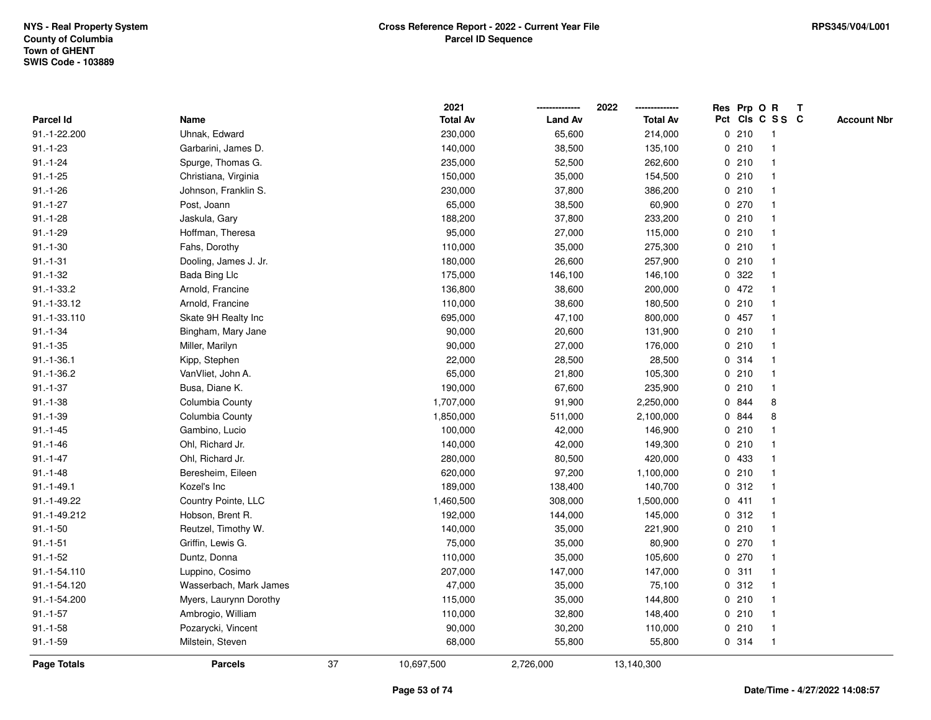|                    |                        |    | 2021            |                | 2022            |             |       | Res Prp O R             | $\mathbf{T}$ |                    |
|--------------------|------------------------|----|-----------------|----------------|-----------------|-------------|-------|-------------------------|--------------|--------------------|
| Parcel Id          | Name                   |    | <b>Total Av</b> | <b>Land Av</b> | <b>Total Av</b> |             |       | Pct Cls C S S C         |              | <b>Account Nbr</b> |
| 91.-1-22.200       | Uhnak, Edward          |    | 230,000         | 65,600         | 214,000         |             | 0210  | -1                      |              |                    |
| $91.-1-23$         | Garbarini, James D.    |    | 140,000         | 38,500         | 135,100         |             | 0210  |                         |              |                    |
| $91.-1-24$         | Spurge, Thomas G.      |    | 235,000         | 52,500         | 262,600         |             | 0210  | -1                      |              |                    |
| $91.-1-25$         | Christiana, Virginia   |    | 150,000         | 35,000         | 154,500         |             | 0210  | $\mathbf{1}$            |              |                    |
| $91.-1-26$         | Johnson, Franklin S.   |    | 230,000         | 37,800         | 386,200         |             | 0210  | $\mathbf{1}$            |              |                    |
| $91.-1-27$         | Post, Joann            |    | 65,000          | 38,500         | 60,900          |             | 0270  | -1                      |              |                    |
| $91.-1-28$         | Jaskula, Gary          |    | 188,200         | 37,800         | 233,200         |             | 0210  |                         |              |                    |
| $91.-1-29$         | Hoffman, Theresa       |    | 95,000          | 27,000         | 115,000         |             | 0210  |                         |              |                    |
| $91.-1-30$         | Fahs, Dorothy          |    | 110,000         | 35,000         | 275,300         |             | 0210  | $\mathbf{1}$            |              |                    |
| $91.-1-31$         | Dooling, James J. Jr.  |    | 180,000         | 26,600         | 257,900         |             | 0210  | $\overline{\mathbf{1}}$ |              |                    |
| $91.-1-32$         | Bada Bing Llc          |    | 175,000         | 146,100        | 146,100         | 0           | 322   | $\mathbf{1}$            |              |                    |
| $91.-1-33.2$       | Arnold, Francine       |    | 136,800         | 38,600         | 200,000         |             | 0472  | $\mathbf{1}$            |              |                    |
| 91.-1-33.12        | Arnold, Francine       |    | 110,000         | 38,600         | 180,500         |             | 0210  | $\mathbf 1$             |              |                    |
| 91.-1-33.110       | Skate 9H Realty Inc    |    | 695,000         | 47,100         | 800,000         |             | 0457  |                         |              |                    |
| $91.-1-34$         | Bingham, Mary Jane     |    | 90,000          | 20,600         | 131,900         |             | 0210  |                         |              |                    |
| $91.-1-35$         | Miller, Marilyn        |    | 90,000          | 27,000         | 176,000         |             | 0210  | -1                      |              |                    |
| $91.-1-36.1$       | Kipp, Stephen          |    | 22,000          | 28,500         | 28,500          | $\mathbf 0$ | 314   | $\overline{\mathbf{1}}$ |              |                    |
| $91.-1-36.2$       | VanVliet, John A.      |    | 65,000          | 21,800         | 105,300         |             | 0210  | $\mathbf 1$             |              |                    |
| $91.-1-37$         | Busa, Diane K.         |    | 190,000         | 67,600         | 235,900         |             | 0210  | $\mathbf{1}$            |              |                    |
| $91.-1-38$         | Columbia County        |    | 1,707,000       | 91,900         | 2,250,000       |             | 0 844 | 8                       |              |                    |
| $91.-1-39$         | Columbia County        |    | 1,850,000       | 511,000        | 2,100,000       |             | 0 844 | 8                       |              |                    |
| $91.-1-45$         | Gambino, Lucio         |    | 100,000         | 42,000         | 146,900         |             | 0210  |                         |              |                    |
| $91.-1-46$         | Ohl, Richard Jr.       |    | 140,000         | 42,000         | 149,300         |             | 0210  | -1                      |              |                    |
| $91.-1-47$         | Ohl, Richard Jr.       |    | 280,000         | 80,500         | 420,000         | $\mathbf 0$ | 433   | $\mathbf{1}$            |              |                    |
| $91.-1-48$         | Beresheim, Eileen      |    | 620,000         | 97,200         | 1,100,000       |             | 0210  | $\mathbf 1$             |              |                    |
| $91.-1-49.1$       | Kozel's Inc            |    | 189,000         | 138,400        | 140,700         |             | 0.312 | $\mathbf 1$             |              |                    |
| 91.-1-49.22        | Country Pointe, LLC    |    | 1,460,500       | 308,000        | 1,500,000       |             | 0411  |                         |              |                    |
| 91.-1-49.212       | Hobson, Brent R.       |    | 192,000         | 144,000        | 145,000         |             | 0.312 |                         |              |                    |
| $91.-1-50$         | Reutzel, Timothy W.    |    | 140,000         | 35,000         | 221,900         |             | 0210  | $\overline{\mathbf{1}}$ |              |                    |
| $91.-1-51$         | Griffin, Lewis G.      |    | 75,000          | 35,000         | 80,900          |             | 0270  |                         |              |                    |
| $91.-1-52$         | Duntz, Donna           |    | 110,000         | 35,000         | 105,600         |             | 0270  | $\mathbf{1}$            |              |                    |
| 91.-1-54.110       | Luppino, Cosimo        |    | 207,000         | 147,000        | 147,000         |             | 0.311 | $\mathbf 1$             |              |                    |
| 91.-1-54.120       | Wasserbach, Mark James |    | 47,000          | 35,000         | 75,100          |             | 0.312 | -1                      |              |                    |
| 91.-1-54.200       | Myers, Laurynn Dorothy |    | 115,000         | 35,000         | 144,800         |             | 0210  |                         |              |                    |
| $91.-1-57$         | Ambrogio, William      |    | 110,000         | 32,800         | 148,400         |             | 0210  |                         |              |                    |
| $91.-1-58$         | Pozarycki, Vincent     |    | 90,000          | 30,200         | 110,000         |             | 0210  | $\mathbf{1}$            |              |                    |
| $91.-1-59$         | Milstein, Steven       |    | 68,000          | 55,800         | 55,800          |             | 0 314 | -1                      |              |                    |
| <b>Page Totals</b> | <b>Parcels</b>         | 37 | 10,697,500      | 2,726,000      | 13,140,300      |             |       |                         |              |                    |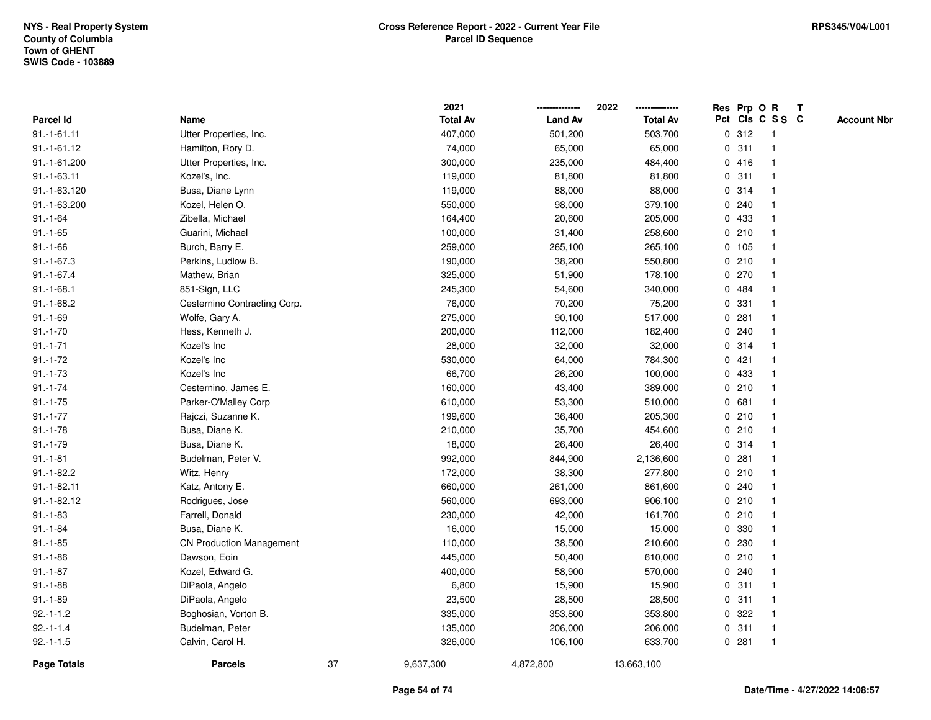|               |                                 |    | 2021            |                | 2022            |   |       | Res Prp O R     | $\mathbf{T}$ |                    |
|---------------|---------------------------------|----|-----------------|----------------|-----------------|---|-------|-----------------|--------------|--------------------|
| Parcel Id     | Name                            |    | <b>Total Av</b> | <b>Land Av</b> | <b>Total Av</b> |   |       | Pct Cls C S S C |              | <b>Account Nbr</b> |
| $91.-1-61.11$ | Utter Properties, Inc.          |    | 407,000         | 501,200        | 503,700         |   | 0.312 | 1               |              |                    |
| 91.-1-61.12   | Hamilton, Rory D.               |    | 74,000          | 65,000         | 65,000          | 0 | 311   |                 |              |                    |
| 91.-1-61.200  | Utter Properties, Inc.          |    | 300,000         | 235,000        | 484,400         |   | 0416  | -1              |              |                    |
| 91.-1-63.11   | Kozel's, Inc.                   |    | 119,000         | 81,800         | 81,800          | 0 | 311   | $\mathbf{1}$    |              |                    |
| 91.-1-63.120  | Busa, Diane Lynn                |    | 119,000         | 88,000         | 88,000          |   | 0.314 | $\mathbf{1}$    |              |                    |
| 91.-1-63.200  | Kozel, Helen O.                 |    | 550,000         | 98,000         | 379,100         |   | 0.240 | 1               |              |                    |
| $91.-1-64$    | Zibella, Michael                |    | 164,400         | 20,600         | 205,000         |   | 0 433 |                 |              |                    |
| $91.-1-65$    | Guarini, Michael                |    | 100,000         | 31,400         | 258,600         |   | 0210  |                 |              |                    |
| $91.-1-66$    | Burch, Barry E.                 |    | 259,000         | 265,100        | 265,100         |   | 0 105 | $\mathbf 1$     |              |                    |
| $91.-1-67.3$  | Perkins, Ludlow B.              |    | 190,000         | 38,200         | 550,800         |   | 0210  | $\mathbf{1}$    |              |                    |
| $91.-1-67.4$  | Mathew, Brian                   |    | 325,000         | 51,900         | 178,100         |   | 0270  | $\mathbf{1}$    |              |                    |
| $91.-1-68.1$  | 851-Sign, LLC                   |    | 245,300         | 54,600         | 340,000         |   | 0 484 | $\mathbf{1}$    |              |                    |
| $91.-1-68.2$  | Cesternino Contracting Corp.    |    | 76,000          | 70,200         | 75,200          |   | 0 331 | 1               |              |                    |
| $91.-1-69$    | Wolfe, Gary A.                  |    | 275,000         | 90,100         | 517,000         |   | 0.281 |                 |              |                    |
| $91.-1-70$    | Hess, Kenneth J.                |    | 200,000         | 112,000        | 182,400         |   | 0.240 |                 |              |                    |
| $91.-1-71$    | Kozel's Inc                     |    | 28,000          | 32,000         | 32,000          |   | 0.314 | $\mathbf 1$     |              |                    |
| $91.-1-72$    | Kozel's Inc                     |    | 530,000         | 64,000         | 784,300         | 0 | 421   | $\mathbf{1}$    |              |                    |
| $91.-1-73$    | Kozel's Inc                     |    | 66,700          | 26,200         | 100,000         | 0 | 433   | 1               |              |                    |
| $91.-1-74$    | Cesternino, James E.            |    | 160,000         | 43,400         | 389,000         |   | 0210  | $\mathbf{1}$    |              |                    |
| $91.-1-75$    | Parker-O'Malley Corp            |    | 610,000         | 53,300         | 510,000         |   | 0 681 |                 |              |                    |
| $91.-1-77$    | Rajczi, Suzanne K.              |    | 199,600         | 36,400         | 205,300         |   | 0210  |                 |              |                    |
| $91.-1-78$    | Busa, Diane K.                  |    | 210,000         | 35,700         | 454,600         |   | 0210  |                 |              |                    |
| $91.-1-79$    | Busa, Diane K.                  |    | 18,000          | 26,400         | 26,400          |   | 0.314 | $\mathbf 1$     |              |                    |
| $91.-1-81$    | Budelman, Peter V.              |    | 992,000         | 844,900        | 2,136,600       |   | 0.281 | $\mathbf{1}$    |              |                    |
| $91.-1-82.2$  | Witz, Henry                     |    | 172,000         | 38,300         | 277,800         |   | 0210  | 1               |              |                    |
| $91.-1-82.11$ | Katz, Antony E.                 |    | 660,000         | 261,000        | 861,600         |   | 0.240 | $\mathbf 1$     |              |                    |
| $91.-1-82.12$ | Rodrigues, Jose                 |    | 560,000         | 693,000        | 906,100         |   | 0210  | -1              |              |                    |
| $91.-1-83$    | Farrell, Donald                 |    | 230,000         | 42,000         | 161,700         |   | 0210  |                 |              |                    |
| $91.-1-84$    | Busa, Diane K.                  |    | 16,000          | 15,000         | 15,000          |   | 0 330 | $\mathbf{1}$    |              |                    |
| $91.-1-85$    | <b>CN Production Management</b> |    | 110,000         | 38,500         | 210,600         |   | 0 230 |                 |              |                    |
| $91.-1-86$    | Dawson, Eoin                    |    | 445,000         | 50,400         | 610,000         |   | 0210  | $\mathbf{1}$    |              |                    |
| $91.-1-87$    | Kozel, Edward G.                |    | 400,000         | 58,900         | 570,000         |   | 0.240 | 1               |              |                    |
| $91.-1-88$    | DiPaola, Angelo                 |    | 6,800           | 15,900         | 15,900          |   | 0.311 | 1               |              |                    |
| $91.-1-89$    | DiPaola, Angelo                 |    | 23,500          | 28,500         | 28,500          |   | 0.311 |                 |              |                    |
| $92.-1-1.2$   | Boghosian, Vorton B.            |    | 335,000         | 353,800        | 353,800         |   | 0.322 | $\mathbf 1$     |              |                    |
| $92.-1-1.4$   | Budelman, Peter                 |    | 135,000         | 206,000        | 206,000         |   | 0.311 | $\mathbf{1}$    |              |                    |
| $92.-1-1.5$   | Calvin, Carol H.                |    | 326,000         | 106,100        | 633,700         |   | 0.281 | 1               |              |                    |
| Page Totals   | <b>Parcels</b>                  | 37 | 9,637,300       | 4,872,800      | 13,663,100      |   |       |                 |              |                    |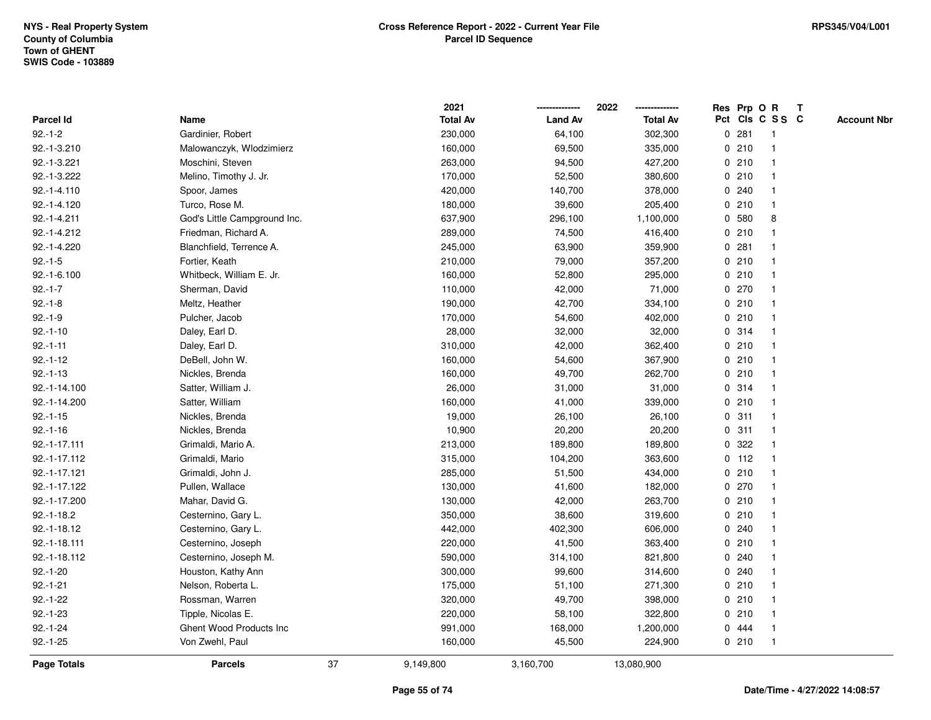| Pct Cls C S S C<br><b>Total Av</b><br><b>Land Av</b><br>Parcel Id<br>Name<br><b>Total Av</b><br>281<br>$92.-1-2$<br>Gardinier, Robert<br>230,000<br>64,100<br>302,300<br>$\mathbf 0$<br>$\mathbf{1}$<br>210<br>92.-1-3.210<br>Malowanczyk, Włodzimierz<br>160,000<br>69,500<br>335,000<br>0<br>$\overline{1}$<br>263,000<br>0210<br>92.-1-3.221<br>Moschini, Steven<br>94,500<br>427,200<br>$\mathbf 1$<br>0210<br>92.-1-3.222<br>170,000<br>52,500<br>380,600<br>Melino, Timothy J. Jr.<br>0.240<br>92.-1-4.110<br>Spoor, James<br>420,000<br>140,700<br>378,000<br>92.-1-4.120<br>Turco, Rose M.<br>180,000<br>39,600<br>0210<br>205,400<br>0 580<br>92.-1-4.211<br>God's Little Campground Inc.<br>637,900<br>296,100<br>1,100,000<br>8<br>92.-1-4.212<br>Friedman, Richard A.<br>0210<br>289,000<br>74,500<br>416,400<br>-1<br>281<br>92.-1-4.220<br>245,000<br>63,900<br>359,900<br>$\mathbf{0}$<br>Blanchfield, Terrence A.<br>0210<br>$92.-1-5$<br>Fortier, Keath<br>210,000<br>79,000<br>357,200<br>0210<br>92.-1-6.100<br>Whitbeck, William E. Jr.<br>52,800<br>295,000<br>160,000<br>0270<br>$92.-1-7$<br>Sherman, David<br>110,000<br>42,000<br>71,000<br>0210<br>$92.-1-8$<br>Meltz, Heather<br>190,000<br>42,700<br>334,100<br>0210<br>$92.-1-9$<br>Pulcher, Jacob<br>170,000<br>54,600<br>402,000<br>1<br>28,000<br>32,000<br>32,000<br>0.314<br>$92.-1-10$<br>Daley, Earl D.<br>$\overline{1}$<br>0210<br>$92.-1-11$<br>310,000<br>42,000<br>362,400<br>Daley, Earl D.<br>$\mathbf 1$<br>160,000<br>54,600<br>367,900<br>0210<br>$92.-1-12$<br>DeBell, John W.<br>0210<br>$92.-1-13$<br>Nickles, Brenda<br>160,000<br>49,700<br>262,700<br>0.314<br>92.-1-14.100<br>Satter, William J.<br>26,000<br>31,000<br>31,000<br>92.-1-14.200<br>Satter, William<br>160,000<br>339,000<br>0210<br>41,000<br>19,000<br>311<br>$92.-1-15$<br>Nickles, Brenda<br>26,100<br>26,100<br>$\mathbf 0$<br>$\overline{1}$<br>311<br>$92.-1-16$<br>Nickles, Brenda<br>10,900<br>20,200<br>20,200<br>0<br>-1<br>0.322<br>92.-1-17.111<br>Grimaldi, Mario A.<br>213,000<br>189,800<br>189,800<br>1<br>$0$ 112<br>92.-1-17.112<br>Grimaldi, Mario<br>315,000<br>104,200<br>363,600<br>92.-1-17.121<br>0210<br>Grimaldi, John J.<br>285,000<br>51,500<br>434,000<br>0270<br>92.-1-17.122<br>130,000<br>41,600<br>Pullen, Wallace<br>182,000<br>0210<br>92.-1-17.200<br>Mahar, David G.<br>130,000<br>42,000<br>263,700<br>210<br>$92.-1-18.2$<br>350,000<br>38,600<br>319,600<br>$\mathbf 0$<br>Cesternino, Gary L.<br>240<br>92.-1-18.12<br>Cesternino, Gary L.<br>442,000<br>402,300<br>606,000<br>0<br>$\mathbf{1}$<br>220,000<br>0210<br>92.-1-18.111<br>Cesternino, Joseph<br>41,500<br>363,400<br>1<br>0.240<br>92.-1-18.112<br>Cesternino, Joseph M.<br>590,000<br>314,100<br>821,800<br>0.240<br>$92.-1-20$<br>Houston, Kathy Ann<br>300,000<br>99,600<br>314,600<br>$92.-1-21$<br>175,000<br>0210<br>Nelson, Roberta L.<br>51,100<br>271,300<br>$92.-1-22$<br>Rossman, Warren<br>320,000<br>49,700<br>0210<br>398,000<br>0210<br>$92.-1-23$<br>Tipple, Nicolas E.<br>220,000<br>58,100<br>322,800<br>-1<br>$92.-1-24$<br>Ghent Wood Products Inc<br>0 444<br>991,000<br>168,000<br>1,200,000<br>$\mathbf{1}$<br>$92.-1-25$<br>Von Zwehl, Paul<br>160,000<br>45,500<br>224,900<br>0210<br>$\overline{1}$<br>37<br><b>Page Totals</b><br><b>Parcels</b><br>9,149,800<br>3,160,700<br>13,080,900 |  | 2021 | 2022 |  | Res Prp O R | T |                    |
|-----------------------------------------------------------------------------------------------------------------------------------------------------------------------------------------------------------------------------------------------------------------------------------------------------------------------------------------------------------------------------------------------------------------------------------------------------------------------------------------------------------------------------------------------------------------------------------------------------------------------------------------------------------------------------------------------------------------------------------------------------------------------------------------------------------------------------------------------------------------------------------------------------------------------------------------------------------------------------------------------------------------------------------------------------------------------------------------------------------------------------------------------------------------------------------------------------------------------------------------------------------------------------------------------------------------------------------------------------------------------------------------------------------------------------------------------------------------------------------------------------------------------------------------------------------------------------------------------------------------------------------------------------------------------------------------------------------------------------------------------------------------------------------------------------------------------------------------------------------------------------------------------------------------------------------------------------------------------------------------------------------------------------------------------------------------------------------------------------------------------------------------------------------------------------------------------------------------------------------------------------------------------------------------------------------------------------------------------------------------------------------------------------------------------------------------------------------------------------------------------------------------------------------------------------------------------------------------------------------------------------------------------------------------------------------------------------------------------------------------------------------------------------------------------------------------------------------------------------------------------------------------------------------------------------------------------------------------------------------------------------------------------------------------------------------------------------------------------------------------------------------------------------------------------------------------------------------------------------------------------------------------------------------------------------------------------------------------------------------------------------------------------|--|------|------|--|-------------|---|--------------------|
|                                                                                                                                                                                                                                                                                                                                                                                                                                                                                                                                                                                                                                                                                                                                                                                                                                                                                                                                                                                                                                                                                                                                                                                                                                                                                                                                                                                                                                                                                                                                                                                                                                                                                                                                                                                                                                                                                                                                                                                                                                                                                                                                                                                                                                                                                                                                                                                                                                                                                                                                                                                                                                                                                                                                                                                                                                                                                                                                                                                                                                                                                                                                                                                                                                                                                                                                                                                               |  |      |      |  |             |   | <b>Account Nbr</b> |
|                                                                                                                                                                                                                                                                                                                                                                                                                                                                                                                                                                                                                                                                                                                                                                                                                                                                                                                                                                                                                                                                                                                                                                                                                                                                                                                                                                                                                                                                                                                                                                                                                                                                                                                                                                                                                                                                                                                                                                                                                                                                                                                                                                                                                                                                                                                                                                                                                                                                                                                                                                                                                                                                                                                                                                                                                                                                                                                                                                                                                                                                                                                                                                                                                                                                                                                                                                                               |  |      |      |  |             |   |                    |
|                                                                                                                                                                                                                                                                                                                                                                                                                                                                                                                                                                                                                                                                                                                                                                                                                                                                                                                                                                                                                                                                                                                                                                                                                                                                                                                                                                                                                                                                                                                                                                                                                                                                                                                                                                                                                                                                                                                                                                                                                                                                                                                                                                                                                                                                                                                                                                                                                                                                                                                                                                                                                                                                                                                                                                                                                                                                                                                                                                                                                                                                                                                                                                                                                                                                                                                                                                                               |  |      |      |  |             |   |                    |
|                                                                                                                                                                                                                                                                                                                                                                                                                                                                                                                                                                                                                                                                                                                                                                                                                                                                                                                                                                                                                                                                                                                                                                                                                                                                                                                                                                                                                                                                                                                                                                                                                                                                                                                                                                                                                                                                                                                                                                                                                                                                                                                                                                                                                                                                                                                                                                                                                                                                                                                                                                                                                                                                                                                                                                                                                                                                                                                                                                                                                                                                                                                                                                                                                                                                                                                                                                                               |  |      |      |  |             |   |                    |
|                                                                                                                                                                                                                                                                                                                                                                                                                                                                                                                                                                                                                                                                                                                                                                                                                                                                                                                                                                                                                                                                                                                                                                                                                                                                                                                                                                                                                                                                                                                                                                                                                                                                                                                                                                                                                                                                                                                                                                                                                                                                                                                                                                                                                                                                                                                                                                                                                                                                                                                                                                                                                                                                                                                                                                                                                                                                                                                                                                                                                                                                                                                                                                                                                                                                                                                                                                                               |  |      |      |  |             |   |                    |
|                                                                                                                                                                                                                                                                                                                                                                                                                                                                                                                                                                                                                                                                                                                                                                                                                                                                                                                                                                                                                                                                                                                                                                                                                                                                                                                                                                                                                                                                                                                                                                                                                                                                                                                                                                                                                                                                                                                                                                                                                                                                                                                                                                                                                                                                                                                                                                                                                                                                                                                                                                                                                                                                                                                                                                                                                                                                                                                                                                                                                                                                                                                                                                                                                                                                                                                                                                                               |  |      |      |  |             |   |                    |
|                                                                                                                                                                                                                                                                                                                                                                                                                                                                                                                                                                                                                                                                                                                                                                                                                                                                                                                                                                                                                                                                                                                                                                                                                                                                                                                                                                                                                                                                                                                                                                                                                                                                                                                                                                                                                                                                                                                                                                                                                                                                                                                                                                                                                                                                                                                                                                                                                                                                                                                                                                                                                                                                                                                                                                                                                                                                                                                                                                                                                                                                                                                                                                                                                                                                                                                                                                                               |  |      |      |  |             |   |                    |
|                                                                                                                                                                                                                                                                                                                                                                                                                                                                                                                                                                                                                                                                                                                                                                                                                                                                                                                                                                                                                                                                                                                                                                                                                                                                                                                                                                                                                                                                                                                                                                                                                                                                                                                                                                                                                                                                                                                                                                                                                                                                                                                                                                                                                                                                                                                                                                                                                                                                                                                                                                                                                                                                                                                                                                                                                                                                                                                                                                                                                                                                                                                                                                                                                                                                                                                                                                                               |  |      |      |  |             |   |                    |
|                                                                                                                                                                                                                                                                                                                                                                                                                                                                                                                                                                                                                                                                                                                                                                                                                                                                                                                                                                                                                                                                                                                                                                                                                                                                                                                                                                                                                                                                                                                                                                                                                                                                                                                                                                                                                                                                                                                                                                                                                                                                                                                                                                                                                                                                                                                                                                                                                                                                                                                                                                                                                                                                                                                                                                                                                                                                                                                                                                                                                                                                                                                                                                                                                                                                                                                                                                                               |  |      |      |  |             |   |                    |
|                                                                                                                                                                                                                                                                                                                                                                                                                                                                                                                                                                                                                                                                                                                                                                                                                                                                                                                                                                                                                                                                                                                                                                                                                                                                                                                                                                                                                                                                                                                                                                                                                                                                                                                                                                                                                                                                                                                                                                                                                                                                                                                                                                                                                                                                                                                                                                                                                                                                                                                                                                                                                                                                                                                                                                                                                                                                                                                                                                                                                                                                                                                                                                                                                                                                                                                                                                                               |  |      |      |  |             |   |                    |
|                                                                                                                                                                                                                                                                                                                                                                                                                                                                                                                                                                                                                                                                                                                                                                                                                                                                                                                                                                                                                                                                                                                                                                                                                                                                                                                                                                                                                                                                                                                                                                                                                                                                                                                                                                                                                                                                                                                                                                                                                                                                                                                                                                                                                                                                                                                                                                                                                                                                                                                                                                                                                                                                                                                                                                                                                                                                                                                                                                                                                                                                                                                                                                                                                                                                                                                                                                                               |  |      |      |  |             |   |                    |
|                                                                                                                                                                                                                                                                                                                                                                                                                                                                                                                                                                                                                                                                                                                                                                                                                                                                                                                                                                                                                                                                                                                                                                                                                                                                                                                                                                                                                                                                                                                                                                                                                                                                                                                                                                                                                                                                                                                                                                                                                                                                                                                                                                                                                                                                                                                                                                                                                                                                                                                                                                                                                                                                                                                                                                                                                                                                                                                                                                                                                                                                                                                                                                                                                                                                                                                                                                                               |  |      |      |  |             |   |                    |
|                                                                                                                                                                                                                                                                                                                                                                                                                                                                                                                                                                                                                                                                                                                                                                                                                                                                                                                                                                                                                                                                                                                                                                                                                                                                                                                                                                                                                                                                                                                                                                                                                                                                                                                                                                                                                                                                                                                                                                                                                                                                                                                                                                                                                                                                                                                                                                                                                                                                                                                                                                                                                                                                                                                                                                                                                                                                                                                                                                                                                                                                                                                                                                                                                                                                                                                                                                                               |  |      |      |  |             |   |                    |
|                                                                                                                                                                                                                                                                                                                                                                                                                                                                                                                                                                                                                                                                                                                                                                                                                                                                                                                                                                                                                                                                                                                                                                                                                                                                                                                                                                                                                                                                                                                                                                                                                                                                                                                                                                                                                                                                                                                                                                                                                                                                                                                                                                                                                                                                                                                                                                                                                                                                                                                                                                                                                                                                                                                                                                                                                                                                                                                                                                                                                                                                                                                                                                                                                                                                                                                                                                                               |  |      |      |  |             |   |                    |
|                                                                                                                                                                                                                                                                                                                                                                                                                                                                                                                                                                                                                                                                                                                                                                                                                                                                                                                                                                                                                                                                                                                                                                                                                                                                                                                                                                                                                                                                                                                                                                                                                                                                                                                                                                                                                                                                                                                                                                                                                                                                                                                                                                                                                                                                                                                                                                                                                                                                                                                                                                                                                                                                                                                                                                                                                                                                                                                                                                                                                                                                                                                                                                                                                                                                                                                                                                                               |  |      |      |  |             |   |                    |
|                                                                                                                                                                                                                                                                                                                                                                                                                                                                                                                                                                                                                                                                                                                                                                                                                                                                                                                                                                                                                                                                                                                                                                                                                                                                                                                                                                                                                                                                                                                                                                                                                                                                                                                                                                                                                                                                                                                                                                                                                                                                                                                                                                                                                                                                                                                                                                                                                                                                                                                                                                                                                                                                                                                                                                                                                                                                                                                                                                                                                                                                                                                                                                                                                                                                                                                                                                                               |  |      |      |  |             |   |                    |
|                                                                                                                                                                                                                                                                                                                                                                                                                                                                                                                                                                                                                                                                                                                                                                                                                                                                                                                                                                                                                                                                                                                                                                                                                                                                                                                                                                                                                                                                                                                                                                                                                                                                                                                                                                                                                                                                                                                                                                                                                                                                                                                                                                                                                                                                                                                                                                                                                                                                                                                                                                                                                                                                                                                                                                                                                                                                                                                                                                                                                                                                                                                                                                                                                                                                                                                                                                                               |  |      |      |  |             |   |                    |
|                                                                                                                                                                                                                                                                                                                                                                                                                                                                                                                                                                                                                                                                                                                                                                                                                                                                                                                                                                                                                                                                                                                                                                                                                                                                                                                                                                                                                                                                                                                                                                                                                                                                                                                                                                                                                                                                                                                                                                                                                                                                                                                                                                                                                                                                                                                                                                                                                                                                                                                                                                                                                                                                                                                                                                                                                                                                                                                                                                                                                                                                                                                                                                                                                                                                                                                                                                                               |  |      |      |  |             |   |                    |
|                                                                                                                                                                                                                                                                                                                                                                                                                                                                                                                                                                                                                                                                                                                                                                                                                                                                                                                                                                                                                                                                                                                                                                                                                                                                                                                                                                                                                                                                                                                                                                                                                                                                                                                                                                                                                                                                                                                                                                                                                                                                                                                                                                                                                                                                                                                                                                                                                                                                                                                                                                                                                                                                                                                                                                                                                                                                                                                                                                                                                                                                                                                                                                                                                                                                                                                                                                                               |  |      |      |  |             |   |                    |
|                                                                                                                                                                                                                                                                                                                                                                                                                                                                                                                                                                                                                                                                                                                                                                                                                                                                                                                                                                                                                                                                                                                                                                                                                                                                                                                                                                                                                                                                                                                                                                                                                                                                                                                                                                                                                                                                                                                                                                                                                                                                                                                                                                                                                                                                                                                                                                                                                                                                                                                                                                                                                                                                                                                                                                                                                                                                                                                                                                                                                                                                                                                                                                                                                                                                                                                                                                                               |  |      |      |  |             |   |                    |
|                                                                                                                                                                                                                                                                                                                                                                                                                                                                                                                                                                                                                                                                                                                                                                                                                                                                                                                                                                                                                                                                                                                                                                                                                                                                                                                                                                                                                                                                                                                                                                                                                                                                                                                                                                                                                                                                                                                                                                                                                                                                                                                                                                                                                                                                                                                                                                                                                                                                                                                                                                                                                                                                                                                                                                                                                                                                                                                                                                                                                                                                                                                                                                                                                                                                                                                                                                                               |  |      |      |  |             |   |                    |
|                                                                                                                                                                                                                                                                                                                                                                                                                                                                                                                                                                                                                                                                                                                                                                                                                                                                                                                                                                                                                                                                                                                                                                                                                                                                                                                                                                                                                                                                                                                                                                                                                                                                                                                                                                                                                                                                                                                                                                                                                                                                                                                                                                                                                                                                                                                                                                                                                                                                                                                                                                                                                                                                                                                                                                                                                                                                                                                                                                                                                                                                                                                                                                                                                                                                                                                                                                                               |  |      |      |  |             |   |                    |
|                                                                                                                                                                                                                                                                                                                                                                                                                                                                                                                                                                                                                                                                                                                                                                                                                                                                                                                                                                                                                                                                                                                                                                                                                                                                                                                                                                                                                                                                                                                                                                                                                                                                                                                                                                                                                                                                                                                                                                                                                                                                                                                                                                                                                                                                                                                                                                                                                                                                                                                                                                                                                                                                                                                                                                                                                                                                                                                                                                                                                                                                                                                                                                                                                                                                                                                                                                                               |  |      |      |  |             |   |                    |
|                                                                                                                                                                                                                                                                                                                                                                                                                                                                                                                                                                                                                                                                                                                                                                                                                                                                                                                                                                                                                                                                                                                                                                                                                                                                                                                                                                                                                                                                                                                                                                                                                                                                                                                                                                                                                                                                                                                                                                                                                                                                                                                                                                                                                                                                                                                                                                                                                                                                                                                                                                                                                                                                                                                                                                                                                                                                                                                                                                                                                                                                                                                                                                                                                                                                                                                                                                                               |  |      |      |  |             |   |                    |
|                                                                                                                                                                                                                                                                                                                                                                                                                                                                                                                                                                                                                                                                                                                                                                                                                                                                                                                                                                                                                                                                                                                                                                                                                                                                                                                                                                                                                                                                                                                                                                                                                                                                                                                                                                                                                                                                                                                                                                                                                                                                                                                                                                                                                                                                                                                                                                                                                                                                                                                                                                                                                                                                                                                                                                                                                                                                                                                                                                                                                                                                                                                                                                                                                                                                                                                                                                                               |  |      |      |  |             |   |                    |
|                                                                                                                                                                                                                                                                                                                                                                                                                                                                                                                                                                                                                                                                                                                                                                                                                                                                                                                                                                                                                                                                                                                                                                                                                                                                                                                                                                                                                                                                                                                                                                                                                                                                                                                                                                                                                                                                                                                                                                                                                                                                                                                                                                                                                                                                                                                                                                                                                                                                                                                                                                                                                                                                                                                                                                                                                                                                                                                                                                                                                                                                                                                                                                                                                                                                                                                                                                                               |  |      |      |  |             |   |                    |
|                                                                                                                                                                                                                                                                                                                                                                                                                                                                                                                                                                                                                                                                                                                                                                                                                                                                                                                                                                                                                                                                                                                                                                                                                                                                                                                                                                                                                                                                                                                                                                                                                                                                                                                                                                                                                                                                                                                                                                                                                                                                                                                                                                                                                                                                                                                                                                                                                                                                                                                                                                                                                                                                                                                                                                                                                                                                                                                                                                                                                                                                                                                                                                                                                                                                                                                                                                                               |  |      |      |  |             |   |                    |
|                                                                                                                                                                                                                                                                                                                                                                                                                                                                                                                                                                                                                                                                                                                                                                                                                                                                                                                                                                                                                                                                                                                                                                                                                                                                                                                                                                                                                                                                                                                                                                                                                                                                                                                                                                                                                                                                                                                                                                                                                                                                                                                                                                                                                                                                                                                                                                                                                                                                                                                                                                                                                                                                                                                                                                                                                                                                                                                                                                                                                                                                                                                                                                                                                                                                                                                                                                                               |  |      |      |  |             |   |                    |
|                                                                                                                                                                                                                                                                                                                                                                                                                                                                                                                                                                                                                                                                                                                                                                                                                                                                                                                                                                                                                                                                                                                                                                                                                                                                                                                                                                                                                                                                                                                                                                                                                                                                                                                                                                                                                                                                                                                                                                                                                                                                                                                                                                                                                                                                                                                                                                                                                                                                                                                                                                                                                                                                                                                                                                                                                                                                                                                                                                                                                                                                                                                                                                                                                                                                                                                                                                                               |  |      |      |  |             |   |                    |
|                                                                                                                                                                                                                                                                                                                                                                                                                                                                                                                                                                                                                                                                                                                                                                                                                                                                                                                                                                                                                                                                                                                                                                                                                                                                                                                                                                                                                                                                                                                                                                                                                                                                                                                                                                                                                                                                                                                                                                                                                                                                                                                                                                                                                                                                                                                                                                                                                                                                                                                                                                                                                                                                                                                                                                                                                                                                                                                                                                                                                                                                                                                                                                                                                                                                                                                                                                                               |  |      |      |  |             |   |                    |
|                                                                                                                                                                                                                                                                                                                                                                                                                                                                                                                                                                                                                                                                                                                                                                                                                                                                                                                                                                                                                                                                                                                                                                                                                                                                                                                                                                                                                                                                                                                                                                                                                                                                                                                                                                                                                                                                                                                                                                                                                                                                                                                                                                                                                                                                                                                                                                                                                                                                                                                                                                                                                                                                                                                                                                                                                                                                                                                                                                                                                                                                                                                                                                                                                                                                                                                                                                                               |  |      |      |  |             |   |                    |
|                                                                                                                                                                                                                                                                                                                                                                                                                                                                                                                                                                                                                                                                                                                                                                                                                                                                                                                                                                                                                                                                                                                                                                                                                                                                                                                                                                                                                                                                                                                                                                                                                                                                                                                                                                                                                                                                                                                                                                                                                                                                                                                                                                                                                                                                                                                                                                                                                                                                                                                                                                                                                                                                                                                                                                                                                                                                                                                                                                                                                                                                                                                                                                                                                                                                                                                                                                                               |  |      |      |  |             |   |                    |
|                                                                                                                                                                                                                                                                                                                                                                                                                                                                                                                                                                                                                                                                                                                                                                                                                                                                                                                                                                                                                                                                                                                                                                                                                                                                                                                                                                                                                                                                                                                                                                                                                                                                                                                                                                                                                                                                                                                                                                                                                                                                                                                                                                                                                                                                                                                                                                                                                                                                                                                                                                                                                                                                                                                                                                                                                                                                                                                                                                                                                                                                                                                                                                                                                                                                                                                                                                                               |  |      |      |  |             |   |                    |
|                                                                                                                                                                                                                                                                                                                                                                                                                                                                                                                                                                                                                                                                                                                                                                                                                                                                                                                                                                                                                                                                                                                                                                                                                                                                                                                                                                                                                                                                                                                                                                                                                                                                                                                                                                                                                                                                                                                                                                                                                                                                                                                                                                                                                                                                                                                                                                                                                                                                                                                                                                                                                                                                                                                                                                                                                                                                                                                                                                                                                                                                                                                                                                                                                                                                                                                                                                                               |  |      |      |  |             |   |                    |
|                                                                                                                                                                                                                                                                                                                                                                                                                                                                                                                                                                                                                                                                                                                                                                                                                                                                                                                                                                                                                                                                                                                                                                                                                                                                                                                                                                                                                                                                                                                                                                                                                                                                                                                                                                                                                                                                                                                                                                                                                                                                                                                                                                                                                                                                                                                                                                                                                                                                                                                                                                                                                                                                                                                                                                                                                                                                                                                                                                                                                                                                                                                                                                                                                                                                                                                                                                                               |  |      |      |  |             |   |                    |
|                                                                                                                                                                                                                                                                                                                                                                                                                                                                                                                                                                                                                                                                                                                                                                                                                                                                                                                                                                                                                                                                                                                                                                                                                                                                                                                                                                                                                                                                                                                                                                                                                                                                                                                                                                                                                                                                                                                                                                                                                                                                                                                                                                                                                                                                                                                                                                                                                                                                                                                                                                                                                                                                                                                                                                                                                                                                                                                                                                                                                                                                                                                                                                                                                                                                                                                                                                                               |  |      |      |  |             |   |                    |
|                                                                                                                                                                                                                                                                                                                                                                                                                                                                                                                                                                                                                                                                                                                                                                                                                                                                                                                                                                                                                                                                                                                                                                                                                                                                                                                                                                                                                                                                                                                                                                                                                                                                                                                                                                                                                                                                                                                                                                                                                                                                                                                                                                                                                                                                                                                                                                                                                                                                                                                                                                                                                                                                                                                                                                                                                                                                                                                                                                                                                                                                                                                                                                                                                                                                                                                                                                                               |  |      |      |  |             |   |                    |
|                                                                                                                                                                                                                                                                                                                                                                                                                                                                                                                                                                                                                                                                                                                                                                                                                                                                                                                                                                                                                                                                                                                                                                                                                                                                                                                                                                                                                                                                                                                                                                                                                                                                                                                                                                                                                                                                                                                                                                                                                                                                                                                                                                                                                                                                                                                                                                                                                                                                                                                                                                                                                                                                                                                                                                                                                                                                                                                                                                                                                                                                                                                                                                                                                                                                                                                                                                                               |  |      |      |  |             |   |                    |
|                                                                                                                                                                                                                                                                                                                                                                                                                                                                                                                                                                                                                                                                                                                                                                                                                                                                                                                                                                                                                                                                                                                                                                                                                                                                                                                                                                                                                                                                                                                                                                                                                                                                                                                                                                                                                                                                                                                                                                                                                                                                                                                                                                                                                                                                                                                                                                                                                                                                                                                                                                                                                                                                                                                                                                                                                                                                                                                                                                                                                                                                                                                                                                                                                                                                                                                                                                                               |  |      |      |  |             |   |                    |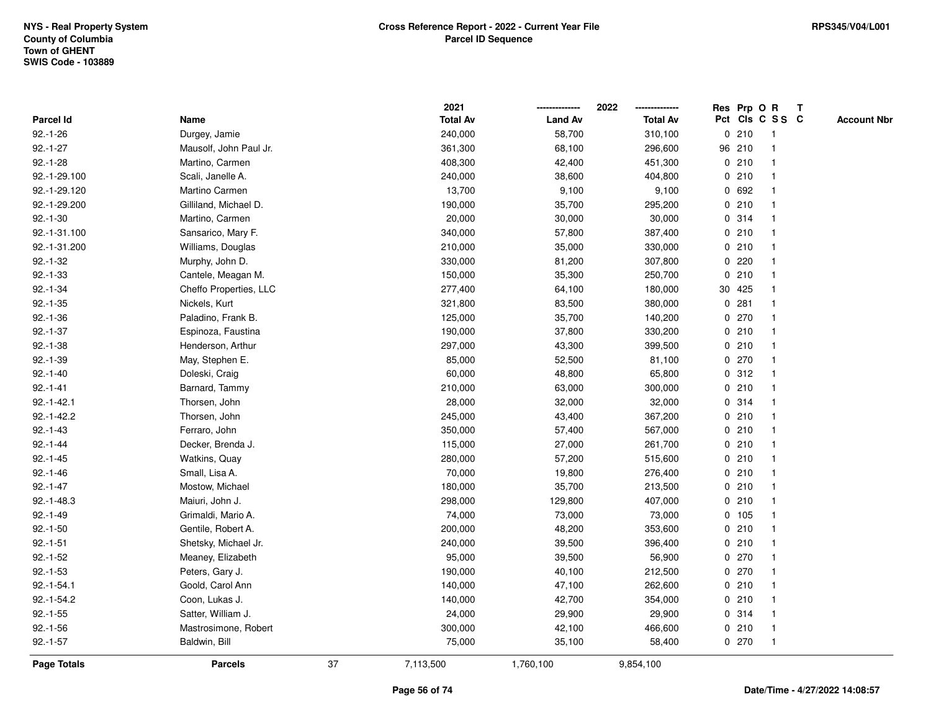|               |                        |    | 2021            |                | 2022            |         | Res Prp O R     | $\mathsf{T}$ |                    |
|---------------|------------------------|----|-----------------|----------------|-----------------|---------|-----------------|--------------|--------------------|
| Parcel Id     | Name                   |    | <b>Total Av</b> | <b>Land Av</b> | <b>Total Av</b> |         | Pct Cls C S S C |              | <b>Account Nbr</b> |
| $92.-1-26$    | Durgey, Jamie          |    | 240,000         | 58,700         | 310,100         | 0210    | 1               |              |                    |
| $92.-1-27$    | Mausolf, John Paul Jr. |    | 361,300         | 68,100         | 296,600         | 96 210  |                 |              |                    |
| $92.-1-28$    | Martino, Carmen        |    | 408,300         | 42,400         | 451,300         | 0210    | $\mathbf 1$     |              |                    |
| 92.-1-29.100  | Scali, Janelle A.      |    | 240,000         | 38,600         | 404,800         | 0210    | $\mathbf{1}$    |              |                    |
| 92.-1-29.120  | Martino Carmen         |    | 13,700          | 9,100          | 9,100           | 0 692   | $\mathbf{1}$    |              |                    |
| 92.-1-29.200  | Gilliland, Michael D.  |    | 190,000         | 35,700         | 295,200         | 0210    | $\mathbf 1$     |              |                    |
| $92.-1-30$    | Martino, Carmen        |    | 20,000          | 30,000         | 30,000          | 0.314   |                 |              |                    |
| 92.-1-31.100  | Sansarico, Mary F.     |    | 340,000         | 57,800         | 387,400         | 0210    |                 |              |                    |
| 92.-1-31.200  | Williams, Douglas      |    | 210,000         | 35,000         | 330,000         | 0210    | $\mathbf{1}$    |              |                    |
| $92.-1-32$    | Murphy, John D.        |    | 330,000         | 81,200         | 307,800         | $0$ 220 | $\mathbf{1}$    |              |                    |
| $92.-1-33$    | Cantele, Meagan M.     |    | 150,000         | 35,300         | 250,700         | 0210    | $\mathbf{1}$    |              |                    |
| $92.-1-34$    | Cheffo Properties, LLC |    | 277,400         | 64,100         | 180,000         | 30 425  | $\mathbf{1}$    |              |                    |
| $92.-1-35$    | Nickels, Kurt          |    | 321,800         | 83,500         | 380,000         | 0.281   | 1               |              |                    |
| $92.-1-36$    | Paladino, Frank B.     |    | 125,000         | 35,700         | 140,200         | 0270    |                 |              |                    |
| $92.-1-37$    | Espinoza, Faustina     |    | 190,000         | 37,800         | 330,200         | 0210    |                 |              |                    |
| $92.-1-38$    | Henderson, Arthur      |    | 297,000         | 43,300         | 399,500         | 0210    | $\mathbf 1$     |              |                    |
| $92.-1-39$    | May, Stephen E.        |    | 85,000          | 52,500         | 81,100          | 0270    | $\mathbf{1}$    |              |                    |
| $92.-1-40$    | Doleski, Craig         |    | 60,000          | 48,800         | 65,800          | 0.312   | 1               |              |                    |
| $92.-1-41$    | Barnard, Tammy         |    | 210,000         | 63,000         | 300,000         | 0210    | $\mathbf{1}$    |              |                    |
| $92.-1-42.1$  | Thorsen, John          |    | 28,000          | 32,000         | 32,000          | 0.314   |                 |              |                    |
| $92.-1-42.2$  | Thorsen, John          |    | 245,000         | 43,400         | 367,200         | 0210    |                 |              |                    |
| $92.-1-43$    | Ferraro, John          |    | 350,000         | 57,400         | 567,000         | 0210    |                 |              |                    |
| $92.-1-44$    | Decker, Brenda J.      |    | 115,000         | 27,000         | 261,700         | 0210    | $\mathbf 1$     |              |                    |
| $92.-1-45$    | Watkins, Quay          |    | 280,000         | 57,200         | 515,600         | 0210    | $\mathbf{1}$    |              |                    |
| $92.-1-46$    | Small, Lisa A.         |    | 70,000          | 19,800         | 276,400         | 0210    | 1               |              |                    |
| $92.-1-47$    | Mostow, Michael        |    | 180,000         | 35,700         | 213,500         | 0210    | $\mathbf 1$     |              |                    |
| $92.-1-48.3$  | Maiuri, John J.        |    | 298,000         | 129,800        | 407,000         | 0210    | 1               |              |                    |
| $92.-1-49$    | Grimaldi, Mario A.     |    | 74,000          | 73,000         | 73,000          | 0 105   |                 |              |                    |
| $92.-1-50$    | Gentile, Robert A.     |    | 200,000         | 48,200         | 353,600         | 0210    | $\mathbf{1}$    |              |                    |
| $92.-1-51$    | Shetsky, Michael Jr.   |    | 240,000         | 39,500         | 396,400         | 0210    | 1               |              |                    |
| $92.-1-52$    | Meaney, Elizabeth      |    | 95,000          | 39,500         | 56,900          | 0270    | $\mathbf{1}$    |              |                    |
| $92.-1-53$    | Peters, Gary J.        |    | 190,000         | 40,100         | 212,500         | 0270    | 1               |              |                    |
| $92.-1-54.1$  | Goold, Carol Ann       |    | 140,000         | 47,100         | 262,600         | 0210    | $\mathbf 1$     |              |                    |
| $92.-1-54.2$  | Coon, Lukas J.         |    | 140,000         | 42,700         | 354,000         | 0210    |                 |              |                    |
| $92.-1-55$    | Satter, William J.     |    | 24,000          | 29,900         | 29,900          | 0.314   | $\mathbf 1$     |              |                    |
| $92.-1-56$    | Mastrosimone, Robert   |    | 300,000         | 42,100         | 466,600         | 0210    | $\mathbf{1}$    |              |                    |
| $92 - 1 - 57$ | Baldwin, Bill          |    | 75,000          | 35,100         | 58,400          | 0270    | $\mathbf{1}$    |              |                    |
| Page Totals   | <b>Parcels</b>         | 37 | 7,113,500       | 1,760,100      | 9,854,100       |         |                 |              |                    |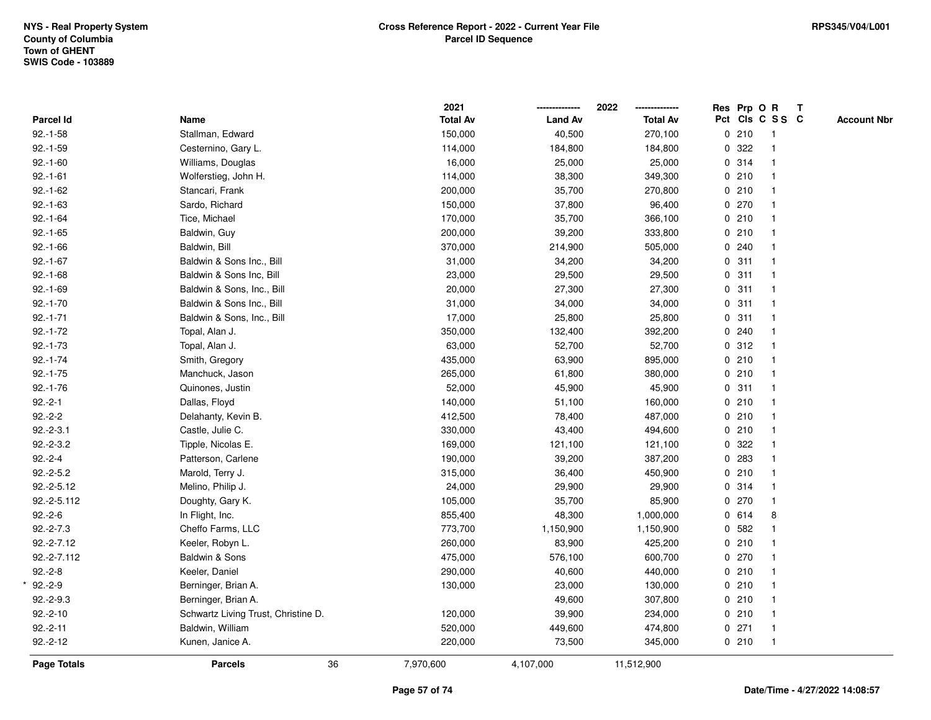|                  |                                     |    | 2021            |                | 2022<br>-------------- | Res Prp O R |                 | $\mathbf{T}$ |                    |
|------------------|-------------------------------------|----|-----------------|----------------|------------------------|-------------|-----------------|--------------|--------------------|
| <b>Parcel Id</b> | Name                                |    | <b>Total Av</b> | <b>Land Av</b> | <b>Total Av</b>        |             | Pct Cls C S S C |              | <b>Account Nbr</b> |
| $92.-1-58$       | Stallman, Edward                    |    | 150,000         | 40,500         | 270,100                | 0210        | -1              |              |                    |
| $92.-1-59$       | Cesternino, Gary L.                 |    | 114,000         | 184,800        | 184,800                | 0.322       |                 |              |                    |
| $92.-1-60$       | Williams, Douglas                   |    | 16,000          | 25,000         | 25,000                 | 0 314       |                 |              |                    |
| $92.-1-61$       | Wolferstieg, John H.                |    | 114,000         | 38,300         | 349,300                | 0210        | $\mathbf{1}$    |              |                    |
| $92.-1-62$       | Stancari, Frank                     |    | 200,000         | 35,700         | 270,800                | 0210        |                 |              |                    |
| $92.-1-63$       | Sardo, Richard                      |    | 150,000         | 37,800         | 96,400                 | 0270        |                 |              |                    |
| $92.-1-64$       | Tice, Michael                       |    | 170,000         | 35,700         | 366,100                | 0210        |                 |              |                    |
| $92.-1-65$       | Baldwin, Guy                        |    | 200,000         | 39,200         | 333,800                | 0210        |                 |              |                    |
| $92.-1-66$       | Baldwin, Bill                       |    | 370,000         | 214,900        | 505,000                | 0.240       |                 |              |                    |
| $92.-1-67$       | Baldwin & Sons Inc., Bill           |    | 31,000          | 34,200         | 34,200                 | 0.311       |                 |              |                    |
| $92.-1-68$       | Baldwin & Sons Inc, Bill            |    | 23,000          | 29,500         | 29,500                 | 0.311       | $\mathbf{1}$    |              |                    |
| $92.-1-69$       | Baldwin & Sons, Inc., Bill          |    | 20,000          | 27,300         | 27,300                 | 0.311       |                 |              |                    |
| $92.-1-70$       | Baldwin & Sons Inc., Bill           |    | 31,000          | 34,000         | 34,000                 | 0.311       |                 |              |                    |
| $92.-1-71$       | Baldwin & Sons, Inc., Bill          |    | 17,000          | 25,800         | 25,800                 | 0.311       |                 |              |                    |
| $92.-1-72$       | Topal, Alan J.                      |    | 350,000         | 132,400        | 392,200                | 0.240       |                 |              |                    |
| $92.-1-73$       | Topal, Alan J.                      |    | 63,000          | 52,700         | 52,700                 | 0.312       |                 |              |                    |
| $92.-1-74$       | Smith, Gregory                      |    | 435,000         | 63,900         | 895,000                | 0210        | $\mathbf 1$     |              |                    |
| $92.-1-75$       | Manchuck, Jason                     |    | 265,000         | 61,800         | 380,000                | 0210        |                 |              |                    |
| $92.-1-76$       | Quinones, Justin                    |    | 52,000          | 45,900         | 45,900                 | 0.311       |                 |              |                    |
| $92.-2-1$        | Dallas, Floyd                       |    | 140,000         | 51,100         | 160,000                | 0210        |                 |              |                    |
| $92.-2-2$        | Delahanty, Kevin B.                 |    | 412,500         | 78,400         | 487,000                | 0210        |                 |              |                    |
| $92.-2-3.1$      | Castle, Julie C.                    |    | 330,000         | 43,400         | 494,600                | 0210        |                 |              |                    |
| $92.-2-3.2$      | Tipple, Nicolas E.                  |    | 169,000         | 121,100        | 121,100                | 0 322       |                 |              |                    |
| $92.-2-4$        | Patterson, Carlene                  |    | 190,000         | 39,200         | 387,200                | 0 283       |                 |              |                    |
| $92.-2-5.2$      | Marold, Terry J.                    |    | 315,000         | 36,400         | 450,900                | 0210        |                 |              |                    |
| $92.-2-5.12$     | Melino, Philip J.                   |    | 24,000          | 29,900         | 29,900                 | 0.314       |                 |              |                    |
| 92.-2-5.112      | Doughty, Gary K.                    |    | 105,000         | 35,700         | 85,900                 | 0270        |                 |              |                    |
| $92.-2-6$        | In Flight, Inc.                     |    | 855,400         | 48,300         | 1,000,000              | 0 614       | 8               |              |                    |
| $92.-2-7.3$      | Cheffo Farms, LLC                   |    | 773,700         | 1,150,900      | 1,150,900              | 0 582       |                 |              |                    |
| $92.-2-7.12$     | Keeler, Robyn L.                    |    | 260,000         | 83,900         | 425,200                | 0210        |                 |              |                    |
| 92.-2-7.112      | Baldwin & Sons                      |    | 475,000         | 576,100        | 600,700                | 0270        |                 |              |                    |
| $92.-2-8$        | Keeler, Daniel                      |    | 290,000         | 40,600         | 440,000                | 0210        |                 |              |                    |
| $92.-2-9$        | Berninger, Brian A.                 |    | 130,000         | 23,000         | 130,000                | 0210        |                 |              |                    |
| $92.-2-9.3$      | Berninger, Brian A.                 |    |                 | 49,600         | 307,800                | 0210        |                 |              |                    |
| $92.-2-10$       | Schwartz Living Trust, Christine D. |    | 120,000         | 39,900         | 234,000                | 0210        |                 |              |                    |
| $92.-2-11$       | Baldwin, William                    |    | 520,000         | 449,600        | 474,800                | $0$ 271     | $\mathbf{1}$    |              |                    |
| $92.-2-12$       | Kunen, Janice A.                    |    | 220,000         | 73,500         | 345,000                | 0210        | $\mathbf{1}$    |              |                    |
| Page Totals      | <b>Parcels</b>                      | 36 | 7,970,600       | 4,107,000      | 11,512,900             |             |                 |              |                    |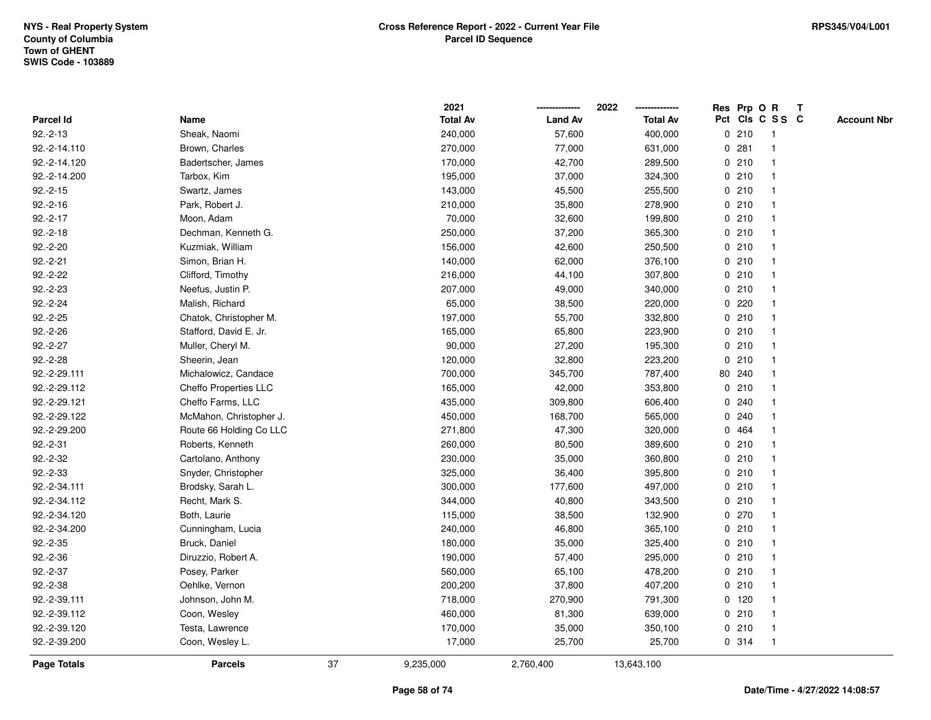|              |                         |    | 2021            |                | 2022            |             |         | Res Prp O R     | Т |                    |
|--------------|-------------------------|----|-----------------|----------------|-----------------|-------------|---------|-----------------|---|--------------------|
| Parcel Id    | Name                    |    | <b>Total Av</b> | <b>Land Av</b> | <b>Total Av</b> |             |         | Pct Cls C S S C |   | <b>Account Nbr</b> |
| $92.-2-13$   | Sheak, Naomi            |    | 240,000         | 57,600         | 400,000         |             | 0210    | $\mathbf{1}$    |   |                    |
| 92.-2-14.110 | Brown, Charles          |    | 270,000         | 77,000         | 631,000         | 0           | 281     | $\mathbf 1$     |   |                    |
| 92.-2-14.120 | Badertscher, James      |    | 170,000         | 42,700         | 289,500         |             | 0210    | $\mathbf{1}$    |   |                    |
| 92.-2-14.200 | Tarbox, Kim             |    | 195,000         | 37,000         | 324,300         |             | 0210    | -1              |   |                    |
| $92.-2-15$   | Swartz, James           |    | 143,000         | 45,500         | 255,500         |             | 0210    |                 |   |                    |
| $92.-2-16$   | Park, Robert J.         |    | 210,000         | 35,800         | 278,900         |             | 0210    |                 |   |                    |
| $92.-2-17$   | Moon, Adam              |    | 70,000          | 32,600         | 199,800         |             | 0210    | -1              |   |                    |
| $92.-2-18$   | Dechman, Kenneth G.     |    | 250,000         | 37,200         | 365,300         |             | 0210    | $\overline{1}$  |   |                    |
| $92.-2-20$   | Kuzmiak, William        |    | 156,000         | 42,600         | 250,500         |             | 0210    | -1              |   |                    |
| $92.-2-21$   | Simon, Brian H.         |    | 140,000         | 62,000         | 376,100         |             | 0210    | $\mathbf 1$     |   |                    |
| $92.-2-22$   | Clifford, Timothy       |    | 216,000         | 44,100         | 307,800         |             | 0210    |                 |   |                    |
| $92.-2-23$   | Neefus, Justin P.       |    | 207,000         | 49,000         | 340,000         |             | 0210    |                 |   |                    |
| $92.-2-24$   | Malish, Richard         |    | 65,000          | 38,500         | 220,000         |             | 0.220   |                 |   |                    |
| $92.-2-25$   | Chatok, Christopher M.  |    | 197,000         | 55,700         | 332,800         |             | 0210    |                 |   |                    |
| $92.-2-26$   | Stafford, David E. Jr.  |    | 165,000         | 65,800         | 223,900         |             | 0210    | $\overline{1}$  |   |                    |
| $92.-2-27$   | Muller, Cheryl M.       |    | 90,000          | 27,200         | 195,300         | $\mathbf 0$ | 210     | $\overline{1}$  |   |                    |
| $92.-2-28$   | Sheerin, Jean           |    | 120,000         | 32,800         | 223,200         |             | 0210    | $\mathbf{1}$    |   |                    |
| 92.-2-29.111 | Michalowicz, Candace    |    | 700,000         | 345,700        | 787,400         |             | 80 240  |                 |   |                    |
| 92.-2-29.112 | Cheffo Properties LLC   |    | 165,000         | 42,000         | 353,800         |             | 0210    |                 |   |                    |
| 92.-2-29.121 | Cheffo Farms, LLC       |    | 435,000         | 309,800        | 606,400         |             | 0.240   |                 |   |                    |
| 92.-2-29.122 | McMahon, Christopher J. |    | 450,000         | 168,700        | 565,000         |             | 0.240   |                 |   |                    |
| 92.-2-29.200 | Route 66 Holding Co LLC |    | 271,800         | 47,300         | 320,000         | 0           | 464     |                 |   |                    |
| $92.-2-31$   | Roberts, Kenneth        |    | 260,000         | 80,500         | 389,600         | 0           | 210     | -1              |   |                    |
| $92.-2-32$   | Cartolano, Anthony      |    | 230,000         | 35,000         | 360,800         |             | 0210    | $\mathbf{1}$    |   |                    |
| $92.-2-33$   | Snyder, Christopher     |    | 325,000         | 36,400         | 395,800         |             | 0210    | 1               |   |                    |
| 92.-2-34.111 | Brodsky, Sarah L.       |    | 300,000         | 177,600        | 497,000         |             | 0210    |                 |   |                    |
| 92.-2-34.112 | Recht, Mark S.          |    | 344,000         | 40,800         | 343,500         |             | 0210    |                 |   |                    |
| 92.-2-34.120 | Both, Laurie            |    | 115,000         | 38,500         | 132,900         |             | 0270    |                 |   |                    |
| 92.-2-34.200 | Cunningham, Lucia       |    | 240,000         | 46,800         | 365,100         |             | 0210    | $\mathbf{1}$    |   |                    |
| $92.-2-35$   | Bruck, Daniel           |    | 180,000         | 35,000         | 325,400         | $\mathbf 0$ | 210     | -1              |   |                    |
| $92.-2-36$   | Diruzzio, Robert A.     |    | 190,000         | 57,400         | 295,000         | 0           | 210     | $\mathbf 1$     |   |                    |
| $92.-2-37$   | Posey, Parker           |    | 560,000         | 65,100         | 478,200         |             | 0210    | $\mathbf{1}$    |   |                    |
| $92.-2-38$   | Oehlke, Vernon          |    | 200,200         | 37,800         | 407,200         |             | 0210    | 1               |   |                    |
| 92.-2-39.111 | Johnson, John M.        |    | 718,000         | 270,900        | 791,300         |             | $0$ 120 |                 |   |                    |
| 92.-2-39.112 | Coon, Wesley            |    | 460,000         | 81,300         | 639,000         |             | 0210    | 1               |   |                    |
| 92.-2-39.120 | Testa, Lawrence         |    | 170,000         | 35,000         | 350,100         |             | 0210    | -1              |   |                    |
| 92.-2-39.200 | Coon, Wesley L.         |    | 17,000          | 25,700         | 25,700          |             | 0.314   | $\mathbf{1}$    |   |                    |
| Page Totals  | <b>Parcels</b>          | 37 | 9,235,000       | 2,760,400      | 13,643,100      |             |         |                 |   |                    |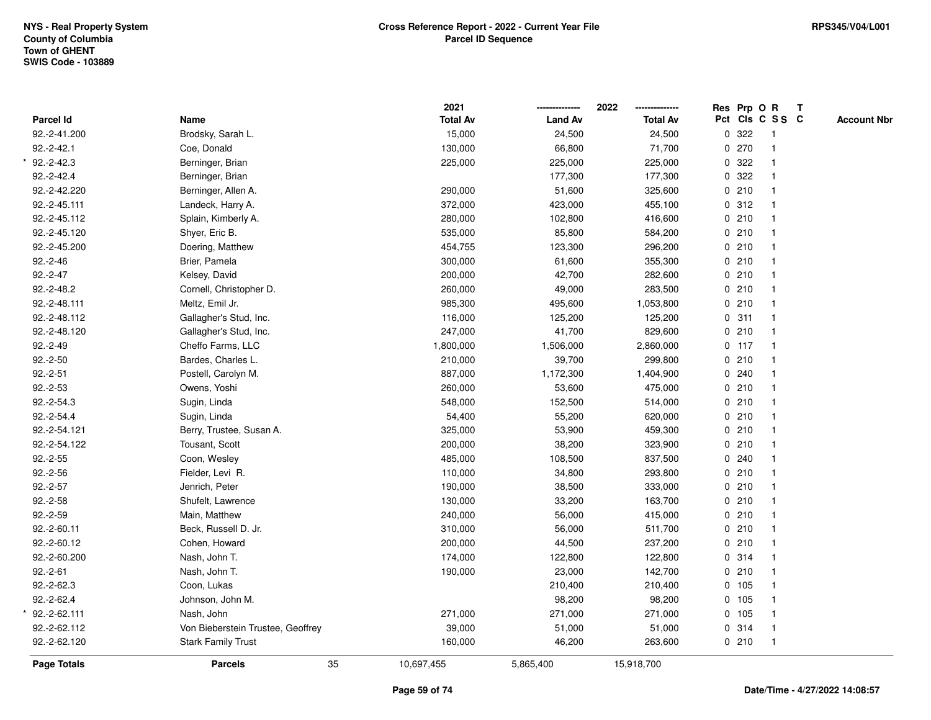|              |                                   | 2021            |                | 2022            |   |         | Res Prp O R     | T |                    |
|--------------|-----------------------------------|-----------------|----------------|-----------------|---|---------|-----------------|---|--------------------|
| Parcel Id    | Name                              | <b>Total Av</b> | <b>Land Av</b> | <b>Total Av</b> |   |         | Pct Cls C S S C |   | <b>Account Nbr</b> |
| 92.-2-41.200 | Brodsky, Sarah L.                 | 15,000          | 24,500         | 24,500          | 0 | 322     | $\mathbf{1}$    |   |                    |
| $92.-2-42.1$ | Coe, Donald                       | 130,000         | 66,800         | 71,700          | 0 | 270     | $\overline{1}$  |   |                    |
| $92.-2-42.3$ | Berninger, Brian                  | 225,000         | 225,000        | 225,000         |   | 0.322   | $\mathbf{1}$    |   |                    |
| $92.-2-42.4$ | Berninger, Brian                  |                 | 177,300        | 177,300         |   | 0.322   |                 |   |                    |
| 92.-2-42.220 | Berninger, Allen A.               | 290,000         | 51,600         | 325,600         |   | 0210    |                 |   |                    |
| 92.-2-45.111 | Landeck, Harry A.                 | 372,000         | 423,000        | 455,100         |   | 0.312   |                 |   |                    |
| 92.-2-45.112 | Splain, Kimberly A.               | 280,000         | 102,800        | 416,600         |   | 0210    | $\mathbf{1}$    |   |                    |
| 92.-2-45.120 | Shyer, Eric B.                    | 535,000         | 85,800         | 584,200         |   | 0210    | $\mathbf{1}$    |   |                    |
| 92.-2-45.200 | Doering, Matthew                  | 454,755         | 123,300        | 296,200         |   | 0210    | $\mathbf{1}$    |   |                    |
| $92.-2-46$   | Brier, Pamela                     | 300,000         | 61,600         | 355,300         |   | 0210    | $\mathbf{1}$    |   |                    |
| $92.-2-47$   | Kelsey, David                     | 200,000         | 42,700         | 282,600         |   | 0210    |                 |   |                    |
| 92.-2-48.2   | Cornell, Christopher D.           | 260,000         | 49,000         | 283,500         |   | 0210    |                 |   |                    |
| 92.-2-48.111 | Meltz, Emil Jr.                   | 985,300         | 495,600        | 1,053,800       |   | 0.210   |                 |   |                    |
| 92.-2-48.112 | Gallagher's Stud, Inc.            | 116,000         | 125,200        | 125,200         |   | 0.311   | $\mathbf{1}$    |   |                    |
| 92.-2-48.120 | Gallagher's Stud, Inc.            | 247,000         | 41,700         | 829,600         | 0 | 210     | $\mathbf{1}$    |   |                    |
| $92.-2-49$   | Cheffo Farms, LLC                 | 1,800,000       | 1,506,000      | 2,860,000       |   | $0$ 117 | $\mathbf{1}$    |   |                    |
| $92.-2-50$   | Bardes, Charles L.                | 210,000         | 39,700         | 299,800         |   | 0.210   | $\mathbf{1}$    |   |                    |
| $92.-2-51$   | Postell, Carolyn M.               | 887,000         | 1,172,300      | 1,404,900       |   | 0.240   |                 |   |                    |
| $92.-2-53$   | Owens, Yoshi                      | 260,000         | 53,600         | 475,000         |   | 0210    |                 |   |                    |
| $92.-2-54.3$ | Sugin, Linda                      | 548,000         | 152,500        | 514,000         |   | 0210    |                 |   |                    |
| 92.-2-54.4   | Sugin, Linda                      | 54,400          | 55,200         | 620,000         |   | 0210    | $\overline{1}$  |   |                    |
| 92.-2-54.121 | Berry, Trustee, Susan A.          | 325,000         | 53,900         | 459,300         |   | 0210    | $\mathbf{1}$    |   |                    |
| 92.-2-54.122 | Tousant, Scott                    | 200,000         | 38,200         | 323,900         |   | 0210    | $\mathbf{1}$    |   |                    |
| $92.-2-55$   | Coon, Wesley                      | 485,000         | 108,500        | 837,500         |   | 0.240   | $\mathbf{1}$    |   |                    |
| $92.-2-56$   | Fielder, Levi R.                  | 110,000         | 34,800         | 293,800         |   | 0210    | $\mathbf{1}$    |   |                    |
| $92.-2-57$   | Jenrich, Peter                    | 190,000         | 38,500         | 333,000         |   | 0.210   |                 |   |                    |
| $92.-2-58$   | Shufelt, Lawrence                 | 130,000         | 33,200         | 163,700         |   | 0210    |                 |   |                    |
| $92.-2-59$   | Main, Matthew                     | 240,000         | 56,000         | 415,000         |   | 0210    |                 |   |                    |
| 92.-2-60.11  | Beck, Russell D. Jr.              | 310,000         | 56,000         | 511,700         |   | 0210    | $\mathbf{1}$    |   |                    |
| 92.-2-60.12  | Cohen, Howard                     | 200,000         | 44,500         | 237,200         |   | 0210    | $\overline{1}$  |   |                    |
| 92.-2-60.200 | Nash, John T.                     | 174,000         | 122,800        | 122,800         |   | 0 314   | $\mathbf{1}$    |   |                    |
| $92.-2-61$   | Nash, John T.                     | 190,000         | 23,000         | 142,700         |   | 0210    | $\mathbf{1}$    |   |                    |
| $92.-2-62.3$ | Coon, Lukas                       |                 | 210,400        | 210,400         |   | 0 105   |                 |   |                    |
| $92.-2-62.4$ | Johnson, John M.                  |                 | 98,200         | 98,200          |   | 0 105   |                 |   |                    |
| 92.-2-62.111 | Nash, John                        | 271,000         | 271,000        | 271,000         |   | 0 105   |                 |   |                    |
| 92.-2-62.112 | Von Bieberstein Trustee, Geoffrey | 39,000          | 51,000         | 51,000          |   | 0.314   | $\mathbf{1}$    |   |                    |
| 92.-2-62.120 | <b>Stark Family Trust</b>         | 160,000         | 46,200         | 263,600         |   | 0210    | $\mathbf{1}$    |   |                    |
| Page Totals  | 35<br><b>Parcels</b>              | 10,697,455      | 5,865,400      | 15,918,700      |   |         |                 |   |                    |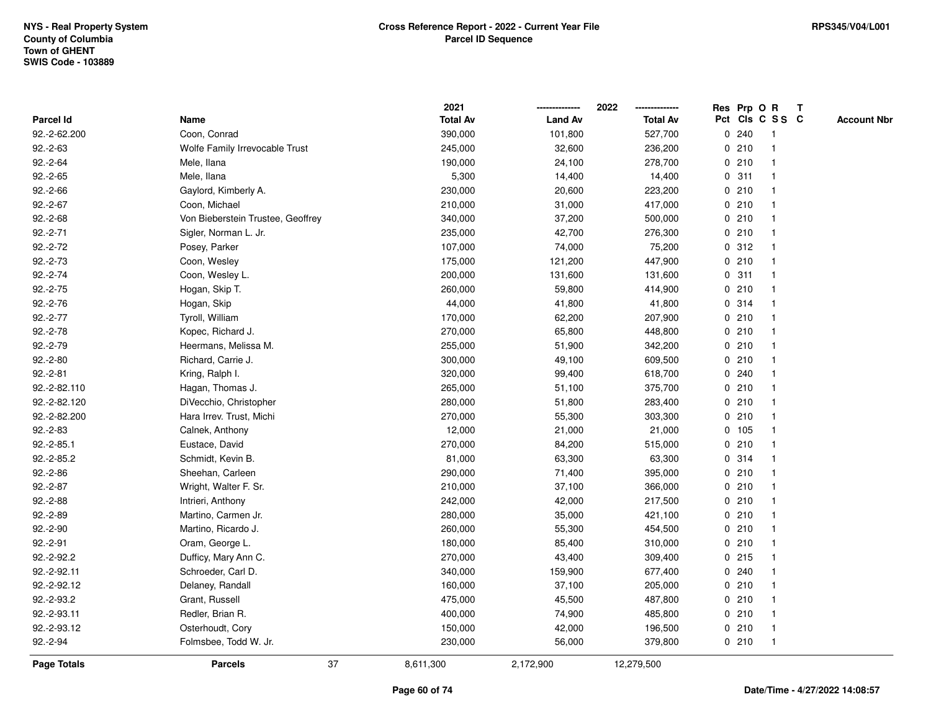|                  |                                   | 2021            |                | 2022            | Res Prp O R     |              | $\mathbf{T}$ |                    |
|------------------|-----------------------------------|-----------------|----------------|-----------------|-----------------|--------------|--------------|--------------------|
| <b>Parcel Id</b> | Name                              | <b>Total Av</b> | <b>Land Av</b> | <b>Total Av</b> | Pct Cls C S S C |              |              | <b>Account Nbr</b> |
| 92.-2-62.200     | Coon, Conrad                      | 390,000         | 101,800        | 527,700         | 0.240           | -1           |              |                    |
| $92.-2-63$       | Wolfe Family Irrevocable Trust    | 245,000         | 32,600         | 236,200         | 0210            | 1            |              |                    |
| $92.-2-64$       | Mele, Ilana                       | 190,000         | 24,100         | 278,700         | 0210            | 1            |              |                    |
| $92.-2-65$       | Mele, Ilana                       | 5,300           | 14,400         | 14,400          | 0.311           | 1            |              |                    |
| $92.-2-66$       | Gaylord, Kimberly A.              | 230,000         | 20,600         | 223,200         | 0210            | 1            |              |                    |
| $92.-2-67$       | Coon, Michael                     | 210,000         | 31,000         | 417,000         | 0210            | $\mathbf 1$  |              |                    |
| $92.-2-68$       | Von Bieberstein Trustee, Geoffrey | 340,000         | 37,200         | 500,000         | 0210            | 1            |              |                    |
| $92.-2-71$       | Sigler, Norman L. Jr.             | 235,000         | 42,700         | 276,300         | 0210            | 1            |              |                    |
| $92.-2-72$       | Posey, Parker                     | 107,000         | 74,000         | 75,200          | 0.312           | $\mathbf 1$  |              |                    |
| $92.-2-73$       | Coon, Wesley                      | 175,000         | 121,200        | 447,900         | 0210            | $\mathbf{1}$ |              |                    |
| $92.-2-74$       | Coon, Wesley L.                   | 200,000         | 131,600        | 131,600         | 0.311           | 1            |              |                    |
| $92.-2-75$       | Hogan, Skip T.                    | 260,000         | 59,800         | 414,900         | 0210            | 1            |              |                    |
| $92.-2-76$       | Hogan, Skip                       | 44,000          | 41,800         | 41,800          | 0.314           | 1            |              |                    |
| $92.-2-77$       | Tyroll, William                   | 170,000         | 62,200         | 207,900         | 0210            | 1            |              |                    |
| $92.-2-78$       | Kopec, Richard J.                 | 270,000         | 65,800         | 448,800         | 0210            | 1            |              |                    |
| $92.-2-79$       | Heermans, Melissa M.              | 255,000         | 51,900         | 342,200         | 0210            | 1            |              |                    |
| $92.-2-80$       | Richard, Carrie J.                | 300,000         | 49,100         | 609,500         | 0210            | $\mathbf{1}$ |              |                    |
| $92.-2-81$       | Kring, Ralph I.                   | 320,000         | 99,400         | 618,700         | 0.240           | 1            |              |                    |
| 92.-2-82.110     | Hagan, Thomas J.                  | 265,000         | 51,100         | 375,700         | 0210            | 1            |              |                    |
| 92.-2-82.120     | DiVecchio, Christopher            | 280,000         | 51,800         | 283,400         | 0210            |              |              |                    |
| 92.-2-82.200     | Hara Irrev. Trust, Michi          | 270,000         | 55,300         | 303,300         | 0210            | 1            |              |                    |
| $92.-2-83$       | Calnek, Anthony                   | 12,000          | 21,000         | 21,000          | 0 105           | 1            |              |                    |
| $92.-2-85.1$     | Eustace, David                    | 270,000         | 84,200         | 515,000         | 0210            | $\mathbf{1}$ |              |                    |
| 92.-2-85.2       | Schmidt, Kevin B.                 | 81,000          | 63,300         | 63,300          | 0 314           | $\mathbf{1}$ |              |                    |
| $92.-2-86$       | Sheehan, Carleen                  | 290,000         | 71,400         | 395,000         | 0210            | 1            |              |                    |
| $92.-2-87$       | Wright, Walter F. Sr.             | 210,000         | 37,100         | 366,000         | 0210            | 1            |              |                    |
| $92.-2-88$       | Intrieri, Anthony                 | 242,000         | 42,000         | 217,500         | 0210            | 1            |              |                    |
| $92.-2-89$       | Martino, Carmen Jr.               | 280,000         | 35,000         | 421,100         | 0210            | 1            |              |                    |
| $92.-2-90$       | Martino, Ricardo J.               | 260,000         | 55,300         | 454,500         | 0210            | 1            |              |                    |
| $92.-2-91$       | Oram, George L.                   | 180,000         | 85,400         | 310,000         | 0210            | 1            |              |                    |
| 92.-2-92.2       | Dufficy, Mary Ann C.              | 270,000         | 43,400         | 309,400         | 0215            | $\mathbf{1}$ |              |                    |
| 92.-2-92.11      | Schroeder, Carl D.                | 340,000         | 159,900        | 677,400         | 0.240           | 1            |              |                    |
| 92.-2-92.12      | Delaney, Randall                  | 160,000         | 37,100         | 205,000         | 0210            | 1            |              |                    |
| 92.-2-93.2       | Grant, Russell                    | 475,000         | 45,500         | 487,800         | 0210            | $\mathbf 1$  |              |                    |
| 92.-2-93.11      | Redler, Brian R.                  | 400,000         | 74,900         | 485,800         | 0210            | $\mathbf{1}$ |              |                    |
| 92.-2-93.12      | Osterhoudt, Cory                  | 150,000         | 42,000         | 196,500         | 0210            | 1            |              |                    |
| $92.-2-94$       | Folmsbee, Todd W. Jr.             | 230,000         | 56,000         | 379,800         | 0210            | $\mathbf{1}$ |              |                    |
| Page Totals      | 37<br><b>Parcels</b>              | 8,611,300       | 2,172,900      | 12,279,500      |                 |              |              |                    |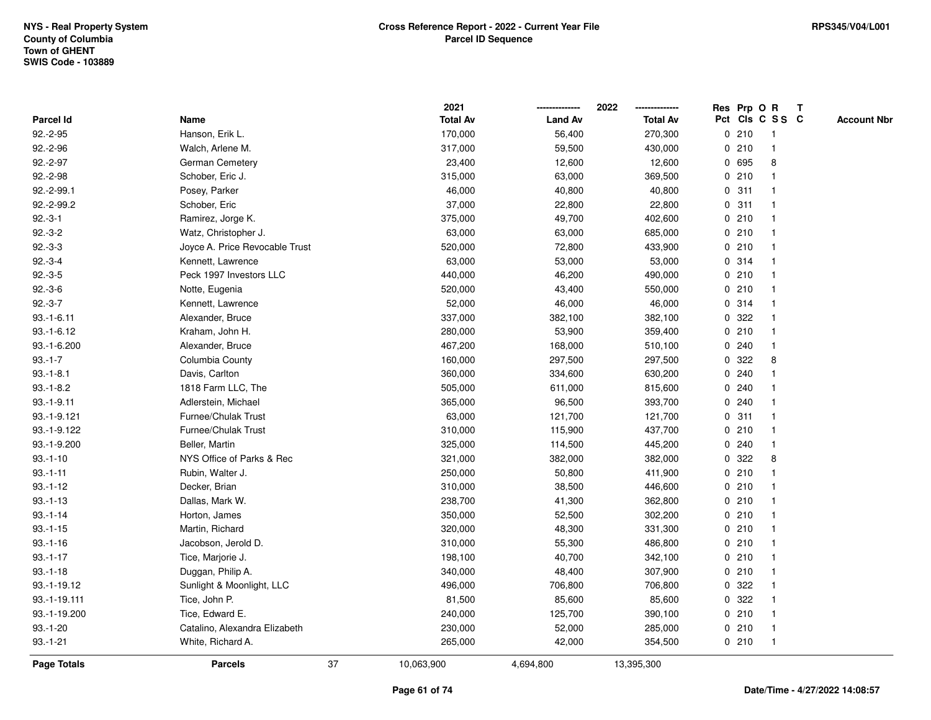|              |                                | 2021            |                | 2022            |   |       | Res Prp O R     | $\mathbf{T}$ |                    |
|--------------|--------------------------------|-----------------|----------------|-----------------|---|-------|-----------------|--------------|--------------------|
| Parcel Id    | Name                           | <b>Total Av</b> | <b>Land Av</b> | <b>Total Av</b> |   |       | Pct Cls C S S C |              | <b>Account Nbr</b> |
| $92.-2-95$   | Hanson, Erik L.                | 170,000         | 56,400         | 270,300         |   | 0210  | -1              |              |                    |
| $92.-2-96$   | Walch, Arlene M.               | 317,000         | 59,500         | 430,000         |   | 0210  |                 |              |                    |
| $92.-2-97$   | German Cemetery                | 23,400          | 12,600         | 12,600          |   | 0 695 | 8               |              |                    |
| 92.-2-98     | Schober, Eric J.               | 315,000         | 63,000         | 369,500         |   | 0210  | $\mathbf{1}$    |              |                    |
| 92.-2-99.1   | Posey, Parker                  | 46,000          | 40,800         | 40,800          |   | 0.311 | $\mathbf 1$     |              |                    |
| 92.-2-99.2   | Schober, Eric                  | 37,000          | 22,800         | 22,800          |   | 0.311 | $\mathbf 1$     |              |                    |
| $92.-3-1$    | Ramirez, Jorge K.              | 375,000         | 49,700         | 402,600         |   | 0210  | 1               |              |                    |
| $92.-3-2$    | Watz, Christopher J.           | 63,000          | 63,000         | 685,000         |   | 0210  |                 |              |                    |
| $92.-3-3$    | Joyce A. Price Revocable Trust | 520,000         | 72,800         | 433,900         |   | 0210  | $\mathbf{1}$    |              |                    |
| $92.-3-4$    | Kennett, Lawrence              | 63,000          | 53,000         | 53,000          |   | 0.314 | $\mathbf{1}$    |              |                    |
| $92.-3-5$    | Peck 1997 Investors LLC        | 440,000         | 46,200         | 490,000         |   | 0210  | $\mathbf{1}$    |              |                    |
| $92.-3-6$    | Notte, Eugenia                 | 520,000         | 43,400         | 550,000         |   | 0210  | $\mathbf{1}$    |              |                    |
| $92.-3-7$    | Kennett, Lawrence              | 52,000          | 46,000         | 46,000          |   | 0.314 | $\mathbf 1$     |              |                    |
| $93.-1-6.11$ | Alexander, Bruce               | 337,000         | 382,100        | 382,100         |   | 0.322 |                 |              |                    |
| $93.-1-6.12$ | Kraham, John H.                | 280,000         | 53,900         | 359,400         |   | 0210  |                 |              |                    |
| 93.-1-6.200  | Alexander, Bruce               | 467,200         | 168,000        | 510,100         |   | 0.240 | 1               |              |                    |
| $93.-1-7$    | Columbia County                | 160,000         | 297,500        | 297,500         | 0 | 322   | 8               |              |                    |
| $93.-1-8.1$  | Davis, Carlton                 | 360,000         | 334,600        | 630,200         | 0 | 240   | 1               |              |                    |
| $93.-1-8.2$  | 1818 Farm LLC, The             | 505,000         | 611,000        | 815,600         |   | 0.240 | $\mathbf 1$     |              |                    |
| $93.-1-9.11$ | Adlerstein, Michael            | 365,000         | 96,500         | 393,700         |   | 0.240 |                 |              |                    |
| 93.-1-9.121  | Furnee/Chulak Trust            | 63,000          | 121,700        | 121,700         |   | 0.311 |                 |              |                    |
| 93.-1-9.122  | Furnee/Chulak Trust            | 310,000         | 115,900        | 437,700         |   | 0210  |                 |              |                    |
| 93.-1-9.200  | Beller, Martin                 | 325,000         | 114,500        | 445,200         |   | 0.240 | $\mathbf 1$     |              |                    |
| $93.-1-10$   | NYS Office of Parks & Rec      | 321,000         | 382,000        | 382,000         | 0 | 322   | 8               |              |                    |
| $93.-1-11$   | Rubin, Walter J.               | 250,000         | 50,800         | 411,900         |   | 0210  | $\mathbf 1$     |              |                    |
| $93.-1-12$   | Decker, Brian                  | 310,000         | 38,500         | 446,600         |   | 0210  | $\mathbf 1$     |              |                    |
| $93.-1-13$   | Dallas, Mark W.                | 238,700         | 41,300         | 362,800         |   | 0210  | -1              |              |                    |
| $93.-1-14$   | Horton, James                  | 350,000         | 52,500         | 302,200         |   | 0210  |                 |              |                    |
| $93.-1-15$   | Martin, Richard                | 320,000         | 48,300         | 331,300         |   | 0210  | $\mathbf{1}$    |              |                    |
| $93.-1-16$   | Jacobson, Jerold D.            | 310,000         | 55,300         | 486,800         |   | 0210  | 1               |              |                    |
| $93.-1-17$   | Tice, Marjorie J.              | 198,100         | 40,700         | 342,100         |   | 0210  | $\mathbf{1}$    |              |                    |
| $93.-1-18$   | Duggan, Philip A.              | 340,000         | 48,400         | 307,900         |   | 0210  | 1               |              |                    |
| 93.-1-19.12  | Sunlight & Moonlight, LLC      | 496,000         | 706,800        | 706,800         |   | 0.322 | $\mathbf 1$     |              |                    |
| 93.-1-19.111 | Tice, John P.                  | 81,500          | 85,600         | 85,600          |   | 0.322 |                 |              |                    |
| 93.-1-19.200 | Tice, Edward E.                | 240,000         | 125,700        | 390,100         |   | 0210  | $\mathbf 1$     |              |                    |
| $93.-1-20$   | Catalino, Alexandra Elizabeth  | 230,000         | 52,000         | 285,000         |   | 0210  | $\mathbf{1}$    |              |                    |
| $93.-1-21$   | White, Richard A.              | 265,000         | 42,000         | 354,500         |   | 0210  | $\mathbf{1}$    |              |                    |
| Page Totals  | 37<br><b>Parcels</b>           | 10,063,900      | 4,694,800      | 13,395,300      |   |       |                 |              |                    |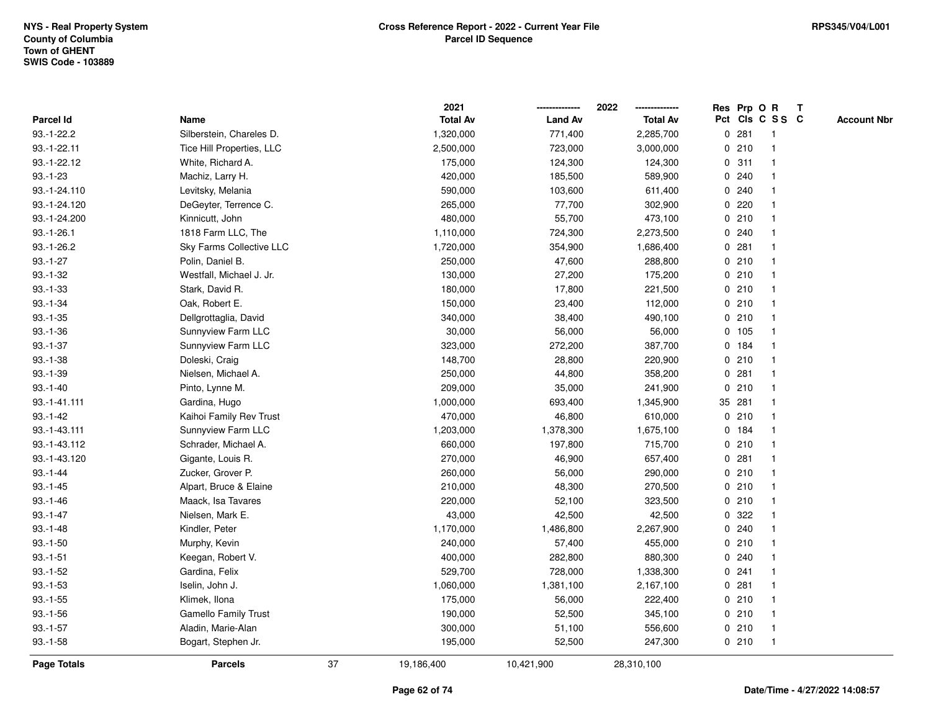|              |                             |    | 2021            |                | 2022            |   |        | Res Prp O R     | $\mathbf{T}$ |                    |
|--------------|-----------------------------|----|-----------------|----------------|-----------------|---|--------|-----------------|--------------|--------------------|
| Parcel Id    | Name                        |    | <b>Total Av</b> | <b>Land Av</b> | <b>Total Av</b> |   |        | Pct Cls C S S C |              | <b>Account Nbr</b> |
| $93.-1-22.2$ | Silberstein, Chareles D.    |    | 1,320,000       | 771,400        | 2,285,700       |   | 0.281  | -1              |              |                    |
| 93.-1-22.11  | Tice Hill Properties, LLC   |    | 2,500,000       | 723,000        | 3,000,000       |   | 0210   |                 |              |                    |
| 93.-1-22.12  | White, Richard A.           |    | 175,000         | 124,300        | 124,300         |   | 0.311  | -1              |              |                    |
| $93.-1-23$   | Machiz, Larry H.            |    | 420,000         | 185,500        | 589,900         | 0 | 240    | $\mathbf{1}$    |              |                    |
| 93.-1-24.110 | Levitsky, Melania           |    | 590,000         | 103,600        | 611,400         |   | 0.240  | $\mathbf{1}$    |              |                    |
| 93.-1-24.120 | DeGeyter, Terrence C.       |    | 265,000         | 77,700         | 302,900         |   | 0220   | -1              |              |                    |
| 93.-1-24.200 | Kinnicutt, John             |    | 480,000         | 55,700         | 473,100         |   | 0210   |                 |              |                    |
| $93.-1-26.1$ | 1818 Farm LLC, The          |    | 1,110,000       | 724,300        | 2,273,500       |   | 0.240  |                 |              |                    |
| $93.-1-26.2$ | Sky Farms Collective LLC    |    | 1,720,000       | 354,900        | 1,686,400       |   | 0.281  | $\mathbf 1$     |              |                    |
| $93.-1-27$   | Polin, Daniel B.            |    | 250,000         | 47,600         | 288,800         |   | 0210   | $\mathbf{1}$    |              |                    |
| $93.-1-32$   | Westfall, Michael J. Jr.    |    | 130,000         | 27,200         | 175,200         |   | 0210   | $\mathbf{1}$    |              |                    |
| $93.-1-33$   | Stark, David R.             |    | 180,000         | 17,800         | 221,500         |   | 0210   | $\mathbf{1}$    |              |                    |
| $93.-1-34$   | Oak, Robert E.              |    | 150,000         | 23,400         | 112,000         |   | 0210   | 1               |              |                    |
| $93.-1-35$   | Dellgrottaglia, David       |    | 340,000         | 38,400         | 490,100         |   | 0210   |                 |              |                    |
| $93.-1-36$   | Sunnyview Farm LLC          |    | 30,000          | 56,000         | 56,000          |   | 0 105  |                 |              |                    |
| $93.-1-37$   | Sunnyview Farm LLC          |    | 323,000         | 272,200        | 387,700         |   | 0 184  | $\mathbf 1$     |              |                    |
| $93.-1-38$   | Doleski, Craig              |    | 148,700         | 28,800         | 220,900         | 0 | 210    | $\mathbf{1}$    |              |                    |
| $93.-1-39$   | Nielsen, Michael A.         |    | 250,000         | 44,800         | 358,200         | 0 | 281    | $\mathbf 1$     |              |                    |
| $93.-1-40$   | Pinto, Lynne M.             |    | 209,000         | 35,000         | 241,900         |   | 0210   | $\mathbf{1}$    |              |                    |
| 93.-1-41.111 | Gardina, Hugo               |    | 1,000,000       | 693,400        | 1,345,900       |   | 35 281 |                 |              |                    |
| $93.-1-42$   | Kaihoi Family Rev Trust     |    | 470,000         | 46,800         | 610,000         |   | 0210   |                 |              |                    |
| 93.-1-43.111 | Sunnyview Farm LLC          |    | 1,203,000       | 1,378,300      | 1,675,100       |   | 0 184  |                 |              |                    |
| 93.-1-43.112 | Schrader, Michael A.        |    | 660,000         | 197,800        | 715,700         |   | 0210   | $\mathbf 1$     |              |                    |
| 93.-1-43.120 | Gigante, Louis R.           |    | 270,000         | 46,900         | 657,400         | 0 | 281    | $\mathbf{1}$    |              |                    |
| $93.-1-44$   | Zucker, Grover P.           |    | 260,000         | 56,000         | 290,000         |   | 0210   | 1               |              |                    |
| $93.-1-45$   | Alpart, Bruce & Elaine      |    | 210,000         | 48,300         | 270,500         |   | 0210   | $\mathbf 1$     |              |                    |
| $93.-1-46$   | Maack, Isa Tavares          |    | 220,000         | 52,100         | 323,500         |   | 0210   | -1              |              |                    |
| $93.-1-47$   | Nielsen, Mark E.            |    | 43,000          | 42,500         | 42,500          |   | 0.322  |                 |              |                    |
| $93.-1-48$   | Kindler, Peter              |    | 1,170,000       | 1,486,800      | 2,267,900       |   | 0.240  | $\mathbf{1}$    |              |                    |
| $93.-1-50$   | Murphy, Kevin               |    | 240,000         | 57,400         | 455,000         |   | 0210   | $\mathbf 1$     |              |                    |
| $93.-1-51$   | Keegan, Robert V.           |    | 400,000         | 282,800        | 880,300         |   | 0.240  | $\mathbf{1}$    |              |                    |
| $93.-1-52$   | Gardina, Felix              |    | 529,700         | 728,000        | 1,338,300       |   | 0.241  | $\mathbf 1$     |              |                    |
| $93.-1-53$   | Iselin, John J.             |    | 1,060,000       | 1,381,100      | 2,167,100       |   | 0.281  | $\mathbf 1$     |              |                    |
| $93.-1-55$   | Klimek, Ilona               |    | 175,000         | 56,000         | 222,400         |   | 0210   |                 |              |                    |
| $93.-1-56$   | <b>Gamello Family Trust</b> |    | 190,000         | 52,500         | 345,100         |   | 0210   | $\mathbf 1$     |              |                    |
| $93.-1-57$   | Aladin, Marie-Alan          |    | 300,000         | 51,100         | 556,600         |   | 0210   | $\mathbf{1}$    |              |                    |
| $93.-1-58$   | Bogart, Stephen Jr.         |    | 195,000         | 52,500         | 247,300         |   | 0210   | $\mathbf{1}$    |              |                    |
| Page Totals  | <b>Parcels</b>              | 37 | 19,186,400      | 10,421,900     | 28,310,100      |   |        |                 |              |                    |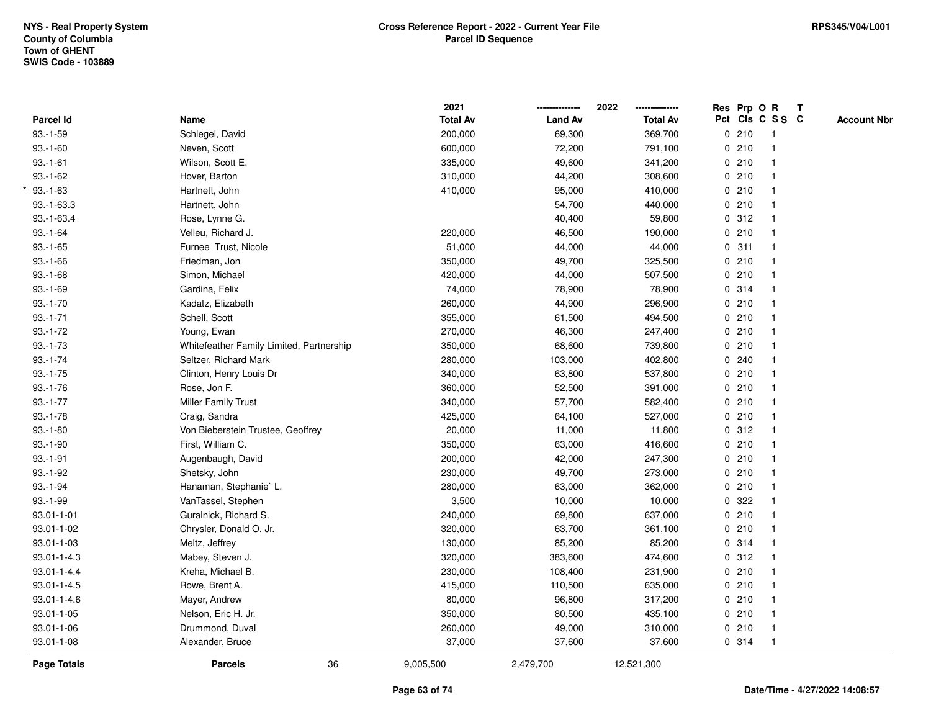|                   |                                          | 2021            |                | 2022            |             |       | Res Prp O R     | $\mathbf{T}$ |                    |
|-------------------|------------------------------------------|-----------------|----------------|-----------------|-------------|-------|-----------------|--------------|--------------------|
| <b>Parcel Id</b>  | Name                                     | <b>Total Av</b> | <b>Land Av</b> | <b>Total Av</b> |             |       | Pct Cls C S S C |              | <b>Account Nbr</b> |
| $93.-1-59$        | Schlegel, David                          | 200,000         | 69,300         | 369,700         |             | 0210  | $\mathbf{1}$    |              |                    |
| $93.-1-60$        | Neven, Scott                             | 600,000         | 72,200         | 791,100         | $\mathbf 0$ | 210   |                 |              |                    |
| $93.-1-61$        | Wilson, Scott E.                         | 335,000         | 49,600         | 341,200         |             | 0210  | $\mathbf{1}$    |              |                    |
| $93.-1-62$        | Hover, Barton                            | 310,000         | 44,200         | 308,600         |             | 0210  | $\mathbf{1}$    |              |                    |
| $93.-1-63$        | Hartnett, John                           | 410,000         | 95,000         | 410,000         |             | 0210  | $\mathbf{1}$    |              |                    |
| $93.-1-63.3$      | Hartnett, John                           |                 | 54,700         | 440,000         |             | 0210  | $\mathbf{1}$    |              |                    |
| $93.-1-63.4$      | Rose, Lynne G.                           |                 | 40,400         | 59,800          |             | 0.312 |                 |              |                    |
| $93.-1-64$        | Velleu, Richard J.                       | 220,000         | 46,500         | 190,000         |             | 0210  |                 |              |                    |
| $93.-1-65$        | Furnee Trust, Nicole                     | 51,000          | 44,000         | 44,000          |             | 0.311 | $\mathbf{1}$    |              |                    |
| $93.-1-66$        | Friedman, Jon                            | 350,000         | 49,700         | 325,500         |             | 0210  | $\mathbf{1}$    |              |                    |
| $93.-1-68$        | Simon, Michael                           | 420,000         | 44,000         | 507,500         |             | 0210  | $\mathbf{1}$    |              |                    |
| $93.-1-69$        | Gardina, Felix                           | 74,000          | 78,900         | 78,900          |             | 0 314 | $\mathbf{1}$    |              |                    |
| $93.-1-70$        | Kadatz, Elizabeth                        | 260,000         | 44,900         | 296,900         |             | 0210  | 1               |              |                    |
| $93.-1-71$        | Schell, Scott                            | 355,000         | 61,500         | 494,500         |             | 0210  |                 |              |                    |
| $93.-1-72$        | Young, Ewan                              | 270,000         | 46,300         | 247,400         |             | 0210  |                 |              |                    |
| $93.-1-73$        | Whitefeather Family Limited, Partnership | 350,000         | 68,600         | 739,800         |             | 0210  | $\mathbf{1}$    |              |                    |
| $93.-1-74$        | Seltzer, Richard Mark                    | 280,000         | 103,000        | 402,800         | 0           | 240   | $\mathbf{1}$    |              |                    |
| $93.-1-75$        | Clinton, Henry Louis Dr                  | 340,000         | 63,800         | 537,800         |             | 0210  | $\mathbf{1}$    |              |                    |
| $93.-1-76$        | Rose, Jon F.                             | 360,000         | 52,500         | 391,000         |             | 0210  | $\mathbf{1}$    |              |                    |
| $93.-1-77$        | Miller Family Trust                      | 340,000         | 57,700         | 582,400         |             | 0210  |                 |              |                    |
| $93.-1-78$        | Craig, Sandra                            | 425,000         | 64,100         | 527,000         |             | 0210  |                 |              |                    |
| $93.-1-80$        | Von Bieberstein Trustee, Geoffrey        | 20,000          | 11,000         | 11,800          |             | 0.312 |                 |              |                    |
| $93.-1-90$        | First, William C.                        | 350,000         | 63,000         | 416,600         |             | 0210  | $\mathbf{1}$    |              |                    |
| $93.-1-91$        | Augenbaugh, David                        | 200,000         | 42,000         | 247,300         |             | 0210  | $\mathbf{1}$    |              |                    |
| $93.-1-92$        | Shetsky, John                            | 230,000         | 49,700         | 273,000         |             | 0210  | $\mathbf{1}$    |              |                    |
| $93.-1-94$        | Hanaman, Stephanie` L.                   | 280,000         | 63,000         | 362,000         |             | 0210  | $\mathbf{1}$    |              |                    |
| $93.-1-99$        | VanTassel, Stephen                       | 3,500           | 10,000         | 10,000          |             | 0 322 |                 |              |                    |
| 93.01-1-01        | Guralnick, Richard S.                    | 240,000         | 69,800         | 637,000         |             | 0210  |                 |              |                    |
| 93.01-1-02        | Chrysler, Donald O. Jr.                  | 320,000         | 63,700         | 361,100         |             | 0210  | $\mathbf{1}$    |              |                    |
| 93.01-1-03        | Meltz, Jeffrey                           | 130,000         | 85,200         | 85,200          | $\mathbf 0$ | 314   | $\mathbf{1}$    |              |                    |
| $93.01 - 1 - 4.3$ | Mabey, Steven J.                         | 320,000         | 383,600        | 474,600         |             | 0.312 | $\mathbf{1}$    |              |                    |
| $93.01 - 1 - 4.4$ | Kreha, Michael B.                        | 230,000         | 108,400        | 231,900         |             | 0210  | $\mathbf{1}$    |              |                    |
| $93.01 - 1 - 4.5$ | Rowe, Brent A.                           | 415,000         | 110,500        | 635,000         |             | 0210  | $\mathbf{1}$    |              |                    |
| $93.01 - 1 - 4.6$ | Mayer, Andrew                            | 80,000          | 96,800         | 317,200         |             | 0210  | $\mathbf{1}$    |              |                    |
| 93.01-1-05        | Nelson, Eric H. Jr.                      | 350,000         | 80,500         | 435,100         |             | 0210  |                 |              |                    |
| 93.01-1-06        | Drummond, Duval                          | 260,000         | 49,000         | 310,000         |             | 0210  | $\mathbf{1}$    |              |                    |
| $93.01 - 1 - 08$  | Alexander, Bruce                         | 37,000          | 37,600         | 37,600          |             | 0 314 | $\mathbf{1}$    |              |                    |
| Page Totals       | 36<br><b>Parcels</b>                     | 9,005,500       | 2,479,700      | 12,521,300      |             |       |                 |              |                    |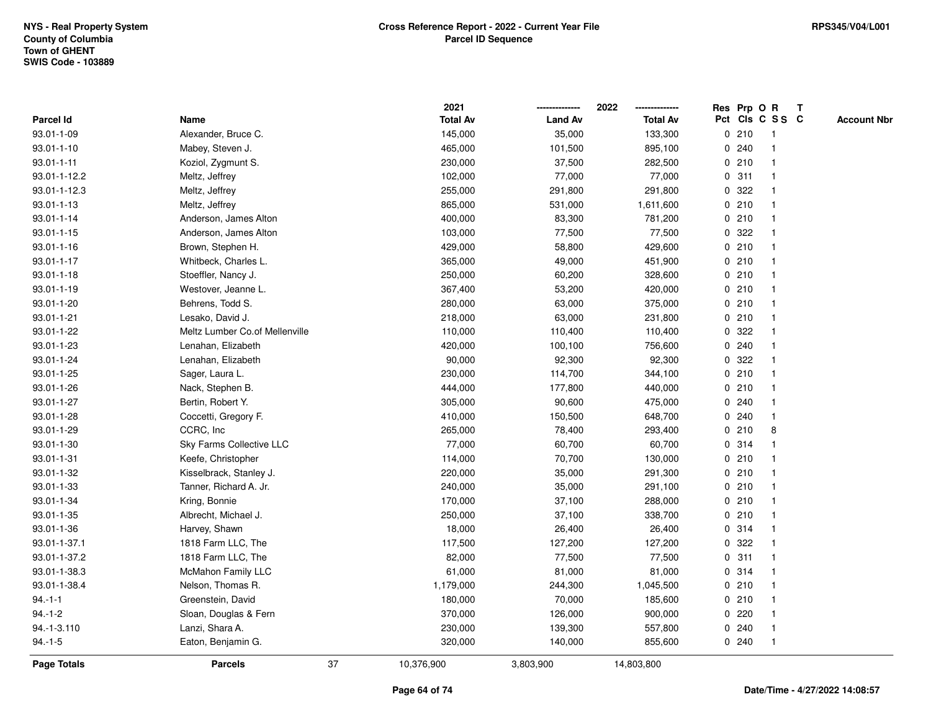|                    |                                |    | 2021            |                | 2022            |   | Res Prp O R |                 | Т |                    |
|--------------------|--------------------------------|----|-----------------|----------------|-----------------|---|-------------|-----------------|---|--------------------|
| Parcel Id          | Name                           |    | <b>Total Av</b> | <b>Land Av</b> | <b>Total Av</b> |   |             | Pct Cls C S S C |   | <b>Account Nbr</b> |
| 93.01-1-09         | Alexander, Bruce C.            |    | 145,000         | 35,000         | 133,300         |   | 0210        | $\mathbf{1}$    |   |                    |
| 93.01-1-10         | Mabey, Steven J.               |    | 465,000         | 101,500        | 895,100         |   | 0.240       | $\mathbf{1}$    |   |                    |
| $93.01 - 1 - 11$   | Koziol, Zygmunt S.             |    | 230,000         | 37,500         | 282,500         |   | 0210        | $\mathbf{1}$    |   |                    |
| 93.01-1-12.2       | Meltz, Jeffrey                 |    | 102,000         | 77,000         | 77,000          |   | 0.311       | -1              |   |                    |
| 93.01-1-12.3       | Meltz, Jeffrey                 |    | 255,000         | 291,800        | 291,800         |   | 0.322       |                 |   |                    |
| 93.01-1-13         | Meltz, Jeffrey                 |    | 865,000         | 531,000        | 1,611,600       |   | 0210        |                 |   |                    |
| 93.01-1-14         | Anderson, James Alton          |    | 400,000         | 83,300         | 781,200         |   | 0210        | $\mathbf{1}$    |   |                    |
| 93.01-1-15         | Anderson, James Alton          |    | 103,000         | 77,500         | 77,500          | 0 | 322         | $\mathbf{1}$    |   |                    |
| 93.01-1-16         | Brown, Stephen H.              |    | 429,000         | 58,800         | 429,600         |   | 0210        | $\mathbf{1}$    |   |                    |
| $93.01 - 1 - 17$   | Whitbeck, Charles L.           |    | 365,000         | 49,000         | 451,900         |   | 0210        | $\mathbf{1}$    |   |                    |
| 93.01-1-18         | Stoeffler, Nancy J.            |    | 250,000         | 60,200         | 328,600         |   | 0210        | $\mathbf 1$     |   |                    |
| 93.01-1-19         | Westover, Jeanne L.            |    | 367,400         | 53,200         | 420,000         |   | 0210        | 1               |   |                    |
| 93.01-1-20         | Behrens, Todd S.               |    | 280,000         | 63,000         | 375,000         |   | 0210        |                 |   |                    |
| 93.01-1-21         | Lesako, David J.               |    | 218,000         | 63,000         | 231,800         |   | 0210        | $\mathbf 1$     |   |                    |
| 93.01-1-22         | Meltz Lumber Co.of Mellenville |    | 110,000         | 110,400        | 110,400         | 0 | 322         | $\mathbf 1$     |   |                    |
| 93.01-1-23         | Lenahan, Elizabeth             |    | 420,000         | 100,100        | 756,600         |   | 0.240       | $\mathbf{1}$    |   |                    |
| 93.01-1-24         | Lenahan, Elizabeth             |    | 90,000          | 92,300         | 92,300          | 0 | 322         | $\mathbf{1}$    |   |                    |
| 93.01-1-25         | Sager, Laura L.                |    | 230,000         | 114,700        | 344,100         |   | 0210        | $\mathbf{1}$    |   |                    |
| 93.01-1-26         | Nack, Stephen B.               |    | 444,000         | 177,800        | 440,000         |   | 0210        | $\mathbf 1$     |   |                    |
| 93.01-1-27         | Bertin, Robert Y.              |    | 305,000         | 90,600         | 475,000         |   | 0.240       |                 |   |                    |
| 93.01-1-28         | Coccetti, Gregory F.           |    | 410,000         | 150,500        | 648,700         |   | 0.240       | $\mathbf{1}$    |   |                    |
| 93.01-1-29         | CCRC, Inc                      |    | 265,000         | 78,400         | 293,400         |   | 0210        | 8               |   |                    |
| 93.01-1-30         | Sky Farms Collective LLC       |    | 77,000          | 60,700         | 60,700          |   | 0.314       | $\mathbf{1}$    |   |                    |
| 93.01-1-31         | Keefe, Christopher             |    | 114,000         | 70,700         | 130,000         |   | 0210        | $\mathbf 1$     |   |                    |
| 93.01-1-32         | Kisselbrack, Stanley J.        |    | 220,000         | 35,000         | 291,300         |   | 0210        | $\mathbf 1$     |   |                    |
| 93.01-1-33         | Tanner, Richard A. Jr.         |    | 240,000         | 35,000         | 291,100         |   | 0210        | -1              |   |                    |
| 93.01-1-34         | Kring, Bonnie                  |    | 170,000         | 37,100         | 288,000         |   | 0210        |                 |   |                    |
| 93.01-1-35         | Albrecht, Michael J.           |    | 250,000         | 37,100         | 338,700         |   | 0210        | $\mathbf{1}$    |   |                    |
| 93.01-1-36         | Harvey, Shawn                  |    | 18,000          | 26,400         | 26,400          |   | 0.314       | $\mathbf{1}$    |   |                    |
| 93.01-1-37.1       | 1818 Farm LLC, The             |    | 117,500         | 127,200        | 127,200         | 0 | 322         | 1               |   |                    |
| 93.01-1-37.2       | 1818 Farm LLC, The             |    | 82,000          | 77,500         | 77,500          | 0 | 311         | $\mathbf{1}$    |   |                    |
| 93.01-1-38.3       | McMahon Family LLC             |    | 61,000          | 81,000         | 81,000          |   | 0.314       | $\mathbf{1}$    |   |                    |
| 93.01-1-38.4       | Nelson, Thomas R.              |    | 1,179,000       | 244,300        | 1,045,500       |   | 0210        | $\mathbf 1$     |   |                    |
| $94.-1-1$          | Greenstein, David              |    | 180,000         | 70,000         | 185,600         |   | 0210        |                 |   |                    |
| $94.-1-2$          | Sloan, Douglas & Fern          |    | 370,000         | 126,000        | 900,000         |   | 0220        | $\mathbf 1$     |   |                    |
| 94.-1-3.110        | Lanzi, Shara A.                |    | 230,000         | 139,300        | 557,800         |   | 0.240       | $\mathbf{1}$    |   |                    |
| $94.-1-5$          | Eaton, Benjamin G.             |    | 320,000         | 140,000        | 855,600         |   | 0.240       | $\mathbf{1}$    |   |                    |
| <b>Page Totals</b> | <b>Parcels</b>                 | 37 | 10,376,900      | 3,803,900      | 14,803,800      |   |             |                 |   |                    |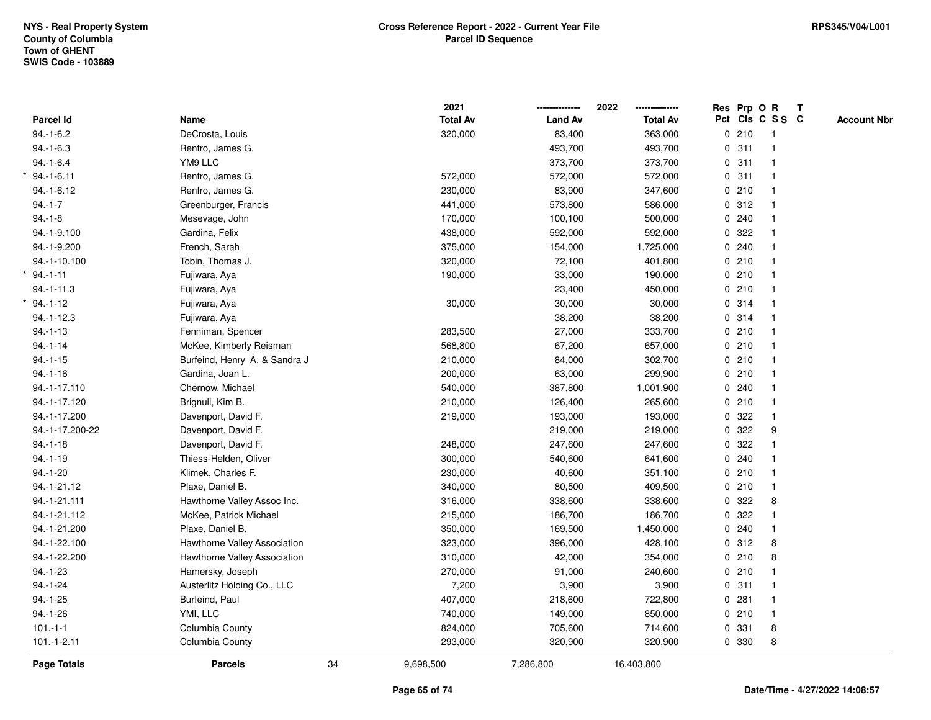|                  |                               |    | 2021            |                | 2022<br>-------------- | Res Prp O R |                 | $\mathbf{T}$ |                    |
|------------------|-------------------------------|----|-----------------|----------------|------------------------|-------------|-----------------|--------------|--------------------|
| <b>Parcel Id</b> | Name                          |    | <b>Total Av</b> | <b>Land Av</b> | <b>Total Av</b>        |             | Pct Cls C S S C |              | <b>Account Nbr</b> |
| $94.-1-6.2$      | DeCrosta, Louis               |    | 320,000         | 83,400         | 363,000                | 0210        | -1              |              |                    |
| $94.-1-6.3$      | Renfro, James G.              |    |                 | 493,700        | 493,700                | 0.311       |                 |              |                    |
| $94.-1-6.4$      | YM9 LLC                       |    |                 | 373,700        | 373,700                | 0.311       | $\mathbf{1}$    |              |                    |
| $94.-1-6.11$     | Renfro, James G.              |    | 572,000         | 572,000        | 572,000                | 0.311       | $\overline{1}$  |              |                    |
| $94.-1-6.12$     | Renfro, James G.              |    | 230,000         | 83,900         | 347,600                | 0210        | $\mathbf{1}$    |              |                    |
| $94.-1-7$        | Greenburger, Francis          |    | 441,000         | 573,800        | 586,000                | 0.312       | $\mathbf{1}$    |              |                    |
| $94.-1-8$        | Mesevage, John                |    | 170,000         | 100,100        | 500,000                | 0.240       |                 |              |                    |
| 94.-1-9.100      | Gardina, Felix                |    | 438,000         | 592,000        | 592,000                | 0 322       |                 |              |                    |
| 94.-1-9.200      | French, Sarah                 |    | 375,000         | 154,000        | 1,725,000              | 0.240       |                 |              |                    |
| 94.-1-10.100     | Tobin, Thomas J.              |    | 320,000         | 72,100         | 401,800                | 0210        | $\mathbf{1}$    |              |                    |
| $94.-1-11$       | Fujiwara, Aya                 |    | 190,000         | 33,000         | 190,000                | 0210        | -1              |              |                    |
| $94. -1 - 11.3$  | Fujiwara, Aya                 |    |                 | 23,400         | 450,000                | 0210        | $\mathbf{1}$    |              |                    |
| $94.-1-12$       | Fujiwara, Aya                 |    | 30,000          | 30,000         | 30,000                 | 0.314       | $\mathbf{1}$    |              |                    |
| $94.-1-12.3$     | Fujiwara, Aya                 |    |                 | 38,200         | 38,200                 | 0.314       |                 |              |                    |
| $94.-1-13$       | Fenniman, Spencer             |    | 283,500         | 27,000         | 333,700                | 0210        |                 |              |                    |
| $94.-1-14$       | McKee, Kimberly Reisman       |    | 568,800         | 67,200         | 657,000                | 0210        |                 |              |                    |
| $94.-1-15$       | Burfeind, Henry A. & Sandra J |    | 210,000         | 84,000         | 302,700                | 0210        | $\overline{1}$  |              |                    |
| $94.-1-16$       | Gardina, Joan L.              |    | 200,000         | 63,000         | 299,900                | 0210        | $\overline{1}$  |              |                    |
| 94.-1-17.110     | Chernow, Michael              |    | 540,000         | 387,800        | 1,001,900              | 0.240       |                 |              |                    |
| 94.-1-17.120     | Brignull, Kim B.              |    | 210,000         | 126,400        | 265,600                | 0210        | $\mathbf 1$     |              |                    |
| 94.-1-17.200     | Davenport, David F.           |    | 219,000         | 193,000        | 193,000                | 0 322       |                 |              |                    |
| 94.-1-17.200-22  | Davenport, David F.           |    |                 | 219,000        | 219,000                | 0.322       | 9               |              |                    |
| $94.-1-18$       | Davenport, David F.           |    | 248,000         | 247,600        | 247,600                | 0.322       |                 |              |                    |
| $94.-1-19$       | Thiess-Helden, Oliver         |    | 300,000         | 540,600        | 641,600                | 0.240       | -1              |              |                    |
| $94.-1-20$       | Klimek, Charles F.            |    | 230,000         | 40,600         | 351,100                | 0210        | $\mathbf{1}$    |              |                    |
| 94.-1-21.12      | Plaxe, Daniel B.              |    | 340,000         | 80,500         | 409,500                | 0210        | $\mathbf{1}$    |              |                    |
| 94.-1-21.111     | Hawthorne Valley Assoc Inc.   |    | 316,000         | 338,600        | 338,600                | 0.322       | 8               |              |                    |
| 94.-1-21.112     | McKee, Patrick Michael        |    | 215,000         | 186,700        | 186,700                | 0.322       |                 |              |                    |
| 94.-1-21.200     | Plaxe, Daniel B.              |    | 350,000         | 169,500        | 1,450,000              | 0.240       |                 |              |                    |
| 94.-1-22.100     | Hawthorne Valley Association  |    | 323,000         | 396,000        | 428,100                | 0.312       | 8               |              |                    |
| 94.-1-22.200     | Hawthorne Valley Association  |    | 310,000         | 42,000         | 354,000                | 0210        | 8               |              |                    |
| $94.-1-23$       | Hamersky, Joseph              |    | 270,000         | 91,000         | 240,600                | 0210        |                 |              |                    |
| $94.-1-24$       | Austerlitz Holding Co., LLC   |    | 7,200           | 3,900          | 3,900                  | 0.311       |                 |              |                    |
| $94.-1-25$       | Burfeind, Paul                |    | 407,000         | 218,600        | 722,800                | 0.281       | 1               |              |                    |
| $94.-1-26$       | YMI, LLC                      |    | 740,000         | 149,000        | 850,000                | 0210        |                 |              |                    |
| $101 - 1 - 1$    | Columbia County               |    | 824,000         | 705,600        | 714,600                | 0 331       | 8               |              |                    |
| $101.-1-2.11$    | Columbia County               |    | 293,000         | 320,900        | 320,900                | 0 330       | 8               |              |                    |
| Page Totals      | <b>Parcels</b>                | 34 | 9,698,500       | 7,286,800      | 16,403,800             |             |                 |              |                    |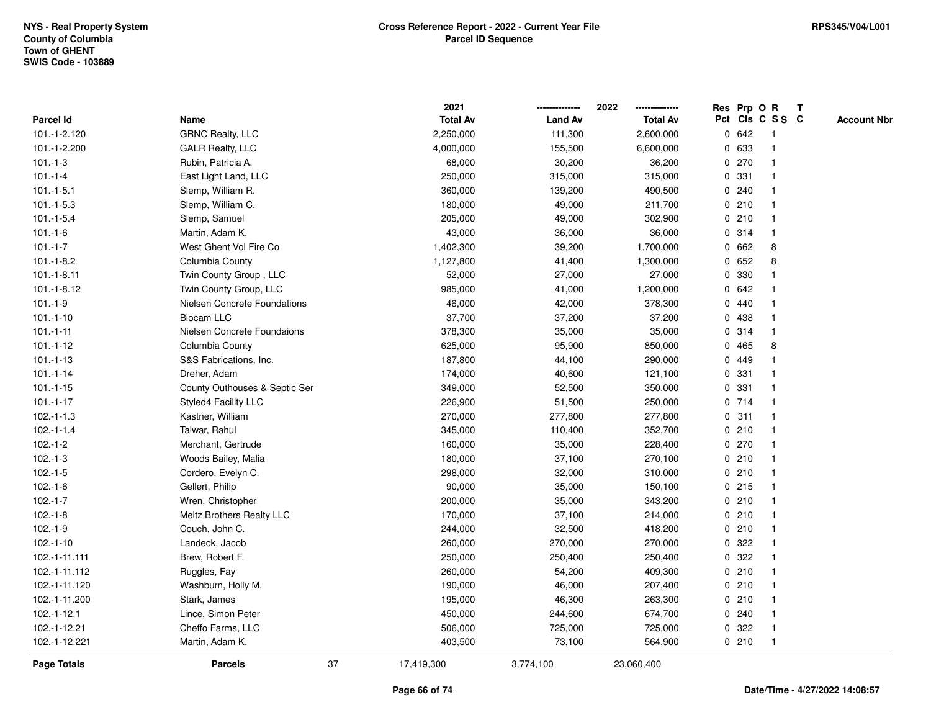|                    |                               |    | 2021            |                | 2022            |   |       | Res Prp O R     | $\mathbf{T}$ |                    |
|--------------------|-------------------------------|----|-----------------|----------------|-----------------|---|-------|-----------------|--------------|--------------------|
| <b>Parcel Id</b>   | Name                          |    | <b>Total Av</b> | <b>Land Av</b> | <b>Total Av</b> |   |       | Pct Cls C S S C |              | <b>Account Nbr</b> |
| 101.-1-2.120       | <b>GRNC Realty, LLC</b>       |    | 2,250,000       | 111,300        | 2,600,000       |   | 0 642 | -1              |              |                    |
| 101.-1-2.200       | <b>GALR Realty, LLC</b>       |    | 4,000,000       | 155,500        | 6,600,000       |   | 0 633 |                 |              |                    |
| $101.-1-3$         | Rubin, Patricia A.            |    | 68,000          | 30,200         | 36,200          |   | 0270  | $\mathbf{1}$    |              |                    |
| $101.-1-4$         | East Light Land, LLC          |    | 250,000         | 315,000        | 315,000         | 0 | 331   | $\mathbf{1}$    |              |                    |
| $101.-1-5.1$       | Slemp, William R.             |    | 360,000         | 139,200        | 490,500         |   | 0.240 | $\mathbf{1}$    |              |                    |
| $101.-1-5.3$       | Slemp, William C.             |    | 180,000         | 49,000         | 211,700         |   | 0210  | $\mathbf{1}$    |              |                    |
| $101.-1-5.4$       | Slemp, Samuel                 |    | 205,000         | 49,000         | 302,900         |   | 0210  | $\mathbf 1$     |              |                    |
| $101.-1-6$         | Martin, Adam K.               |    | 43,000          | 36,000         | 36,000          |   | 0.314 |                 |              |                    |
| $101.-1-7$         | West Ghent Vol Fire Co        |    | 1,402,300       | 39,200         | 1,700,000       |   | 0 662 | 8               |              |                    |
| $101.-1-8.2$       | Columbia County               |    | 1,127,800       | 41,400         | 1,300,000       |   | 0 652 | 8               |              |                    |
| $101.-1-8.11$      | Twin County Group, LLC        |    | 52,000          | 27,000         | 27,000          | 0 | 330   | $\mathbf{1}$    |              |                    |
| $101.-1-8.12$      | Twin County Group, LLC        |    | 985,000         | 41,000         | 1,200,000       |   | 0 642 | $\mathbf 1$     |              |                    |
| $101.-1-9$         | Nielsen Concrete Foundations  |    | 46,000          | 42,000         | 378,300         |   | 0440  | $\mathbf{1}$    |              |                    |
| $101.-1-10$        | <b>Biocam LLC</b>             |    | 37,700          | 37,200         | 37,200          |   | 0 438 | -1              |              |                    |
| $101 - 1 - 11$     | Nielsen Concrete Foundaions   |    | 378,300         | 35,000         | 35,000          |   | 0.314 |                 |              |                    |
| $101.-1-12$        | Columbia County               |    | 625,000         | 95,900         | 850,000         | 0 | 465   | 8               |              |                    |
| $101.-1-13$        | S&S Fabrications, Inc.        |    | 187,800         | 44,100         | 290,000         | 0 | 449   | $\mathbf{1}$    |              |                    |
| $101 - 1 - 14$     | Dreher, Adam                  |    | 174,000         | 40,600         | 121,100         | 0 | 331   | $\mathbf{1}$    |              |                    |
| $101.-1-15$        | County Outhouses & Septic Ser |    | 349,000         | 52,500         | 350,000         |   | 0 331 | $\mathbf{1}$    |              |                    |
| $101 - 1 - 17$     | Styled4 Facility LLC          |    | 226,900         | 51,500         | 250,000         |   | 0 714 | -1              |              |                    |
| $102.-1-1.3$       | Kastner, William              |    | 270,000         | 277,800        | 277,800         |   | 0.311 |                 |              |                    |
| $102.-1-1.4$       | Talwar, Rahul                 |    | 345,000         | 110,400        | 352,700         |   | 0210  |                 |              |                    |
| $102.-1-2$         | Merchant, Gertrude            |    | 160,000         | 35,000         | 228,400         |   | 0270  | $\mathbf{1}$    |              |                    |
| $102.-1-3$         | Woods Bailey, Malia           |    | 180,000         | 37,100         | 270,100         |   | 0210  | $\mathbf{1}$    |              |                    |
| $102.-1-5$         | Cordero, Evelyn C.            |    | 298,000         | 32,000         | 310,000         |   | 0210  | $\mathbf{1}$    |              |                    |
| $102.-1-6$         | Gellert, Philip               |    | 90,000          | 35,000         | 150,100         |   | 0.215 | $\mathbf 1$     |              |                    |
| $102.-1-7$         | Wren, Christopher             |    | 200,000         | 35,000         | 343,200         |   | 0210  | -1              |              |                    |
| $102.-1-8$         | Meltz Brothers Realty LLC     |    | 170,000         | 37,100         | 214,000         |   | 0210  |                 |              |                    |
| $102.-1-9$         | Couch, John C.                |    | 244,000         | 32,500         | 418,200         |   | 0210  | $\mathbf{1}$    |              |                    |
| $102.-1-10$        | Landeck, Jacob                |    | 260,000         | 270,000        | 270,000         | 0 | 322   | $\mathbf 1$     |              |                    |
| 102.-1-11.111      | Brew, Robert F.               |    | 250,000         | 250,400        | 250,400         | 0 | 322   | $\mathbf{1}$    |              |                    |
| 102.-1-11.112      | Ruggles, Fay                  |    | 260,000         | 54,200         | 409,300         |   | 0210  | 1               |              |                    |
| 102.-1-11.120      | Washburn, Holly M.            |    | 190,000         | 46,000         | 207,400         |   | 0210  | $\mathbf 1$     |              |                    |
| 102.-1-11.200      | Stark, James                  |    | 195,000         | 46,300         | 263,300         |   | 0210  |                 |              |                    |
| 102.-1-12.1        | Lince, Simon Peter            |    | 450,000         | 244,600        | 674,700         |   | 0.240 | $\mathbf 1$     |              |                    |
| 102.-1-12.21       | Cheffo Farms, LLC             |    | 506,000         | 725,000        | 725,000         |   | 0 322 | $\mathbf{1}$    |              |                    |
| 102.-1-12.221      | Martin, Adam K.               |    | 403,500         | 73,100         | 564,900         |   | 0210  | $\mathbf{1}$    |              |                    |
| <b>Page Totals</b> | <b>Parcels</b>                | 37 | 17,419,300      | 3,774,100      | 23,060,400      |   |       |                 |              |                    |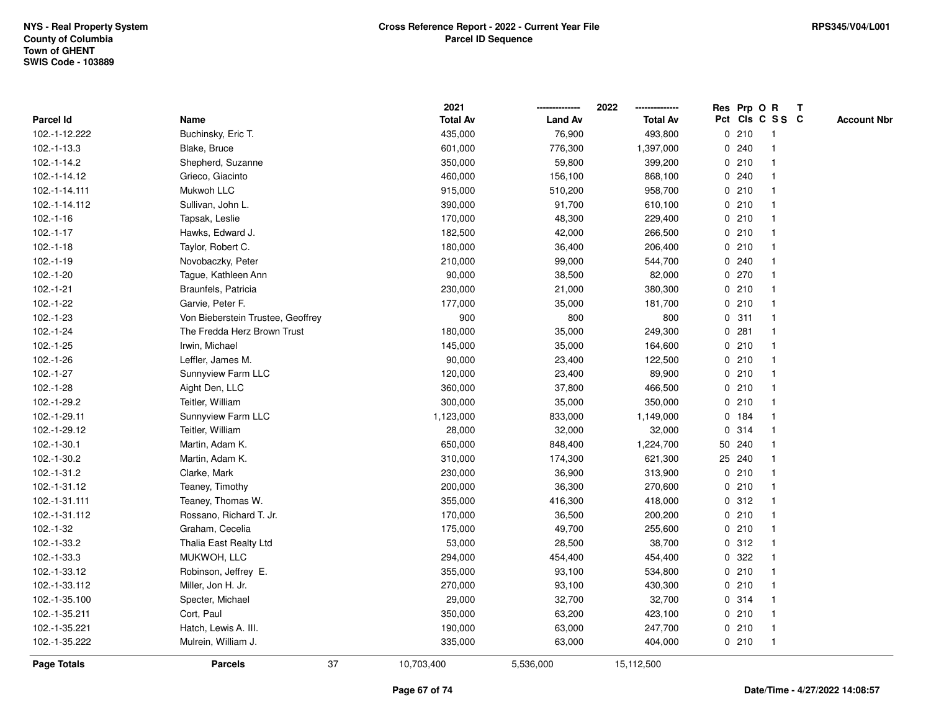|               |                                   |    | 2021            |                | 2022            |             |        | Res Prp O R     | T |                    |
|---------------|-----------------------------------|----|-----------------|----------------|-----------------|-------------|--------|-----------------|---|--------------------|
| Parcel Id     | Name                              |    | <b>Total Av</b> | <b>Land Av</b> | <b>Total Av</b> |             |        | Pct Cls C S S C |   | <b>Account Nbr</b> |
| 102.-1-12.222 | Buchinsky, Eric T.                |    | 435,000         | 76,900         | 493,800         |             | 0210   | -1              |   |                    |
| 102.-1-13.3   | Blake, Bruce                      |    | 601,000         | 776,300        | 1,397,000       | 0           | 240    |                 |   |                    |
| 102.-1-14.2   | Shepherd, Suzanne                 |    | 350,000         | 59,800         | 399,200         |             | 0210   | $\mathbf 1$     |   |                    |
| 102.-1-14.12  | Grieco, Giacinto                  |    | 460,000         | 156,100        | 868,100         |             | 0.240  |                 |   |                    |
| 102.-1-14.111 | Mukwoh LLC                        |    | 915,000         | 510,200        | 958,700         |             | 0210   |                 |   |                    |
| 102.-1-14.112 | Sullivan, John L.                 |    | 390,000         | 91,700         | 610,100         |             | 0210   |                 |   |                    |
| $102.-1-16$   | Tapsak, Leslie                    |    | 170,000         | 48,300         | 229,400         |             | 0210   |                 |   |                    |
| $102.-1-17$   | Hawks, Edward J.                  |    | 182,500         | 42,000         | 266,500         |             | 0210   |                 |   |                    |
| $102.-1-18$   | Taylor, Robert C.                 |    | 180,000         | 36,400         | 206,400         |             | 0210   |                 |   |                    |
| $102.-1-19$   | Novobaczky, Peter                 |    | 210,000         | 99,000         | 544,700         |             | 0.240  | $\mathbf 1$     |   |                    |
| $102.-1-20$   | Tague, Kathleen Ann               |    | 90,000          | 38,500         | 82,000          |             | 0.270  |                 |   |                    |
| $102.-1-21$   | Braunfels, Patricia               |    | 230,000         | 21,000         | 380,300         |             | 0210   |                 |   |                    |
| $102.-1-22$   | Garvie, Peter F.                  |    | 177,000         | 35,000         | 181,700         |             | 0210   |                 |   |                    |
| $102.-1-23$   | Von Bieberstein Trustee, Geoffrey |    | 900             | 800            | 800             |             | 0.311  |                 |   |                    |
| $102.-1-24$   | The Fredda Herz Brown Trust       |    | 180,000         | 35,000         | 249,300         | $\mathbf 0$ | 281    |                 |   |                    |
| $102.-1-25$   | Irwin, Michael                    |    | 145,000         | 35,000         | 164,600         |             | 0210   | $\overline{1}$  |   |                    |
| $102.-1-26$   | Leffler, James M.                 |    | 90,000          | 23,400         | 122,500         |             | 0210   | $\mathbf{1}$    |   |                    |
| 102.-1-27     | Sunnyview Farm LLC                |    | 120,000         | 23,400         | 89,900          |             | 0210   |                 |   |                    |
| $102.-1-28$   | Aight Den, LLC                    |    | 360,000         | 37,800         | 466,500         |             | 0210   |                 |   |                    |
| 102.-1-29.2   | Teitler, William                  |    | 300,000         | 35,000         | 350,000         |             | 0210   |                 |   |                    |
| 102.-1-29.11  | Sunnyview Farm LLC                |    | 1,123,000       | 833,000        | 1,149,000       |             | 0 184  |                 |   |                    |
| 102.-1-29.12  | Teitler, William                  |    | 28,000          | 32,000         | 32,000          | 0           | 314    |                 |   |                    |
| 102.-1-30.1   | Martin, Adam K.                   |    | 650,000         | 848,400        | 1,224,700       |             | 50 240 |                 |   |                    |
| 102.-1-30.2   | Martin, Adam K.                   |    | 310,000         | 174,300        | 621,300         |             | 25 240 |                 |   |                    |
| 102.-1-31.2   | Clarke, Mark                      |    | 230,000         | 36,900         | 313,900         |             | 0210   |                 |   |                    |
| 102.-1-31.12  | Teaney, Timothy                   |    | 200,000         | 36,300         | 270,600         |             | 0210   |                 |   |                    |
| 102.-1-31.111 | Teaney, Thomas W.                 |    | 355,000         | 416,300        | 418,000         |             | 0.312  |                 |   |                    |
| 102.-1-31.112 | Rossano, Richard T. Jr.           |    | 170,000         | 36,500         | 200,200         |             | 0210   |                 |   |                    |
| $102.-1-32$   | Graham, Cecelia                   |    | 175,000         | 49,700         | 255,600         |             | 0210   |                 |   |                    |
| 102.-1-33.2   | Thalia East Realty Ltd            |    | 53,000          | 28,500         | 38,700          | $\mathbf 0$ | 312    |                 |   |                    |
| 102.-1-33.3   | MUKWOH, LLC                       |    | 294,000         | 454,400        | 454,400         | 0           | 322    | -1              |   |                    |
| 102.-1-33.12  | Robinson, Jeffrey E.              |    | 355,000         | 93,100         | 534,800         |             | 0210   | $\mathbf 1$     |   |                    |
| 102.-1-33.112 | Miller, Jon H. Jr.                |    | 270,000         | 93,100         | 430,300         |             | 0210   |                 |   |                    |
| 102.-1-35.100 | Specter, Michael                  |    | 29,000          | 32,700         | 32,700          |             | 0 314  |                 |   |                    |
| 102.-1-35.211 | Cort, Paul                        |    | 350,000         | 63,200         | 423,100         |             | 0210   |                 |   |                    |
| 102.-1-35.221 | Hatch, Lewis A. III.              |    | 190,000         | 63,000         | 247,700         |             | 0210   | -1              |   |                    |
| 102.-1-35.222 | Mulrein, William J.               |    | 335,000         | 63,000         | 404,000         |             | 0210   | $\overline{1}$  |   |                    |
| Page Totals   | <b>Parcels</b>                    | 37 | 10,703,400      | 5,536,000      | 15,112,500      |             |        |                 |   |                    |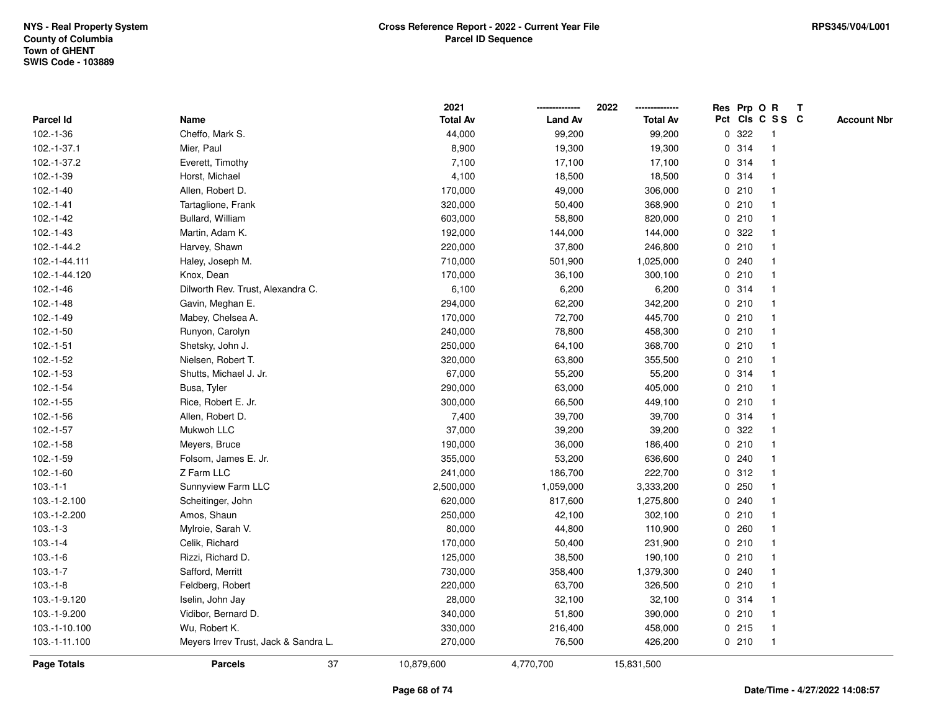|                    |                                      | 2021            |                | 2022<br>--------------- |   |       | Res Prp O R             | T |                    |
|--------------------|--------------------------------------|-----------------|----------------|-------------------------|---|-------|-------------------------|---|--------------------|
| Parcel Id          | Name                                 | <b>Total Av</b> | <b>Land Av</b> | <b>Total Av</b>         |   |       | Pct Cls C S S C         |   | <b>Account Nbr</b> |
| 102.-1-36          | Cheffo, Mark S.                      | 44,000          | 99,200         | 99,200                  | 0 | 322   | -1                      |   |                    |
| 102.-1-37.1        | Mier, Paul                           | 8,900           | 19,300         | 19,300                  | 0 | 314   | $\overline{\mathbf{1}}$ |   |                    |
| 102.-1-37.2        | Everett, Timothy                     | 7,100           | 17,100         | 17,100                  |   | 0.314 | $\mathbf{1}$            |   |                    |
| 102.-1-39          | Horst, Michael                       | 4,100           | 18,500         | 18,500                  |   | 0.314 |                         |   |                    |
| $102.-1-40$        | Allen, Robert D.                     | 170,000         | 49,000         | 306,000                 |   | 0210  |                         |   |                    |
| $102.-1-41$        | Tartaglione, Frank                   | 320,000         | 50,400         | 368,900                 |   | 0210  |                         |   |                    |
| $102.-1-42$        | Bullard, William                     | 603,000         | 58,800         | 820,000                 |   | 0210  |                         |   |                    |
| $102.-1-43$        | Martin, Adam K.                      | 192,000         | 144,000        | 144,000                 |   | 0 322 |                         |   |                    |
| 102.-1-44.2        | Harvey, Shawn                        | 220,000         | 37,800         | 246,800                 | 0 | 210   | 1                       |   |                    |
| 102.-1-44.111      | Haley, Joseph M.                     | 710,000         | 501,900        | 1,025,000               |   | 0.240 |                         |   |                    |
| 102.-1-44.120      | Knox, Dean                           | 170,000         | 36,100         | 300,100                 |   | 0210  |                         |   |                    |
| $102.-1-46$        | Dilworth Rev. Trust, Alexandra C.    | 6,100           | 6,200          | 6,200                   |   | 0.314 |                         |   |                    |
| $102.-1-48$        | Gavin, Meghan E.                     | 294,000         | 62,200         | 342,200                 |   | 0210  |                         |   |                    |
| $102.-1-49$        | Mabey, Chelsea A.                    | 170,000         | 72,700         | 445,700                 |   | 0210  |                         |   |                    |
| $102.-1-50$        | Runyon, Carolyn                      | 240,000         | 78,800         | 458,300                 |   | 0210  |                         |   |                    |
| $102.-1-51$        | Shetsky, John J.                     | 250,000         | 64,100         | 368,700                 |   | 0210  | 1                       |   |                    |
| 102.-1-52          | Nielsen, Robert T.                   | 320,000         | 63,800         | 355,500                 |   | 0210  | $\mathbf{1}$            |   |                    |
| $102.-1-53$        | Shutts, Michael J. Jr.               | 67,000          | 55,200         | 55,200                  |   | 0.314 |                         |   |                    |
| $102.-1-54$        | Busa, Tyler                          | 290,000         | 63,000         | 405,000                 |   | 0210  |                         |   |                    |
| $102.-1-55$        | Rice, Robert E. Jr.                  | 300,000         | 66,500         | 449,100                 |   | 0210  |                         |   |                    |
| $102.-1-56$        | Allen, Robert D.                     | 7,400           | 39,700         | 39,700                  |   | 0.314 |                         |   |                    |
| $102.-1-57$        | Mukwoh LLC                           | 37,000          | 39,200         | 39,200                  |   | 0.322 |                         |   |                    |
| $102.-1-58$        | Meyers, Bruce                        | 190,000         | 36,000         | 186,400                 | 0 | 210   | $\overline{\mathbf{1}}$ |   |                    |
| 102.-1-59          | Folsom, James E. Jr.                 | 355,000         | 53,200         | 636,600                 |   | 0.240 |                         |   |                    |
| $102.-1-60$        | Z Farm LLC                           | 241,000         | 186,700        | 222,700                 |   | 0.312 |                         |   |                    |
| $103.-1-1$         | Sunnyview Farm LLC                   | 2,500,000       | 1,059,000      | 3,333,200               |   | 0.250 |                         |   |                    |
| 103.-1-2.100       | Scheitinger, John                    | 620,000         | 817,600        | 1,275,800               |   | 0.240 |                         |   |                    |
| 103.-1-2.200       | Amos, Shaun                          | 250,000         | 42,100         | 302,100                 |   | 0210  |                         |   |                    |
| $103.-1-3$         | Mylroie, Sarah V.                    | 80,000          | 44,800         | 110,900                 |   | 0.260 |                         |   |                    |
| $103.-1-4$         | Celik, Richard                       | 170,000         | 50,400         | 231,900                 | 0 | 210   | $\overline{1}$          |   |                    |
| $103.-1-6$         | Rizzi, Richard D.                    | 125,000         | 38,500         | 190,100                 |   | 0210  | 1                       |   |                    |
| $103.-1-7$         | Safford, Merritt                     | 730,000         | 358,400        | 1,379,300               |   | 0.240 |                         |   |                    |
| $103.-1-8$         | Feldberg, Robert                     | 220,000         | 63,700         | 326,500                 |   | 0210  |                         |   |                    |
| 103.-1-9.120       | Iselin, John Jay                     | 28,000          | 32,100         | 32,100                  |   | 0.314 |                         |   |                    |
| 103.-1-9.200       | Vidibor, Bernard D.                  | 340,000         | 51,800         | 390,000                 |   | 0210  | $\overline{1}$          |   |                    |
| 103.-1-10.100      | Wu, Robert K.                        | 330,000         | 216,400        | 458,000                 |   | 0215  | -1                      |   |                    |
| 103.-1-11.100      | Meyers Irrev Trust, Jack & Sandra L. | 270,000         | 76,500         | 426,200                 |   | 0210  | $\overline{1}$          |   |                    |
| <b>Page Totals</b> | 37<br><b>Parcels</b>                 | 10,879,600      | 4,770,700      | 15,831,500              |   |       |                         |   |                    |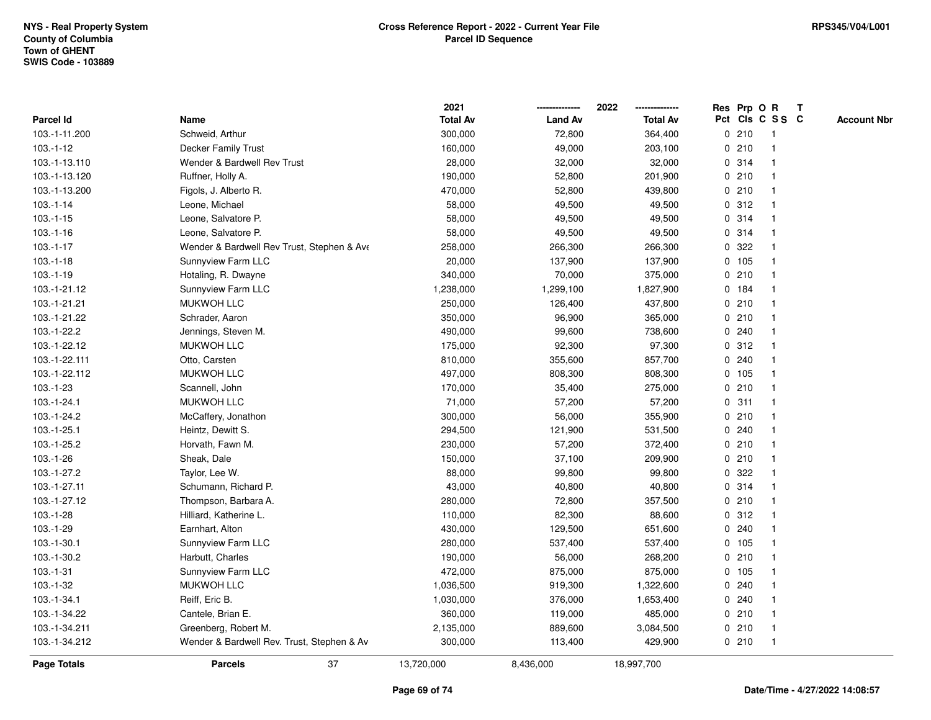|                  |                                            | 2021            |                | 2022            |   |        | Res Prp O R     | T |                    |
|------------------|--------------------------------------------|-----------------|----------------|-----------------|---|--------|-----------------|---|--------------------|
| <b>Parcel Id</b> | Name                                       | <b>Total Av</b> | <b>Land Av</b> | <b>Total Av</b> |   |        | Pct Cls C S S C |   | <b>Account Nbr</b> |
| 103.-1-11.200    | Schweid, Arthur                            | 300,000         | 72,800         | 364,400         |   | 0210   | $\mathbf{1}$    |   |                    |
| $103.-1-12$      | Decker Family Trust                        | 160,000         | 49,000         | 203,100         |   | 0210   | $\mathbf{1}$    |   |                    |
| 103.-1-13.110    | Wender & Bardwell Rev Trust                | 28,000          | 32,000         | 32,000          |   | 0.314  | $\mathbf{1}$    |   |                    |
| 103.-1-13.120    | Ruffner, Holly A.                          | 190,000         | 52,800         | 201,900         |   | 0210   | -1              |   |                    |
| 103.-1-13.200    | Figols, J. Alberto R.                      | 470,000         | 52,800         | 439,800         |   | 0210   |                 |   |                    |
| $103.-1-14$      | Leone, Michael                             | 58,000          | 49,500         | 49,500          |   | 0.312  | $\mathbf 1$     |   |                    |
| $103.-1-15$      | Leone, Salvatore P.                        | 58,000          | 49,500         | 49,500          |   | 0.314  | $\mathbf{1}$    |   |                    |
| $103.-1-16$      | Leone, Salvatore P.                        | 58,000          | 49,500         | 49,500          |   | 0.314  | $\mathbf{1}$    |   |                    |
| 103.-1-17        | Wender & Bardwell Rev Trust, Stephen & Ave | 258,000         | 266,300        | 266,300         | 0 | 322    | $\mathbf{1}$    |   |                    |
| $103.-1-18$      | Sunnyview Farm LLC                         | 20,000          | 137,900        | 137,900         |   | 0 105  | $\mathbf{1}$    |   |                    |
| $103.-1-19$      | Hotaling, R. Dwayne                        | 340,000         | 70,000         | 375,000         |   | 0210   | $\mathbf 1$     |   |                    |
| 103.-1-21.12     | Sunnyview Farm LLC                         | 1,238,000       | 1,299,100      | 1,827,900       |   | 0 184  |                 |   |                    |
| 103.-1-21.21     | <b>MUKWOH LLC</b>                          | 250,000         | 126,400        | 437,800         |   | 0210   |                 |   |                    |
| 103.-1-21.22     | Schrader, Aaron                            | 350,000         | 96,900         | 365,000         |   | 0210   | $\mathbf 1$     |   |                    |
| 103.-1-22.2      | Jennings, Steven M.                        | 490,000         | 99,600         | 738,600         |   | 0.240  | $\mathbf{1}$    |   |                    |
| 103.-1-22.12     | <b>MUKWOH LLC</b>                          | 175,000         | 92,300         | 97,300          | 0 | 312    | $\mathbf{1}$    |   |                    |
| 103.-1-22.111    | Otto, Carsten                              | 810,000         | 355,600        | 857,700         |   | 0.240  | $\mathbf{1}$    |   |                    |
| 103.-1-22.112    | <b>MUKWOH LLC</b>                          | 497,000         | 808,300        | 808,300         |   | 0 105  | $\mathbf{1}$    |   |                    |
| 103.-1-23        | Scannell, John                             | 170,000         | 35,400         | 275,000         |   | 0210   | $\mathbf 1$     |   |                    |
| 103.-1-24.1      | <b>MUKWOH LLC</b>                          | 71,000          | 57,200         | 57,200          |   | 0.311  |                 |   |                    |
| 103.-1-24.2      | McCaffery, Jonathon                        | 300,000         | 56,000         | 355,900         |   | 0210   | $\mathbf{1}$    |   |                    |
| $103.-1-25.1$    | Heintz, Dewitt S.                          | 294,500         | 121,900        | 531,500         |   | 0.240  | $\mathbf 1$     |   |                    |
| 103.-1-25.2      | Horvath, Fawn M.                           | 230,000         | 57,200         | 372,400         |   | 0210   | $\mathbf{1}$    |   |                    |
| 103.-1-26        | Sheak, Dale                                | 150,000         | 37,100         | 209,900         |   | 0210   | $\mathbf{1}$    |   |                    |
| 103.-1-27.2      | Taylor, Lee W.                             | 88,000          | 99,800         | 99,800          |   | 0.322  | $\mathbf 1$     |   |                    |
| 103.-1-27.11     | Schumann, Richard P.                       | 43,000          | 40,800         | 40,800          |   | 0.314  | -1              |   |                    |
| 103.-1-27.12     | Thompson, Barbara A.                       | 280,000         | 72,800         | 357,500         |   | 0210   | $\mathbf 1$     |   |                    |
| 103.-1-28        | Hilliard, Katherine L.                     | 110,000         | 82,300         | 88,600          |   | 0.312  | $\mathbf{1}$    |   |                    |
| 103.-1-29        | Earnhart, Alton                            | 430,000         | 129,500        | 651,600         |   | 0.240  | $\mathbf{1}$    |   |                    |
| $103.-1-30.1$    | Sunnyview Farm LLC                         | 280,000         | 537,400        | 537,400         |   | 0 105  | $\mathbf{1}$    |   |                    |
| 103.-1-30.2      | Harbutt, Charles                           | 190,000         | 56,000         | 268,200         |   | 0210   | $\mathbf{1}$    |   |                    |
| $103.-1-31$      | Sunnyview Farm LLC                         | 472,000         | 875,000        | 875,000         |   | 0, 105 | $\mathbf{1}$    |   |                    |
| $103.-1-32$      | <b>MUKWOH LLC</b>                          | 1,036,500       | 919,300        | 1,322,600       |   | 0.240  | $\mathbf 1$     |   |                    |
| 103.-1-34.1      | Reiff, Eric B.                             | 1,030,000       | 376,000        | 1,653,400       |   | 0.240  |                 |   |                    |
| 103.-1-34.22     | Cantele, Brian E.                          | 360,000         | 119,000        | 485,000         |   | 0210   | $\mathbf{1}$    |   |                    |
| 103.-1-34.211    | Greenberg, Robert M.                       | 2,135,000       | 889,600        | 3,084,500       |   | 0210   | $\mathbf{1}$    |   |                    |
| 103.-1-34.212    | Wender & Bardwell Rev. Trust, Stephen & Av | 300,000         | 113,400        | 429,900         |   | 0210   | $\mathbf{1}$    |   |                    |
| Page Totals      | 37<br><b>Parcels</b>                       | 13,720,000      | 8,436,000      | 18,997,700      |   |        |                 |   |                    |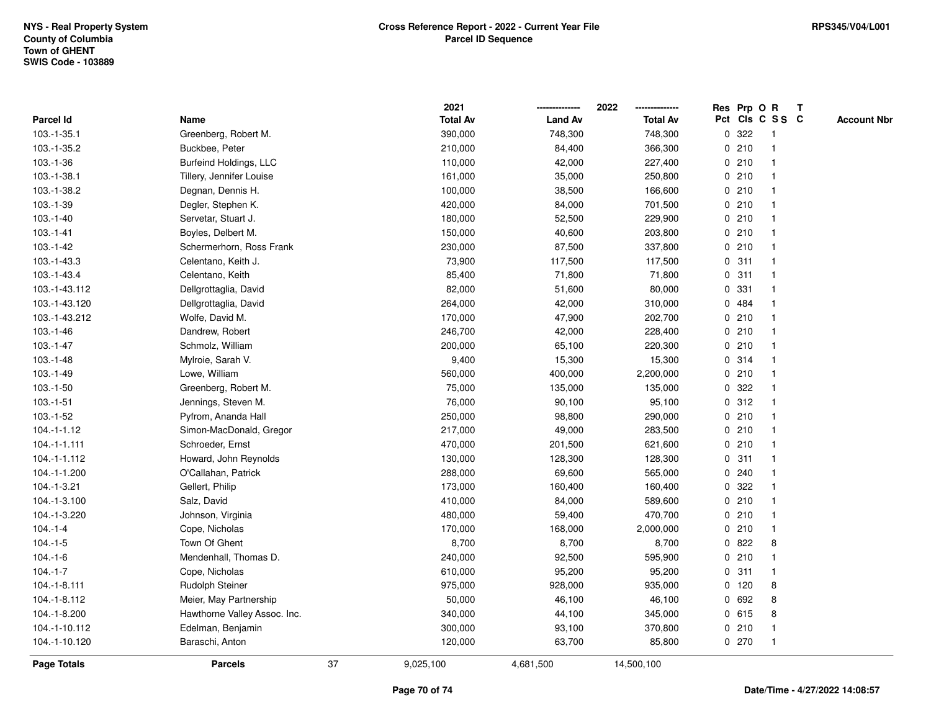|                    |                              |    | 2021            |                | 2022            |   |         | Res Prp O R     | $\mathbf{T}$ |                    |
|--------------------|------------------------------|----|-----------------|----------------|-----------------|---|---------|-----------------|--------------|--------------------|
| Parcel Id          | Name                         |    | <b>Total Av</b> | <b>Land Av</b> | <b>Total Av</b> |   |         | Pct Cls C S S C |              | <b>Account Nbr</b> |
| 103.-1-35.1        | Greenberg, Robert M.         |    | 390,000         | 748,300        | 748,300         | 0 | 322     | -1              |              |                    |
| 103.-1-35.2        | Buckbee, Peter               |    | 210,000         | 84,400         | 366,300         |   | 0210    |                 |              |                    |
| $103.-1-36$        | Burfeind Holdings, LLC       |    | 110,000         | 42,000         | 227,400         |   | 0210    | $\mathbf{1}$    |              |                    |
| 103.-1-38.1        | Tillery, Jennifer Louise     |    | 161,000         | 35,000         | 250,800         |   | 0210    | $\mathbf{1}$    |              |                    |
| 103.-1-38.2        | Degnan, Dennis H.            |    | 100,000         | 38,500         | 166,600         |   | 0210    | $\mathbf{1}$    |              |                    |
| $103.-1-39$        | Degler, Stephen K.           |    | 420,000         | 84,000         | 701,500         |   | 0210    | $\mathbf{1}$    |              |                    |
| $103.-1-40$        | Servetar, Stuart J.          |    | 180,000         | 52,500         | 229,900         |   | 0210    | $\mathbf 1$     |              |                    |
| $103.-1-41$        | Boyles, Delbert M.           |    | 150,000         | 40,600         | 203,800         |   | 0210    |                 |              |                    |
| $103.-1-42$        | Schermerhorn, Ross Frank     |    | 230,000         | 87,500         | 337,800         |   | 0210    | $\mathbf{1}$    |              |                    |
| 103.-1-43.3        | Celentano, Keith J.          |    | 73,900          | 117,500        | 117,500         |   | 0.311   | $\mathbf{1}$    |              |                    |
| 103.-1-43.4        | Celentano, Keith             |    | 85,400          | 71,800         | 71,800          |   | 0.311   | $\mathbf{1}$    |              |                    |
| 103.-1-43.112      | Dellgrottaglia, David        |    | 82,000          | 51,600         | 80,000          |   | 0 331   | $\mathbf{1}$    |              |                    |
| 103.-1-43.120      | Dellgrottaglia, David        |    | 264,000         | 42,000         | 310,000         |   | 0 484   | $\mathbf{1}$    |              |                    |
| 103.-1-43.212      | Wolfe, David M.              |    | 170,000         | 47,900         | 202,700         |   | 0210    | 1               |              |                    |
| $103.-1-46$        | Dandrew, Robert              |    | 246,700         | 42,000         | 228,400         |   | 0210    |                 |              |                    |
| $103.-1-47$        | Schmolz, William             |    | 200,000         | 65,100         | 220,300         |   | 0210    | $\mathbf 1$     |              |                    |
| $103.-1-48$        | Mylroie, Sarah V.            |    | 9,400           | 15,300         | 15,300          | 0 | 314     | $\mathbf{1}$    |              |                    |
| 103.-1-49          | Lowe, William                |    | 560,000         | 400,000        | 2,200,000       | 0 | 210     | $\mathbf{1}$    |              |                    |
| $103.-1-50$        | Greenberg, Robert M.         |    | 75,000          | 135,000        | 135,000         |   | 0.322   | $\mathbf{1}$    |              |                    |
| $103.-1-51$        | Jennings, Steven M.          |    | 76,000          | 90,100         | 95,100          |   | 0.312   | -1              |              |                    |
| $103.-1-52$        | Pyfrom, Ananda Hall          |    | 250,000         | 98,800         | 290,000         |   | 0210    | 1               |              |                    |
| $104.-1-1.12$      | Simon-MacDonald, Gregor      |    | 217,000         | 49,000         | 283,500         |   | 0210    | $\mathbf{1}$    |              |                    |
| $104.-1-1.111$     | Schroeder, Ernst             |    | 470,000         | 201,500        | 621,600         |   | 0210    | $\mathbf{1}$    |              |                    |
| 104.-1-1.112       | Howard, John Reynolds        |    | 130,000         | 128,300        | 128,300         | 0 | 311     | $\mathbf{1}$    |              |                    |
| 104.-1-1.200       | O'Callahan, Patrick          |    | 288,000         | 69,600         | 565,000         |   | 0.240   | $\mathbf{1}$    |              |                    |
| 104.-1-3.21        | Gellert, Philip              |    | 173,000         | 160,400        | 160,400         |   | 0.322   | $\mathbf 1$     |              |                    |
| 104.-1-3.100       | Salz, David                  |    | 410,000         | 84,000         | 589,600         |   | 0210    | -1              |              |                    |
| 104.-1-3.220       | Johnson, Virginia            |    | 480,000         | 59,400         | 470,700         |   | 0210    |                 |              |                    |
| $104.-1-4$         | Cope, Nicholas               |    | 170,000         | 168,000        | 2,000,000       |   | 0210    | $\mathbf{1}$    |              |                    |
| $104.-1-5$         | Town Of Ghent                |    | 8,700           | 8,700          | 8,700           |   | 0822    | 8               |              |                    |
| $104.-1-6$         | Mendenhall, Thomas D.        |    | 240,000         | 92,500         | 595,900         |   | 0210    | $\mathbf{1}$    |              |                    |
| $104.-1-7$         | Cope, Nicholas               |    | 610,000         | 95,200         | 95,200          |   | 0.311   | 1               |              |                    |
| 104.-1-8.111       | Rudolph Steiner              |    | 975,000         | 928,000        | 935,000         |   | $0$ 120 | 8               |              |                    |
| 104.-1-8.112       | Meier, May Partnership       |    | 50,000          | 46,100         | 46,100          |   | 0 692   | 8               |              |                    |
| 104.-1-8.200       | Hawthorne Valley Assoc. Inc. |    | 340,000         | 44,100         | 345,000         |   | 0615    | 8               |              |                    |
| 104.-1-10.112      | Edelman, Benjamin            |    | 300,000         | 93,100         | 370,800         |   | 0210    | $\mathbf{1}$    |              |                    |
| 104.-1-10.120      | Baraschi, Anton              |    | 120,000         | 63,700         | 85,800          |   | 0270    | $\mathbf{1}$    |              |                    |
| <b>Page Totals</b> | <b>Parcels</b>               | 37 | 9,025,100       | 4,681,500      | 14,500,100      |   |         |                 |              |                    |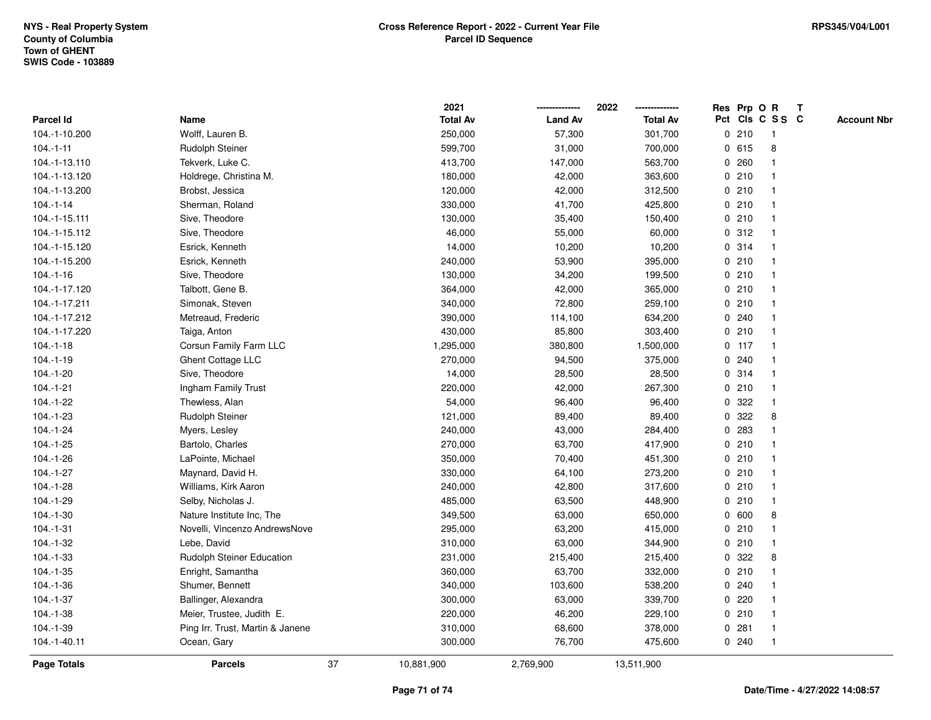|                    |                                  |    | 2021            |                | 2022            |   |         | Res Prp O R     | $\mathbf{T}$ |                    |
|--------------------|----------------------------------|----|-----------------|----------------|-----------------|---|---------|-----------------|--------------|--------------------|
| Parcel Id          | Name                             |    | <b>Total Av</b> | <b>Land Av</b> | <b>Total Av</b> |   |         | Pct Cls C S S C |              | <b>Account Nbr</b> |
| 104.-1-10.200      | Wolff, Lauren B.                 |    | 250,000         | 57,300         | 301,700         |   | 0210    | -1              |              |                    |
| $104 - 1 - 11$     | Rudolph Steiner                  |    | 599,700         | 31,000         | 700,000         |   | 0 615   | 8               |              |                    |
| 104.-1-13.110      | Tekverk, Luke C.                 |    | 413,700         | 147,000        | 563,700         |   | 0260    | $\mathbf 1$     |              |                    |
| 104.-1-13.120      | Holdrege, Christina M.           |    | 180,000         | 42,000         | 363,600         |   | 0210    | $\mathbf{1}$    |              |                    |
| 104.-1-13.200      | Brobst, Jessica                  |    | 120,000         | 42,000         | 312,500         |   | 0210    | $\mathbf{1}$    |              |                    |
| $104.-1-14$        | Sherman, Roland                  |    | 330,000         | 41,700         | 425,800         |   | 0210    | $\mathbf{1}$    |              |                    |
| 104.-1-15.111      | Sive, Theodore                   |    | 130,000         | 35,400         | 150,400         |   | 0210    | $\mathbf 1$     |              |                    |
| 104.-1-15.112      | Sive, Theodore                   |    | 46,000          | 55,000         | 60,000          |   | 0.312   |                 |              |                    |
| 104.-1-15.120      | Esrick, Kenneth                  |    | 14,000          | 10,200         | 10,200          |   | 0.314   | $\mathbf{1}$    |              |                    |
| 104.-1-15.200      | Esrick, Kenneth                  |    | 240,000         | 53,900         | 395,000         |   | 0210    | $\mathbf{1}$    |              |                    |
| $104.-1-16$        | Sive, Theodore                   |    | 130,000         | 34,200         | 199,500         |   | 0210    | $\mathbf{1}$    |              |                    |
| 104.-1-17.120      | Talbott, Gene B.                 |    | 364,000         | 42,000         | 365,000         |   | 0210    | $\mathbf{1}$    |              |                    |
| 104.-1-17.211      | Simonak, Steven                  |    | 340,000         | 72,800         | 259,100         |   | 0210    | $\mathbf{1}$    |              |                    |
| 104.-1-17.212      | Metreaud, Frederic               |    | 390,000         | 114,100        | 634,200         |   | 0.240   |                 |              |                    |
| 104.-1-17.220      | Taiga, Anton                     |    | 430,000         | 85,800         | 303,400         |   | 0210    |                 |              |                    |
| $104.-1-18$        | Corsun Family Farm LLC           |    | 1,295,000       | 380,800        | 1,500,000       |   | $0$ 117 | $\mathbf{1}$    |              |                    |
| $104.-1-19$        | Ghent Cottage LLC                |    | 270,000         | 94,500         | 375,000         | 0 | 240     | $\mathbf{1}$    |              |                    |
| 104.-1-20          | Sive, Theodore                   |    | 14,000          | 28,500         | 28,500          |   | 0.314   | $\mathbf{1}$    |              |                    |
| $104.-1-21$        | Ingham Family Trust              |    | 220,000         | 42,000         | 267,300         |   | 0210    | $\mathbf{1}$    |              |                    |
| 104.-1-22          | Thewless, Alan                   |    | 54,000          | 96,400         | 96,400          |   | 0.322   | -1              |              |                    |
| $104.-1-23$        | Rudolph Steiner                  |    | 121,000         | 89,400         | 89,400          | 0 | 322     | 8               |              |                    |
| $104.-1-24$        | Myers, Lesley                    |    | 240,000         | 43,000         | 284,400         |   | 0 283   |                 |              |                    |
| 104.-1-25          | Bartolo, Charles                 |    | 270,000         | 63,700         | 417,900         |   | 0210    | $\mathbf{1}$    |              |                    |
| $104.-1-26$        | LaPointe, Michael                |    | 350,000         | 70,400         | 451,300         |   | 0210    | $\mathbf{1}$    |              |                    |
| $104.-1-27$        | Maynard, David H.                |    | 330,000         | 64,100         | 273,200         |   | 0210    | $\mathbf{1}$    |              |                    |
| $104.-1-28$        | Williams, Kirk Aaron             |    | 240,000         | 42,800         | 317,600         |   | 0210    | $\mathbf 1$     |              |                    |
| $104.-1-29$        | Selby, Nicholas J.               |    | 485,000         | 63,500         | 448,900         |   | 0210    | -1              |              |                    |
| $104.-1-30$        | Nature Institute Inc, The        |    | 349,500         | 63,000         | 650,000         |   | 0 600   | 8               |              |                    |
| $104.-1-31$        | Novelli, Vincenzo AndrewsNove    |    | 295,000         | 63,200         | 415,000         |   | 0210    | $\mathbf{1}$    |              |                    |
| 104.-1-32          | Lebe, David                      |    | 310,000         | 63,000         | 344,900         |   | 0210    | $\mathbf{1}$    |              |                    |
| $104.-1-33$        | Rudolph Steiner Education        |    | 231,000         | 215,400        | 215,400         | 0 | 322     | 8               |              |                    |
| $104.-1-35$        | Enright, Samantha                |    | 360,000         | 63,700         | 332,000         |   | 0210    | 1               |              |                    |
| $104.-1-36$        | Shumer, Bennett                  |    | 340,000         | 103,600        | 538,200         |   | 0.240   | $\mathbf{1}$    |              |                    |
| $104.-1-37$        | Ballinger, Alexandra             |    | 300,000         | 63,000         | 339,700         |   | $0$ 220 |                 |              |                    |
| 104.-1-38          | Meier, Trustee, Judith E.        |    | 220,000         | 46,200         | 229,100         |   | 0210    | $\mathbf 1$     |              |                    |
| 104.-1-39          | Ping Irr. Trust, Martin & Janene |    | 310,000         | 68,600         | 378,000         |   | 0.281   | $\mathbf{1}$    |              |                    |
| 104.-1-40.11       | Ocean, Gary                      |    | 300,000         | 76,700         | 475,600         |   | 0.240   | $\mathbf{1}$    |              |                    |
| <b>Page Totals</b> | <b>Parcels</b>                   | 37 | 10,881,900      | 2,769,900      | 13,511,900      |   |         |                 |              |                    |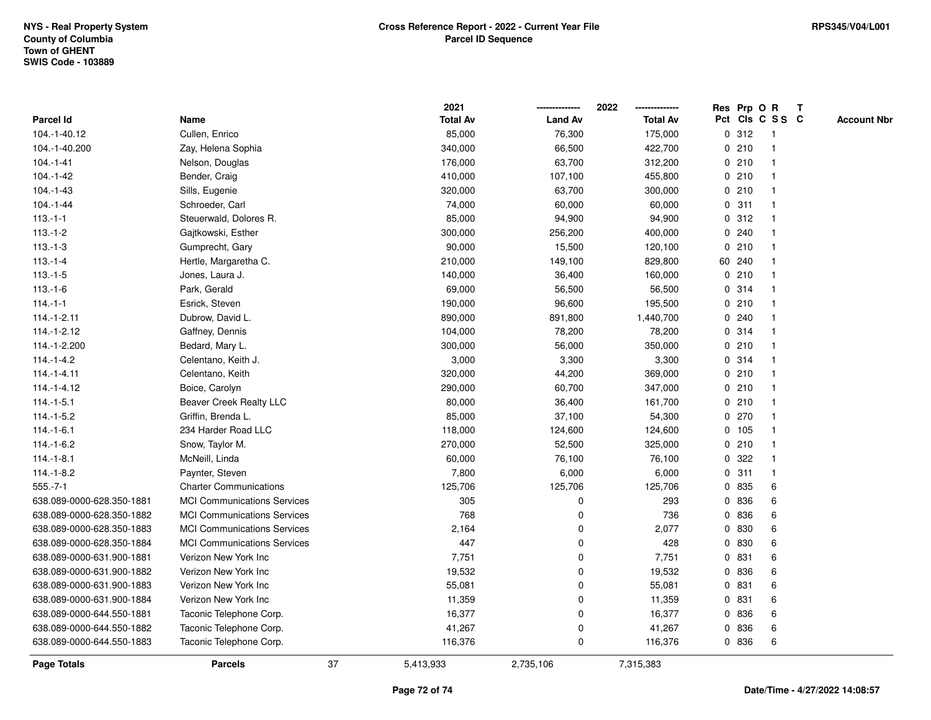|                           |                                    |    | 2021            |                | 2022            |              |        | Res Prp O R     | T |                    |
|---------------------------|------------------------------------|----|-----------------|----------------|-----------------|--------------|--------|-----------------|---|--------------------|
| <b>Parcel Id</b>          | Name                               |    | <b>Total Av</b> | <b>Land Av</b> | <b>Total Av</b> |              |        | Pct Cls C S S C |   | <b>Account Nbr</b> |
| 104.-1-40.12              | Cullen, Enrico                     |    | 85,000          | 76,300         | 175,000         |              | 0.312  | $\mathbf{1}$    |   |                    |
| 104.-1-40.200             | Zay, Helena Sophia                 |    | 340,000         | 66,500         | 422,700         | 0            | 210    | -1              |   |                    |
| $104 - 1 - 41$            | Nelson, Douglas                    |    | 176,000         | 63,700         | 312,200         |              | 0210   | $\mathbf 1$     |   |                    |
| $104.-1-42$               | Bender, Craig                      |    | 410,000         | 107,100        | 455,800         |              | 0210   |                 |   |                    |
| $104.-1-43$               | Sills, Eugenie                     |    | 320,000         | 63,700         | 300,000         |              | 0210   |                 |   |                    |
| 104.-1-44                 | Schroeder, Carl                    |    | 74,000          | 60,000         | 60,000          |              | 0.311  |                 |   |                    |
| $113.-1-1$                | Steuerwald, Dolores R.             |    | 85,000          | 94,900         | 94,900          |              | 0.312  |                 |   |                    |
| $113.-1-2$                | Gajtkowski, Esther                 |    | 300,000         | 256,200        | 400,000         | $\mathbf{0}$ | 240    | -1              |   |                    |
| $113.-1-3$                | Gumprecht, Gary                    |    | 90,000          | 15,500         | 120,100         | $\mathbf{0}$ | 210    | -1              |   |                    |
| $113.-1-4$                | Hertle, Margaretha C.              |    | 210,000         | 149,100        | 829,800         |              | 60 240 | $\overline{1}$  |   |                    |
| $113.-1-5$                | Jones, Laura J.                    |    | 140,000         | 36,400         | 160,000         |              | 0210   |                 |   |                    |
| $113.-1-6$                | Park, Gerald                       |    | 69,000          | 56,500         | 56,500          |              | 0.314  |                 |   |                    |
| $114 - 1 - 1$             | Esrick, Steven                     |    | 190,000         | 96,600         | 195,500         |              | 0210   |                 |   |                    |
| $114.-1-2.11$             | Dubrow, David L.                   |    | 890,000         | 891,800        | 1,440,700       | 0            | 240    |                 |   |                    |
| 114.-1-2.12               | Gaffney, Dennis                    |    | 104,000         | 78,200         | 78,200          | 0            | 314    |                 |   |                    |
| 114.-1-2.200              | Bedard, Mary L.                    |    | 300,000         | 56,000         | 350,000         | $\mathbf 0$  | 210    | $\mathbf{1}$    |   |                    |
| 114.-1-4.2                | Celentano, Keith J.                |    | 3,000           | 3,300          | 3,300           |              | 0.314  | -1              |   |                    |
| $114 - 1 - 4.11$          | Celentano, Keith                   |    | 320,000         | 44,200         | 369,000         |              | 0210   | $\mathbf 1$     |   |                    |
| 114.-1-4.12               | Boice, Carolyn                     |    | 290,000         | 60,700         | 347,000         |              | 0210   |                 |   |                    |
| $114.-1-5.1$              | Beaver Creek Realty LLC            |    | 80,000          | 36,400         | 161,700         |              | 0210   |                 |   |                    |
| $114.-1-5.2$              | Griffin, Brenda L.                 |    | 85,000          | 37,100         | 54,300          |              | 0270   |                 |   |                    |
| $114.-1-6.1$              | 234 Harder Road LLC                |    | 118,000         | 124,600        | 124,600         |              | 0 105  |                 |   |                    |
| $114.-1-6.2$              | Snow, Taylor M.                    |    | 270,000         | 52,500         | 325,000         | 0            | 210    | -1              |   |                    |
| $114 - 1 - 8.1$           | McNeill, Linda                     |    | 60,000          | 76,100         | 76,100          | 0            | 322    |                 |   |                    |
| $114.-1-8.2$              | Paynter, Steven                    |    | 7,800           | 6,000          | 6,000           |              | 0.311  | $\mathbf{1}$    |   |                    |
| $555.-7-1$                | <b>Charter Communications</b>      |    | 125,706         | 125,706        | 125,706         |              | 0 835  | 6               |   |                    |
| 638.089-0000-628.350-1881 | <b>MCI Communications Services</b> |    | 305             | 0              | 293             |              | 0 836  | 6               |   |                    |
| 638.089-0000-628.350-1882 | <b>MCI Communications Services</b> |    | 768             | 0              | 736             | $\mathbf{0}$ | 836    | 6               |   |                    |
| 638.089-0000-628.350-1883 | <b>MCI Communications Services</b> |    | 2,164           | 0              | 2,077           |              | 0 830  | 6               |   |                    |
| 638.089-0000-628.350-1884 | <b>MCI Communications Services</b> |    | 447             | 0              | 428             | 0            | 830    | 6               |   |                    |
| 638.089-0000-631.900-1881 | Verizon New York Inc               |    | 7,751           | 0              | 7,751           | $\mathbf{0}$ | 831    | 6               |   |                    |
| 638.089-0000-631.900-1882 | Verizon New York Inc               |    | 19,532          | 0              | 19,532          |              | 0 836  | 6               |   |                    |
| 638.089-0000-631.900-1883 | Verizon New York Inc               |    | 55,081          | 0              | 55,081          |              | 0 831  | 6               |   |                    |
| 638.089-0000-631.900-1884 | Verizon New York Inc               |    | 11,359          | $\mathbf 0$    | 11,359          |              | 0 831  | 6               |   |                    |
| 638.089-0000-644.550-1881 | Taconic Telephone Corp.            |    | 16,377          | 0              | 16,377          |              | 0 836  | 6               |   |                    |
| 638.089-0000-644.550-1882 | Taconic Telephone Corp.            |    | 41,267          | 0              | 41,267          | $\mathbf{0}$ | 836    | 6               |   |                    |
| 638.089-0000-644.550-1883 | Taconic Telephone Corp.            |    | 116,376         | $\mathbf 0$    | 116,376         |              | 0 836  | 6               |   |                    |
| <b>Page Totals</b>        | <b>Parcels</b>                     | 37 | 5,413,933       | 2,735,106      | 7,315,383       |              |        |                 |   |                    |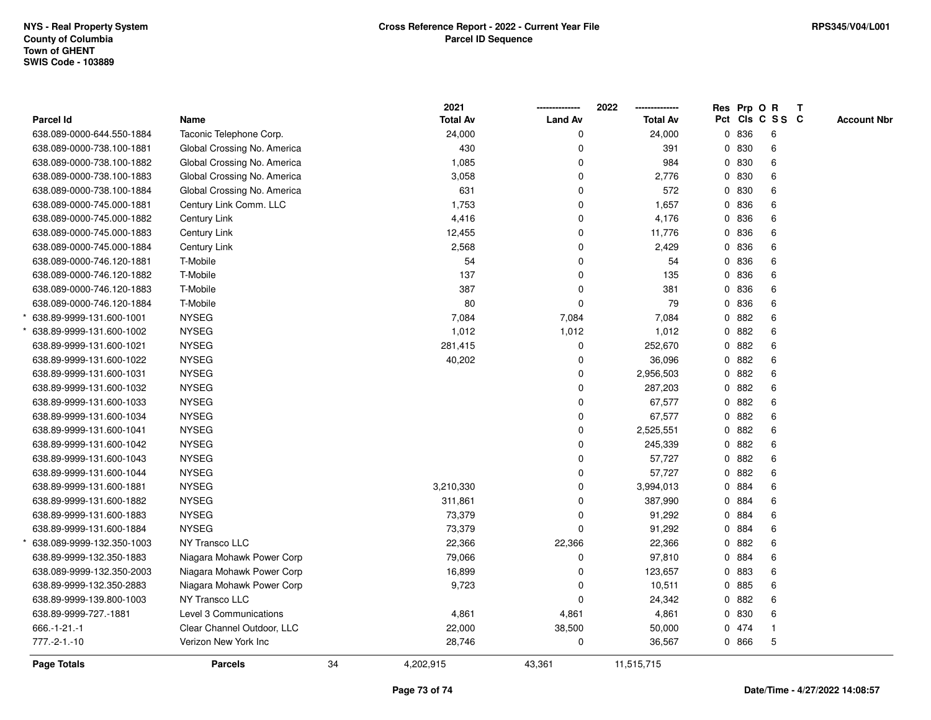|                           |                             |    | 2021            |                | 2022<br>--------------- |   | Res Prp O R |                 | T |                    |
|---------------------------|-----------------------------|----|-----------------|----------------|-------------------------|---|-------------|-----------------|---|--------------------|
| Parcel Id                 | Name                        |    | <b>Total Av</b> | <b>Land Av</b> | <b>Total Av</b>         |   |             | Pct Cls C S S C |   | <b>Account Nbr</b> |
| 638.089-0000-644.550-1884 | Taconic Telephone Corp.     |    | 24,000          | 0              | 24,000                  |   | 0 836       | 6               |   |                    |
| 638.089-0000-738.100-1881 | Global Crossing No. America |    | 430             | 0              | 391                     |   | 0 830       | 6               |   |                    |
| 638.089-0000-738.100-1882 | Global Crossing No. America |    | 1,085           | $\Omega$       | 984                     |   | 0 830       | 6               |   |                    |
| 638.089-0000-738.100-1883 | Global Crossing No. America |    | 3,058           | 0              | 2,776                   |   | 0 830       | 6               |   |                    |
| 638.089-0000-738.100-1884 | Global Crossing No. America |    | 631             | $\mathbf 0$    | 572                     |   | 0 830       | 6               |   |                    |
| 638.089-0000-745.000-1881 | Century Link Comm. LLC      |    | 1,753           | 0              | 1,657                   |   | 0 836       | 6               |   |                    |
| 638.089-0000-745.000-1882 | Century Link                |    | 4,416           | 0              | 4,176                   |   | 0 836       | 6               |   |                    |
| 638.089-0000-745.000-1883 | Century Link                |    | 12,455          | 0              | 11,776                  |   | 0 836       | 6               |   |                    |
| 638.089-0000-745.000-1884 | Century Link                |    | 2,568           | $\Omega$       | 2,429                   | 0 | 836         | 6               |   |                    |
| 638.089-0000-746.120-1881 | T-Mobile                    |    | 54              | $\mathbf 0$    | 54                      | 0 | 836         | 6               |   |                    |
| 638.089-0000-746.120-1882 | T-Mobile                    |    | 137             | 0              | 135                     |   | 0 836       | 6               |   |                    |
| 638.089-0000-746.120-1883 | T-Mobile                    |    | 387             | $\Omega$       | 381                     |   | 0 836       | 6               |   |                    |
| 638.089-0000-746.120-1884 | T-Mobile                    |    | 80              | 0              | 79                      |   | 0 836       | 6               |   |                    |
| 638.89-9999-131.600-1001  | <b>NYSEG</b>                |    | 7,084           | 7,084          | 7,084                   | 0 | 882         | 6               |   |                    |
| 638.89-9999-131.600-1002  | <b>NYSEG</b>                |    | 1,012           | 1,012          | 1,012                   | 0 | 882         | 6               |   |                    |
| 638.89-9999-131.600-1021  | <b>NYSEG</b>                |    | 281,415         | 0              | 252,670                 | 0 | 882         | 6               |   |                    |
| 638.89-9999-131.600-1022  | <b>NYSEG</b>                |    | 40,202          | $\Omega$       | 36,096                  | 0 | 882         | 6               |   |                    |
| 638.89-9999-131.600-1031  | <b>NYSEG</b>                |    |                 | 0              | 2,956,503               |   | 0 882       | 6               |   |                    |
| 638.89-9999-131.600-1032  | <b>NYSEG</b>                |    |                 | $\mathbf 0$    | 287,203                 |   | 0 882       | 6               |   |                    |
| 638.89-9999-131.600-1033  | <b>NYSEG</b>                |    |                 | 0              | 67,577                  |   | 0 882       | 6               |   |                    |
| 638.89-9999-131.600-1034  | <b>NYSEG</b>                |    |                 | 0              | 67,577                  | 0 | 882         | 6               |   |                    |
| 638.89-9999-131.600-1041  | <b>NYSEG</b>                |    |                 | $\mathbf 0$    | 2,525,551               |   | 0 882       | 6               |   |                    |
| 638.89-9999-131.600-1042  | <b>NYSEG</b>                |    |                 | $\mathbf 0$    | 245,339                 | 0 | 882         | 6               |   |                    |
| 638.89-9999-131.600-1043  | <b>NYSEG</b>                |    |                 | $\Omega$       | 57,727                  | 0 | 882         | 6               |   |                    |
| 638.89-9999-131.600-1044  | <b>NYSEG</b>                |    |                 | 0              | 57,727                  |   | 0 882       | 6               |   |                    |
| 638.89-9999-131.600-1881  | <b>NYSEG</b>                |    | 3,210,330       | $\mathbf 0$    | 3,994,013               |   | 0 884       | 6               |   |                    |
| 638.89-9999-131.600-1882  | <b>NYSEG</b>                |    | 311,861         | $\mathbf 0$    | 387,990                 |   | 0 884       | 6               |   |                    |
| 638.89-9999-131.600-1883  | <b>NYSEG</b>                |    | 73,379          | 0              | 91,292                  |   | 0 884       | 6               |   |                    |
| 638.89-9999-131.600-1884  | <b>NYSEG</b>                |    | 73,379          | $\Omega$       | 91,292                  |   | 0 884       | 6               |   |                    |
| 638.089-9999-132.350-1003 | NY Transco LLC              |    | 22,366          | 22,366         | 22,366                  | 0 | 882         | 6               |   |                    |
| 638.89-9999-132.350-1883  | Niagara Mohawk Power Corp   |    | 79,066          | $\Omega$       | 97,810                  | 0 | 884         | 6               |   |                    |
| 638.089-9999-132.350-2003 | Niagara Mohawk Power Corp   |    | 16,899          | $\Omega$       | 123,657                 |   | 0 883       | 6               |   |                    |
| 638.89-9999-132.350-2883  | Niagara Mohawk Power Corp   |    | 9,723           | $\Omega$       | 10,511                  |   | 0 885       | 6               |   |                    |
| 638.89-9999-139.800-1003  | <b>NY Transco LLC</b>       |    |                 | $\Omega$       | 24,342                  |   | 0 882       | 6               |   |                    |
| 638.89-9999-727.-1881     | Level 3 Communications      |    | 4,861           | 4,861          | 4,861                   |   | 0 830       | 6               |   |                    |
| $666 - 1 - 21 - 1$        | Clear Channel Outdoor, LLC  |    | 22,000          | 38,500         | 50,000                  |   | 0 474       | $\overline{1}$  |   |                    |
| $777.-2-1.-10$            | Verizon New York Inc        |    | 28,746          | 0              | 36,567                  |   | 0 866       | 5               |   |                    |
| Page Totals               | <b>Parcels</b>              | 34 | 4,202,915       | 43,361         | 11,515,715              |   |             |                 |   |                    |